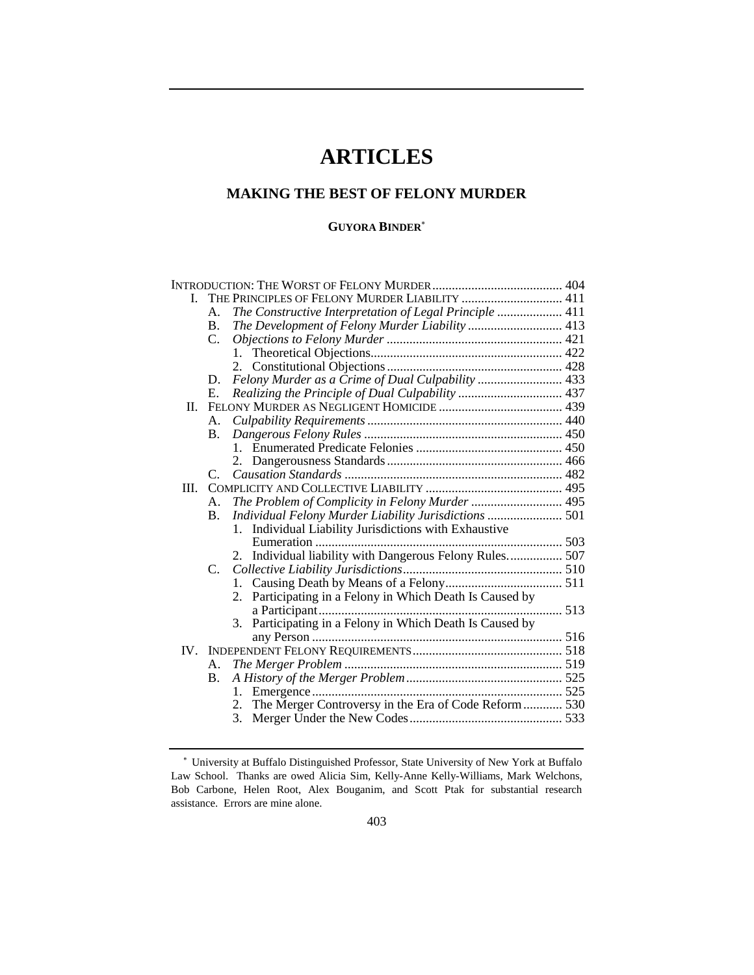# **ARTICLES**

# **MAKING THE BEST OF FELONY MURDER**

# **GUYORA BINDER**<sup>∗</sup>

| L        |                 |                                                             |  |
|----------|-----------------|-------------------------------------------------------------|--|
|          | $\mathsf{A}$ .  | The Constructive Interpretation of Legal Principle  411     |  |
|          | <b>B.</b>       | The Development of Felony Murder Liability  413             |  |
|          | $C_{\cdot}$     |                                                             |  |
|          |                 |                                                             |  |
|          |                 |                                                             |  |
|          | D.              |                                                             |  |
|          | E.              | Realizing the Principle of Dual Culpability  437            |  |
| II.      |                 |                                                             |  |
|          | A.              |                                                             |  |
|          | <b>B.</b>       |                                                             |  |
|          |                 |                                                             |  |
|          |                 |                                                             |  |
|          | $\mathcal{C}$ . |                                                             |  |
| III.     |                 |                                                             |  |
|          | A.              | The Problem of Complicity in Felony Murder  495             |  |
|          | <b>B.</b>       | Individual Felony Murder Liability Jurisdictions  501       |  |
|          |                 | Individual Liability Jurisdictions with Exhaustive          |  |
|          |                 |                                                             |  |
|          |                 | 2. Individual liability with Dangerous Felony Rules 507     |  |
|          | $C_{\cdot}$     |                                                             |  |
|          |                 | $1_{-}$                                                     |  |
|          |                 | Participating in a Felony in Which Death Is Caused by<br>2. |  |
|          |                 | 513                                                         |  |
|          |                 | Participating in a Felony in Which Death Is Caused by<br>3. |  |
|          |                 |                                                             |  |
| $IV_{-}$ |                 |                                                             |  |
|          | A.              |                                                             |  |
|          | <b>B.</b>       |                                                             |  |
|          |                 | 1.                                                          |  |
|          |                 | The Merger Controversy in the Era of Code Reform  530<br>2. |  |
|          |                 |                                                             |  |
|          |                 |                                                             |  |

<sup>∗</sup> University at Buffalo Distinguished Professor, State University of New York at Buffalo Law School. Thanks are owed Alicia Sim, Kelly-Anne Kelly-Williams, Mark Welchons, Bob Carbone, Helen Root, Alex Bouganim, and Scott Ptak for substantial research assistance. Errors are mine alone.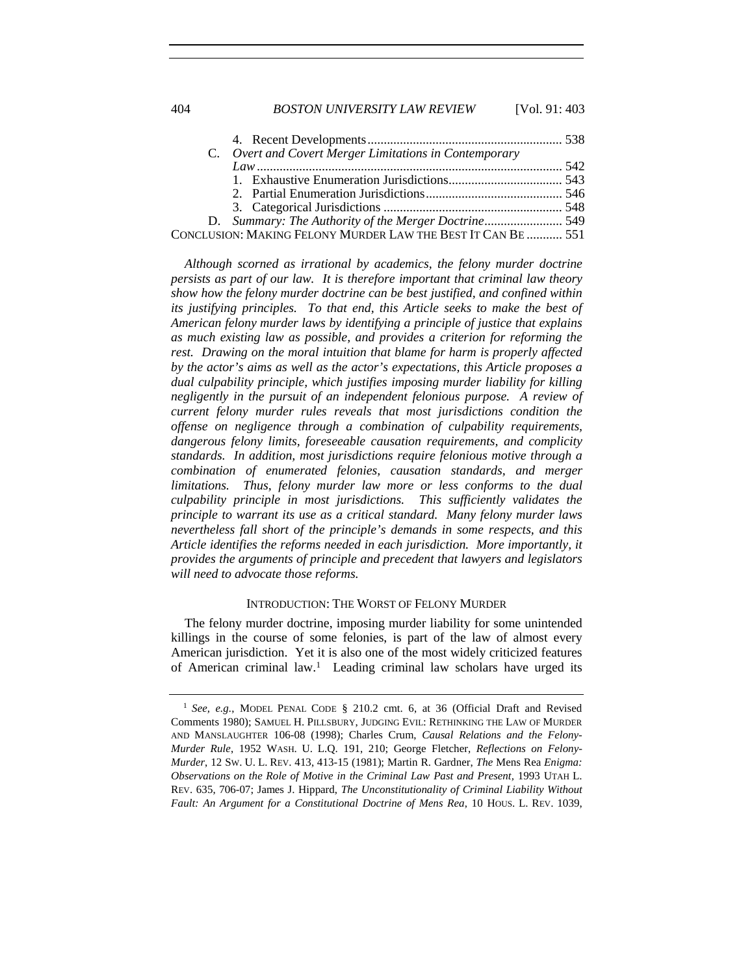404 *BOSTON UNIVERSITY LAW REVIEW* [Vol. 91: 403

| C. Overt and Covert Merger Limitations in Contemporary       |  |
|--------------------------------------------------------------|--|
|                                                              |  |
|                                                              |  |
|                                                              |  |
|                                                              |  |
|                                                              |  |
| CONCLUSION: MAKING FELONY MURDER LAW THE BEST IT CAN BE  551 |  |

*Although scorned as irrational by academics, the felony murder doctrine persists as part of our law. It is therefore important that criminal law theory show how the felony murder doctrine can be best justified, and confined within its justifying principles. To that end, this Article seeks to make the best of American felony murder laws by identifying a principle of justice that explains as much existing law as possible, and provides a criterion for reforming the rest. Drawing on the moral intuition that blame for harm is properly affected by the actor's aims as well as the actor's expectations, this Article proposes a dual culpability principle, which justifies imposing murder liability for killing negligently in the pursuit of an independent felonious purpose. A review of current felony murder rules reveals that most jurisdictions condition the offense on negligence through a combination of culpability requirements, dangerous felony limits, foreseeable causation requirements, and complicity standards. In addition, most jurisdictions require felonious motive through a combination of enumerated felonies, causation standards, and merger limitations. Thus, felony murder law more or less conforms to the dual culpability principle in most jurisdictions. This sufficiently validates the principle to warrant its use as a critical standard. Many felony murder laws nevertheless fall short of the principle's demands in some respects, and this Article identifies the reforms needed in each jurisdiction. More importantly, it provides the arguments of principle and precedent that lawyers and legislators will need to advocate those reforms.* 

#### INTRODUCTION: THE WORST OF FELONY MURDER

The felony murder doctrine, imposing murder liability for some unintended killings in the course of some felonies, is part of the law of almost every American jurisdiction. Yet it is also one of the most widely criticized features of American criminal law.1 Leading criminal law scholars have urged its

<sup>1</sup> *See, e.g.*, MODEL PENAL CODE § 210.2 cmt. 6, at 36 (Official Draft and Revised Comments 1980); SAMUEL H. PILLSBURY, JUDGING EVIL: RETHINKING THE LAW OF MURDER AND MANSLAUGHTER 106-08 (1998); Charles Crum, *Causal Relations and the Felony-Murder Rule*, 1952 WASH. U. L.Q. 191, 210; George Fletcher, *Reflections on Felony-Murder*, 12 SW. U. L. REV. 413, 413-15 (1981); Martin R. Gardner, *The* Mens Rea *Enigma: Observations on the Role of Motive in the Criminal Law Past and Present,* 1993 UTAH L. REV. 635, 706-07; James J. Hippard, *The Unconstitutionality of Criminal Liability Without Fault: An Argument for a Constitutional Doctrine of Mens Rea*, 10 HOUS. L. REV. 1039,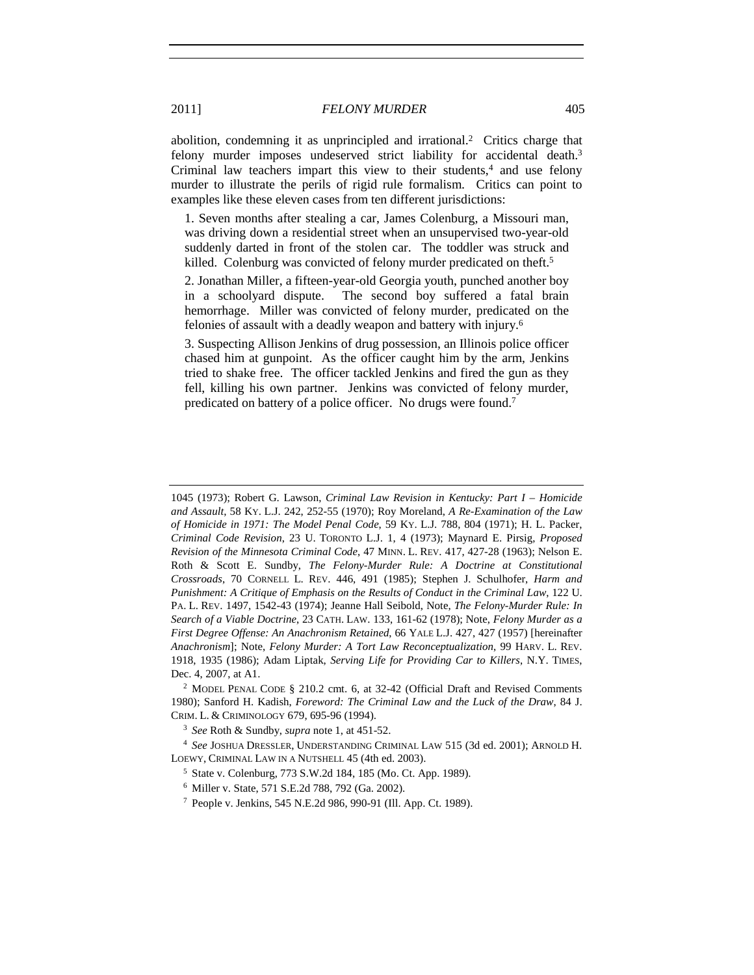abolition, condemning it as unprincipled and irrational.2 Critics charge that felony murder imposes undeserved strict liability for accidental death.<sup>3</sup> Criminal law teachers impart this view to their students, $4$  and use felony murder to illustrate the perils of rigid rule formalism. Critics can point to examples like these eleven cases from ten different jurisdictions:

1. Seven months after stealing a car, James Colenburg, a Missouri man, was driving down a residential street when an unsupervised two-year-old suddenly darted in front of the stolen car. The toddler was struck and killed. Colenburg was convicted of felony murder predicated on theft.<sup>5</sup>

2. Jonathan Miller, a fifteen-year-old Georgia youth, punched another boy in a schoolyard dispute. The second boy suffered a fatal brain hemorrhage. Miller was convicted of felony murder, predicated on the felonies of assault with a deadly weapon and battery with injury.6

3. Suspecting Allison Jenkins of drug possession, an Illinois police officer chased him at gunpoint. As the officer caught him by the arm, Jenkins tried to shake free. The officer tackled Jenkins and fired the gun as they fell, killing his own partner. Jenkins was convicted of felony murder, predicated on battery of a police officer. No drugs were found.7

<sup>1045 (1973);</sup> Robert G. Lawson, *Criminal Law Revision in Kentucky: Part I – Homicide and Assault*, 58 KY. L.J. 242, 252-55 (1970); Roy Moreland, *A Re-Examination of the Law of Homicide in 1971: The Model Penal Code*, 59 KY. L.J. 788, 804 (1971); H. L. Packer, *Criminal Code Revision*, 23 U. TORONTO L.J. 1, 4 (1973); Maynard E. Pirsig, *Proposed Revision of the Minnesota Criminal Code*, 47 MINN. L. REV. 417, 427-28 (1963); Nelson E. Roth & Scott E. Sundby, *The Felony-Murder Rule: A Doctrine at Constitutional Crossroads*, 70 CORNELL L. REV. 446, 491 (1985); Stephen J. Schulhofer, *Harm and Punishment: A Critique of Emphasis on the Results of Conduct in the Criminal Law*, 122 U. PA. L. REV. 1497, 1542-43 (1974); Jeanne Hall Seibold, Note, *The Felony-Murder Rule: In Search of a Viable Doctrine*, 23 CATH. LAW. 133, 161-62 (1978); Note, *Felony Murder as a First Degree Offense: An Anachronism Retained*, 66 YALE L.J. 427, 427 (1957) [hereinafter *Anachronism*]; Note, *Felony Murder: A Tort Law Reconceptualization*, 99 HARV. L. REV. 1918, 1935 (1986); Adam Liptak, *Serving Life for Providing Car to Killers*, N.Y. TIMES, Dec. 4, 2007, at A1.<br><sup>2</sup> MODEL PENAL CODE § 210.2 cmt. 6, at 32-42 (Official Draft and Revised Comments

<sup>1980);</sup> Sanford H. Kadish, *Foreword: The Criminal Law and the Luck of the Draw*, 84 J. CRIM. L. & CRIMINOLOGY 679, 695-96 (1994).

<sup>3</sup> *See* Roth & Sundby, *supra* note 1, at 451-52.

<sup>4</sup> *See* JOSHUA DRESSLER, UNDERSTANDING CRIMINAL LAW 515 (3d ed. 2001); ARNOLD H. LOEWY, CRIMINAL LAW IN A NUTSHELL 45 (4th ed. 2003).

<sup>5</sup> State v. Colenburg, 773 S.W.2d 184, 185 (Mo. Ct. App. 1989).

<sup>6</sup> Miller v. State, 571 S.E.2d 788, 792 (Ga. 2002).

<sup>7</sup> People v. Jenkins, 545 N.E.2d 986, 990-91 (Ill. App. Ct. 1989).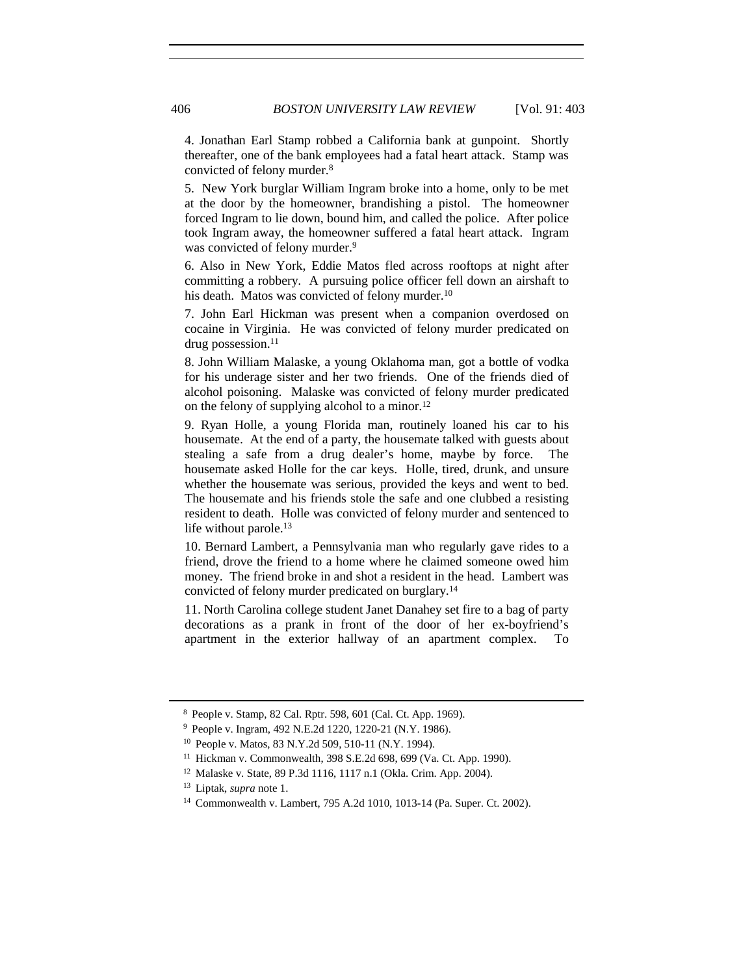4. Jonathan Earl Stamp robbed a California bank at gunpoint. Shortly thereafter, one of the bank employees had a fatal heart attack. Stamp was convicted of felony murder.8

5. New York burglar William Ingram broke into a home, only to be met at the door by the homeowner, brandishing a pistol. The homeowner forced Ingram to lie down, bound him, and called the police. After police took Ingram away, the homeowner suffered a fatal heart attack. Ingram was convicted of felony murder.<sup>9</sup>

6. Also in New York, Eddie Matos fled across rooftops at night after committing a robbery. A pursuing police officer fell down an airshaft to his death. Matos was convicted of felony murder.<sup>10</sup>

7. John Earl Hickman was present when a companion overdosed on cocaine in Virginia. He was convicted of felony murder predicated on drug possession.<sup>11</sup>

8. John William Malaske, a young Oklahoma man, got a bottle of vodka for his underage sister and her two friends. One of the friends died of alcohol poisoning. Malaske was convicted of felony murder predicated on the felony of supplying alcohol to a minor.12

9. Ryan Holle, a young Florida man, routinely loaned his car to his housemate. At the end of a party, the housemate talked with guests about stealing a safe from a drug dealer's home, maybe by force. The housemate asked Holle for the car keys. Holle, tired, drunk, and unsure whether the housemate was serious, provided the keys and went to bed. The housemate and his friends stole the safe and one clubbed a resisting resident to death. Holle was convicted of felony murder and sentenced to life without parole.<sup>13</sup>

10. Bernard Lambert, a Pennsylvania man who regularly gave rides to a friend, drove the friend to a home where he claimed someone owed him money. The friend broke in and shot a resident in the head. Lambert was convicted of felony murder predicated on burglary.14

11. North Carolina college student Janet Danahey set fire to a bag of party decorations as a prank in front of the door of her ex-boyfriend's apartment in the exterior hallway of an apartment complex. To

<sup>8</sup> People v. Stamp, 82 Cal. Rptr. 598, 601 (Cal. Ct. App. 1969).

<sup>9</sup> People v. Ingram, 492 N.E.2d 1220, 1220-21 (N.Y. 1986).

<sup>10</sup> People v. Matos, 83 N.Y.2d 509, 510-11 (N.Y. 1994).

<sup>11</sup> Hickman v. Commonwealth, 398 S.E.2d 698, 699 (Va. Ct. App. 1990).

<sup>12</sup> Malaske v. State, 89 P.3d 1116, 1117 n.1 (Okla. Crim. App. 2004).

<sup>13</sup> Liptak, *supra* note 1.

<sup>14</sup> Commonwealth v. Lambert, 795 A.2d 1010, 1013-14 (Pa. Super. Ct. 2002).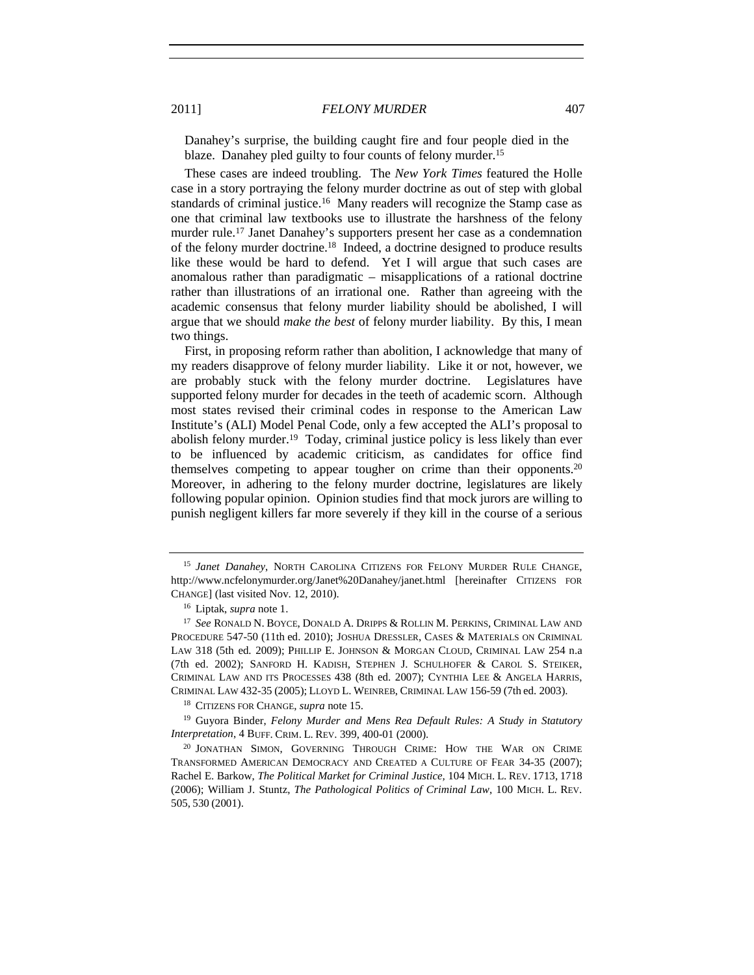Danahey's surprise, the building caught fire and four people died in the blaze. Danahey pled guilty to four counts of felony murder.<sup>15</sup>

These cases are indeed troubling. The *New York Times* featured the Holle case in a story portraying the felony murder doctrine as out of step with global standards of criminal justice.16 Many readers will recognize the Stamp case as one that criminal law textbooks use to illustrate the harshness of the felony murder rule.17 Janet Danahey's supporters present her case as a condemnation of the felony murder doctrine.18 Indeed, a doctrine designed to produce results like these would be hard to defend. Yet I will argue that such cases are anomalous rather than paradigmatic – misapplications of a rational doctrine rather than illustrations of an irrational one. Rather than agreeing with the academic consensus that felony murder liability should be abolished, I will argue that we should *make the best* of felony murder liability. By this, I mean two things.

First, in proposing reform rather than abolition, I acknowledge that many of my readers disapprove of felony murder liability. Like it or not, however, we are probably stuck with the felony murder doctrine. Legislatures have supported felony murder for decades in the teeth of academic scorn. Although most states revised their criminal codes in response to the American Law Institute's (ALI) Model Penal Code, only a few accepted the ALI's proposal to abolish felony murder.19 Today, criminal justice policy is less likely than ever to be influenced by academic criticism, as candidates for office find themselves competing to appear tougher on crime than their opponents.20 Moreover, in adhering to the felony murder doctrine, legislatures are likely following popular opinion. Opinion studies find that mock jurors are willing to punish negligent killers far more severely if they kill in the course of a serious

<sup>18</sup> CITIZENS FOR CHANGE, *supra* note 15.

<sup>19</sup> Guyora Binder, *Felony Murder and Mens Rea Default Rules: A Study in Statutory Interpretation*, 4 BUFF. CRIM. L. REV. 399, 400-01 (2000).

<sup>15</sup> *Janet Danahey*, NORTH CAROLINA CITIZENS FOR FELONY MURDER RULE CHANGE, http://www.ncfelonymurder.org/Janet%20Danahey/janet.html [hereinafter CITIZENS FOR CHANGE] (last visited Nov. 12, 2010).

<sup>16</sup> Liptak, *supra* note 1.

<sup>17</sup> *See* RONALD N. BOYCE, DONALD A. DRIPPS & ROLLIN M. PERKINS, CRIMINAL LAW AND PROCEDURE 547-50 (11th ed. 2010); JOSHUA DRESSLER, CASES & MATERIALS ON CRIMINAL LAW 318 (5th ed. 2009); PHILLIP E. JOHNSON & MORGAN CLOUD, CRIMINAL LAW 254 n.a (7th ed. 2002); SANFORD H. KADISH, STEPHEN J. SCHULHOFER & CAROL S. STEIKER, CRIMINAL LAW AND ITS PROCESSES 438 (8th ed. 2007); CYNTHIA LEE & ANGELA HARRIS, CRIMINAL LAW 432-35 (2005); LLOYD L. WEINREB, CRIMINAL LAW 156-59 (7th ed. 2003).

<sup>20</sup> JONATHAN SIMON, GOVERNING THROUGH CRIME: HOW THE WAR ON CRIME TRANSFORMED AMERICAN DEMOCRACY AND CREATED A CULTURE OF FEAR 34-35 (2007); Rachel E. Barkow, *The Political Market for Criminal Justice,* 104 MICH. L. REV. 1713, 1718 (2006); William J. Stuntz, *The Pathological Politics of Criminal Law*, 100 MICH. L. REV. 505, 530 (2001).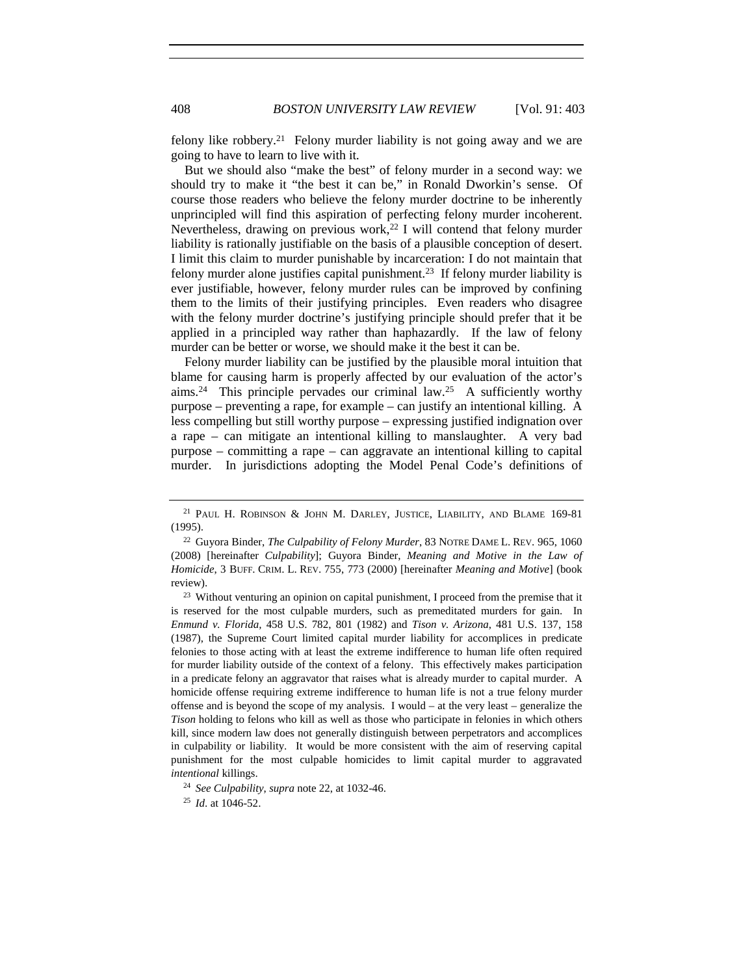felony like robbery.<sup>21</sup> Felony murder liability is not going away and we are going to have to learn to live with it.

But we should also "make the best" of felony murder in a second way: we should try to make it "the best it can be," in Ronald Dworkin's sense. Of course those readers who believe the felony murder doctrine to be inherently unprincipled will find this aspiration of perfecting felony murder incoherent. Nevertheless, drawing on previous work,<sup>22</sup> I will contend that felony murder liability is rationally justifiable on the basis of a plausible conception of desert. I limit this claim to murder punishable by incarceration: I do not maintain that felony murder alone justifies capital punishment.<sup>23</sup> If felony murder liability is ever justifiable, however, felony murder rules can be improved by confining them to the limits of their justifying principles. Even readers who disagree with the felony murder doctrine's justifying principle should prefer that it be applied in a principled way rather than haphazardly. If the law of felony murder can be better or worse, we should make it the best it can be.

Felony murder liability can be justified by the plausible moral intuition that blame for causing harm is properly affected by our evaluation of the actor's aims.24 This principle pervades our criminal law.25 A sufficiently worthy purpose – preventing a rape, for example – can justify an intentional killing. A less compelling but still worthy purpose – expressing justified indignation over a rape – can mitigate an intentional killing to manslaughter. A very bad purpose – committing a rape – can aggravate an intentional killing to capital murder. In jurisdictions adopting the Model Penal Code's definitions of

<sup>&</sup>lt;sup>21</sup> PAUL H. ROBINSON & JOHN M. DARLEY, JUSTICE, LIABILITY, AND BLAME 169-81 (1995).

<sup>22</sup> Guyora Binder, *The Culpability of Felony Murder*, 83 NOTRE DAME L. REV. 965, 1060 (2008) [hereinafter *Culpability*]; Guyora Binder, *Meaning and Motive in the Law of Homicide*, 3 BUFF. CRIM. L. REV. 755, 773 (2000) [hereinafter *Meaning and Motive*] (book review).

<sup>&</sup>lt;sup>23</sup> Without venturing an opinion on capital punishment, I proceed from the premise that it is reserved for the most culpable murders, such as premeditated murders for gain. In *Enmund v. Florida,* 458 U.S. 782, 801 (1982) and *Tison v. Arizona*, 481 U.S. 137, 158 (1987), the Supreme Court limited capital murder liability for accomplices in predicate felonies to those acting with at least the extreme indifference to human life often required for murder liability outside of the context of a felony. This effectively makes participation in a predicate felony an aggravator that raises what is already murder to capital murder. A homicide offense requiring extreme indifference to human life is not a true felony murder offense and is beyond the scope of my analysis. I would – at the very least – generalize the *Tison* holding to felons who kill as well as those who participate in felonies in which others kill, since modern law does not generally distinguish between perpetrators and accomplices in culpability or liability. It would be more consistent with the aim of reserving capital punishment for the most culpable homicides to limit capital murder to aggravated

*intentional* killings. 24 *See Culpability*, *supra* note 22, at 1032-46.

<sup>25</sup> *Id*. at 1046-52.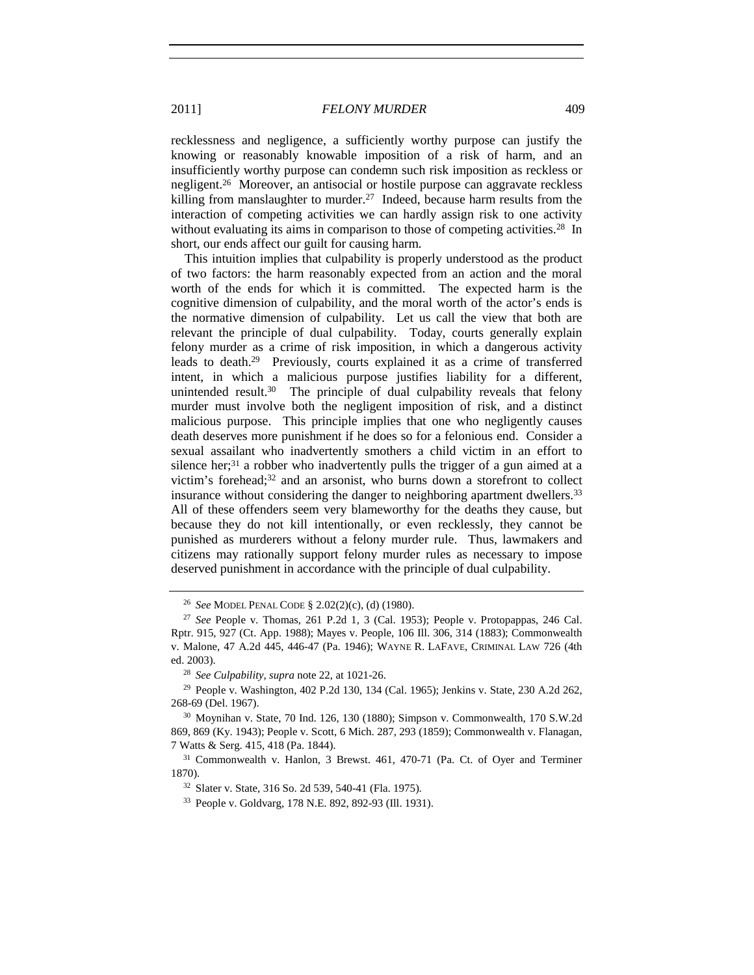recklessness and negligence, a sufficiently worthy purpose can justify the knowing or reasonably knowable imposition of a risk of harm, and an insufficiently worthy purpose can condemn such risk imposition as reckless or negligent.26 Moreover, an antisocial or hostile purpose can aggravate reckless killing from manslaughter to murder.<sup>27</sup> Indeed, because harm results from the interaction of competing activities we can hardly assign risk to one activity without evaluating its aims in comparison to those of competing activities.<sup>28</sup> In short, our ends affect our guilt for causing harm.

This intuition implies that culpability is properly understood as the product of two factors: the harm reasonably expected from an action and the moral worth of the ends for which it is committed. The expected harm is the cognitive dimension of culpability, and the moral worth of the actor's ends is the normative dimension of culpability. Let us call the view that both are relevant the principle of dual culpability. Today, courts generally explain felony murder as a crime of risk imposition, in which a dangerous activity leads to death.29 Previously, courts explained it as a crime of transferred intent, in which a malicious purpose justifies liability for a different, unintended result.<sup>30</sup> The principle of dual culpability reveals that felony murder must involve both the negligent imposition of risk, and a distinct malicious purpose. This principle implies that one who negligently causes death deserves more punishment if he does so for a felonious end. Consider a sexual assailant who inadvertently smothers a child victim in an effort to silence her; $31$  a robber who inadvertently pulls the trigger of a gun aimed at a victim's forehead;<sup>32</sup> and an arsonist, who burns down a storefront to collect insurance without considering the danger to neighboring apartment dwellers.<sup>33</sup> All of these offenders seem very blameworthy for the deaths they cause, but because they do not kill intentionally, or even recklessly, they cannot be punished as murderers without a felony murder rule. Thus, lawmakers and citizens may rationally support felony murder rules as necessary to impose deserved punishment in accordance with the principle of dual culpability.

<sup>26</sup> *See* MODEL PENAL CODE § 2.02(2)(c), (d) (1980).

<sup>27</sup> *See* People v. Thomas, 261 P.2d 1, 3 (Cal. 1953); People v. Protopappas, 246 Cal. Rptr. 915, 927 (Ct. App. 1988); Mayes v. People, 106 Ill. 306, 314 (1883); Commonwealth v. Malone, 47 A.2d 445, 446-47 (Pa. 1946); WAYNE R. LAFAVE, CRIMINAL LAW 726 (4th ed. 2003).

<sup>28</sup> *See Culpability, supra* note 22, at 1021-26.

<sup>29</sup> People v. Washington, 402 P.2d 130, 134 (Cal. 1965); Jenkins v. State, 230 A.2d 262, 268-69 (Del. 1967).

<sup>30</sup> Moynihan v. State, 70 Ind. 126, 130 (1880); Simpson v. Commonwealth, 170 S.W.2d 869, 869 (Ky. 1943); People v. Scott, 6 Mich. 287, 293 (1859); Commonwealth v. Flanagan, 7 Watts & Serg. 415, 418 (Pa. 1844).

<sup>31</sup> Commonwealth v. Hanlon, 3 Brewst. 461, 470-71 (Pa. Ct. of Oyer and Terminer 1870).

<sup>32</sup> Slater v. State, 316 So. 2d 539, 540-41 (Fla. 1975).

<sup>33</sup> People v. Goldvarg, 178 N.E. 892, 892-93 (Ill. 1931).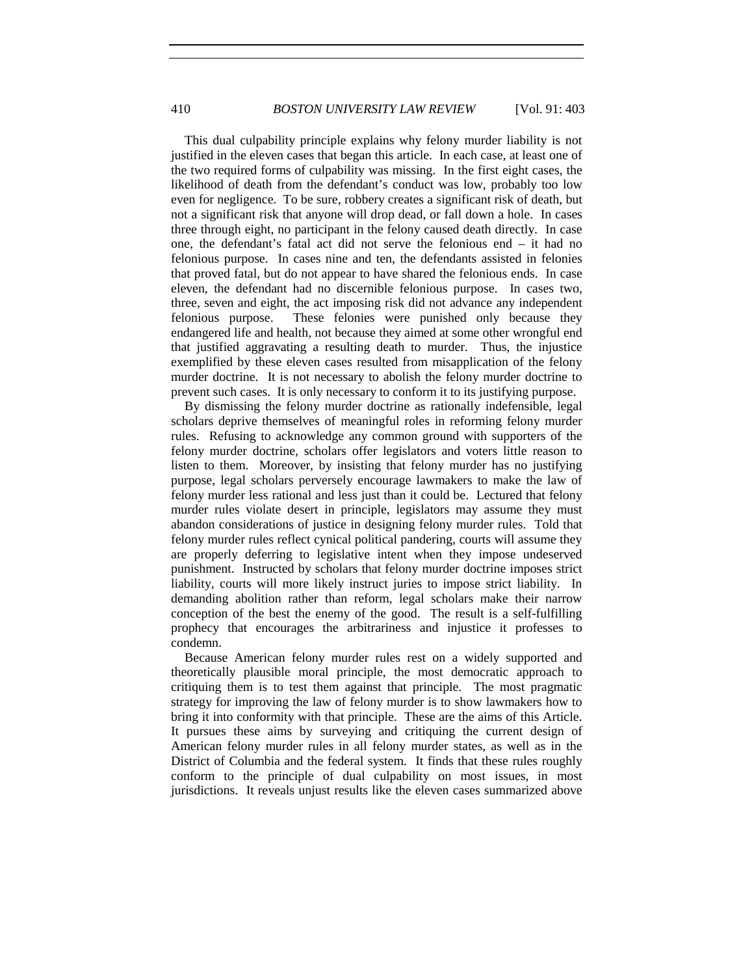This dual culpability principle explains why felony murder liability is not justified in the eleven cases that began this article. In each case, at least one of the two required forms of culpability was missing. In the first eight cases, the likelihood of death from the defendant's conduct was low, probably too low even for negligence. To be sure, robbery creates a significant risk of death, but not a significant risk that anyone will drop dead, or fall down a hole. In cases three through eight, no participant in the felony caused death directly. In case one, the defendant's fatal act did not serve the felonious end – it had no felonious purpose. In cases nine and ten, the defendants assisted in felonies that proved fatal, but do not appear to have shared the felonious ends. In case eleven, the defendant had no discernible felonious purpose. In cases two, three, seven and eight, the act imposing risk did not advance any independent felonious purpose. These felonies were punished only because they endangered life and health, not because they aimed at some other wrongful end that justified aggravating a resulting death to murder. Thus, the injustice exemplified by these eleven cases resulted from misapplication of the felony murder doctrine. It is not necessary to abolish the felony murder doctrine to prevent such cases. It is only necessary to conform it to its justifying purpose.

By dismissing the felony murder doctrine as rationally indefensible, legal scholars deprive themselves of meaningful roles in reforming felony murder rules. Refusing to acknowledge any common ground with supporters of the felony murder doctrine, scholars offer legislators and voters little reason to listen to them. Moreover, by insisting that felony murder has no justifying purpose, legal scholars perversely encourage lawmakers to make the law of felony murder less rational and less just than it could be. Lectured that felony murder rules violate desert in principle, legislators may assume they must abandon considerations of justice in designing felony murder rules. Told that felony murder rules reflect cynical political pandering, courts will assume they are properly deferring to legislative intent when they impose undeserved punishment. Instructed by scholars that felony murder doctrine imposes strict liability, courts will more likely instruct juries to impose strict liability. In demanding abolition rather than reform, legal scholars make their narrow conception of the best the enemy of the good. The result is a self-fulfilling prophecy that encourages the arbitrariness and injustice it professes to condemn.

Because American felony murder rules rest on a widely supported and theoretically plausible moral principle, the most democratic approach to critiquing them is to test them against that principle. The most pragmatic strategy for improving the law of felony murder is to show lawmakers how to bring it into conformity with that principle. These are the aims of this Article. It pursues these aims by surveying and critiquing the current design of American felony murder rules in all felony murder states, as well as in the District of Columbia and the federal system. It finds that these rules roughly conform to the principle of dual culpability on most issues, in most jurisdictions. It reveals unjust results like the eleven cases summarized above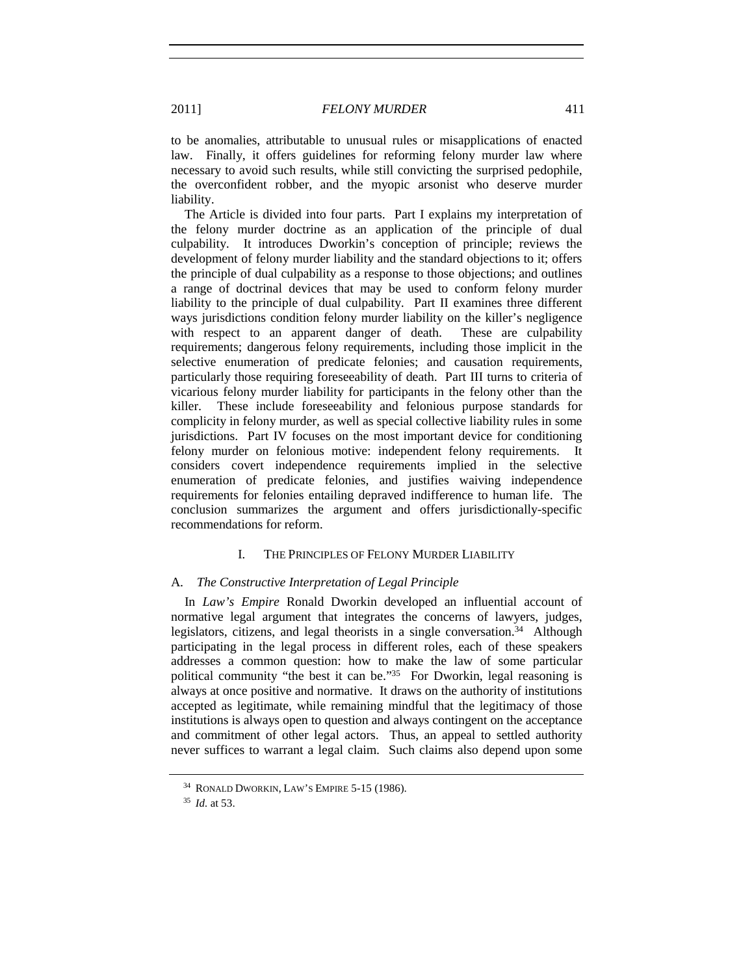to be anomalies, attributable to unusual rules or misapplications of enacted law. Finally, it offers guidelines for reforming felony murder law where necessary to avoid such results, while still convicting the surprised pedophile, the overconfident robber, and the myopic arsonist who deserve murder liability.

The Article is divided into four parts. Part I explains my interpretation of the felony murder doctrine as an application of the principle of dual culpability. It introduces Dworkin's conception of principle; reviews the development of felony murder liability and the standard objections to it; offers the principle of dual culpability as a response to those objections; and outlines a range of doctrinal devices that may be used to conform felony murder liability to the principle of dual culpability. Part II examines three different ways jurisdictions condition felony murder liability on the killer's negligence with respect to an apparent danger of death. These are culpability requirements; dangerous felony requirements, including those implicit in the selective enumeration of predicate felonies; and causation requirements, particularly those requiring foreseeability of death. Part III turns to criteria of vicarious felony murder liability for participants in the felony other than the killer. These include foreseeability and felonious purpose standards for complicity in felony murder, as well as special collective liability rules in some jurisdictions. Part IV focuses on the most important device for conditioning felony murder on felonious motive: independent felony requirements. It considers covert independence requirements implied in the selective enumeration of predicate felonies, and justifies waiving independence requirements for felonies entailing depraved indifference to human life. The conclusion summarizes the argument and offers jurisdictionally-specific recommendations for reform.

## I. THE PRINCIPLES OF FELONY MURDER LIABILITY

### A*. The Constructive Interpretation of Legal Principle*

In *Law's Empire* Ronald Dworkin developed an influential account of normative legal argument that integrates the concerns of lawyers, judges, legislators, citizens, and legal theorists in a single conversation.<sup>34</sup> Although participating in the legal process in different roles, each of these speakers addresses a common question: how to make the law of some particular political community "the best it can be."35 For Dworkin, legal reasoning is always at once positive and normative. It draws on the authority of institutions accepted as legitimate, while remaining mindful that the legitimacy of those institutions is always open to question and always contingent on the acceptance and commitment of other legal actors. Thus, an appeal to settled authority never suffices to warrant a legal claim. Such claims also depend upon some

<sup>34</sup> RONALD DWORKIN, LAW'S EMPIRE 5-15 (1986).

<sup>35</sup> *Id.* at 53.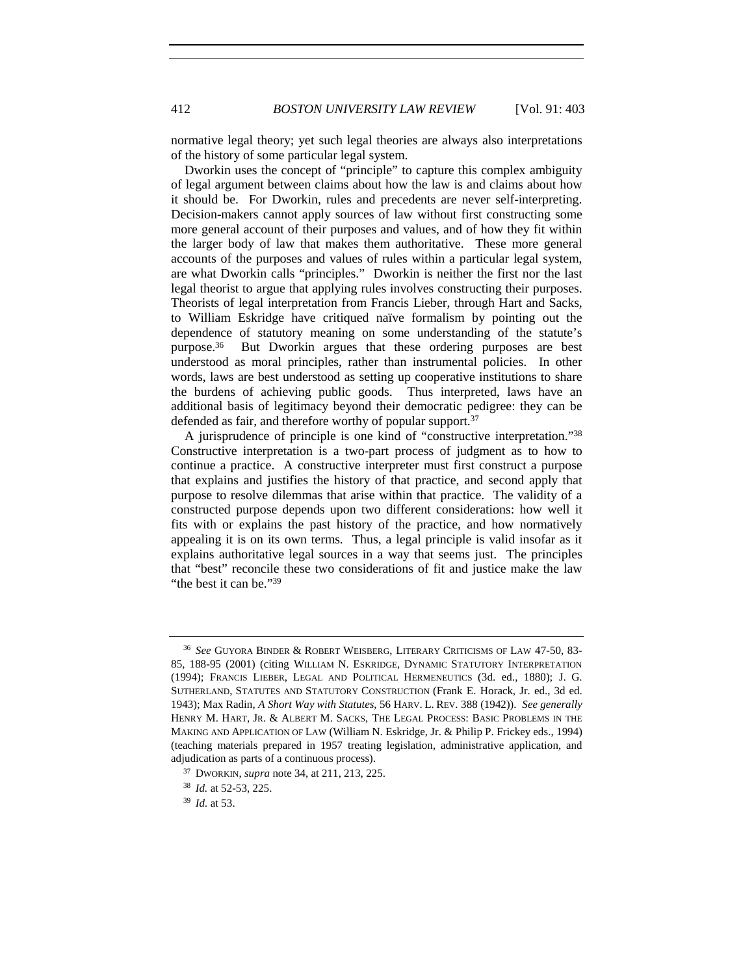412 *BOSTON UNIVERSITY LAW REVIEW* [Vol. 91: 403

normative legal theory; yet such legal theories are always also interpretations of the history of some particular legal system.

Dworkin uses the concept of "principle" to capture this complex ambiguity of legal argument between claims about how the law is and claims about how it should be. For Dworkin, rules and precedents are never self-interpreting. Decision-makers cannot apply sources of law without first constructing some more general account of their purposes and values, and of how they fit within the larger body of law that makes them authoritative. These more general accounts of the purposes and values of rules within a particular legal system, are what Dworkin calls "principles." Dworkin is neither the first nor the last legal theorist to argue that applying rules involves constructing their purposes. Theorists of legal interpretation from Francis Lieber, through Hart and Sacks, to William Eskridge have critiqued naïve formalism by pointing out the dependence of statutory meaning on some understanding of the statute's purpose.36 But Dworkin argues that these ordering purposes are best understood as moral principles, rather than instrumental policies. In other words, laws are best understood as setting up cooperative institutions to share the burdens of achieving public goods. Thus interpreted, laws have an additional basis of legitimacy beyond their democratic pedigree: they can be defended as fair, and therefore worthy of popular support.<sup>37</sup>

A jurisprudence of principle is one kind of "constructive interpretation."38 Constructive interpretation is a two-part process of judgment as to how to continue a practice. A constructive interpreter must first construct a purpose that explains and justifies the history of that practice, and second apply that purpose to resolve dilemmas that arise within that practice. The validity of a constructed purpose depends upon two different considerations: how well it fits with or explains the past history of the practice, and how normatively appealing it is on its own terms. Thus, a legal principle is valid insofar as it explains authoritative legal sources in a way that seems just. The principles that "best" reconcile these two considerations of fit and justice make the law "the best it can be."<sup>39</sup>

<sup>36</sup> *See* GUYORA BINDER & ROBERT WEISBERG, LITERARY CRITICISMS OF LAW 47-50, 83- 85, 188-95 (2001) (citing WILLIAM N. ESKRIDGE, DYNAMIC STATUTORY INTERPRETATION (1994); FRANCIS LIEBER, LEGAL AND POLITICAL HERMENEUTICS (3d. ed., 1880); J. G. SUTHERLAND, STATUTES AND STATUTORY CONSTRUCTION (Frank E. Horack, Jr. ed., 3d ed. 1943); Max Radin, *A Short Way with Statutes*, 56 HARV. L. REV. 388 (1942)). *See generally* HENRY M. HART, JR. & ALBERT M. SACKS, THE LEGAL PROCESS: BASIC PROBLEMS IN THE MAKING AND APPLICATION OF LAW (William N. Eskridge, Jr. & Philip P. Frickey eds., 1994) (teaching materials prepared in 1957 treating legislation, administrative application, and adjudication as parts of a continuous process). 37 DWORKIN, *supra* note 34, at 211, 213, 225.

<sup>38</sup> *Id.* at 52-53, 225.

<sup>39</sup> *Id.* at 53.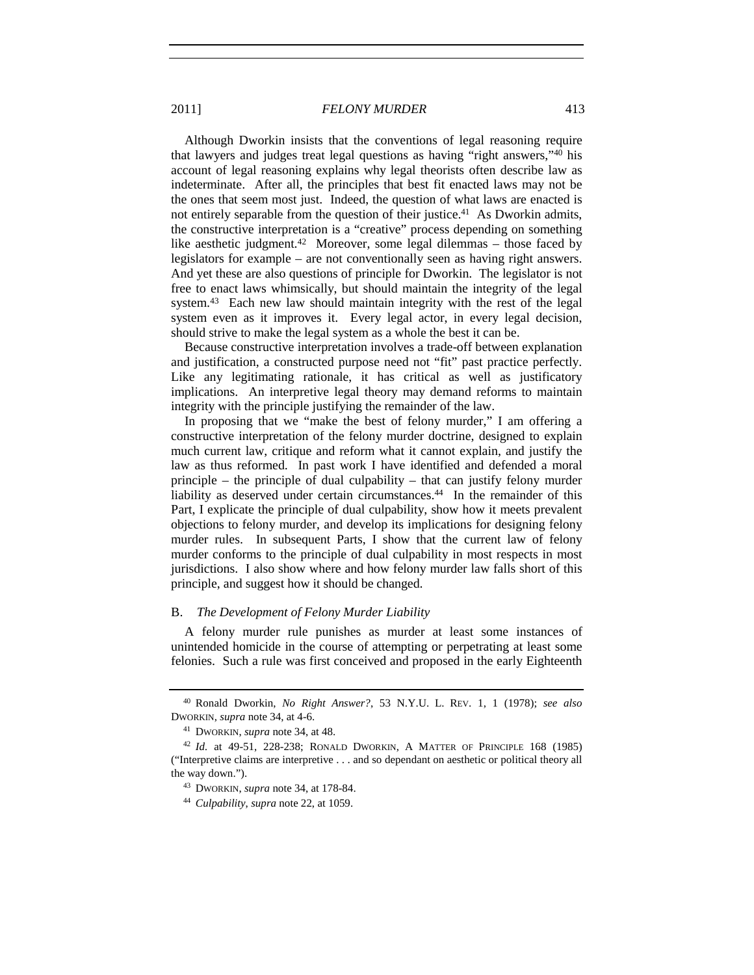Although Dworkin insists that the conventions of legal reasoning require that lawyers and judges treat legal questions as having "right answers,"40 his account of legal reasoning explains why legal theorists often describe law as indeterminate. After all, the principles that best fit enacted laws may not be the ones that seem most just. Indeed, the question of what laws are enacted is not entirely separable from the question of their justice.<sup>41</sup> As Dworkin admits, the constructive interpretation is a "creative" process depending on something like aesthetic judgment.<sup>42</sup> Moreover, some legal dilemmas – those faced by legislators for example – are not conventionally seen as having right answers. And yet these are also questions of principle for Dworkin. The legislator is not free to enact laws whimsically, but should maintain the integrity of the legal system.43 Each new law should maintain integrity with the rest of the legal system even as it improves it. Every legal actor, in every legal decision, should strive to make the legal system as a whole the best it can be.

Because constructive interpretation involves a trade-off between explanation and justification, a constructed purpose need not "fit" past practice perfectly. Like any legitimating rationale, it has critical as well as justificatory implications. An interpretive legal theory may demand reforms to maintain integrity with the principle justifying the remainder of the law.

In proposing that we "make the best of felony murder," I am offering a constructive interpretation of the felony murder doctrine, designed to explain much current law, critique and reform what it cannot explain, and justify the law as thus reformed. In past work I have identified and defended a moral principle – the principle of dual culpability – that can justify felony murder liability as deserved under certain circumstances.<sup>44</sup> In the remainder of this Part, I explicate the principle of dual culpability, show how it meets prevalent objections to felony murder, and develop its implications for designing felony murder rules. In subsequent Parts, I show that the current law of felony murder conforms to the principle of dual culpability in most respects in most jurisdictions. I also show where and how felony murder law falls short of this principle, and suggest how it should be changed.

#### B. *The Development of Felony Murder Liability*

A felony murder rule punishes as murder at least some instances of unintended homicide in the course of attempting or perpetrating at least some felonies. Such a rule was first conceived and proposed in the early Eighteenth

<sup>40</sup> Ronald Dworkin, *No Right Answer?*, 53 N.Y.U. L. REV. 1, 1 (1978); *see also*  DWORKIN, *supra* note 34, at 4-6.

<sup>41</sup> DWORKIN, *supra* note 34, at 48.

<sup>42</sup> *Id.* at 49-51, 228-238; RONALD DWORKIN, A MATTER OF PRINCIPLE 168 (1985) ("Interpretive claims are interpretive . . . and so dependant on aesthetic or political theory all the way down."). 43 DWORKIN, *supra* note 34, at 178-84.

<sup>44</sup> *Culpability*, *supra* note 22, at 1059.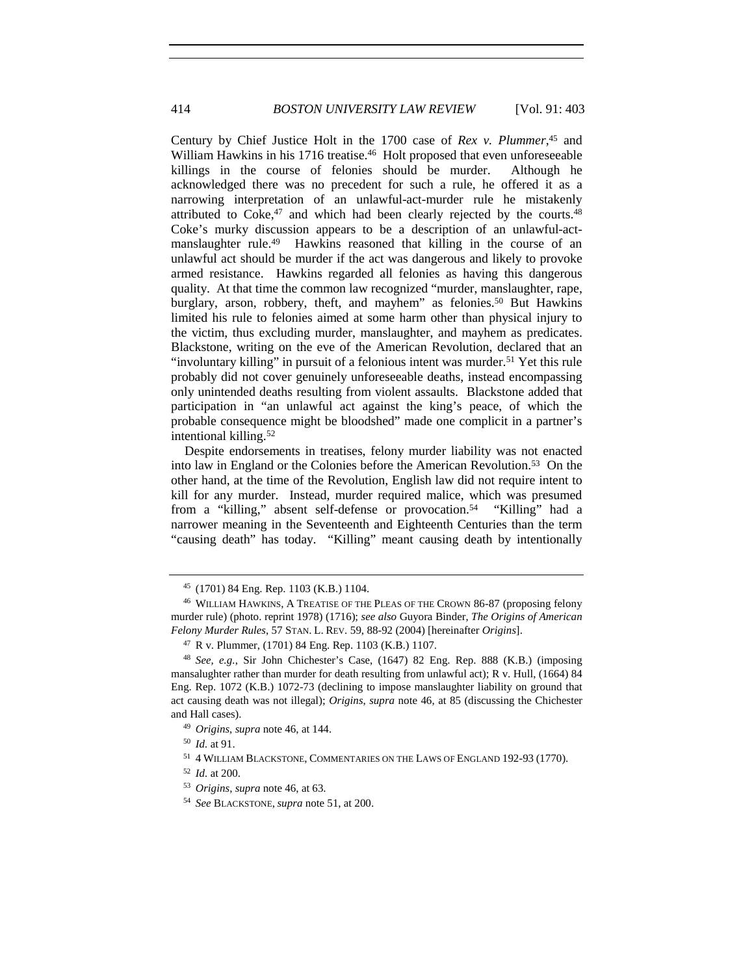Century by Chief Justice Holt in the 1700 case of *Rex v. Plummer*, 45 and William Hawkins in his 1716 treatise.<sup>46</sup> Holt proposed that even unforeseeable killings in the course of felonies should be murder. Although he acknowledged there was no precedent for such a rule, he offered it as a narrowing interpretation of an unlawful-act-murder rule he mistakenly attributed to  $Coke<sub>1</sub><sup>47</sup>$  and which had been clearly rejected by the courts.<sup>48</sup> Coke's murky discussion appears to be a description of an unlawful-actmanslaughter rule.49 Hawkins reasoned that killing in the course of an unlawful act should be murder if the act was dangerous and likely to provoke armed resistance. Hawkins regarded all felonies as having this dangerous quality. At that time the common law recognized "murder, manslaughter, rape, burglary, arson, robbery, theft, and mayhem" as felonies.<sup>50</sup> But Hawkins limited his rule to felonies aimed at some harm other than physical injury to the victim, thus excluding murder, manslaughter, and mayhem as predicates. Blackstone, writing on the eve of the American Revolution, declared that an "involuntary killing" in pursuit of a felonious intent was murder.<sup>51</sup> Yet this rule probably did not cover genuinely unforeseeable deaths, instead encompassing only unintended deaths resulting from violent assaults. Blackstone added that participation in "an unlawful act against the king's peace, of which the probable consequence might be bloodshed" made one complicit in a partner's intentional killing.52

Despite endorsements in treatises, felony murder liability was not enacted into law in England or the Colonies before the American Revolution.53 On the other hand, at the time of the Revolution, English law did not require intent to kill for any murder. Instead, murder required malice, which was presumed from a "killing," absent self-defense or provocation.54 "Killing" had a narrower meaning in the Seventeenth and Eighteenth Centuries than the term "causing death" has today. "Killing" meant causing death by intentionally

<sup>&</sup>lt;sup>45</sup> (1701) 84 Eng. Rep. 1103 (K.B.) 1104.<br><sup>46</sup> WILLIAM HAWKINS, A TREATISE OF THE PLEAS OF THE CROWN 86-87 (proposing felony murder rule) (photo. reprint 1978) (1716); *see also* Guyora Binder, *The Origins of American Felony Murder Rules*, 57 STAN. L. REV. 59, 88-92 (2004) [hereinafter *Origins*].

 $47$  R v. Plummer, (1701) 84 Eng. Rep. 1103 (K.B.) 1107.

<sup>48</sup> *See, e.g.*, Sir John Chichester's Case, (1647) 82 Eng. Rep. 888 (K.B.) (imposing mansalughter rather than murder for death resulting from unlawful act); R v. Hull, (1664) 84 Eng. Rep. 1072 (K.B.) 1072-73 (declining to impose manslaughter liability on ground that act causing death was not illegal); *Origins*, *supra* note 46, at 85 (discussing the Chichester and Hall cases).

<sup>49</sup> *Origins*, *supra* note 46, at 144.

<sup>50</sup> *Id.* at 91.

<sup>51</sup> 4 WILLIAM BLACKSTONE, COMMENTARIES ON THE LAWS OF ENGLAND 192-93 (1770).

<sup>52</sup> *Id.* at 200.

<sup>53</sup> *Origins, supra* note 46, at 63.

<sup>54</sup> *See* BLACKSTONE, *supra* note 51, at 200.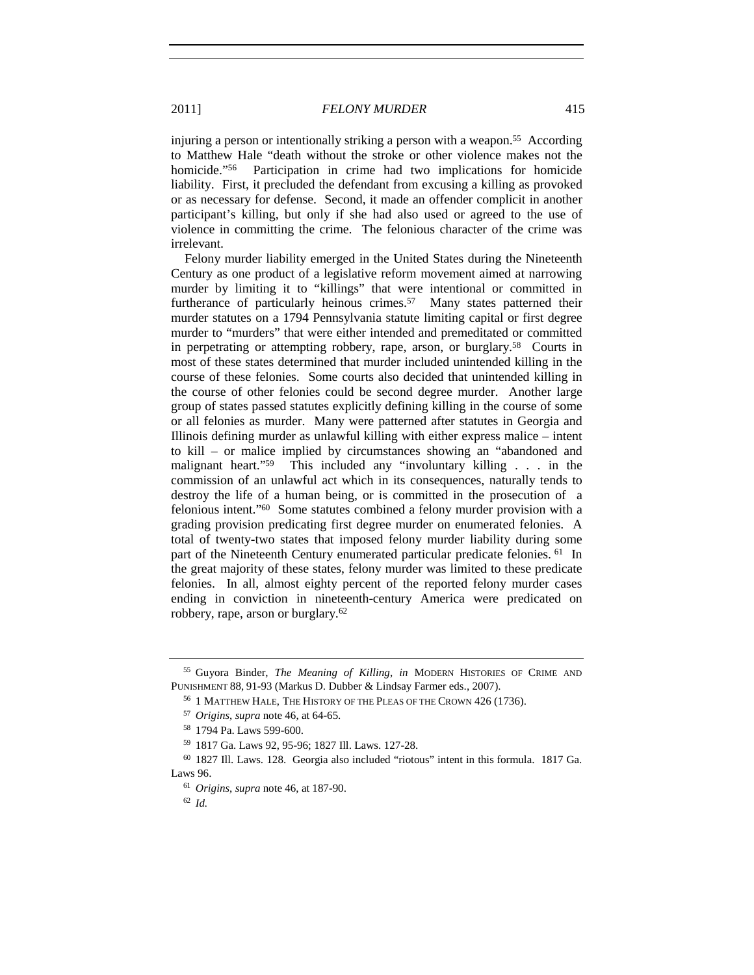injuring a person or intentionally striking a person with a weapon.<sup>55</sup> According to Matthew Hale "death without the stroke or other violence makes not the homicide."<sup>56</sup> Participation in crime had two implications for homicide liability. First, it precluded the defendant from excusing a killing as provoked or as necessary for defense. Second, it made an offender complicit in another participant's killing, but only if she had also used or agreed to the use of violence in committing the crime. The felonious character of the crime was irrelevant.

Felony murder liability emerged in the United States during the Nineteenth Century as one product of a legislative reform movement aimed at narrowing murder by limiting it to "killings" that were intentional or committed in furtherance of particularly heinous crimes.<sup>57</sup> Many states patterned their murder statutes on a 1794 Pennsylvania statute limiting capital or first degree murder to "murders" that were either intended and premeditated or committed in perpetrating or attempting robbery, rape, arson, or burglary.58 Courts in most of these states determined that murder included unintended killing in the course of these felonies. Some courts also decided that unintended killing in the course of other felonies could be second degree murder. Another large group of states passed statutes explicitly defining killing in the course of some or all felonies as murder. Many were patterned after statutes in Georgia and Illinois defining murder as unlawful killing with either express malice – intent to kill – or malice implied by circumstances showing an "abandoned and malignant heart."59 This included any "involuntary killing . . . in the commission of an unlawful act which in its consequences, naturally tends to destroy the life of a human being, or is committed in the prosecution of a felonious intent."60 Some statutes combined a felony murder provision with a grading provision predicating first degree murder on enumerated felonies. A total of twenty-two states that imposed felony murder liability during some part of the Nineteenth Century enumerated particular predicate felonies. <sup>61</sup> In the great majority of these states, felony murder was limited to these predicate felonies. In all, almost eighty percent of the reported felony murder cases ending in conviction in nineteenth-century America were predicated on robbery, rape, arson or burglary.62

<sup>55</sup> Guyora Binder, *The Meaning of Killing*, *in* MODERN HISTORIES OF CRIME AND PUNISHMENT 88, 91-93 (Markus D. Dubber & Lindsay Farmer eds., 2007).

<sup>56</sup> 1 MATTHEW HALE, THE HISTORY OF THE PLEAS OF THE CROWN 426 (1736). 57 *Origins*, *supra* note 46, at 64-65.

<sup>58</sup> 1794 Pa. Laws 599-600.

 $59$  1817 Ga. Laws 92, 95-96; 1827 Ill. Laws. 127-28.<br>  $60$  1827 Ill. Laws. 128. Georgia also included "riotous" intent in this formula. 1817 Ga. Laws 96.

<sup>61</sup> *Origins*, *supra* note 46, at 187-90.

<sup>62</sup> *Id.*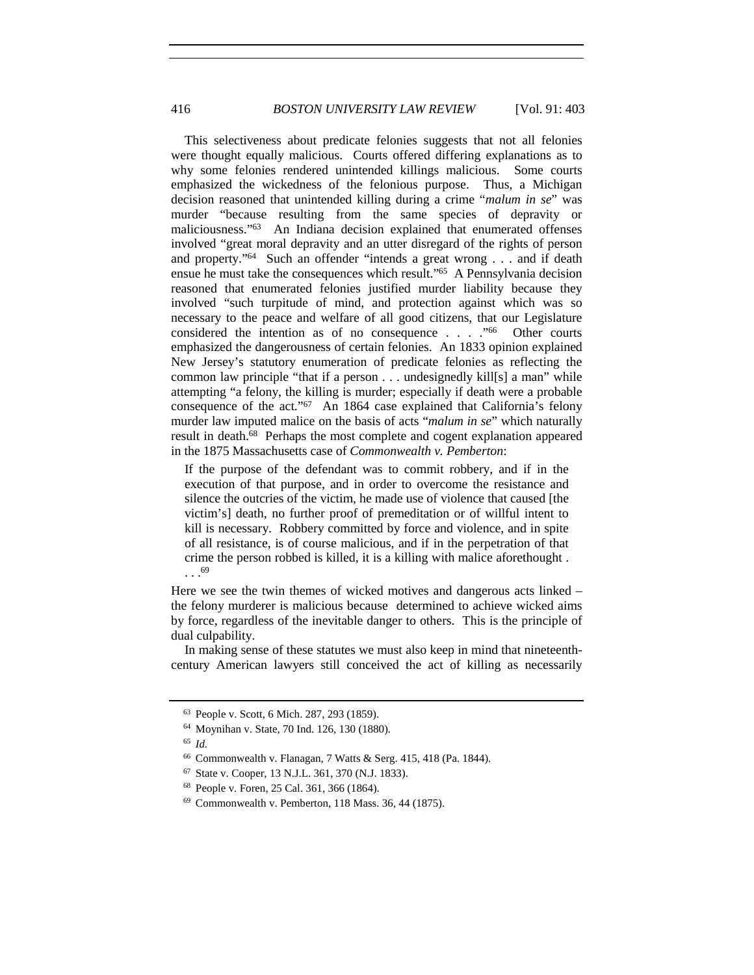This selectiveness about predicate felonies suggests that not all felonies were thought equally malicious. Courts offered differing explanations as to why some felonies rendered unintended killings malicious. Some courts emphasized the wickedness of the felonious purpose. Thus, a Michigan decision reasoned that unintended killing during a crime "*malum in se*" was murder "because resulting from the same species of depravity or maliciousness."63 An Indiana decision explained that enumerated offenses involved "great moral depravity and an utter disregard of the rights of person and property."64 Such an offender "intends a great wrong . . . and if death ensue he must take the consequences which result."65 A Pennsylvania decision reasoned that enumerated felonies justified murder liability because they involved "such turpitude of mind, and protection against which was so necessary to the peace and welfare of all good citizens, that our Legislature considered the intention as of no consequence . . . . . "<sup>66</sup> Other courts emphasized the dangerousness of certain felonies. An 1833 opinion explained New Jersey's statutory enumeration of predicate felonies as reflecting the common law principle "that if a person . . . undesignedly kill[s] a man" while attempting "a felony, the killing is murder; especially if death were a probable consequence of the act."<sup>67</sup> An 1864 case explained that California's felony murder law imputed malice on the basis of acts "*malum in se*" which naturally result in death.68 Perhaps the most complete and cogent explanation appeared in the 1875 Massachusetts case of *Commonwealth v. Pemberton*:

If the purpose of the defendant was to commit robbery, and if in the execution of that purpose, and in order to overcome the resistance and silence the outcries of the victim, he made use of violence that caused [the victim's] death, no further proof of premeditation or of willful intent to kill is necessary. Robbery committed by force and violence, and in spite of all resistance, is of course malicious, and if in the perpetration of that crime the person robbed is killed, it is a killing with malice aforethought . . . .69

Here we see the twin themes of wicked motives and dangerous acts linked – the felony murderer is malicious because determined to achieve wicked aims by force, regardless of the inevitable danger to others. This is the principle of dual culpability.

In making sense of these statutes we must also keep in mind that nineteenthcentury American lawyers still conceived the act of killing as necessarily

<sup>63</sup> People v. Scott, 6 Mich. 287, 293 (1859).

<sup>64</sup> Moynihan v. State, 70 Ind. 126, 130 (1880).

<sup>65</sup> *Id.*

<sup>66</sup> Commonwealth v. Flanagan, 7 Watts & Serg. 415, 418 (Pa. 1844).

<sup>67</sup> State v. Cooper, 13 N.J.L. 361, 370 (N.J. 1833).

<sup>68</sup> People v. Foren, 25 Cal. 361, 366 (1864).

<sup>69</sup> Commonwealth v. Pemberton, 118 Mass. 36, 44 (1875).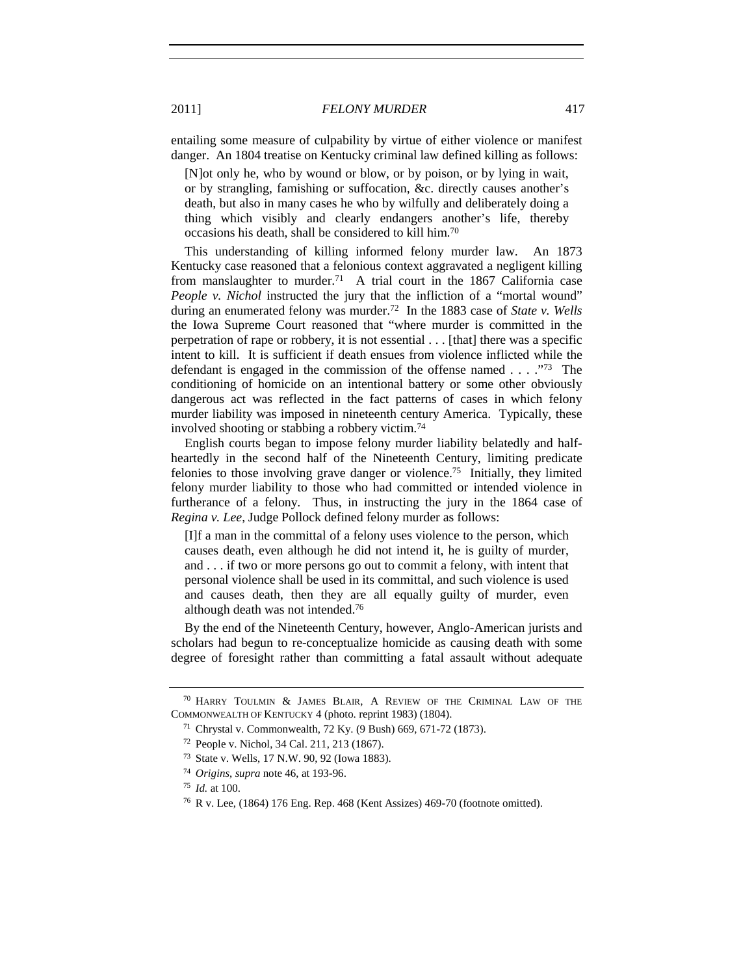entailing some measure of culpability by virtue of either violence or manifest danger. An 1804 treatise on Kentucky criminal law defined killing as follows:

[N]ot only he, who by wound or blow, or by poison, or by lying in wait, or by strangling, famishing or suffocation, &c. directly causes another's death, but also in many cases he who by wilfully and deliberately doing a thing which visibly and clearly endangers another's life, thereby occasions his death, shall be considered to kill him.70

This understanding of killing informed felony murder law. An 1873 Kentucky case reasoned that a felonious context aggravated a negligent killing from manslaughter to murder.<sup>71</sup> A trial court in the 1867 California case *People v. Nichol* instructed the jury that the infliction of a "mortal wound" during an enumerated felony was murder.72 In the 1883 case of *State v. Wells* the Iowa Supreme Court reasoned that "where murder is committed in the perpetration of rape or robbery, it is not essential . . . [that] there was a specific intent to kill. It is sufficient if death ensues from violence inflicted while the defendant is engaged in the commission of the offense named  $\dots$  ."<sup>73</sup> The conditioning of homicide on an intentional battery or some other obviously dangerous act was reflected in the fact patterns of cases in which felony murder liability was imposed in nineteenth century America. Typically, these involved shooting or stabbing a robbery victim.74

English courts began to impose felony murder liability belatedly and halfheartedly in the second half of the Nineteenth Century, limiting predicate felonies to those involving grave danger or violence.75 Initially, they limited felony murder liability to those who had committed or intended violence in furtherance of a felony. Thus, in instructing the jury in the 1864 case of *Regina v. Lee*, Judge Pollock defined felony murder as follows:

[I]f a man in the committal of a felony uses violence to the person, which causes death, even although he did not intend it, he is guilty of murder, and . . . if two or more persons go out to commit a felony, with intent that personal violence shall be used in its committal, and such violence is used and causes death, then they are all equally guilty of murder, even although death was not intended.76

By the end of the Nineteenth Century, however, Anglo-American jurists and scholars had begun to re-conceptualize homicide as causing death with some degree of foresight rather than committing a fatal assault without adequate

<sup>70</sup> HARRY TOULMIN & JAMES BLAIR, A REVIEW OF THE CRIMINAL LAW OF THE COMMONWEALTH OF KENTUCKY 4 (photo. reprint 1983) (1804).

<sup>71</sup> Chrystal v. Commonwealth, 72 Ky. (9 Bush) 669, 671-72 (1873).

<sup>72</sup> People v. Nichol, 34 Cal. 211, 213 (1867).

<sup>73</sup> State v. Wells, 17 N.W. 90, 92 (Iowa 1883).

<sup>74</sup> *Origins*, *supra* note 46, at 193-96.

<sup>75</sup> *Id.* at 100.

<sup>76</sup> R v. Lee, (1864) 176 Eng. Rep. 468 (Kent Assizes) 469-70 (footnote omitted).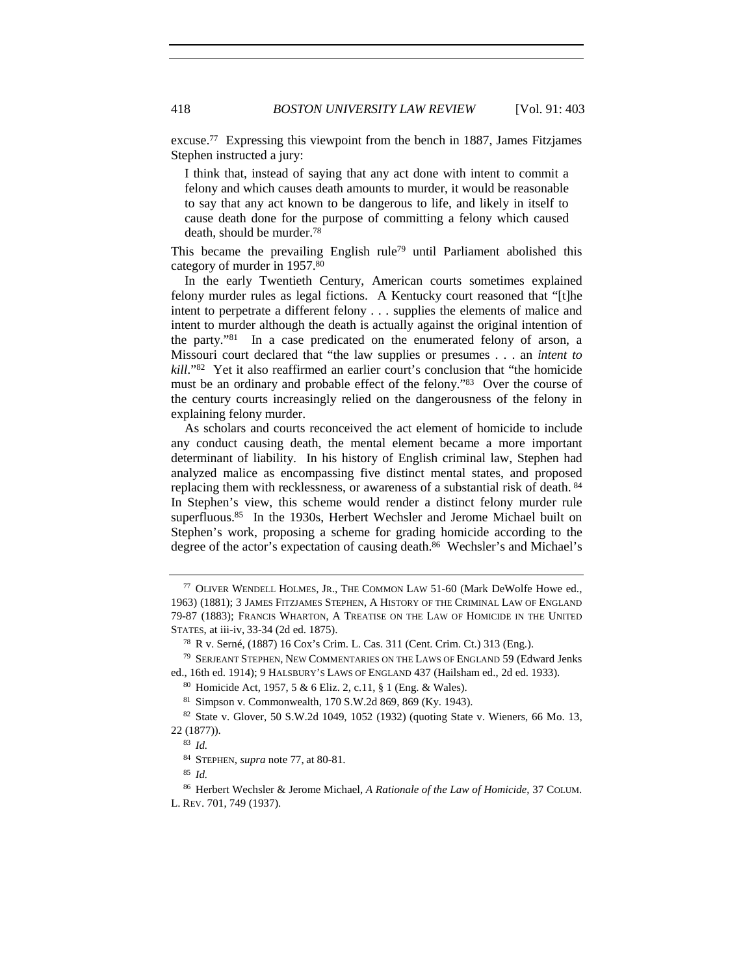excuse.77 Expressing this viewpoint from the bench in 1887, James Fitzjames Stephen instructed a jury:

I think that, instead of saying that any act done with intent to commit a felony and which causes death amounts to murder, it would be reasonable to say that any act known to be dangerous to life, and likely in itself to cause death done for the purpose of committing a felony which caused death, should be murder.78

This became the prevailing English rule<sup>79</sup> until Parliament abolished this category of murder in 1957.80

In the early Twentieth Century, American courts sometimes explained felony murder rules as legal fictions. A Kentucky court reasoned that "[t]he intent to perpetrate a different felony . . . supplies the elements of malice and intent to murder although the death is actually against the original intention of the party."81 In a case predicated on the enumerated felony of arson, a Missouri court declared that "the law supplies or presumes . . . an *intent to kill*."82 Yet it also reaffirmed an earlier court's conclusion that "the homicide must be an ordinary and probable effect of the felony."83 Over the course of the century courts increasingly relied on the dangerousness of the felony in explaining felony murder.

As scholars and courts reconceived the act element of homicide to include any conduct causing death, the mental element became a more important determinant of liability. In his history of English criminal law, Stephen had analyzed malice as encompassing five distinct mental states, and proposed replacing them with recklessness, or awareness of a substantial risk of death. 84 In Stephen's view, this scheme would render a distinct felony murder rule superfluous.<sup>85</sup> In the 1930s, Herbert Wechsler and Jerome Michael built on Stephen's work, proposing a scheme for grading homicide according to the degree of the actor's expectation of causing death.<sup>86</sup> Wechsler's and Michael's

<sup>85</sup> *Id.*

<sup>77</sup> OLIVER WENDELL HOLMES, JR., THE COMMON LAW 51-60 (Mark DeWolfe Howe ed., 1963) (1881); 3 JAMES FITZJAMES STEPHEN, A HISTORY OF THE CRIMINAL LAW OF ENGLAND 79-87 (1883); FRANCIS WHARTON, A TREATISE ON THE LAW OF HOMICIDE IN THE UNITED STATES, at iii-iv, 33-34 (2d ed. 1875).

<sup>78</sup> R v. Serné, (1887) 16 Cox's Crim. L. Cas. 311 (Cent. Crim. Ct.) 313 (Eng.).

 $^{79}$  SERJEANT STEPHEN, NEW COMMENTARIES ON THE LAWS OF ENGLAND  $59$  (Edward Jenks ed., 16th ed. 1914); 9 HALSBURY'S LAWS OF ENGLAND 437 (Hailsham ed., 2d ed. 1933).

<sup>80</sup> Homicide Act, 1957, 5 & 6 Eliz. 2, c.11, § 1 (Eng. & Wales).

<sup>81</sup> Simpson v. Commonwealth, 170 S.W.2d 869, 869 (Ky. 1943).

<sup>82</sup> State v. Glover, 50 S.W.2d 1049, 1052 (1932) (quoting State v. Wieners, 66 Mo. 13, 22 (1877)).

<sup>83</sup> *Id.*

<sup>84</sup> STEPHEN, *supra* note 77, at 80-81.

<sup>86</sup> Herbert Wechsler & Jerome Michael, *A Rationale of the Law of Homicide*, 37 COLUM. L. REV. 701, 749 (1937).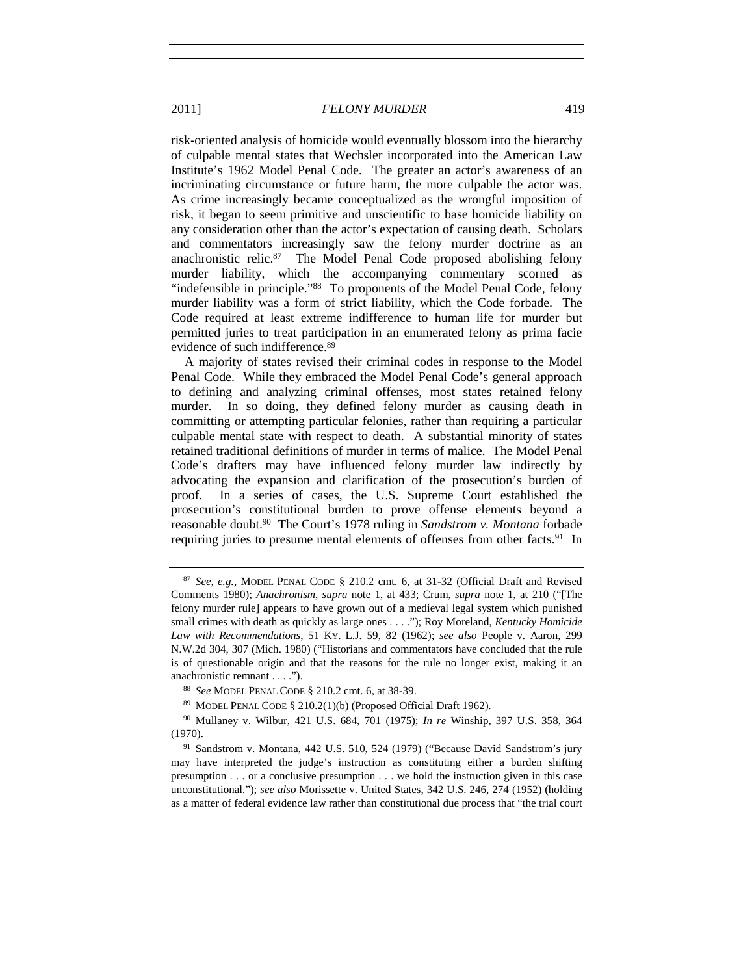risk-oriented analysis of homicide would eventually blossom into the hierarchy of culpable mental states that Wechsler incorporated into the American Law Institute's 1962 Model Penal Code. The greater an actor's awareness of an incriminating circumstance or future harm, the more culpable the actor was. As crime increasingly became conceptualized as the wrongful imposition of risk, it began to seem primitive and unscientific to base homicide liability on any consideration other than the actor's expectation of causing death. Scholars and commentators increasingly saw the felony murder doctrine as an anachronistic relic.87 The Model Penal Code proposed abolishing felony murder liability, which the accompanying commentary scorned as "indefensible in principle."88 To proponents of the Model Penal Code, felony murder liability was a form of strict liability, which the Code forbade. The Code required at least extreme indifference to human life for murder but permitted juries to treat participation in an enumerated felony as prima facie evidence of such indifference.89

A majority of states revised their criminal codes in response to the Model Penal Code. While they embraced the Model Penal Code's general approach to defining and analyzing criminal offenses, most states retained felony murder. In so doing, they defined felony murder as causing death in committing or attempting particular felonies, rather than requiring a particular culpable mental state with respect to death. A substantial minority of states retained traditional definitions of murder in terms of malice. The Model Penal Code's drafters may have influenced felony murder law indirectly by advocating the expansion and clarification of the prosecution's burden of proof. In a series of cases, the U.S. Supreme Court established the prosecution's constitutional burden to prove offense elements beyond a reasonable doubt.90 The Court's 1978 ruling in *Sandstrom v. Montana* forbade requiring juries to presume mental elements of offenses from other facts.<sup>91</sup> In

<sup>87</sup> *See, e.g.*, MODEL PENAL CODE § 210.2 cmt. 6, at 31-32 (Official Draft and Revised Comments 1980); *Anachronism*, *supra* note 1, at 433; Crum, *supra* note 1, at 210 ("[The felony murder rule] appears to have grown out of a medieval legal system which punished small crimes with death as quickly as large ones . . . ."); Roy Moreland, *Kentucky Homicide Law with Recommendations*, 51 KY. L.J. 59, 82 (1962); *see also* People v. Aaron, 299 N.W.2d 304, 307 (Mich. 1980) ("Historians and commentators have concluded that the rule is of questionable origin and that the reasons for the rule no longer exist, making it an anachronistic remnant . . . .").

<sup>88</sup> *See* MODEL PENAL CODE § 210.2 cmt. 6, at 38-39.

<sup>89</sup> MODEL PENAL CODE § 210.2(1)(b) (Proposed Official Draft 1962).

<sup>90</sup> Mullaney v. Wilbur, 421 U.S. 684, 701 (1975); *In re* Winship, 397 U.S. 358, 364 (1970).

<sup>91</sup> Sandstrom v. Montana, 442 U.S. 510, 524 (1979) ("Because David Sandstrom's jury may have interpreted the judge's instruction as constituting either a burden shifting presumption . . . or a conclusive presumption . . . we hold the instruction given in this case unconstitutional."); *see also* Morissette v. United States, 342 U.S. 246, 274 (1952) (holding as a matter of federal evidence law rather than constitutional due process that "the trial court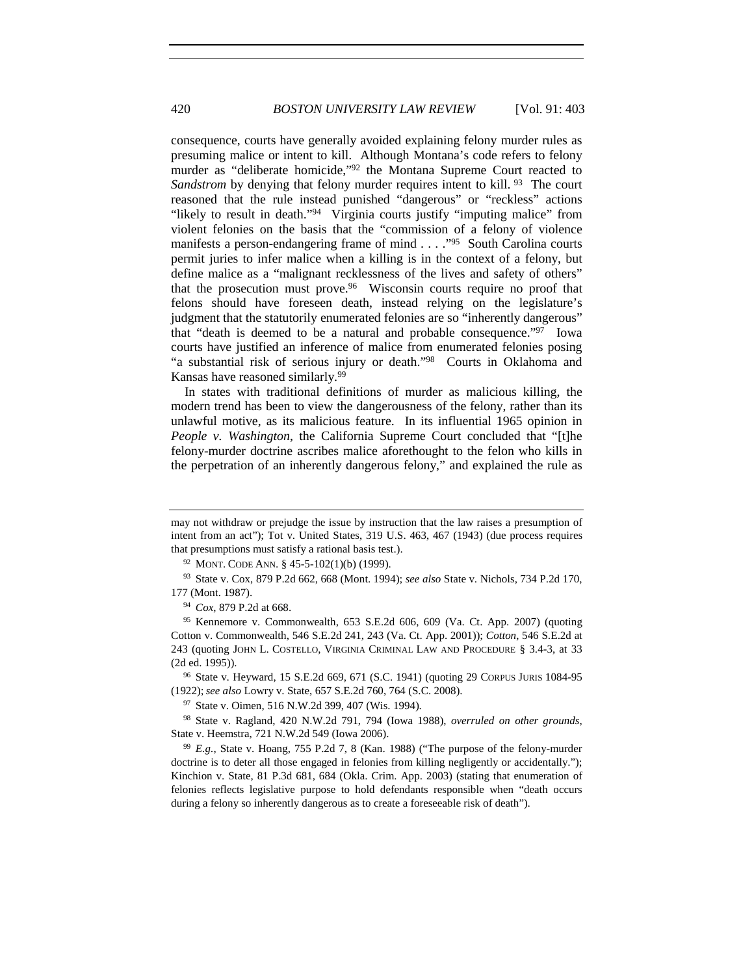consequence, courts have generally avoided explaining felony murder rules as presuming malice or intent to kill. Although Montana's code refers to felony murder as "deliberate homicide,"92 the Montana Supreme Court reacted to *Sandstrom* by denying that felony murder requires intent to kill. <sup>93</sup> The court reasoned that the rule instead punished "dangerous" or "reckless" actions "likely to result in death."<sup>94</sup> Virginia courts justify "imputing malice" from violent felonies on the basis that the "commission of a felony of violence manifests a person-endangering frame of mind . . . . "95 South Carolina courts permit juries to infer malice when a killing is in the context of a felony, but define malice as a "malignant recklessness of the lives and safety of others" that the prosecution must prove.96 Wisconsin courts require no proof that felons should have foreseen death, instead relying on the legislature's judgment that the statutorily enumerated felonies are so "inherently dangerous" that "death is deemed to be a natural and probable consequence."97 Iowa courts have justified an inference of malice from enumerated felonies posing "a substantial risk of serious injury or death."98 Courts in Oklahoma and Kansas have reasoned similarly.99

In states with traditional definitions of murder as malicious killing, the modern trend has been to view the dangerousness of the felony, rather than its unlawful motive, as its malicious feature. In its influential 1965 opinion in *People v. Washington*, the California Supreme Court concluded that "[t]he felony-murder doctrine ascribes malice aforethought to the felon who kills in the perpetration of an inherently dangerous felony," and explained the rule as

 $92$  MONT. CODE ANN. § 45-5-102(1)(b) (1999).

<sup>93</sup> State v. Cox, 879 P.2d 662, 668 (Mont. 1994); *see also* State v. Nichols, 734 P.2d 170, 177 (Mont. 1987).

<sup>94</sup> *Cox*, 879 P.2d at 668.

<sup>95</sup> Kennemore v. Commonwealth, 653 S.E.2d 606, 609 (Va. Ct. App. 2007) (quoting Cotton v. Commonwealth, 546 S.E.2d 241, 243 (Va. Ct. App. 2001)); *Cotton*, 546 S.E.2d at 243 (quoting JOHN L. COSTELLO, VIRGINIA CRIMINAL LAW AND PROCEDURE § 3.4-3, at 33 (2d ed. 1995)).<br><sup>96</sup> State v. Heyward, 15 S.E.2d 669, 671 (S.C. 1941) (quoting 29 CORPUS JURIS 1084-95

(1922);*see also* Lowry v. State, 657 S.E.2d 760, 764 (S.C. 2008).

<sup>97</sup> State v. Oimen, 516 N.W.2d 399, 407 (Wis. 1994).

<sup>98</sup> State v. Ragland, 420 N.W.2d 791, 794 (Iowa 1988), *overruled on other grounds*, State v. Heemstra, 721 N.W.2d 549 (Iowa 2006).

<sup>99</sup> *E.g.*, State v. Hoang, 755 P.2d 7, 8 (Kan. 1988) ("The purpose of the felony-murder doctrine is to deter all those engaged in felonies from killing negligently or accidentally."); Kinchion v. State, 81 P.3d 681, 684 (Okla. Crim. App. 2003) (stating that enumeration of felonies reflects legislative purpose to hold defendants responsible when "death occurs during a felony so inherently dangerous as to create a foreseeable risk of death").

may not withdraw or prejudge the issue by instruction that the law raises a presumption of intent from an act"); Tot v. United States, 319 U.S. 463, 467 (1943) (due process requires that presumptions must satisfy a rational basis test.).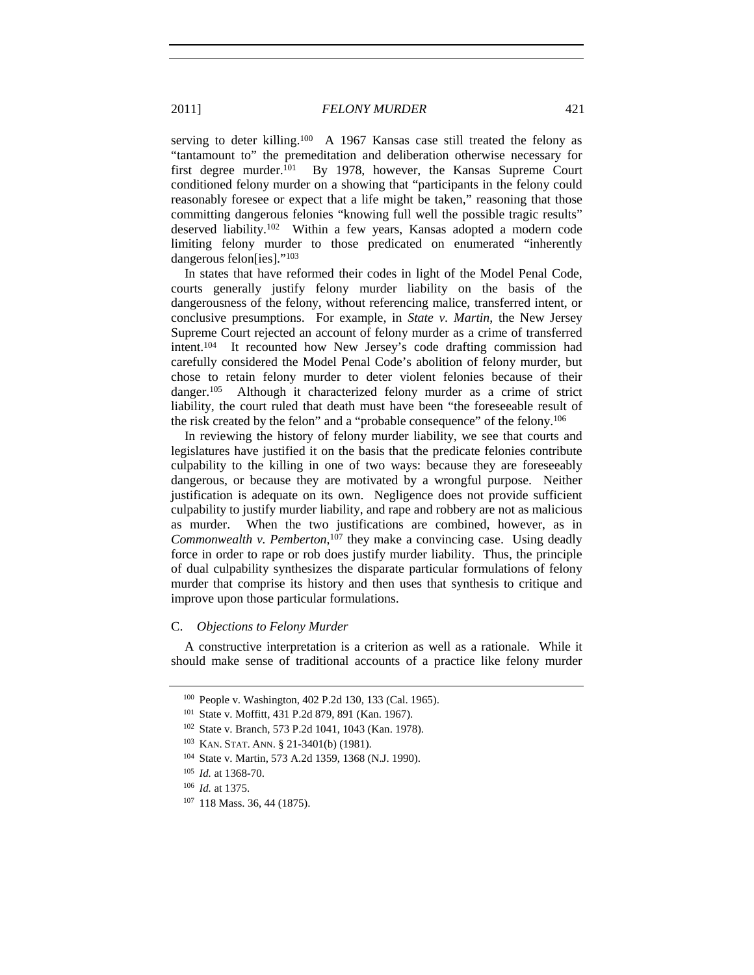serving to deter killing.<sup>100</sup> A 1967 Kansas case still treated the felony as "tantamount to" the premeditation and deliberation otherwise necessary for first degree murder.<sup>101</sup> By 1978, however, the Kansas Supreme Court conditioned felony murder on a showing that "participants in the felony could reasonably foresee or expect that a life might be taken," reasoning that those committing dangerous felonies "knowing full well the possible tragic results" deserved liability.102 Within a few years, Kansas adopted a modern code limiting felony murder to those predicated on enumerated "inherently dangerous felon[ies]."103

In states that have reformed their codes in light of the Model Penal Code, courts generally justify felony murder liability on the basis of the dangerousness of the felony, without referencing malice, transferred intent, or conclusive presumptions. For example, in *State v. Martin*, the New Jersey Supreme Court rejected an account of felony murder as a crime of transferred intent.104 It recounted how New Jersey's code drafting commission had carefully considered the Model Penal Code's abolition of felony murder, but chose to retain felony murder to deter violent felonies because of their danger.105 Although it characterized felony murder as a crime of strict liability, the court ruled that death must have been "the foreseeable result of the risk created by the felon" and a "probable consequence" of the felony.106

In reviewing the history of felony murder liability, we see that courts and legislatures have justified it on the basis that the predicate felonies contribute culpability to the killing in one of two ways: because they are foreseeably dangerous, or because they are motivated by a wrongful purpose. Neither justification is adequate on its own. Negligence does not provide sufficient culpability to justify murder liability, and rape and robbery are not as malicious as murder. When the two justifications are combined, however, as in *Commonwealth v. Pemberton*, 107 they make a convincing case. Using deadly force in order to rape or rob does justify murder liability. Thus, the principle of dual culpability synthesizes the disparate particular formulations of felony murder that comprise its history and then uses that synthesis to critique and improve upon those particular formulations.

#### C. *Objections to Felony Murder*

A constructive interpretation is a criterion as well as a rationale. While it should make sense of traditional accounts of a practice like felony murder

<sup>100</sup> People v. Washington, 402 P.2d 130, 133 (Cal. 1965).

<sup>101</sup> State v. Moffitt, 431 P.2d 879, 891 (Kan. 1967).

<sup>102</sup> State v. Branch, 573 P.2d 1041, 1043 (Kan. 1978).

<sup>103</sup> KAN. STAT. ANN. § 21-3401(b) (1981).

<sup>104</sup> State v. Martin, 573 A.2d 1359, 1368 (N.J. 1990).

<sup>105</sup> *Id.* at 1368-70.

<sup>106</sup> *Id.* at 1375.

<sup>107</sup> 118 Mass. 36, 44 (1875).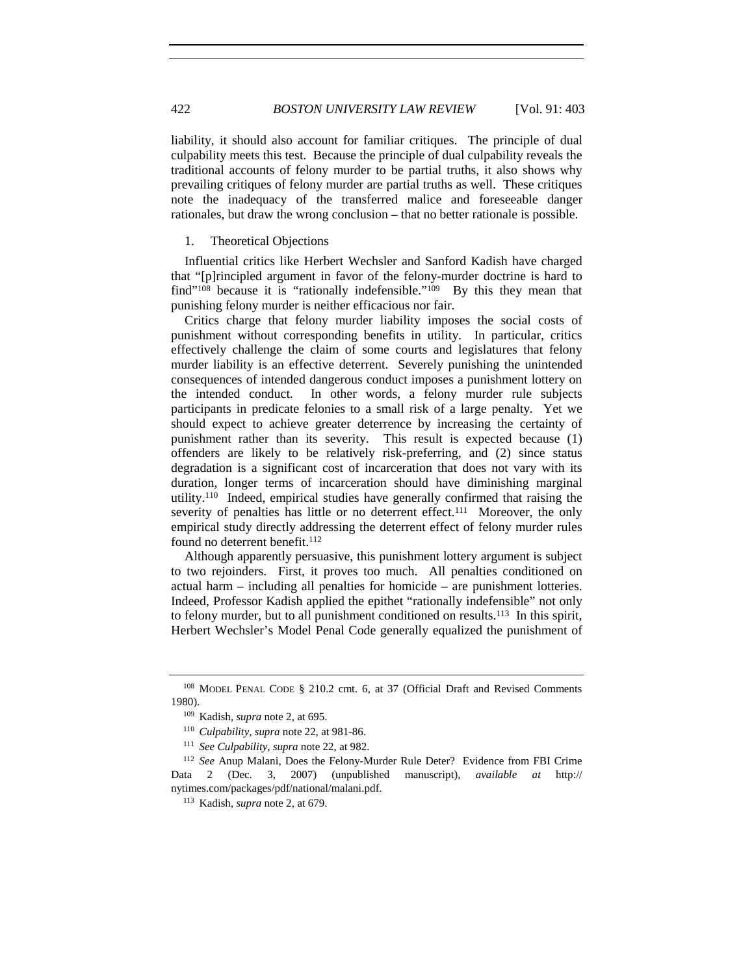liability, it should also account for familiar critiques. The principle of dual culpability meets this test. Because the principle of dual culpability reveals the traditional accounts of felony murder to be partial truths, it also shows why prevailing critiques of felony murder are partial truths as well. These critiques note the inadequacy of the transferred malice and foreseeable danger rationales, but draw the wrong conclusion – that no better rationale is possible.

#### 1. Theoretical Objections

Influential critics like Herbert Wechsler and Sanford Kadish have charged that "[p]rincipled argument in favor of the felony-murder doctrine is hard to find"108 because it is "rationally indefensible."109 By this they mean that punishing felony murder is neither efficacious nor fair.

Critics charge that felony murder liability imposes the social costs of punishment without corresponding benefits in utility. In particular, critics effectively challenge the claim of some courts and legislatures that felony murder liability is an effective deterrent. Severely punishing the unintended consequences of intended dangerous conduct imposes a punishment lottery on the intended conduct. In other words, a felony murder rule subjects participants in predicate felonies to a small risk of a large penalty. Yet we should expect to achieve greater deterrence by increasing the certainty of punishment rather than its severity. This result is expected because (1) offenders are likely to be relatively risk-preferring, and (2) since status degradation is a significant cost of incarceration that does not vary with its duration, longer terms of incarceration should have diminishing marginal utility.110 Indeed, empirical studies have generally confirmed that raising the severity of penalties has little or no deterrent effect.<sup>111</sup> Moreover, the only empirical study directly addressing the deterrent effect of felony murder rules found no deterrent benefit.<sup>112</sup>

Although apparently persuasive, this punishment lottery argument is subject to two rejoinders. First, it proves too much. All penalties conditioned on actual harm – including all penalties for homicide – are punishment lotteries. Indeed, Professor Kadish applied the epithet "rationally indefensible" not only to felony murder, but to all punishment conditioned on results.<sup>113</sup> In this spirit, Herbert Wechsler's Model Penal Code generally equalized the punishment of

<sup>108</sup> MODEL PENAL CODE § 210.2 cmt. 6, at 37 (Official Draft and Revised Comments 1980).

<sup>109</sup> Kadish, *supra* note 2, at 695.

<sup>110</sup> *Culpability, supra* note 22, at 981-86.

<sup>111</sup> *See Culpability*, *supra* note 22, at 982.

<sup>112</sup> *See* Anup Malani, Does the Felony-Murder Rule Deter? Evidence from FBI Crime Data 2 (Dec. 3, 2007) (unpublished manuscript), *available at* http:// nytimes.com/packages/pdf/national/malani.pdf. 113 Kadish, *supra* note 2, at 679.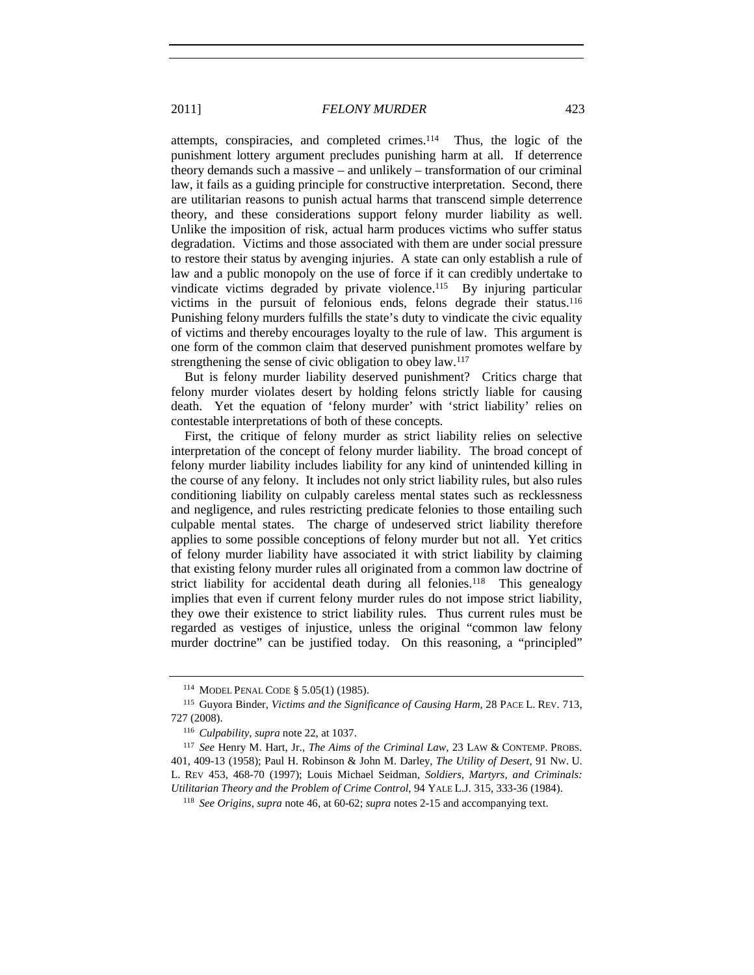attempts, conspiracies, and completed crimes.114 Thus, the logic of the punishment lottery argument precludes punishing harm at all. If deterrence theory demands such a massive – and unlikely – transformation of our criminal law, it fails as a guiding principle for constructive interpretation. Second, there are utilitarian reasons to punish actual harms that transcend simple deterrence theory, and these considerations support felony murder liability as well. Unlike the imposition of risk, actual harm produces victims who suffer status degradation. Victims and those associated with them are under social pressure to restore their status by avenging injuries. A state can only establish a rule of law and a public monopoly on the use of force if it can credibly undertake to vindicate victims degraded by private violence.<sup>115</sup> By injuring particular victims in the pursuit of felonious ends, felons degrade their status.116 Punishing felony murders fulfills the state's duty to vindicate the civic equality of victims and thereby encourages loyalty to the rule of law. This argument is one form of the common claim that deserved punishment promotes welfare by strengthening the sense of civic obligation to obey law.<sup>117</sup>

But is felony murder liability deserved punishment? Critics charge that felony murder violates desert by holding felons strictly liable for causing death. Yet the equation of 'felony murder' with 'strict liability' relies on contestable interpretations of both of these concepts.

First, the critique of felony murder as strict liability relies on selective interpretation of the concept of felony murder liability. The broad concept of felony murder liability includes liability for any kind of unintended killing in the course of any felony. It includes not only strict liability rules, but also rules conditioning liability on culpably careless mental states such as recklessness and negligence, and rules restricting predicate felonies to those entailing such culpable mental states. The charge of undeserved strict liability therefore applies to some possible conceptions of felony murder but not all. Yet critics of felony murder liability have associated it with strict liability by claiming that existing felony murder rules all originated from a common law doctrine of strict liability for accidental death during all felonies.<sup>118</sup> This genealogy implies that even if current felony murder rules do not impose strict liability, they owe their existence to strict liability rules. Thus current rules must be regarded as vestiges of injustice, unless the original "common law felony murder doctrine" can be justified today. On this reasoning, a "principled"

<sup>114</sup> MODEL PENAL CODE § 5.05(1) (1985).

<sup>115</sup> Guyora Binder, *Victims and the Significance of Causing Harm*, 28 PACE L. REV. 713, 727 (2008).

<sup>116</sup> *Culpability*, *supra* note 22, at 1037.

<sup>117</sup> *See* Henry M. Hart, Jr., *The Aims of the Criminal Law*, 23 LAW & CONTEMP. PROBS. 401, 409-13 (1958); Paul H. Robinson & John M. Darley, *The Utility of Desert*, 91 NW. U. L. REV 453, 468-70 (1997); Louis Michael Seidman, *Soldiers, Martyrs, and Criminals: Utilitarian Theory and the Problem of Crime Control*, 94 YALE L.J. 315, 333-36 (1984).

<sup>118</sup> *See Origins*, *supra* note 46, at 60-62; *supra* notes 2-15 and accompanying text.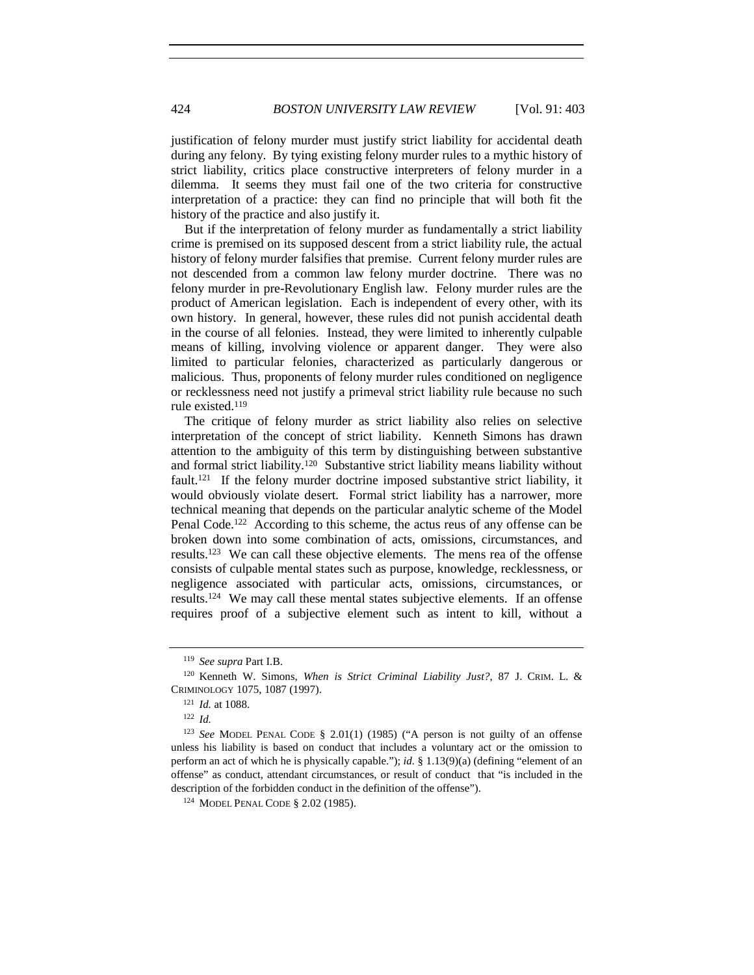justification of felony murder must justify strict liability for accidental death during any felony. By tying existing felony murder rules to a mythic history of strict liability, critics place constructive interpreters of felony murder in a dilemma. It seems they must fail one of the two criteria for constructive interpretation of a practice: they can find no principle that will both fit the history of the practice and also justify it.

But if the interpretation of felony murder as fundamentally a strict liability crime is premised on its supposed descent from a strict liability rule, the actual history of felony murder falsifies that premise. Current felony murder rules are not descended from a common law felony murder doctrine. There was no felony murder in pre-Revolutionary English law. Felony murder rules are the product of American legislation. Each is independent of every other, with its own history. In general, however, these rules did not punish accidental death in the course of all felonies. Instead, they were limited to inherently culpable means of killing, involving violence or apparent danger. They were also limited to particular felonies, characterized as particularly dangerous or malicious. Thus, proponents of felony murder rules conditioned on negligence or recklessness need not justify a primeval strict liability rule because no such rule existed.119

The critique of felony murder as strict liability also relies on selective interpretation of the concept of strict liability. Kenneth Simons has drawn attention to the ambiguity of this term by distinguishing between substantive and formal strict liability.120 Substantive strict liability means liability without fault.<sup>121</sup> If the felony murder doctrine imposed substantive strict liability, it would obviously violate desert. Formal strict liability has a narrower, more technical meaning that depends on the particular analytic scheme of the Model Penal Code.<sup>122</sup> According to this scheme, the actus reus of any offense can be broken down into some combination of acts, omissions, circumstances, and results.123 We can call these objective elements. The mens rea of the offense consists of culpable mental states such as purpose, knowledge, recklessness, or negligence associated with particular acts, omissions, circumstances, or results.124 We may call these mental states subjective elements. If an offense requires proof of a subjective element such as intent to kill, without a

<sup>119</sup> *See supra* Part I.B.

<sup>120</sup> Kenneth W. Simons, *When is Strict Criminal Liability Just?*, 87 J. CRIM. L. & CRIMINOLOGY 1075, 1087 (1997).

<sup>121</sup> *Id.* at 1088.

<sup>122</sup> *Id.*

<sup>123</sup> *See* MODEL PENAL CODE § 2.01(1) (1985) ("A person is not guilty of an offense unless his liability is based on conduct that includes a voluntary act or the omission to perform an act of which he is physically capable."); *id.* § 1.13(9)(a) (defining "element of an offense" as conduct, attendant circumstances, or result of conduct that "is included in the description of the forbidden conduct in the definition of the offense").

<sup>124</sup> MODEL PENAL CODE § 2.02 (1985).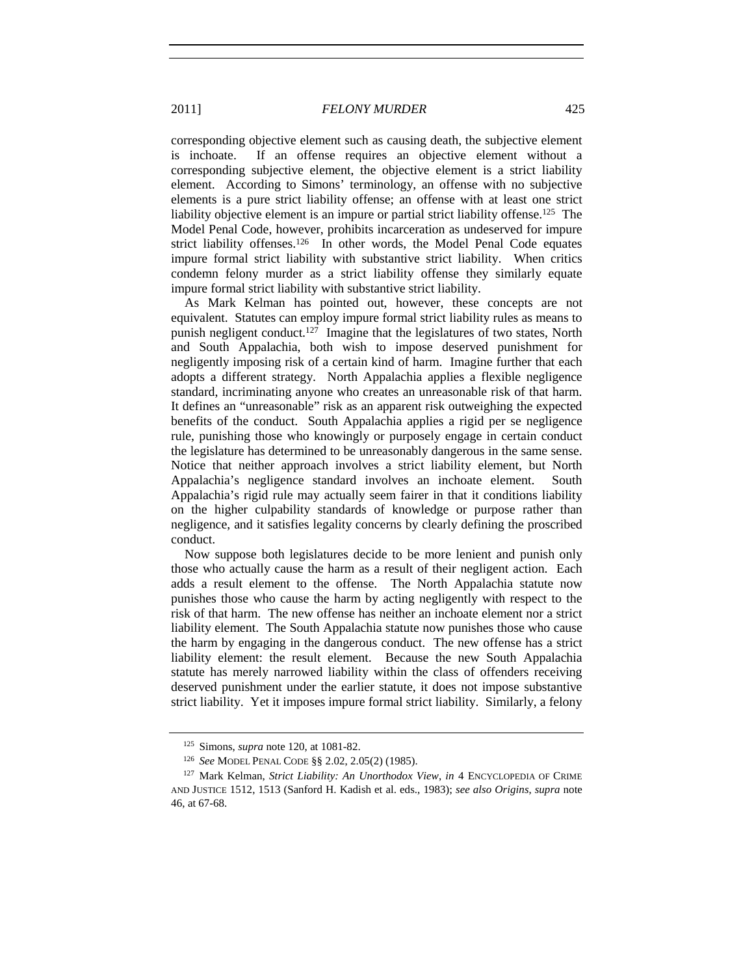corresponding objective element such as causing death, the subjective element is inchoate. If an offense requires an objective element without a corresponding subjective element, the objective element is a strict liability element. According to Simons' terminology, an offense with no subjective elements is a pure strict liability offense; an offense with at least one strict liability objective element is an impure or partial strict liability offense.125 The Model Penal Code, however, prohibits incarceration as undeserved for impure strict liability offenses.<sup>126</sup> In other words, the Model Penal Code equates impure formal strict liability with substantive strict liability. When critics condemn felony murder as a strict liability offense they similarly equate impure formal strict liability with substantive strict liability.

As Mark Kelman has pointed out, however, these concepts are not equivalent. Statutes can employ impure formal strict liability rules as means to punish negligent conduct.127 Imagine that the legislatures of two states, North and South Appalachia, both wish to impose deserved punishment for negligently imposing risk of a certain kind of harm. Imagine further that each adopts a different strategy. North Appalachia applies a flexible negligence standard, incriminating anyone who creates an unreasonable risk of that harm. It defines an "unreasonable" risk as an apparent risk outweighing the expected benefits of the conduct. South Appalachia applies a rigid per se negligence rule, punishing those who knowingly or purposely engage in certain conduct the legislature has determined to be unreasonably dangerous in the same sense. Notice that neither approach involves a strict liability element, but North Appalachia's negligence standard involves an inchoate element. South Appalachia's rigid rule may actually seem fairer in that it conditions liability on the higher culpability standards of knowledge or purpose rather than negligence, and it satisfies legality concerns by clearly defining the proscribed conduct.

Now suppose both legislatures decide to be more lenient and punish only those who actually cause the harm as a result of their negligent action. Each adds a result element to the offense. The North Appalachia statute now punishes those who cause the harm by acting negligently with respect to the risk of that harm. The new offense has neither an inchoate element nor a strict liability element. The South Appalachia statute now punishes those who cause the harm by engaging in the dangerous conduct. The new offense has a strict liability element: the result element. Because the new South Appalachia statute has merely narrowed liability within the class of offenders receiving deserved punishment under the earlier statute, it does not impose substantive strict liability. Yet it imposes impure formal strict liability. Similarly, a felony

<sup>125</sup> Simons, *supra* note 120, at 1081-82.

<sup>126</sup> *See* MODEL PENAL CODE §§ 2.02, 2.05(2) (1985).

<sup>127</sup> Mark Kelman, *Strict Liability: An Unorthodox View*, *in* 4 ENCYCLOPEDIA OF CRIME AND JUSTICE 1512, 1513 (Sanford H. Kadish et al. eds., 1983); *see also Origins*, *supra* note 46, at 67-68.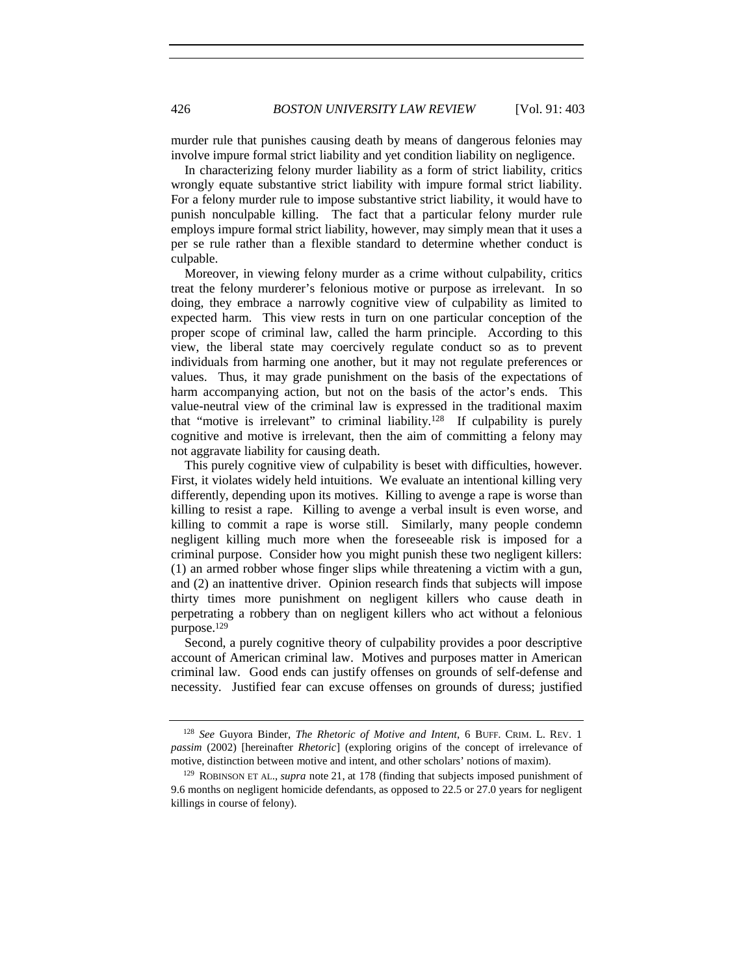murder rule that punishes causing death by means of dangerous felonies may involve impure formal strict liability and yet condition liability on negligence.

In characterizing felony murder liability as a form of strict liability, critics wrongly equate substantive strict liability with impure formal strict liability. For a felony murder rule to impose substantive strict liability, it would have to punish nonculpable killing. The fact that a particular felony murder rule employs impure formal strict liability, however, may simply mean that it uses a per se rule rather than a flexible standard to determine whether conduct is culpable.

Moreover, in viewing felony murder as a crime without culpability, critics treat the felony murderer's felonious motive or purpose as irrelevant. In so doing, they embrace a narrowly cognitive view of culpability as limited to expected harm. This view rests in turn on one particular conception of the proper scope of criminal law, called the harm principle. According to this view, the liberal state may coercively regulate conduct so as to prevent individuals from harming one another, but it may not regulate preferences or values. Thus, it may grade punishment on the basis of the expectations of harm accompanying action, but not on the basis of the actor's ends. This value-neutral view of the criminal law is expressed in the traditional maxim that "motive is irrelevant" to criminal liability.128 If culpability is purely cognitive and motive is irrelevant, then the aim of committing a felony may not aggravate liability for causing death.

This purely cognitive view of culpability is beset with difficulties, however. First, it violates widely held intuitions. We evaluate an intentional killing very differently, depending upon its motives. Killing to avenge a rape is worse than killing to resist a rape. Killing to avenge a verbal insult is even worse, and killing to commit a rape is worse still. Similarly, many people condemn negligent killing much more when the foreseeable risk is imposed for a criminal purpose. Consider how you might punish these two negligent killers: (1) an armed robber whose finger slips while threatening a victim with a gun, and (2) an inattentive driver. Opinion research finds that subjects will impose thirty times more punishment on negligent killers who cause death in perpetrating a robbery than on negligent killers who act without a felonious purpose.129

Second, a purely cognitive theory of culpability provides a poor descriptive account of American criminal law. Motives and purposes matter in American criminal law. Good ends can justify offenses on grounds of self-defense and necessity. Justified fear can excuse offenses on grounds of duress; justified

<sup>128</sup> *See* Guyora Binder, *The Rhetoric of Motive and Intent*, 6 BUFF. CRIM. L. REV. 1 *passim* (2002) [hereinafter *Rhetoric*] (exploring origins of the concept of irrelevance of motive, distinction between motive and intent, and other scholars' notions of maxim).

<sup>129</sup> ROBINSON ET AL., *supra* note 21, at 178 (finding that subjects imposed punishment of 9.6 months on negligent homicide defendants, as opposed to 22.5 or 27.0 years for negligent killings in course of felony).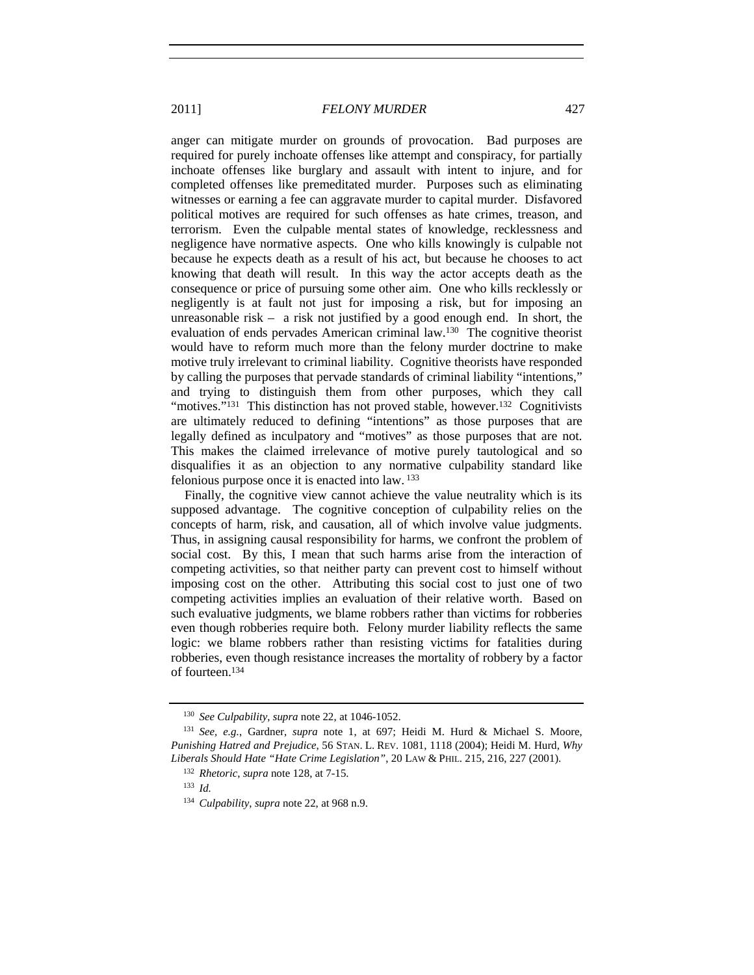anger can mitigate murder on grounds of provocation. Bad purposes are required for purely inchoate offenses like attempt and conspiracy, for partially inchoate offenses like burglary and assault with intent to injure, and for completed offenses like premeditated murder. Purposes such as eliminating witnesses or earning a fee can aggravate murder to capital murder. Disfavored political motives are required for such offenses as hate crimes, treason, and terrorism. Even the culpable mental states of knowledge, recklessness and negligence have normative aspects. One who kills knowingly is culpable not because he expects death as a result of his act, but because he chooses to act knowing that death will result. In this way the actor accepts death as the consequence or price of pursuing some other aim. One who kills recklessly or negligently is at fault not just for imposing a risk, but for imposing an unreasonable risk – a risk not justified by a good enough end. In short, the evaluation of ends pervades American criminal law.130 The cognitive theorist would have to reform much more than the felony murder doctrine to make motive truly irrelevant to criminal liability. Cognitive theorists have responded by calling the purposes that pervade standards of criminal liability "intentions," and trying to distinguish them from other purposes, which they call "motives."<sup>131</sup> This distinction has not proved stable, however.<sup>132</sup> Cognitivists are ultimately reduced to defining "intentions" as those purposes that are legally defined as inculpatory and "motives" as those purposes that are not. This makes the claimed irrelevance of motive purely tautological and so disqualifies it as an objection to any normative culpability standard like felonious purpose once it is enacted into law. 133

Finally, the cognitive view cannot achieve the value neutrality which is its supposed advantage. The cognitive conception of culpability relies on the concepts of harm, risk, and causation, all of which involve value judgments. Thus, in assigning causal responsibility for harms, we confront the problem of social cost. By this, I mean that such harms arise from the interaction of competing activities, so that neither party can prevent cost to himself without imposing cost on the other. Attributing this social cost to just one of two competing activities implies an evaluation of their relative worth. Based on such evaluative judgments, we blame robbers rather than victims for robberies even though robberies require both. Felony murder liability reflects the same logic: we blame robbers rather than resisting victims for fatalities during robberies, even though resistance increases the mortality of robbery by a factor of fourteen.134

<sup>130</sup> *See Culpability*, *supra* note 22, at 1046-1052.

<sup>131</sup> *See, e.g.*, Gardner, *supra* note 1, at 697; Heidi M. Hurd & Michael S. Moore, *Punishing Hatred and Prejudice*, 56 STAN. L. REV. 1081, 1118 (2004); Heidi M. Hurd, *Why Liberals Should Hate "Hate Crime Legislation"*, 20 LAW & PHIL. 215, 216, 227 (2001).

<sup>132</sup> *Rhetoric*, *supra* note 128, at 7-15.

<sup>133</sup> *Id.*

<sup>134</sup> *Culpability*, *supra* note 22, at 968 n.9.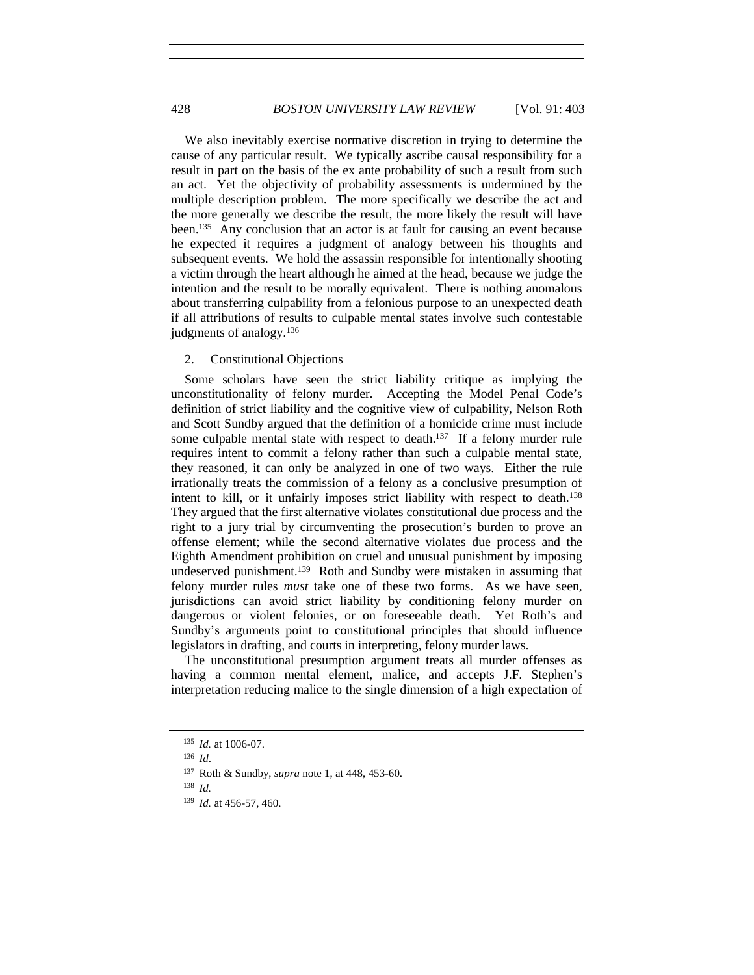We also inevitably exercise normative discretion in trying to determine the cause of any particular result. We typically ascribe causal responsibility for a result in part on the basis of the ex ante probability of such a result from such an act. Yet the objectivity of probability assessments is undermined by the multiple description problem. The more specifically we describe the act and the more generally we describe the result, the more likely the result will have been.135 Any conclusion that an actor is at fault for causing an event because he expected it requires a judgment of analogy between his thoughts and subsequent events. We hold the assassin responsible for intentionally shooting a victim through the heart although he aimed at the head, because we judge the intention and the result to be morally equivalent. There is nothing anomalous about transferring culpability from a felonious purpose to an unexpected death if all attributions of results to culpable mental states involve such contestable judgments of analogy.136

## 2. Constitutional Objections

Some scholars have seen the strict liability critique as implying the unconstitutionality of felony murder. Accepting the Model Penal Code's definition of strict liability and the cognitive view of culpability, Nelson Roth and Scott Sundby argued that the definition of a homicide crime must include some culpable mental state with respect to death.<sup>137</sup> If a felony murder rule requires intent to commit a felony rather than such a culpable mental state, they reasoned, it can only be analyzed in one of two ways. Either the rule irrationally treats the commission of a felony as a conclusive presumption of intent to kill, or it unfairly imposes strict liability with respect to death.<sup>138</sup> They argued that the first alternative violates constitutional due process and the right to a jury trial by circumventing the prosecution's burden to prove an offense element; while the second alternative violates due process and the Eighth Amendment prohibition on cruel and unusual punishment by imposing undeserved punishment.139 Roth and Sundby were mistaken in assuming that felony murder rules *must* take one of these two forms. As we have seen, jurisdictions can avoid strict liability by conditioning felony murder on dangerous or violent felonies, or on foreseeable death. Yet Roth's and Sundby's arguments point to constitutional principles that should influence legislators in drafting, and courts in interpreting, felony murder laws.

The unconstitutional presumption argument treats all murder offenses as having a common mental element, malice, and accepts J.F. Stephen's interpretation reducing malice to the single dimension of a high expectation of

<sup>135</sup> *Id.* at 1006-07.

<sup>136</sup> *Id*.

<sup>137</sup> Roth & Sundby, *supra* note 1, at 448, 453-60.

<sup>138</sup> *Id.*

<sup>139</sup> *Id.* at 456-57, 460.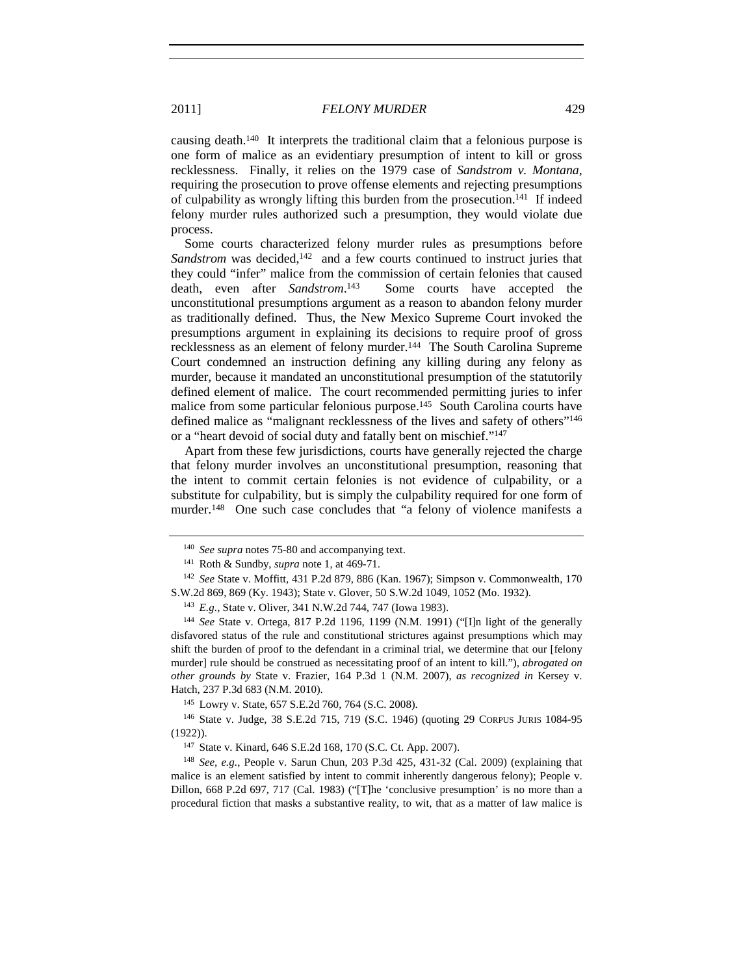causing death.140 It interprets the traditional claim that a felonious purpose is one form of malice as an evidentiary presumption of intent to kill or gross recklessness. Finally, it relies on the 1979 case of *Sandstrom v. Montana*, requiring the prosecution to prove offense elements and rejecting presumptions of culpability as wrongly lifting this burden from the prosecution.141 If indeed felony murder rules authorized such a presumption, they would violate due process.

Some courts characterized felony murder rules as presumptions before Sandstrom was decided,<sup>142</sup> and a few courts continued to instruct juries that they could "infer" malice from the commission of certain felonies that caused death, even after *Sandstrom*. Some courts have accepted the unconstitutional presumptions argument as a reason to abandon felony murder as traditionally defined. Thus, the New Mexico Supreme Court invoked the presumptions argument in explaining its decisions to require proof of gross recklessness as an element of felony murder.144 The South Carolina Supreme Court condemned an instruction defining any killing during any felony as murder, because it mandated an unconstitutional presumption of the statutorily defined element of malice. The court recommended permitting juries to infer malice from some particular felonious purpose.<sup>145</sup> South Carolina courts have defined malice as "malignant recklessness of the lives and safety of others"146 or a "heart devoid of social duty and fatally bent on mischief."147

Apart from these few jurisdictions, courts have generally rejected the charge that felony murder involves an unconstitutional presumption, reasoning that the intent to commit certain felonies is not evidence of culpability, or a substitute for culpability, but is simply the culpability required for one form of murder.<sup>148</sup> One such case concludes that "a felony of violence manifests a

<sup>145</sup> Lowry v. State, 657 S.E.2d 760, 764 (S.C. 2008).

<sup>146</sup> State v. Judge, 38 S.E.2d 715, 719 (S.C. 1946) (quoting 29 CORPUS JURIS 1084-95 (1922)).

<sup>140</sup> *See supra* notes 75-80 and accompanying text.

<sup>141</sup> Roth & Sundby, *supra* note 1, at 469-71.

<sup>142</sup> *See* State v. Moffitt, 431 P.2d 879, 886 (Kan. 1967); Simpson v. Commonwealth, 170 S.W.2d 869, 869 (Ky. 1943); State v. Glover, 50 S.W.2d 1049, 1052 (Mo. 1932).

<sup>143</sup> *E.g.*, State v. Oliver, 341 N.W.2d 744, 747 (Iowa 1983).

<sup>144</sup> *See* State v. Ortega, 817 P.2d 1196, 1199 (N.M. 1991) ("[I]n light of the generally disfavored status of the rule and constitutional strictures against presumptions which may shift the burden of proof to the defendant in a criminal trial, we determine that our [felony murder] rule should be construed as necessitating proof of an intent to kill."), *abrogated on other grounds by* State v. Frazier, 164 P.3d 1 (N.M. 2007), *as recognized in* Kersey v. Hatch, 237 P.3d 683 (N.M. 2010).

<sup>147</sup> State v. Kinard, 646 S.E.2d 168, 170 (S.C. Ct. App. 2007).

<sup>148</sup> *See, e.g.*, People v. Sarun Chun, 203 P.3d 425, 431-32 (Cal. 2009) (explaining that malice is an element satisfied by intent to commit inherently dangerous felony); People v. Dillon, 668 P.2d 697, 717 (Cal. 1983) ("[T]he 'conclusive presumption' is no more than a procedural fiction that masks a substantive reality, to wit, that as a matter of law malice is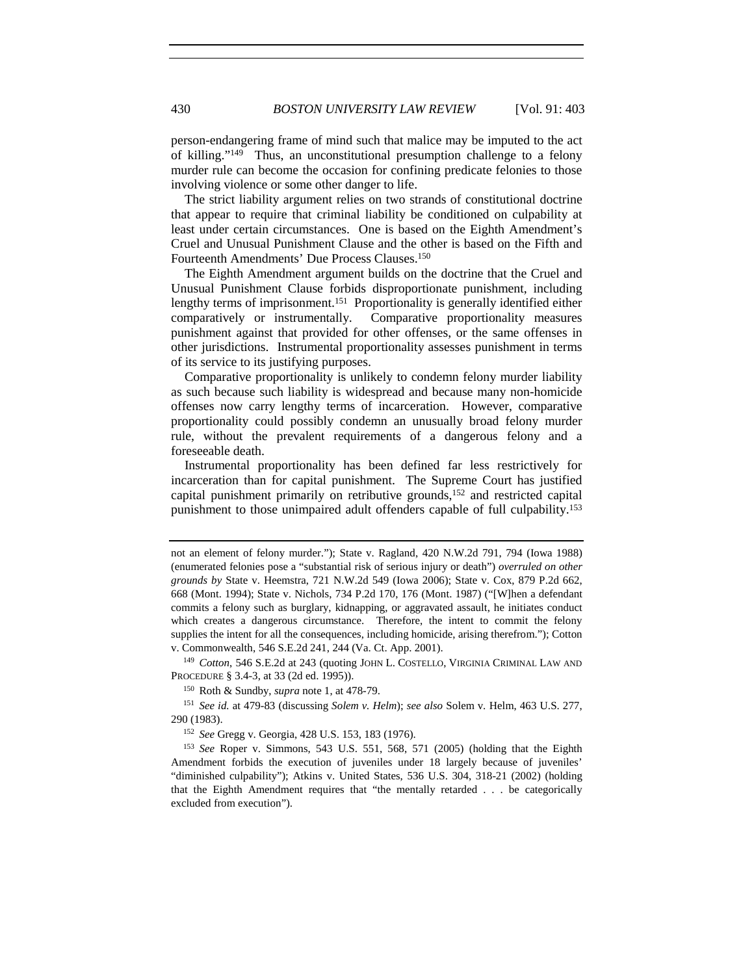person-endangering frame of mind such that malice may be imputed to the act of killing."149 Thus, an unconstitutional presumption challenge to a felony murder rule can become the occasion for confining predicate felonies to those involving violence or some other danger to life.

The strict liability argument relies on two strands of constitutional doctrine that appear to require that criminal liability be conditioned on culpability at least under certain circumstances. One is based on the Eighth Amendment's Cruel and Unusual Punishment Clause and the other is based on the Fifth and Fourteenth Amendments' Due Process Clauses.150

The Eighth Amendment argument builds on the doctrine that the Cruel and Unusual Punishment Clause forbids disproportionate punishment, including lengthy terms of imprisonment.<sup>151</sup> Proportionality is generally identified either comparatively or instrumentally. Comparative proportionality measures punishment against that provided for other offenses, or the same offenses in other jurisdictions. Instrumental proportionality assesses punishment in terms of its service to its justifying purposes.

Comparative proportionality is unlikely to condemn felony murder liability as such because such liability is widespread and because many non-homicide offenses now carry lengthy terms of incarceration. However, comparative proportionality could possibly condemn an unusually broad felony murder rule, without the prevalent requirements of a dangerous felony and a foreseeable death.

Instrumental proportionality has been defined far less restrictively for incarceration than for capital punishment. The Supreme Court has justified capital punishment primarily on retributive grounds,152 and restricted capital punishment to those unimpaired adult offenders capable of full culpability.153

PROCEDURE § 3.4-3, at 33 (2d ed. 1995)).

not an element of felony murder."); State v. Ragland, 420 N.W.2d 791, 794 (Iowa 1988) (enumerated felonies pose a "substantial risk of serious injury or death") *overruled on other grounds by* State v. Heemstra, 721 N.W.2d 549 (Iowa 2006); State v. Cox, 879 P.2d 662, 668 (Mont. 1994); State v. Nichols, 734 P.2d 170, 176 (Mont. 1987) ("[W]hen a defendant commits a felony such as burglary, kidnapping, or aggravated assault, he initiates conduct which creates a dangerous circumstance. Therefore, the intent to commit the felony supplies the intent for all the consequences, including homicide, arising therefrom."); Cotton v. Commonwealth, 546 S.E.2d 241, 244 (Va. Ct. App. 2001). 149 *Cotton*, 546 S.E.2d at 243 (quoting JOHN L. COSTELLO, VIRGINIA CRIMINAL LAW AND

<sup>150</sup> Roth & Sundby, *supra* note 1, at 478-79.

<sup>151</sup> *See id.* at 479-83 (discussing *Solem v. Helm*); *see also* Solem v. Helm, 463 U.S. 277, 290 (1983).

<sup>152</sup> *See* Gregg v. Georgia, 428 U.S. 153, 183 (1976). 153 *See* Roper v. Simmons, 543 U.S. 551, 568, 571 (2005) (holding that the Eighth Amendment forbids the execution of juveniles under 18 largely because of juveniles' "diminished culpability"); Atkins v. United States, 536 U.S. 304, 318-21 (2002) (holding that the Eighth Amendment requires that "the mentally retarded . . . be categorically excluded from execution").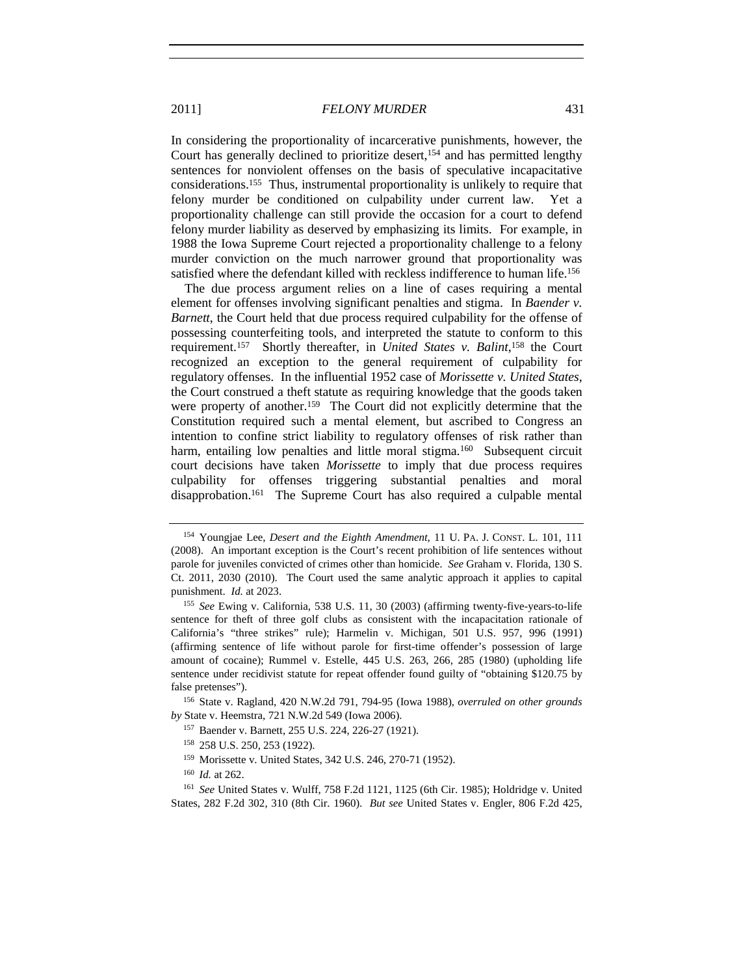In considering the proportionality of incarcerative punishments, however, the Court has generally declined to prioritize desert,<sup>154</sup> and has permitted lengthy sentences for nonviolent offenses on the basis of speculative incapacitative considerations.155 Thus, instrumental proportionality is unlikely to require that felony murder be conditioned on culpability under current law. Yet a proportionality challenge can still provide the occasion for a court to defend felony murder liability as deserved by emphasizing its limits. For example, in 1988 the Iowa Supreme Court rejected a proportionality challenge to a felony murder conviction on the much narrower ground that proportionality was satisfied where the defendant killed with reckless indifference to human life.156

The due process argument relies on a line of cases requiring a mental element for offenses involving significant penalties and stigma. In *Baender v. Barnett*, the Court held that due process required culpability for the offense of possessing counterfeiting tools, and interpreted the statute to conform to this requirement.157 Shortly thereafter, in *United States v. Balint*, 158 the Court recognized an exception to the general requirement of culpability for regulatory offenses. In the influential 1952 case of *Morissette v. United States*, the Court construed a theft statute as requiring knowledge that the goods taken were property of another.<sup>159</sup> The Court did not explicitly determine that the Constitution required such a mental element, but ascribed to Congress an intention to confine strict liability to regulatory offenses of risk rather than harm, entailing low penalties and little moral stigma.<sup>160</sup> Subsequent circuit court decisions have taken *Morissette* to imply that due process requires culpability for offenses triggering substantial penalties and moral disapprobation.161 The Supreme Court has also required a culpable mental

<sup>156</sup> State v. Ragland, 420 N.W.2d 791, 794-95 (Iowa 1988), *overruled on other grounds by* State v. Heemstra, 721 N.W.2d 549 (Iowa 2006).

<sup>158</sup> 258 U.S. 250, 253 (1922).<br><sup>159</sup> Morissette v. United States, 342 U.S. 246, 270-71 (1952).

<sup>154</sup> Youngjae Lee, *Desert and the Eighth Amendment*, 11 U. PA. J. CONST. L. 101, 111 (2008). An important exception is the Court's recent prohibition of life sentences without parole for juveniles convicted of crimes other than homicide. *See* Graham v. Florida, 130 S. Ct. 2011, 2030 (2010). The Court used the same analytic approach it applies to capital punishment. *Id.* at 2023.

<sup>155</sup> *See* Ewing v. California, 538 U.S. 11, 30 (2003) (affirming twenty-five-years-to-life sentence for theft of three golf clubs as consistent with the incapacitation rationale of California's "three strikes" rule); Harmelin v. Michigan*,* 501 U.S. 957, 996 (1991) (affirming sentence of life without parole for first-time offender's possession of large amount of cocaine); Rummel v. Estelle, 445 U.S. 263, 266, 285 (1980) (upholding life sentence under recidivist statute for repeat offender found guilty of "obtaining \$120.75 by false pretenses").

<sup>157</sup> Baender v. Barnett, 255 U.S. 224, 226-27 (1921).

<sup>&</sup>lt;sup>160</sup> *Id.* at 262.<br><sup>161</sup> *See* United States v. Wulff, 758 F.2d 1121, 1125 (6th Cir. 1985); Holdridge v. United States, 282 F.2d 302, 310 (8th Cir. 1960). *But see* United States v. Engler, 806 F.2d 425,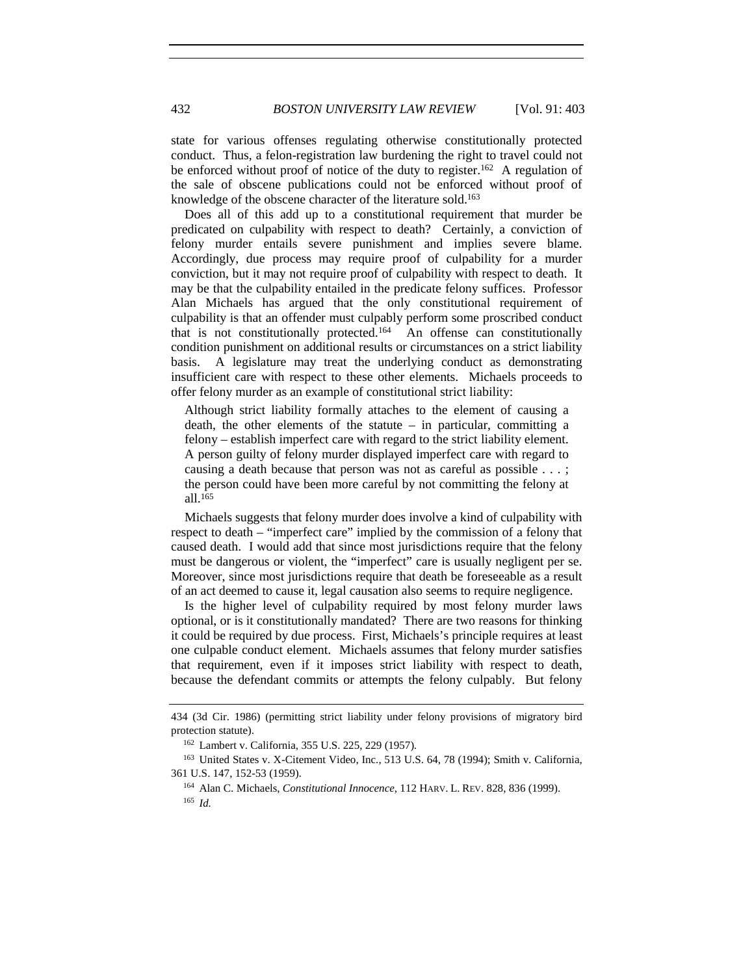state for various offenses regulating otherwise constitutionally protected conduct. Thus, a felon-registration law burdening the right to travel could not be enforced without proof of notice of the duty to register.162 A regulation of the sale of obscene publications could not be enforced without proof of knowledge of the obscene character of the literature sold.<sup>163</sup>

Does all of this add up to a constitutional requirement that murder be predicated on culpability with respect to death? Certainly, a conviction of felony murder entails severe punishment and implies severe blame. Accordingly, due process may require proof of culpability for a murder conviction, but it may not require proof of culpability with respect to death. It may be that the culpability entailed in the predicate felony suffices. Professor Alan Michaels has argued that the only constitutional requirement of culpability is that an offender must culpably perform some proscribed conduct that is not constitutionally protected.164 An offense can constitutionally condition punishment on additional results or circumstances on a strict liability basis. A legislature may treat the underlying conduct as demonstrating insufficient care with respect to these other elements. Michaels proceeds to offer felony murder as an example of constitutional strict liability:

Although strict liability formally attaches to the element of causing a death, the other elements of the statute – in particular, committing a felony – establish imperfect care with regard to the strict liability element. A person guilty of felony murder displayed imperfect care with regard to causing a death because that person was not as careful as possible . . . ; the person could have been more careful by not committing the felony at all.165

Michaels suggests that felony murder does involve a kind of culpability with respect to death – "imperfect care" implied by the commission of a felony that caused death. I would add that since most jurisdictions require that the felony must be dangerous or violent, the "imperfect" care is usually negligent per se. Moreover, since most jurisdictions require that death be foreseeable as a result of an act deemed to cause it, legal causation also seems to require negligence.

Is the higher level of culpability required by most felony murder laws optional, or is it constitutionally mandated? There are two reasons for thinking it could be required by due process. First, Michaels's principle requires at least one culpable conduct element. Michaels assumes that felony murder satisfies that requirement, even if it imposes strict liability with respect to death, because the defendant commits or attempts the felony culpably. But felony

<sup>434 (3</sup>d Cir. 1986) (permitting strict liability under felony provisions of migratory bird protection statute).

<sup>&</sup>lt;sup>162</sup> Lambert v. California, 355 U.S. 225, 229 (1957).<br><sup>163</sup> United States v. X-Citement Video, Inc., 513 U.S. 64, 78 (1994); Smith v. California, 361 U.S. 147, 152-53 (1959).

<sup>164</sup> Alan C. Michaels, *Constitutional Innocence*, 112 HARV. L. REV. 828, 836 (1999). <sup>165</sup> *Id.*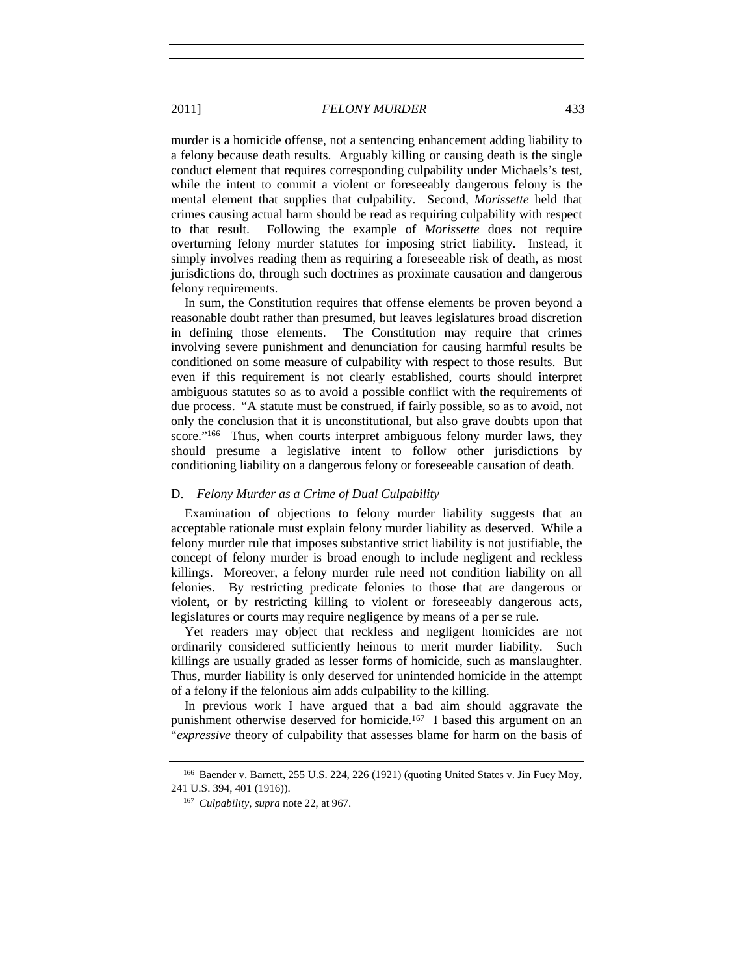murder is a homicide offense, not a sentencing enhancement adding liability to a felony because death results. Arguably killing or causing death is the single conduct element that requires corresponding culpability under Michaels's test, while the intent to commit a violent or foreseeably dangerous felony is the mental element that supplies that culpability. Second, *Morissette* held that crimes causing actual harm should be read as requiring culpability with respect to that result. Following the example of *Morissette* does not require overturning felony murder statutes for imposing strict liability. Instead, it simply involves reading them as requiring a foreseeable risk of death, as most jurisdictions do, through such doctrines as proximate causation and dangerous felony requirements.

In sum, the Constitution requires that offense elements be proven beyond a reasonable doubt rather than presumed, but leaves legislatures broad discretion in defining those elements. The Constitution may require that crimes involving severe punishment and denunciation for causing harmful results be conditioned on some measure of culpability with respect to those results. But even if this requirement is not clearly established, courts should interpret ambiguous statutes so as to avoid a possible conflict with the requirements of due process. "A statute must be construed, if fairly possible, so as to avoid, not only the conclusion that it is unconstitutional, but also grave doubts upon that score."<sup>166</sup> Thus, when courts interpret ambiguous felony murder laws, they should presume a legislative intent to follow other jurisdictions by conditioning liability on a dangerous felony or foreseeable causation of death.

## D. *Felony Murder as a Crime of Dual Culpability*

Examination of objections to felony murder liability suggests that an acceptable rationale must explain felony murder liability as deserved. While a felony murder rule that imposes substantive strict liability is not justifiable, the concept of felony murder is broad enough to include negligent and reckless killings. Moreover, a felony murder rule need not condition liability on all felonies. By restricting predicate felonies to those that are dangerous or violent, or by restricting killing to violent or foreseeably dangerous acts, legislatures or courts may require negligence by means of a per se rule.

Yet readers may object that reckless and negligent homicides are not ordinarily considered sufficiently heinous to merit murder liability. Such killings are usually graded as lesser forms of homicide, such as manslaughter. Thus, murder liability is only deserved for unintended homicide in the attempt of a felony if the felonious aim adds culpability to the killing.

In previous work I have argued that a bad aim should aggravate the punishment otherwise deserved for homicide.167 I based this argument on an "*expressive* theory of culpability that assesses blame for harm on the basis of

<sup>166</sup> Baender v. Barnett, 255 U.S. 224, 226 (1921) (quoting United States v. Jin Fuey Moy, 241 U.S. 394, 401 (1916)).

<sup>167</sup> *Culpability*, *supra* note 22, at 967.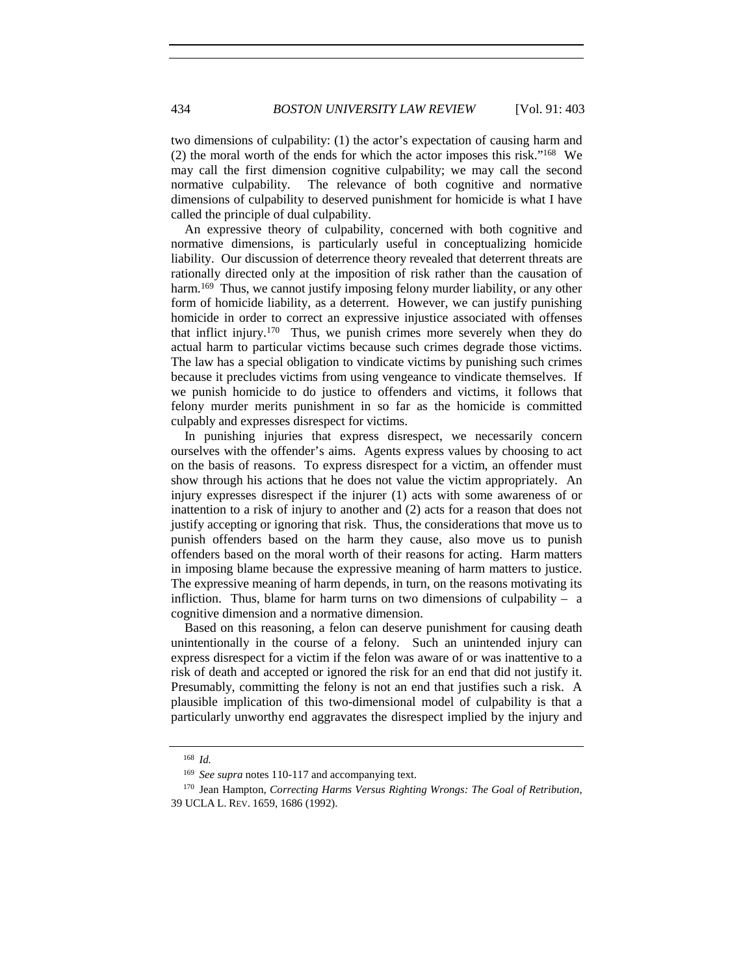two dimensions of culpability: (1) the actor's expectation of causing harm and (2) the moral worth of the ends for which the actor imposes this risk."168 We may call the first dimension cognitive culpability; we may call the second normative culpability. The relevance of both cognitive and normative dimensions of culpability to deserved punishment for homicide is what I have called the principle of dual culpability.

An expressive theory of culpability, concerned with both cognitive and normative dimensions, is particularly useful in conceptualizing homicide liability. Our discussion of deterrence theory revealed that deterrent threats are rationally directed only at the imposition of risk rather than the causation of harm.<sup>169</sup> Thus, we cannot justify imposing felony murder liability, or any other form of homicide liability, as a deterrent. However, we can justify punishing homicide in order to correct an expressive injustice associated with offenses that inflict injury.170 Thus, we punish crimes more severely when they do actual harm to particular victims because such crimes degrade those victims. The law has a special obligation to vindicate victims by punishing such crimes because it precludes victims from using vengeance to vindicate themselves. If we punish homicide to do justice to offenders and victims, it follows that felony murder merits punishment in so far as the homicide is committed culpably and expresses disrespect for victims.

In punishing injuries that express disrespect, we necessarily concern ourselves with the offender's aims. Agents express values by choosing to act on the basis of reasons. To express disrespect for a victim, an offender must show through his actions that he does not value the victim appropriately. An injury expresses disrespect if the injurer (1) acts with some awareness of or inattention to a risk of injury to another and (2) acts for a reason that does not justify accepting or ignoring that risk. Thus, the considerations that move us to punish offenders based on the harm they cause, also move us to punish offenders based on the moral worth of their reasons for acting. Harm matters in imposing blame because the expressive meaning of harm matters to justice. The expressive meaning of harm depends, in turn, on the reasons motivating its infliction. Thus, blame for harm turns on two dimensions of culpability  $-$  a cognitive dimension and a normative dimension.

Based on this reasoning, a felon can deserve punishment for causing death unintentionally in the course of a felony. Such an unintended injury can express disrespect for a victim if the felon was aware of or was inattentive to a risk of death and accepted or ignored the risk for an end that did not justify it. Presumably, committing the felony is not an end that justifies such a risk. A plausible implication of this two-dimensional model of culpability is that a particularly unworthy end aggravates the disrespect implied by the injury and

<sup>168</sup> *Id.*

<sup>&</sup>lt;sup>169</sup> *See supra* notes 110-117 and accompanying text.<br><sup>170</sup> Jean Hampton, *Correcting Harms Versus Righting Wrongs: The Goal of Retribution*, 39 UCLA L. REV. 1659, 1686 (1992).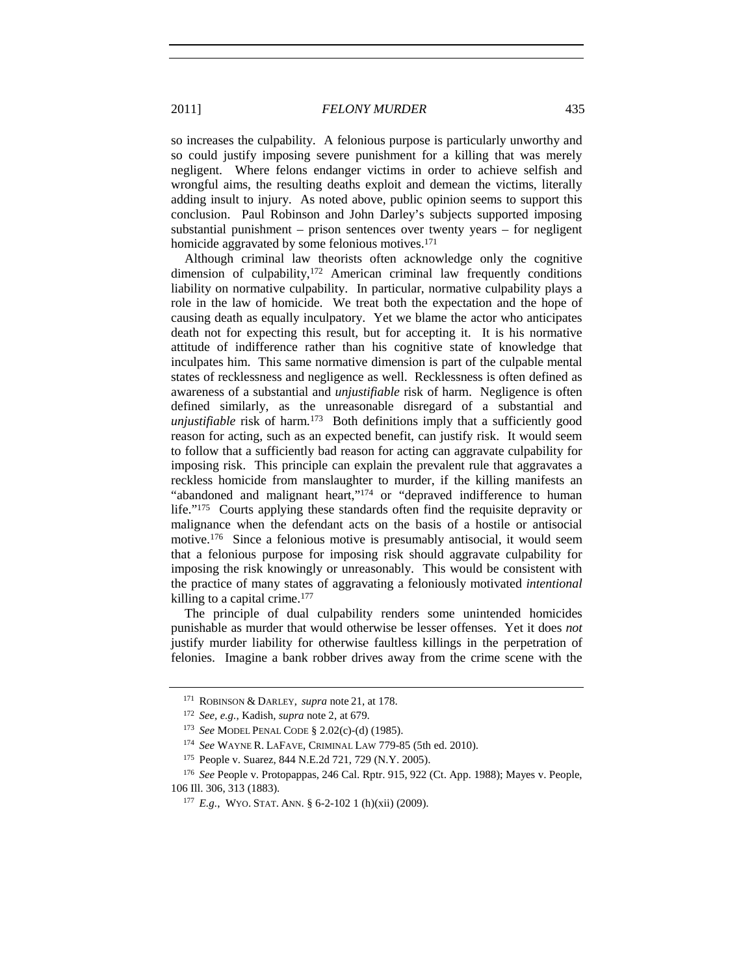so increases the culpability. A felonious purpose is particularly unworthy and so could justify imposing severe punishment for a killing that was merely negligent. Where felons endanger victims in order to achieve selfish and wrongful aims, the resulting deaths exploit and demean the victims, literally adding insult to injury. As noted above, public opinion seems to support this conclusion. Paul Robinson and John Darley's subjects supported imposing substantial punishment – prison sentences over twenty years – for negligent homicide aggravated by some felonious motives.<sup>171</sup>

Although criminal law theorists often acknowledge only the cognitive dimension of culpability,<sup>172</sup> American criminal law frequently conditions liability on normative culpability. In particular, normative culpability plays a role in the law of homicide. We treat both the expectation and the hope of causing death as equally inculpatory. Yet we blame the actor who anticipates death not for expecting this result, but for accepting it. It is his normative attitude of indifference rather than his cognitive state of knowledge that inculpates him. This same normative dimension is part of the culpable mental states of recklessness and negligence as well. Recklessness is often defined as awareness of a substantial and *unjustifiable* risk of harm. Negligence is often defined similarly, as the unreasonable disregard of a substantial and *unjustifiable* risk of harm.<sup>173</sup> Both definitions imply that a sufficiently good reason for acting, such as an expected benefit, can justify risk. It would seem to follow that a sufficiently bad reason for acting can aggravate culpability for imposing risk. This principle can explain the prevalent rule that aggravates a reckless homicide from manslaughter to murder, if the killing manifests an "abandoned and malignant heart,"174 or "depraved indifference to human life."175 Courts applying these standards often find the requisite depravity or malignance when the defendant acts on the basis of a hostile or antisocial motive.<sup>176</sup> Since a felonious motive is presumably antisocial, it would seem that a felonious purpose for imposing risk should aggravate culpability for imposing the risk knowingly or unreasonably. This would be consistent with the practice of many states of aggravating a feloniously motivated *intentional* killing to a capital crime.<sup>177</sup>

The principle of dual culpability renders some unintended homicides punishable as murder that would otherwise be lesser offenses. Yet it does *not* justify murder liability for otherwise faultless killings in the perpetration of felonies. Imagine a bank robber drives away from the crime scene with the

<sup>171</sup> ROBINSON & DARLEY, *supra* note 21, at 178. 172 *See, e.g.*, Kadish, *supra* note 2, at 679.

<sup>173</sup> *See* MODEL PENAL CODE § 2.02(c)-(d) (1985).

<sup>&</sup>lt;sup>175</sup> People v. Suarez, 844 N.E.2d 721, 729 (N.Y. 2005).

<sup>176</sup> *See* People v. Protopappas, 246 Cal. Rptr. 915, 922 (Ct. App. 1988); Mayes v. People, 106 Ill. 306, 313 (1883).

<sup>177</sup> *E.g.*, WYO. STAT. ANN. § 6-2-102 1 (h)(xii) (2009).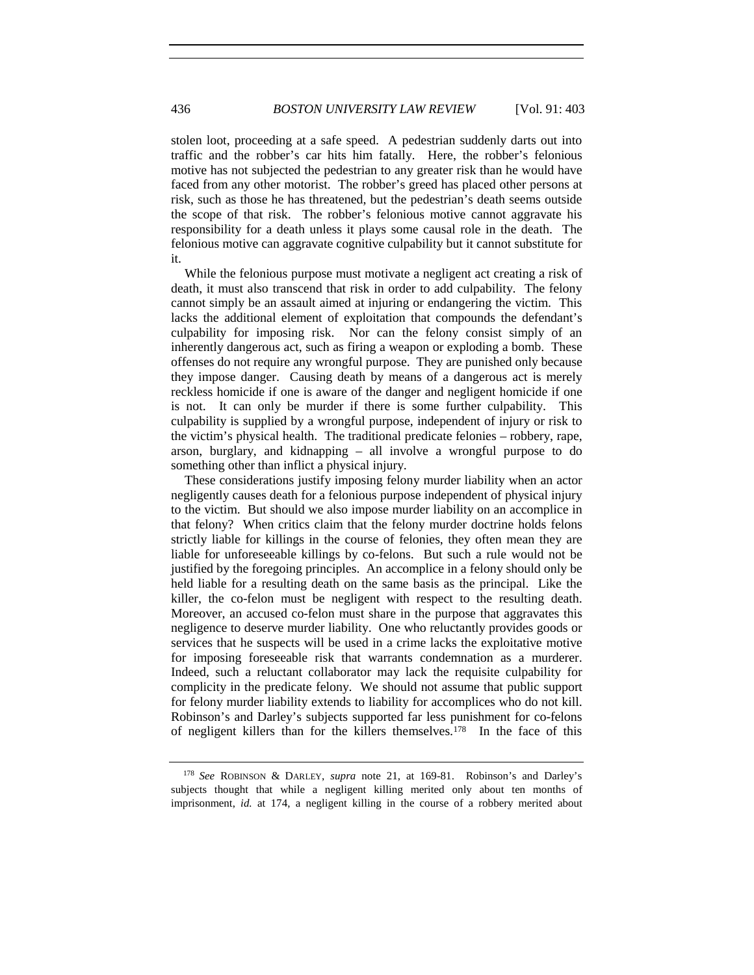stolen loot, proceeding at a safe speed. A pedestrian suddenly darts out into traffic and the robber's car hits him fatally. Here, the robber's felonious motive has not subjected the pedestrian to any greater risk than he would have faced from any other motorist. The robber's greed has placed other persons at risk, such as those he has threatened, but the pedestrian's death seems outside the scope of that risk. The robber's felonious motive cannot aggravate his responsibility for a death unless it plays some causal role in the death. The felonious motive can aggravate cognitive culpability but it cannot substitute for it.

While the felonious purpose must motivate a negligent act creating a risk of death, it must also transcend that risk in order to add culpability. The felony cannot simply be an assault aimed at injuring or endangering the victim. This lacks the additional element of exploitation that compounds the defendant's culpability for imposing risk. Nor can the felony consist simply of an inherently dangerous act, such as firing a weapon or exploding a bomb. These offenses do not require any wrongful purpose. They are punished only because they impose danger. Causing death by means of a dangerous act is merely reckless homicide if one is aware of the danger and negligent homicide if one is not. It can only be murder if there is some further culpability. This culpability is supplied by a wrongful purpose, independent of injury or risk to the victim's physical health. The traditional predicate felonies – robbery, rape, arson, burglary, and kidnapping – all involve a wrongful purpose to do something other than inflict a physical injury.

These considerations justify imposing felony murder liability when an actor negligently causes death for a felonious purpose independent of physical injury to the victim. But should we also impose murder liability on an accomplice in that felony? When critics claim that the felony murder doctrine holds felons strictly liable for killings in the course of felonies, they often mean they are liable for unforeseeable killings by co-felons. But such a rule would not be justified by the foregoing principles. An accomplice in a felony should only be held liable for a resulting death on the same basis as the principal. Like the killer, the co-felon must be negligent with respect to the resulting death. Moreover, an accused co-felon must share in the purpose that aggravates this negligence to deserve murder liability. One who reluctantly provides goods or services that he suspects will be used in a crime lacks the exploitative motive for imposing foreseeable risk that warrants condemnation as a murderer. Indeed, such a reluctant collaborator may lack the requisite culpability for complicity in the predicate felony. We should not assume that public support for felony murder liability extends to liability for accomplices who do not kill. Robinson's and Darley's subjects supported far less punishment for co-felons of negligent killers than for the killers themselves.178 In the face of this

<sup>178</sup> *See* ROBINSON & DARLEY, *supra* note 21, at 169-81. Robinson's and Darley's subjects thought that while a negligent killing merited only about ten months of imprisonment, *id.* at 174, a negligent killing in the course of a robbery merited about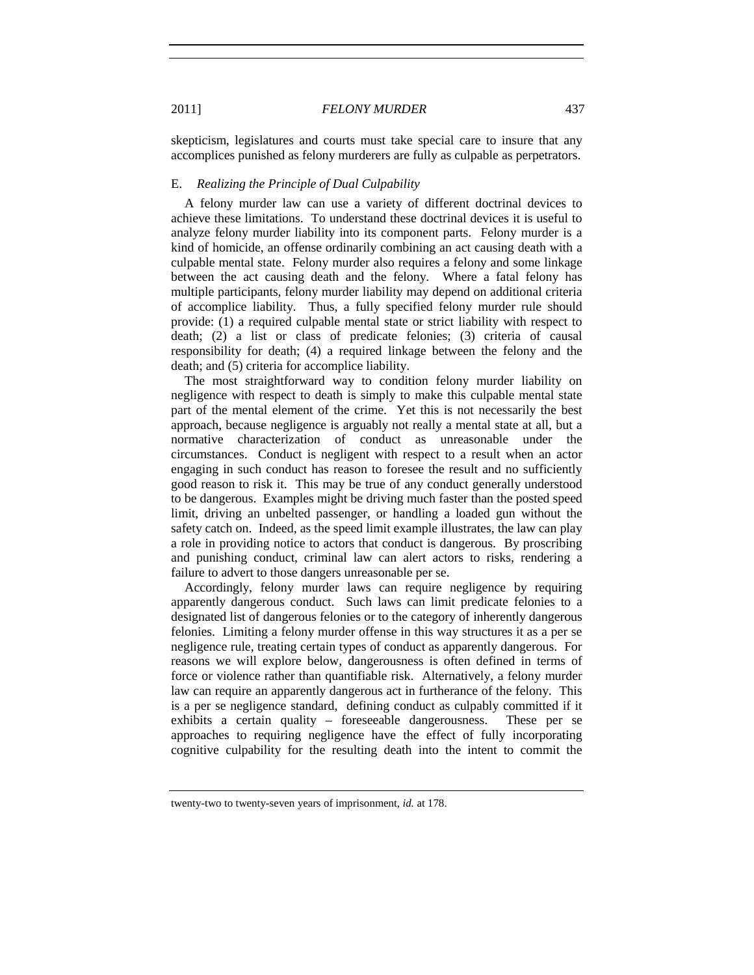skepticism, legislatures and courts must take special care to insure that any accomplices punished as felony murderers are fully as culpable as perpetrators.

#### E. *Realizing the Principle of Dual Culpability*

A felony murder law can use a variety of different doctrinal devices to achieve these limitations. To understand these doctrinal devices it is useful to analyze felony murder liability into its component parts. Felony murder is a kind of homicide, an offense ordinarily combining an act causing death with a culpable mental state. Felony murder also requires a felony and some linkage between the act causing death and the felony. Where a fatal felony has multiple participants, felony murder liability may depend on additional criteria of accomplice liability. Thus, a fully specified felony murder rule should provide: (1) a required culpable mental state or strict liability with respect to death; (2) a list or class of predicate felonies; (3) criteria of causal responsibility for death; (4) a required linkage between the felony and the death; and (5) criteria for accomplice liability.

The most straightforward way to condition felony murder liability on negligence with respect to death is simply to make this culpable mental state part of the mental element of the crime. Yet this is not necessarily the best approach, because negligence is arguably not really a mental state at all, but a normative characterization of conduct as unreasonable under the circumstances. Conduct is negligent with respect to a result when an actor engaging in such conduct has reason to foresee the result and no sufficiently good reason to risk it. This may be true of any conduct generally understood to be dangerous. Examples might be driving much faster than the posted speed limit, driving an unbelted passenger, or handling a loaded gun without the safety catch on. Indeed, as the speed limit example illustrates, the law can play a role in providing notice to actors that conduct is dangerous. By proscribing and punishing conduct, criminal law can alert actors to risks, rendering a failure to advert to those dangers unreasonable per se.

Accordingly, felony murder laws can require negligence by requiring apparently dangerous conduct. Such laws can limit predicate felonies to a designated list of dangerous felonies or to the category of inherently dangerous felonies. Limiting a felony murder offense in this way structures it as a per se negligence rule, treating certain types of conduct as apparently dangerous. For reasons we will explore below, dangerousness is often defined in terms of force or violence rather than quantifiable risk. Alternatively, a felony murder law can require an apparently dangerous act in furtherance of the felony. This is a per se negligence standard, defining conduct as culpably committed if it exhibits a certain quality – foreseeable dangerousness. These per se approaches to requiring negligence have the effect of fully incorporating cognitive culpability for the resulting death into the intent to commit the

twenty-two to twenty-seven years of imprisonment, *id.* at 178.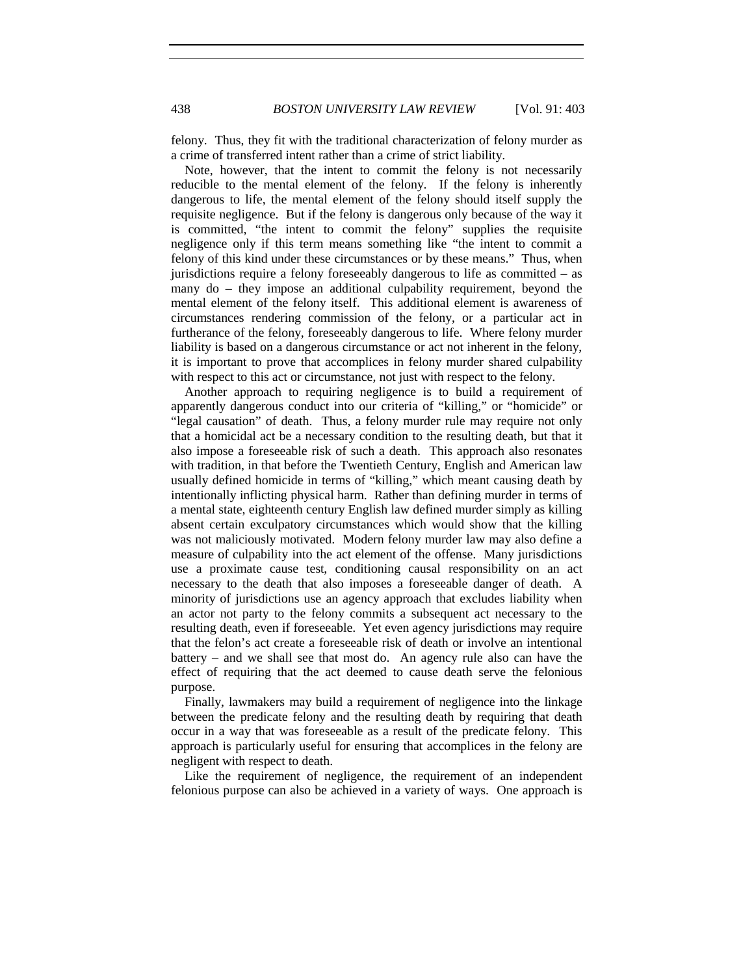felony. Thus, they fit with the traditional characterization of felony murder as a crime of transferred intent rather than a crime of strict liability.

Note, however, that the intent to commit the felony is not necessarily reducible to the mental element of the felony. If the felony is inherently dangerous to life, the mental element of the felony should itself supply the requisite negligence. But if the felony is dangerous only because of the way it is committed, "the intent to commit the felony" supplies the requisite negligence only if this term means something like "the intent to commit a felony of this kind under these circumstances or by these means." Thus, when jurisdictions require a felony foreseeably dangerous to life as committed – as many do – they impose an additional culpability requirement, beyond the mental element of the felony itself. This additional element is awareness of circumstances rendering commission of the felony, or a particular act in furtherance of the felony, foreseeably dangerous to life. Where felony murder liability is based on a dangerous circumstance or act not inherent in the felony, it is important to prove that accomplices in felony murder shared culpability with respect to this act or circumstance, not just with respect to the felony.

Another approach to requiring negligence is to build a requirement of apparently dangerous conduct into our criteria of "killing," or "homicide" or "legal causation" of death. Thus, a felony murder rule may require not only that a homicidal act be a necessary condition to the resulting death, but that it also impose a foreseeable risk of such a death. This approach also resonates with tradition, in that before the Twentieth Century, English and American law usually defined homicide in terms of "killing," which meant causing death by intentionally inflicting physical harm. Rather than defining murder in terms of a mental state, eighteenth century English law defined murder simply as killing absent certain exculpatory circumstances which would show that the killing was not maliciously motivated. Modern felony murder law may also define a measure of culpability into the act element of the offense. Many jurisdictions use a proximate cause test, conditioning causal responsibility on an act necessary to the death that also imposes a foreseeable danger of death. A minority of jurisdictions use an agency approach that excludes liability when an actor not party to the felony commits a subsequent act necessary to the resulting death, even if foreseeable. Yet even agency jurisdictions may require that the felon's act create a foreseeable risk of death or involve an intentional battery – and we shall see that most do. An agency rule also can have the effect of requiring that the act deemed to cause death serve the felonious purpose.

Finally, lawmakers may build a requirement of negligence into the linkage between the predicate felony and the resulting death by requiring that death occur in a way that was foreseeable as a result of the predicate felony. This approach is particularly useful for ensuring that accomplices in the felony are negligent with respect to death.

Like the requirement of negligence, the requirement of an independent felonious purpose can also be achieved in a variety of ways. One approach is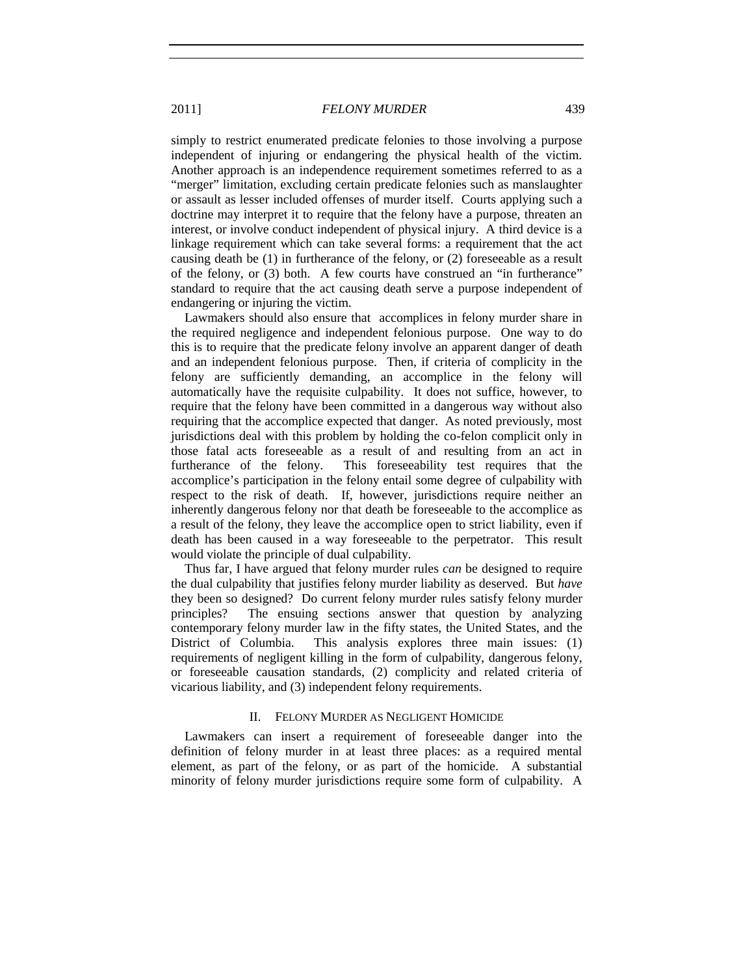simply to restrict enumerated predicate felonies to those involving a purpose independent of injuring or endangering the physical health of the victim. Another approach is an independence requirement sometimes referred to as a "merger" limitation, excluding certain predicate felonies such as manslaughter or assault as lesser included offenses of murder itself. Courts applying such a doctrine may interpret it to require that the felony have a purpose, threaten an interest, or involve conduct independent of physical injury. A third device is a linkage requirement which can take several forms: a requirement that the act causing death be (1) in furtherance of the felony, or (2) foreseeable as a result of the felony, or (3) both. A few courts have construed an "in furtherance" standard to require that the act causing death serve a purpose independent of endangering or injuring the victim.

Lawmakers should also ensure that accomplices in felony murder share in the required negligence and independent felonious purpose. One way to do this is to require that the predicate felony involve an apparent danger of death and an independent felonious purpose. Then, if criteria of complicity in the felony are sufficiently demanding, an accomplice in the felony will automatically have the requisite culpability. It does not suffice, however, to require that the felony have been committed in a dangerous way without also requiring that the accomplice expected that danger. As noted previously, most jurisdictions deal with this problem by holding the co-felon complicit only in those fatal acts foreseeable as a result of and resulting from an act in furtherance of the felony. This foreseeability test requires that the accomplice's participation in the felony entail some degree of culpability with respect to the risk of death. If, however, jurisdictions require neither an inherently dangerous felony nor that death be foreseeable to the accomplice as a result of the felony, they leave the accomplice open to strict liability, even if death has been caused in a way foreseeable to the perpetrator. This result would violate the principle of dual culpability.

Thus far, I have argued that felony murder rules *can* be designed to require the dual culpability that justifies felony murder liability as deserved. But *have* they been so designed? Do current felony murder rules satisfy felony murder principles? The ensuing sections answer that question by analyzing contemporary felony murder law in the fifty states, the United States, and the District of Columbia. This analysis explores three main issues: (1) requirements of negligent killing in the form of culpability, dangerous felony, or foreseeable causation standards, (2) complicity and related criteria of vicarious liability, and (3) independent felony requirements.

## II. FELONY MURDER AS NEGLIGENT HOMICIDE

Lawmakers can insert a requirement of foreseeable danger into the definition of felony murder in at least three places: as a required mental element, as part of the felony, or as part of the homicide. A substantial minority of felony murder jurisdictions require some form of culpability. A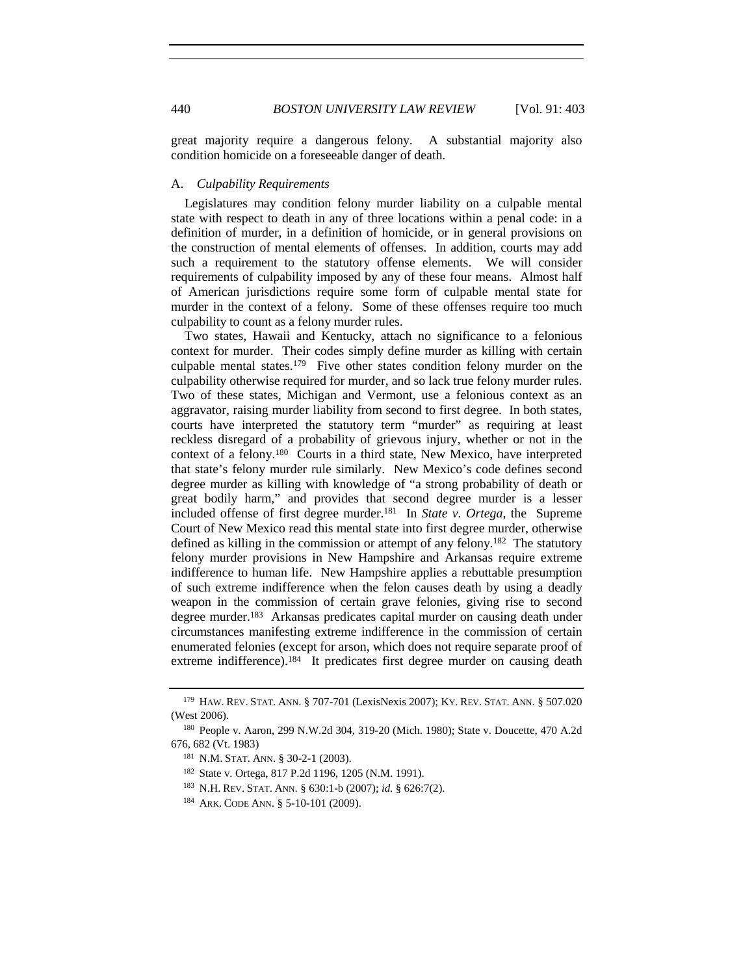great majority require a dangerous felony. A substantial majority also condition homicide on a foreseeable danger of death.

## A. *Culpability Requirements*

Legislatures may condition felony murder liability on a culpable mental state with respect to death in any of three locations within a penal code: in a definition of murder, in a definition of homicide, or in general provisions on the construction of mental elements of offenses. In addition, courts may add such a requirement to the statutory offense elements. We will consider requirements of culpability imposed by any of these four means. Almost half of American jurisdictions require some form of culpable mental state for murder in the context of a felony. Some of these offenses require too much culpability to count as a felony murder rules.

Two states, Hawaii and Kentucky, attach no significance to a felonious context for murder. Their codes simply define murder as killing with certain culpable mental states.<sup>179</sup> Five other states condition felony murder on the culpability otherwise required for murder, and so lack true felony murder rules. Two of these states, Michigan and Vermont, use a felonious context as an aggravator, raising murder liability from second to first degree. In both states, courts have interpreted the statutory term "murder" as requiring at least reckless disregard of a probability of grievous injury, whether or not in the context of a felony.180 Courts in a third state, New Mexico, have interpreted that state's felony murder rule similarly. New Mexico's code defines second degree murder as killing with knowledge of "a strong probability of death or great bodily harm," and provides that second degree murder is a lesser included offense of first degree murder.181 In *State v. Ortega*, the Supreme Court of New Mexico read this mental state into first degree murder, otherwise defined as killing in the commission or attempt of any felony.182 The statutory felony murder provisions in New Hampshire and Arkansas require extreme indifference to human life. New Hampshire applies a rebuttable presumption of such extreme indifference when the felon causes death by using a deadly weapon in the commission of certain grave felonies, giving rise to second degree murder.183 Arkansas predicates capital murder on causing death under circumstances manifesting extreme indifference in the commission of certain enumerated felonies (except for arson, which does not require separate proof of extreme indifference).<sup>184</sup> It predicates first degree murder on causing death

<sup>179</sup> HAW. REV. STAT. ANN. § 707-701 (LexisNexis 2007); KY. REV. STAT. ANN. § 507.020 (West 2006).

<sup>180</sup> People v. Aaron, 299 N.W.2d 304, 319-20 (Mich. 1980); State v. Doucette, 470 A.2d 676, 682 (Vt. 1983)

<sup>181</sup> N.M. STAT. ANN. § 30-2-1 (2003).

<sup>182</sup> State v. Ortega, 817 P.2d 1196, 1205 (N.M. 1991).

<sup>183</sup> N.H. REV. STAT. ANN. § 630:1-b (2007); *id.* § 626:7(2).

<sup>184</sup> ARK. CODE ANN. § 5-10-101 (2009).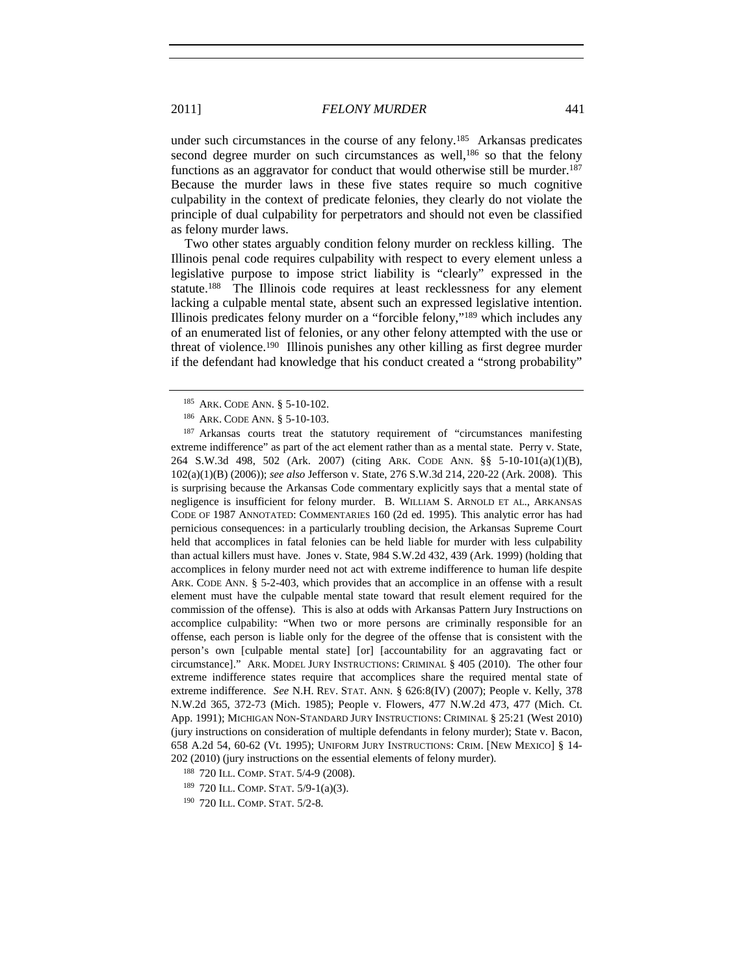under such circumstances in the course of any felony.<sup>185</sup> Arkansas predicates second degree murder on such circumstances as well,<sup>186</sup> so that the felony functions as an aggravator for conduct that would otherwise still be murder.<sup>187</sup> Because the murder laws in these five states require so much cognitive culpability in the context of predicate felonies, they clearly do not violate the principle of dual culpability for perpetrators and should not even be classified as felony murder laws.

Two other states arguably condition felony murder on reckless killing. The Illinois penal code requires culpability with respect to every element unless a legislative purpose to impose strict liability is "clearly" expressed in the statute.<sup>188</sup> The Illinois code requires at least recklessness for any element lacking a culpable mental state, absent such an expressed legislative intention. Illinois predicates felony murder on a "forcible felony,"189 which includes any of an enumerated list of felonies, or any other felony attempted with the use or threat of violence.190 Illinois punishes any other killing as first degree murder if the defendant had knowledge that his conduct created a "strong probability"

<sup>185</sup> ARK. CODE ANN. § 5-10-102.

<sup>186</sup> ARK. CODE ANN. § 5-10-103.

<sup>&</sup>lt;sup>187</sup> Arkansas courts treat the statutory requirement of "circumstances manifesting extreme indifference" as part of the act element rather than as a mental state. Perry v. State, 264 S.W.3d 498, 502 (Ark. 2007) (citing ARK. CODE ANN. §§ 5-10-101(a)(1)(B), 102(a)(1)(B) (2006)); *see also* Jefferson v. State, 276 S.W.3d 214, 220-22 (Ark. 2008). This is surprising because the Arkansas Code commentary explicitly says that a mental state of negligence is insufficient for felony murder. B. WILLIAM S. ARNOLD ET AL., ARKANSAS CODE OF 1987 ANNOTATED: COMMENTARIES 160 (2d ed. 1995). This analytic error has had pernicious consequences: in a particularly troubling decision, the Arkansas Supreme Court held that accomplices in fatal felonies can be held liable for murder with less culpability than actual killers must have. Jones v. State, 984 S.W.2d 432, 439 (Ark. 1999) (holding that accomplices in felony murder need not act with extreme indifference to human life despite ARK. CODE ANN. § 5-2-403, which provides that an accomplice in an offense with a result element must have the culpable mental state toward that result element required for the commission of the offense). This is also at odds with Arkansas Pattern Jury Instructions on accomplice culpability: "When two or more persons are criminally responsible for an offense, each person is liable only for the degree of the offense that is consistent with the person's own [culpable mental state] [or] [accountability for an aggravating fact or circumstance]." ARK. MODEL JURY INSTRUCTIONS: CRIMINAL § 405 (2010). The other four extreme indifference states require that accomplices share the required mental state of extreme indifference. *See* N.H. REV. STAT. ANN. § 626:8(IV) (2007); People v. Kelly, 378 N.W.2d 365, 372-73 (Mich. 1985); People v. Flowers, 477 N.W.2d 473, 477 (Mich. Ct. App. 1991); MICHIGAN NON-STANDARD JURY INSTRUCTIONS: CRIMINAL § 25:21 (West 2010) (jury instructions on consideration of multiple defendants in felony murder); State v. Bacon, 658 A.2d 54, 60-62 (Vt. 1995); UNIFORM JURY INSTRUCTIONS: CRIM. [NEW MEXICO] § 14- 202 (2010) (jury instructions on the essential elements of felony murder). 188 720 ILL. COMP. STAT. 5/4-9 (2008).

<sup>189</sup> 720 ILL. COMP. STAT. 5/9-1(a)(3).

<sup>190</sup> 720 ILL. COMP. STAT. 5/2-8.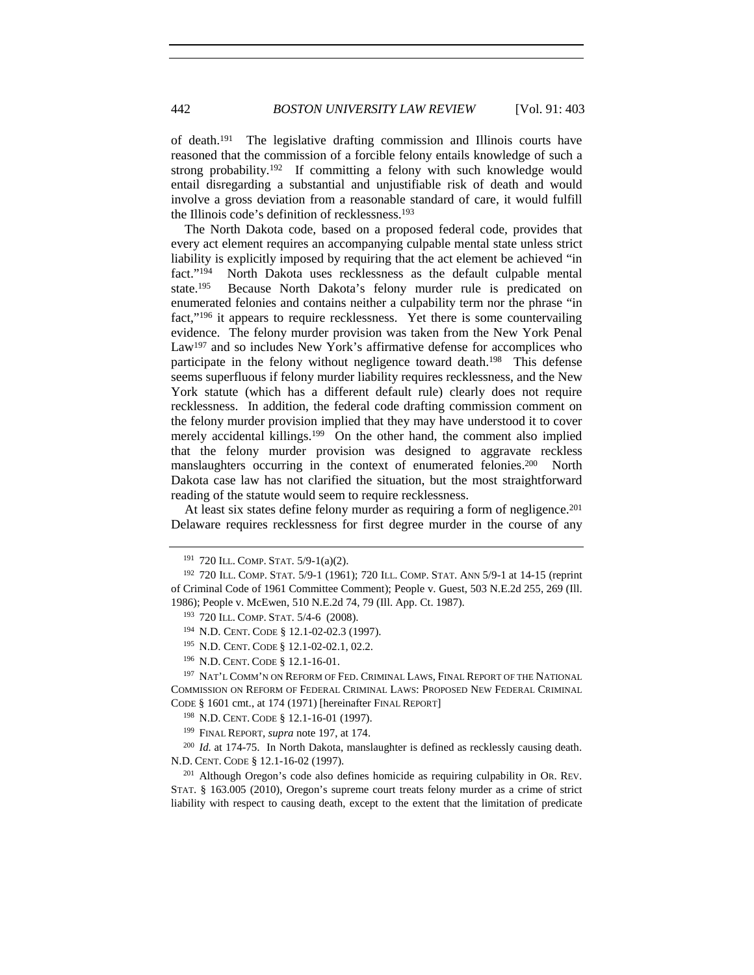of death.191 The legislative drafting commission and Illinois courts have reasoned that the commission of a forcible felony entails knowledge of such a strong probability.192 If committing a felony with such knowledge would entail disregarding a substantial and unjustifiable risk of death and would involve a gross deviation from a reasonable standard of care, it would fulfill the Illinois code's definition of recklessness.193

The North Dakota code, based on a proposed federal code, provides that every act element requires an accompanying culpable mental state unless strict liability is explicitly imposed by requiring that the act element be achieved "in fact."194 North Dakota uses recklessness as the default culpable mental state.195 Because North Dakota's felony murder rule is predicated on enumerated felonies and contains neither a culpability term nor the phrase "in fact,"<sup>196</sup> it appears to require recklessness. Yet there is some countervailing evidence. The felony murder provision was taken from the New York Penal Law<sup>197</sup> and so includes New York's affirmative defense for accomplices who participate in the felony without negligence toward death.<sup>198</sup> This defense seems superfluous if felony murder liability requires recklessness, and the New York statute (which has a different default rule) clearly does not require recklessness. In addition, the federal code drafting commission comment on the felony murder provision implied that they may have understood it to cover merely accidental killings.<sup>199</sup> On the other hand, the comment also implied that the felony murder provision was designed to aggravate reckless manslaughters occurring in the context of enumerated felonies.<sup>200</sup> North Dakota case law has not clarified the situation, but the most straightforward reading of the statute would seem to require recklessness.

At least six states define felony murder as requiring a form of negligence.<sup>201</sup> Delaware requires recklessness for first degree murder in the course of any

<sup>197</sup> NAT'L COMM'N ON REFORM OF FED. CRIMINAL LAWS, FINAL REPORT OF THE NATIONAL COMMISSION ON REFORM OF FEDERAL CRIMINAL LAWS: PROPOSED NEW FEDERAL CRIMINAL CODE § 1601 cmt., at 174 (1971) [hereinafter FINAL REPORT]

<sup>191</sup> 720 ILL. COMP. STAT. 5/9-1(a)(2).

<sup>192</sup> 720 ILL. COMP. STAT. 5/9-1 (1961); 720 ILL. COMP. STAT. ANN 5/9-1 at 14-15 (reprint of Criminal Code of 1961 Committee Comment); People v. Guest, 503 N.E.2d 255, 269 (Ill. 1986); People v. McEwen, 510 N.E.2d 74, 79 (Ill. App. Ct. 1987).

<sup>193</sup> 720 ILL. COMP. STAT. 5/4-6 (2008).

<sup>194</sup> N.D. CENT. CODE § 12.1-02-02.3 (1997).

<sup>195</sup> N.D. CENT. CODE § 12.1-02-02.1, 02.2.

<sup>196</sup> N.D. CENT. CODE § 12.1-16-01.

<sup>198</sup> N.D. CENT. CODE § 12.1-16-01 (1997).

<sup>199</sup> FINAL REPORT*, supra* note 197, at 174.

<sup>200</sup> *Id.* at 174-75. In North Dakota, manslaughter is defined as recklessly causing death. N.D. CENT. CODE § 12.1-16-02 (1997).

<sup>&</sup>lt;sup>201</sup> Although Oregon's code also defines homicide as requiring culpability in OR. REV. STAT. § 163.005 (2010), Oregon's supreme court treats felony murder as a crime of strict liability with respect to causing death, except to the extent that the limitation of predicate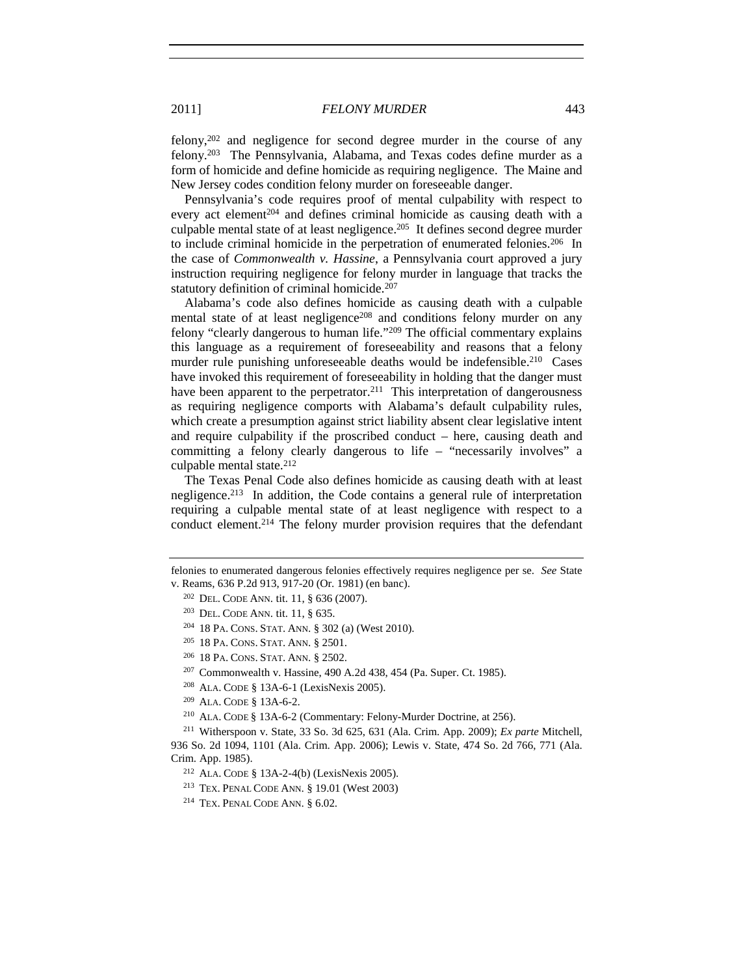$felony<sub>1</sub><sup>202</sup>$  and negligence for second degree murder in the course of any felony.203 The Pennsylvania, Alabama, and Texas codes define murder as a form of homicide and define homicide as requiring negligence. The Maine and New Jersey codes condition felony murder on foreseeable danger.

Pennsylvania's code requires proof of mental culpability with respect to every act element<sup>204</sup> and defines criminal homicide as causing death with a culpable mental state of at least negligence.<sup>205</sup> It defines second degree murder to include criminal homicide in the perpetration of enumerated felonies.<sup>206</sup> In the case of *Commonwealth v. Hassine*, a Pennsylvania court approved a jury instruction requiring negligence for felony murder in language that tracks the statutory definition of criminal homicide.<sup>207</sup>

Alabama's code also defines homicide as causing death with a culpable mental state of at least negligence<sup>208</sup> and conditions felony murder on any felony "clearly dangerous to human life."209 The official commentary explains this language as a requirement of foreseeability and reasons that a felony murder rule punishing unforeseeable deaths would be indefensible.<sup>210</sup> Cases have invoked this requirement of foreseeability in holding that the danger must have been apparent to the perpetrator.<sup>211</sup> This interpretation of dangerousness as requiring negligence comports with Alabama's default culpability rules, which create a presumption against strict liability absent clear legislative intent and require culpability if the proscribed conduct – here, causing death and committing a felony clearly dangerous to life – "necessarily involves" a culpable mental state.212

The Texas Penal Code also defines homicide as causing death with at least negligence.213 In addition, the Code contains a general rule of interpretation requiring a culpable mental state of at least negligence with respect to a conduct element.214 The felony murder provision requires that the defendant

felonies to enumerated dangerous felonies effectively requires negligence per se. *See* State v. Reams, 636 P.2d 913, 917-20 (Or. 1981) (en banc).

<sup>202</sup> DEL. CODE ANN. tit. 11, § 636 (2007).

<sup>203</sup> DEL. CODE ANN. tit. 11, § 635.

<sup>204</sup> 18 PA. CONS. STAT. ANN. § 302 (a) (West 2010).

<sup>205</sup> 18 PA. CONS. STAT. ANN. § 2501.

<sup>206</sup> 18 PA. CONS. STAT. ANN. § 2502.

<sup>207</sup> Commonwealth v. Hassine, 490 A.2d 438, 454 (Pa. Super. Ct. 1985).

<sup>208</sup> ALA. CODE § 13A-6-1 (LexisNexis 2005).

<sup>209</sup> ALA. CODE § 13A-6-2.

<sup>210</sup> ALA. CODE § 13A-6-2 (Commentary: Felony-Murder Doctrine, at 256).

<sup>211</sup> Witherspoon v. State, 33 So. 3d 625, 631 (Ala. Crim. App. 2009); *Ex parte* Mitchell,

<sup>936</sup> So. 2d 1094, 1101 (Ala. Crim. App. 2006); Lewis v. State, 474 So. 2d 766, 771 (Ala. Crim. App. 1985). 212 ALA. CODE § 13A-2-4(b) (LexisNexis 2005).

<sup>213</sup> TEX. PENAL CODE ANN. § 19.01 (West 2003)

<sup>214</sup> TEX. PENAL CODE ANN. § 6.02.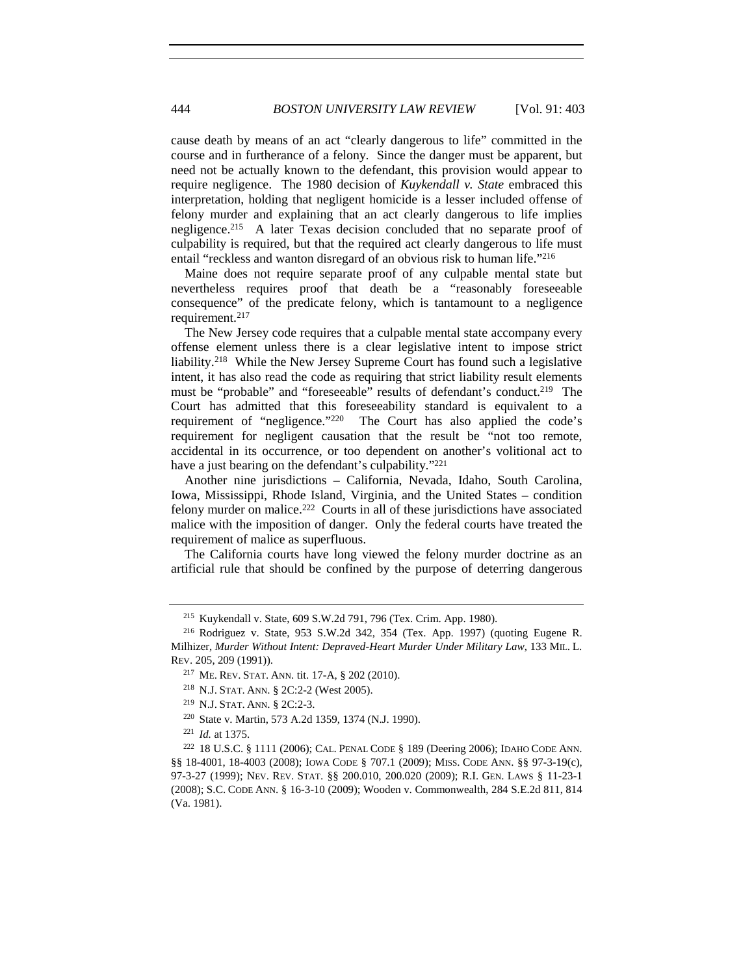cause death by means of an act "clearly dangerous to life" committed in the course and in furtherance of a felony. Since the danger must be apparent, but need not be actually known to the defendant, this provision would appear to require negligence. The 1980 decision of *Kuykendall v. State* embraced this interpretation, holding that negligent homicide is a lesser included offense of felony murder and explaining that an act clearly dangerous to life implies negligence.215 A later Texas decision concluded that no separate proof of culpability is required, but that the required act clearly dangerous to life must entail "reckless and wanton disregard of an obvious risk to human life."216

Maine does not require separate proof of any culpable mental state but nevertheless requires proof that death be a "reasonably foreseeable consequence" of the predicate felony, which is tantamount to a negligence requirement.217

The New Jersey code requires that a culpable mental state accompany every offense element unless there is a clear legislative intent to impose strict liability.218 While the New Jersey Supreme Court has found such a legislative intent, it has also read the code as requiring that strict liability result elements must be "probable" and "foreseeable" results of defendant's conduct.<sup>219</sup> The Court has admitted that this foreseeability standard is equivalent to a requirement of "negligence."220 The Court has also applied the code's requirement for negligent causation that the result be "not too remote, accidental in its occurrence, or too dependent on another's volitional act to have a just bearing on the defendant's culpability."<sup>221</sup>

Another nine jurisdictions – California, Nevada, Idaho, South Carolina, Iowa, Mississippi, Rhode Island, Virginia, and the United States – condition felony murder on malice.222 Courts in all of these jurisdictions have associated malice with the imposition of danger. Only the federal courts have treated the requirement of malice as superfluous.

The California courts have long viewed the felony murder doctrine as an artificial rule that should be confined by the purpose of deterring dangerous

<sup>215</sup> Kuykendall v. State, 609 S.W.2d 791, 796 (Tex. Crim. App. 1980).

<sup>216</sup> Rodriguez v. State, 953 S.W.2d 342, 354 (Tex. App. 1997) (quoting Eugene R. Milhizer, *Murder Without Intent: Depraved-Heart Murder Under Military Law*, 133 MIL. L. REV. 205, 209 (1991)).

<sup>217</sup> ME. REV. STAT. ANN. tit. 17-A, § 202 (2010).

<sup>218</sup> N.J. STAT. ANN. § 2C:2-2 (West 2005).

<sup>219</sup> N.J. STAT. ANN. § 2C:2-3.

<sup>220</sup> State v. Martin, 573 A.2d 1359, 1374 (N.J. 1990).

<sup>&</sup>lt;sup>221</sup> *Id.* at 1375.<br><sup>222</sup> 18 U.S.C. § 1111 (2006); CAL. PENAL CODE § 189 (Deering 2006); IDAHO CODE ANN. §§ 18-4001, 18-4003 (2008); IOWA CODE § 707.1 (2009); MISS. CODE ANN. §§ 97-3-19(c), 97-3-27 (1999); NEV. REV. STAT. §§ 200.010, 200.020 (2009); R.I. GEN. LAWS § 11-23-1 (2008); S.C. CODE ANN. § 16-3-10 (2009); Wooden v. Commonwealth, 284 S.E.2d 811, 814 (Va. 1981).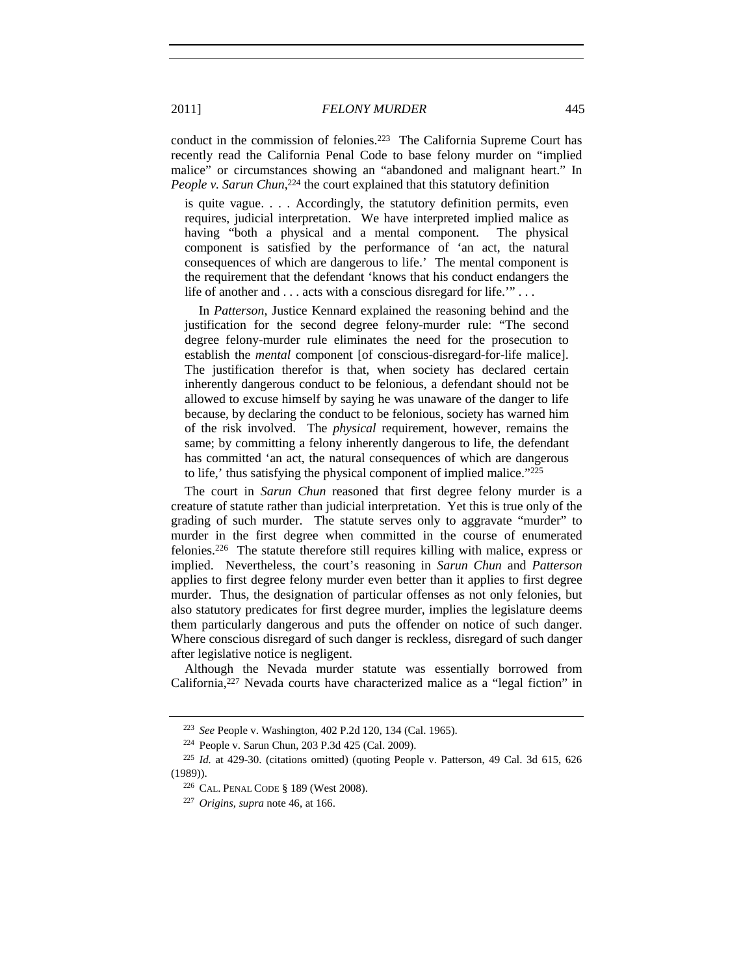conduct in the commission of felonies.223 The California Supreme Court has recently read the California Penal Code to base felony murder on "implied malice" or circumstances showing an "abandoned and malignant heart." In People v. Sarun Chun,<sup>224</sup> the court explained that this statutory definition

is quite vague. . . . Accordingly, the statutory definition permits, even requires, judicial interpretation. We have interpreted implied malice as having "both a physical and a mental component. The physical component is satisfied by the performance of 'an act, the natural consequences of which are dangerous to life.' The mental component is the requirement that the defendant 'knows that his conduct endangers the life of another and . . . acts with a conscious disregard for life."  $\dots$ 

In *Patterson*, Justice Kennard explained the reasoning behind and the justification for the second degree felony-murder rule: "The second degree felony-murder rule eliminates the need for the prosecution to establish the *mental* component [of conscious-disregard-for-life malice]. The justification therefor is that, when society has declared certain inherently dangerous conduct to be felonious, a defendant should not be allowed to excuse himself by saying he was unaware of the danger to life because, by declaring the conduct to be felonious, society has warned him of the risk involved. The *physical* requirement, however, remains the same; by committing a felony inherently dangerous to life, the defendant has committed 'an act, the natural consequences of which are dangerous to life,' thus satisfying the physical component of implied malice."225

The court in *Sarun Chun* reasoned that first degree felony murder is a creature of statute rather than judicial interpretation. Yet this is true only of the grading of such murder. The statute serves only to aggravate "murder" to murder in the first degree when committed in the course of enumerated felonies.226 The statute therefore still requires killing with malice, express or implied. Nevertheless, the court's reasoning in *Sarun Chun* and *Patterson* applies to first degree felony murder even better than it applies to first degree murder. Thus, the designation of particular offenses as not only felonies, but also statutory predicates for first degree murder, implies the legislature deems them particularly dangerous and puts the offender on notice of such danger. Where conscious disregard of such danger is reckless, disregard of such danger after legislative notice is negligent.

Although the Nevada murder statute was essentially borrowed from California,227 Nevada courts have characterized malice as a "legal fiction" in

<sup>223</sup> *See* People v. Washington, 402 P.2d 120, 134 (Cal. 1965).

<sup>&</sup>lt;sup>224</sup> People v. Sarun Chun, 203 P.3d 425 (Cal. 2009).<br><sup>225</sup> *Id.* at 429-30. (citations omitted) (quoting People v. Patterson, 49 Cal. 3d 615, 626 (1989)).

<sup>226</sup> CAL. PENAL CODE § 189 (West 2008).

<sup>227</sup> *Origins*, *supra* note 46, at 166.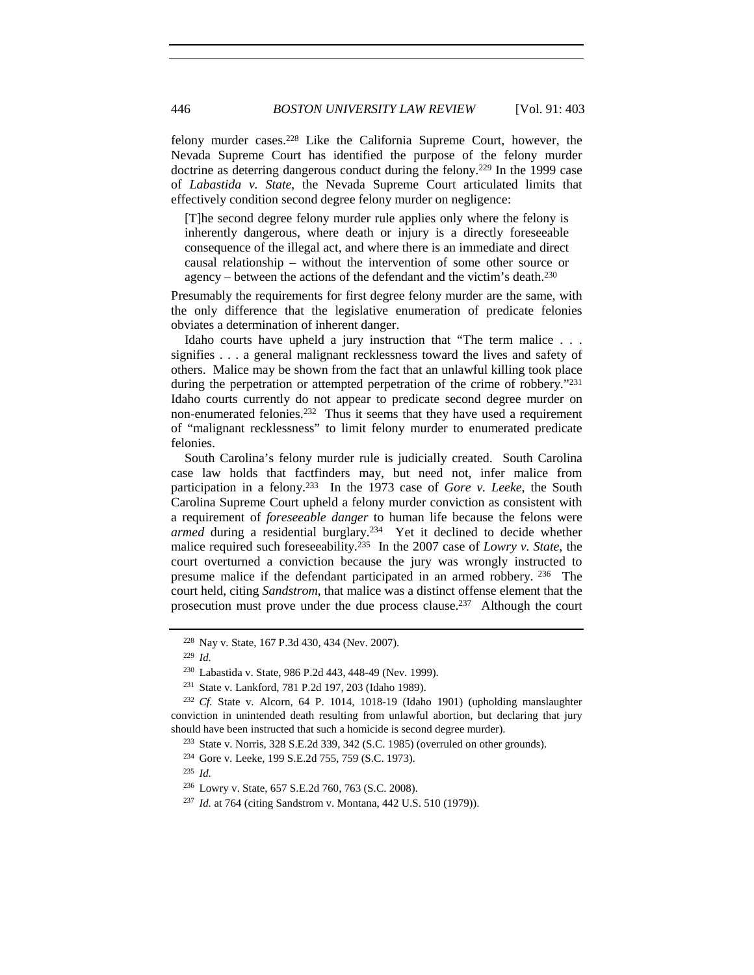felony murder cases.228 Like the California Supreme Court, however, the Nevada Supreme Court has identified the purpose of the felony murder doctrine as deterring dangerous conduct during the felony.229 In the 1999 case of *Labastida v. State*, the Nevada Supreme Court articulated limits that effectively condition second degree felony murder on negligence:

[T]he second degree felony murder rule applies only where the felony is inherently dangerous, where death or injury is a directly foreseeable consequence of the illegal act, and where there is an immediate and direct causal relationship – without the intervention of some other source or agency – between the actions of the defendant and the victim's death.230

Presumably the requirements for first degree felony murder are the same, with the only difference that the legislative enumeration of predicate felonies obviates a determination of inherent danger.

Idaho courts have upheld a jury instruction that "The term malice . . . signifies . . . a general malignant recklessness toward the lives and safety of others. Malice may be shown from the fact that an unlawful killing took place during the perpetration or attempted perpetration of the crime of robbery."<sup>231</sup> Idaho courts currently do not appear to predicate second degree murder on non-enumerated felonies.232 Thus it seems that they have used a requirement of "malignant recklessness" to limit felony murder to enumerated predicate felonies.

South Carolina's felony murder rule is judicially created. South Carolina case law holds that factfinders may, but need not, infer malice from participation in a felony.233 In the 1973 case of *Gore v. Leeke*, the South Carolina Supreme Court upheld a felony murder conviction as consistent with a requirement of *foreseeable danger* to human life because the felons were *armed* during a residential burglary.234 Yet it declined to decide whether malice required such foreseeability.235 In the 2007 case of *Lowry v. State*, the court overturned a conviction because the jury was wrongly instructed to presume malice if the defendant participated in an armed robbery. 236 The court held, citing *Sandstrom*, that malice was a distinct offense element that the prosecution must prove under the due process clause.237 Although the court

<sup>228</sup> Nay v. State, 167 P.3d 430, 434 (Nev. 2007).

<sup>229</sup> *Id.*

<sup>230</sup> Labastida v. State, 986 P.2d 443, 448-49 (Nev. 1999).

<sup>231</sup> State v. Lankford, 781 P.2d 197, 203 (Idaho 1989).

<sup>232</sup> *Cf.* State v. Alcorn, 64 P. 1014, 1018-19 (Idaho 1901) (upholding manslaughter conviction in unintended death resulting from unlawful abortion, but declaring that jury should have been instructed that such a homicide is second degree murder).<br><sup>233</sup> State v. Norris, 328 S.E.2d 339, 342 (S.C. 1985) (overruled on other grounds).

<sup>234</sup> Gore v. Leeke, 199 S.E.2d 755, 759 (S.C. 1973).

<sup>235</sup> *Id.*

<sup>236</sup> Lowry v. State, 657 S.E.2d 760, 763 (S.C. 2008).

<sup>237</sup> *Id.* at 764 (citing Sandstrom v. Montana, 442 U.S. 510 (1979)).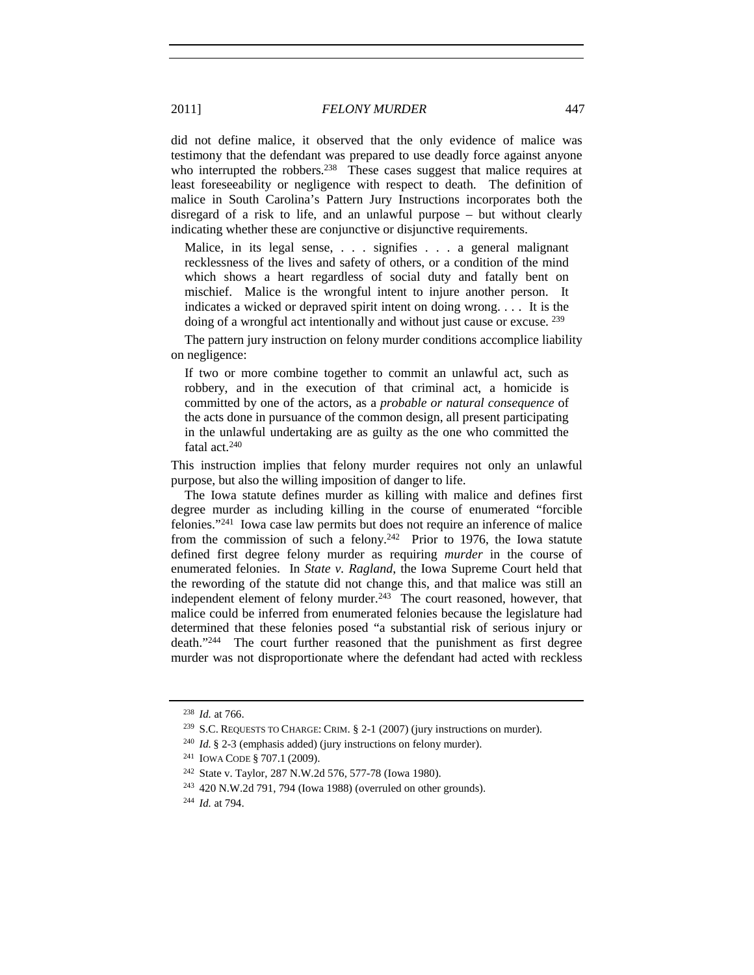did not define malice, it observed that the only evidence of malice was testimony that the defendant was prepared to use deadly force against anyone who interrupted the robbers.<sup>238</sup> These cases suggest that malice requires at least foreseeability or negligence with respect to death. The definition of malice in South Carolina's Pattern Jury Instructions incorporates both the disregard of a risk to life, and an unlawful purpose – but without clearly indicating whether these are conjunctive or disjunctive requirements.

Malice, in its legal sense, . . . signifies . . . a general malignant recklessness of the lives and safety of others, or a condition of the mind which shows a heart regardless of social duty and fatally bent on mischief. Malice is the wrongful intent to injure another person. It indicates a wicked or depraved spirit intent on doing wrong. . . . It is the doing of a wrongful act intentionally and without just cause or excuse. 239

The pattern jury instruction on felony murder conditions accomplice liability on negligence:

If two or more combine together to commit an unlawful act, such as robbery, and in the execution of that criminal act, a homicide is committed by one of the actors, as a *probable or natural consequence* of the acts done in pursuance of the common design, all present participating in the unlawful undertaking are as guilty as the one who committed the fatal act.<sup>240</sup>

This instruction implies that felony murder requires not only an unlawful purpose, but also the willing imposition of danger to life.

The Iowa statute defines murder as killing with malice and defines first degree murder as including killing in the course of enumerated "forcible felonies."241 Iowa case law permits but does not require an inference of malice from the commission of such a felony.<sup>242</sup> Prior to 1976, the Iowa statute defined first degree felony murder as requiring *murder* in the course of enumerated felonies. In *State v. Ragland*, the Iowa Supreme Court held that the rewording of the statute did not change this, and that malice was still an independent element of felony murder.<sup>243</sup> The court reasoned, however, that malice could be inferred from enumerated felonies because the legislature had determined that these felonies posed "a substantial risk of serious injury or death."244 The court further reasoned that the punishment as first degree murder was not disproportionate where the defendant had acted with reckless

<sup>238</sup> *Id.* at 766.

<sup>&</sup>lt;sup>239</sup> S.C. REQUESTS TO CHARGE: CRIM.  $\S$  2-1 (2007) (jury instructions on murder).

<sup>240</sup> *Id.* § 2-3 (emphasis added) (jury instructions on felony murder).

<sup>241</sup> IOWA CODE § 707.1 (2009).

<sup>242</sup> State v. Taylor, 287 N.W.2d 576, 577-78 (Iowa 1980).

<sup>243</sup> 420 N.W.2d 791, 794 (Iowa 1988) (overruled on other grounds).

<sup>244</sup> *Id.* at 794.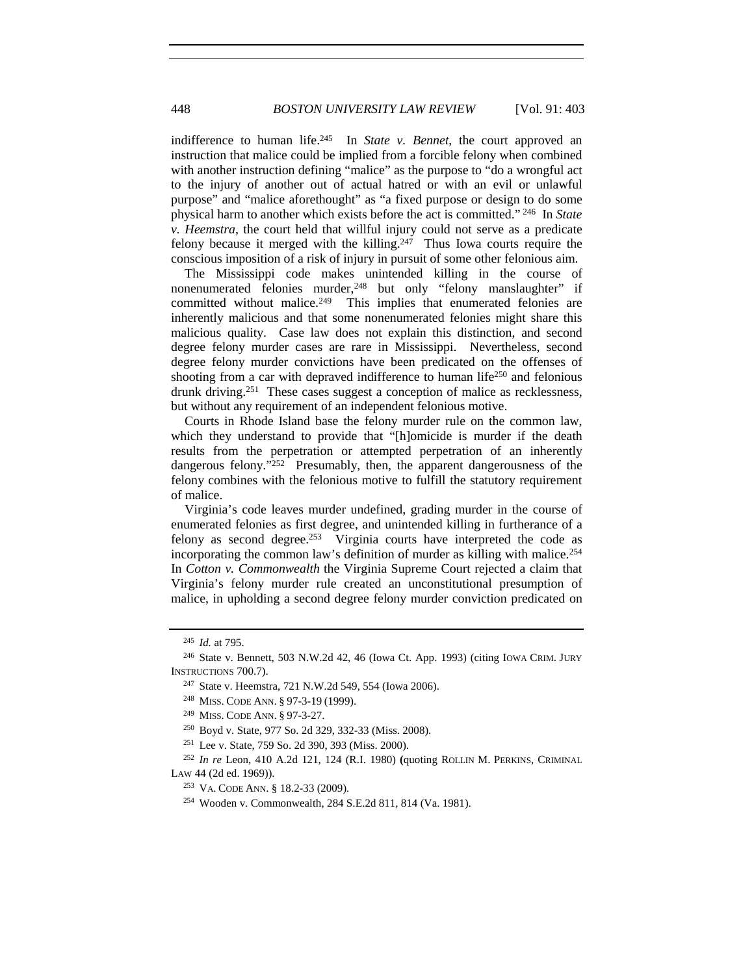indifference to human life.245 In *State v. Bennet*, the court approved an instruction that malice could be implied from a forcible felony when combined with another instruction defining "malice" as the purpose to "do a wrongful act to the injury of another out of actual hatred or with an evil or unlawful purpose" and "malice aforethought" as "a fixed purpose or design to do some physical harm to another which exists before the act is committed." 246 In *State v. Heemstra*, the court held that willful injury could not serve as a predicate felony because it merged with the killing.<sup>247</sup> Thus Iowa courts require the conscious imposition of a risk of injury in pursuit of some other felonious aim.

The Mississippi code makes unintended killing in the course of nonenumerated felonies murder,<sup>248</sup> but only "felony manslaughter" if committed without malice.<sup>249</sup> This implies that enumerated felonies are inherently malicious and that some nonenumerated felonies might share this malicious quality. Case law does not explain this distinction, and second degree felony murder cases are rare in Mississippi. Nevertheless, second degree felony murder convictions have been predicated on the offenses of shooting from a car with depraved indifference to human life<sup>250</sup> and felonious drunk driving.<sup>251</sup> These cases suggest a conception of malice as recklessness, but without any requirement of an independent felonious motive.

Courts in Rhode Island base the felony murder rule on the common law, which they understand to provide that "[h]omicide is murder if the death results from the perpetration or attempted perpetration of an inherently dangerous felony."252 Presumably, then, the apparent dangerousness of the felony combines with the felonious motive to fulfill the statutory requirement of malice.

Virginia's code leaves murder undefined, grading murder in the course of enumerated felonies as first degree, and unintended killing in furtherance of a felony as second degree.253 Virginia courts have interpreted the code as incorporating the common law's definition of murder as killing with malice.254 In *Cotton v. Commonwealth* the Virginia Supreme Court rejected a claim that Virginia's felony murder rule created an unconstitutional presumption of malice, in upholding a second degree felony murder conviction predicated on

<sup>245</sup> *Id.* at 795.

<sup>246</sup> State v. Bennett, 503 N.W.2d 42, 46 (Iowa Ct. App. 1993) (citing IOWA CRIM. JURY INSTRUCTIONS 700.7).

<sup>247</sup> State v. Heemstra, 721 N.W.2d 549, 554 (Iowa 2006).

<sup>&</sup>lt;sup>248</sup> MISS. CODE ANN. § 97-3-19 (1999).<br><sup>249</sup> MISS. CODE ANN. § 97-3-27.

<sup>250</sup> Boyd v. State, 977 So. 2d 329, 332-33 (Miss. 2008).

<sup>251</sup> Lee v. State, 759 So. 2d 390, 393 (Miss. 2000). 252 *In re* Leon, 410 A.2d 121, 124 (R.I. 1980) **(**quoting ROLLIN M. PERKINS, CRIMINAL LAW 44 (2d ed. 1969)).

<sup>253</sup> VA. CODE ANN. § 18.2-33 (2009).

<sup>254</sup> Wooden v. Commonwealth, 284 S.E.2d 811, 814 (Va. 1981).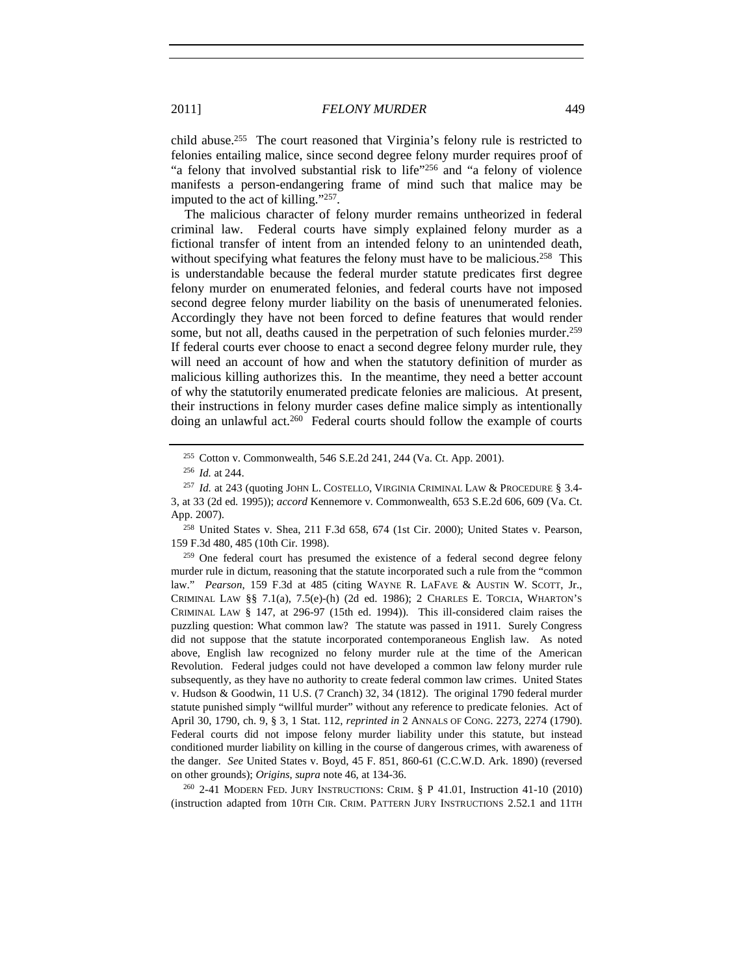child abuse.255 The court reasoned that Virginia's felony rule is restricted to felonies entailing malice, since second degree felony murder requires proof of "a felony that involved substantial risk to life"256 and "a felony of violence manifests a person-endangering frame of mind such that malice may be imputed to the act of killing."257.

The malicious character of felony murder remains untheorized in federal criminal law. Federal courts have simply explained felony murder as a fictional transfer of intent from an intended felony to an unintended death, without specifying what features the felony must have to be malicious.<sup>258</sup> This is understandable because the federal murder statute predicates first degree felony murder on enumerated felonies, and federal courts have not imposed second degree felony murder liability on the basis of unenumerated felonies. Accordingly they have not been forced to define features that would render some, but not all, deaths caused in the perpetration of such felonies murder.<sup>259</sup> If federal courts ever choose to enact a second degree felony murder rule, they will need an account of how and when the statutory definition of murder as malicious killing authorizes this. In the meantime, they need a better account of why the statutorily enumerated predicate felonies are malicious. At present, their instructions in felony murder cases define malice simply as intentionally doing an unlawful act.260 Federal courts should follow the example of courts

<sup>258</sup> United States v. Shea, 211 F.3d 658, 674 (1st Cir. 2000); United States v. Pearson, 159 F.3d 480, 485 (10th Cir. 1998).

 $259$  One federal court has presumed the existence of a federal second degree felony murder rule in dictum, reasoning that the statute incorporated such a rule from the "common law." *Pearson*, 159 F.3d at 485 (citing WAYNE R. LAFAVE & AUSTIN W. SCOTT, Jr., CRIMINAL LAW §§ 7.1(a), 7.5(e)-(h) (2d ed. 1986); 2 CHARLES E. TORCIA, WHARTON'S CRIMINAL LAW § 147, at 296-97 (15th ed. 1994)). This ill-considered claim raises the puzzling question: What common law? The statute was passed in 1911. Surely Congress did not suppose that the statute incorporated contemporaneous English law. As noted above, English law recognized no felony murder rule at the time of the American Revolution. Federal judges could not have developed a common law felony murder rule subsequently, as they have no authority to create federal common law crimes. United States v. Hudson & Goodwin, 11 U.S. (7 Cranch) 32, 34 (1812). The original 1790 federal murder statute punished simply "willful murder" without any reference to predicate felonies. Act of April 30, 1790, ch. 9, § 3, 1 Stat. 112, *reprinted in* 2 ANNALS OF CONG. 2273, 2274 (1790). Federal courts did not impose felony murder liability under this statute, but instead conditioned murder liability on killing in the course of dangerous crimes, with awareness of the danger. *See* United States v. Boyd, 45 F. 851, 860-61 (C.C.W.D. Ark. 1890) (reversed on other grounds); *Origins*, *supra* note 46, at 134-36.

<sup>260</sup> 2-41 MODERN FED. JURY INSTRUCTIONS: CRIM. § P 41.01, Instruction 41-10 (2010) (instruction adapted from 10TH CIR. CRIM. PATTERN JURY INSTRUCTIONS 2.52.1 and 11TH

<sup>255</sup> Cotton v. Commonwealth, 546 S.E.2d 241, 244 (Va. Ct. App. 2001).

<sup>256</sup> *Id.* at 244.

<sup>&</sup>lt;sup>257</sup> *Id.* at 243 (quoting JOHN L. COSTELLO, VIRGINIA CRIMINAL LAW & PROCEDURE § 3.4-3, at 33 (2d ed. 1995)); *accord* Kennemore v. Commonwealth, 653 S.E.2d 606, 609 (Va. Ct. App. 2007).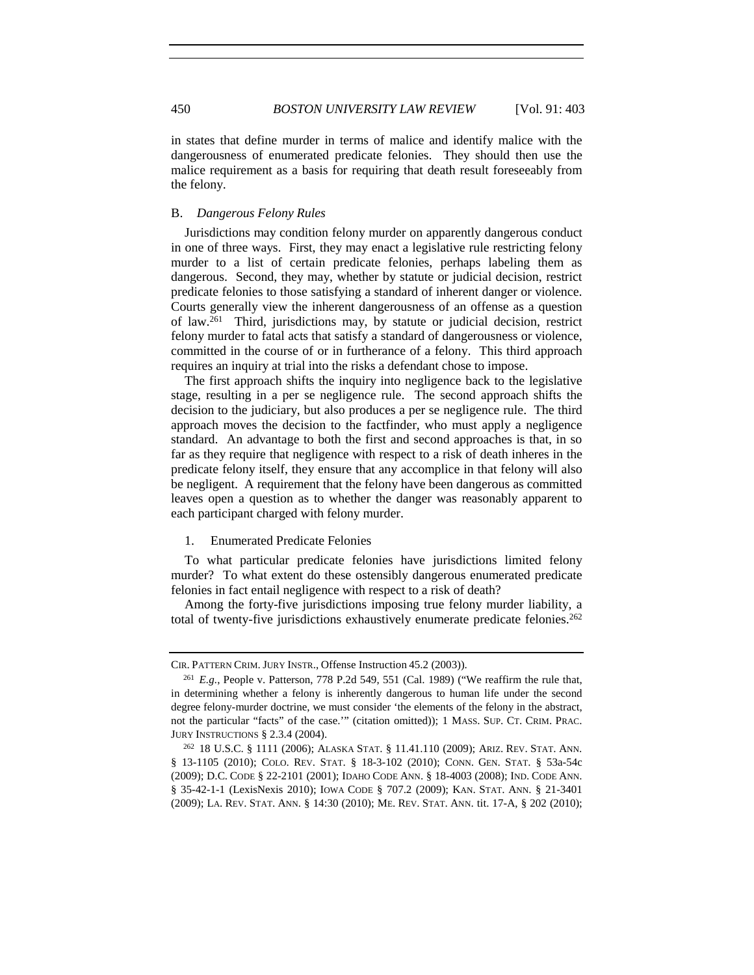in states that define murder in terms of malice and identify malice with the dangerousness of enumerated predicate felonies. They should then use the malice requirement as a basis for requiring that death result foreseeably from the felony.

#### B. *Dangerous Felony Rules*

Jurisdictions may condition felony murder on apparently dangerous conduct in one of three ways. First, they may enact a legislative rule restricting felony murder to a list of certain predicate felonies, perhaps labeling them as dangerous. Second, they may, whether by statute or judicial decision, restrict predicate felonies to those satisfying a standard of inherent danger or violence. Courts generally view the inherent dangerousness of an offense as a question of law.261 Third, jurisdictions may, by statute or judicial decision, restrict felony murder to fatal acts that satisfy a standard of dangerousness or violence, committed in the course of or in furtherance of a felony. This third approach requires an inquiry at trial into the risks a defendant chose to impose.

The first approach shifts the inquiry into negligence back to the legislative stage, resulting in a per se negligence rule. The second approach shifts the decision to the judiciary, but also produces a per se negligence rule. The third approach moves the decision to the factfinder, who must apply a negligence standard. An advantage to both the first and second approaches is that, in so far as they require that negligence with respect to a risk of death inheres in the predicate felony itself, they ensure that any accomplice in that felony will also be negligent. A requirement that the felony have been dangerous as committed leaves open a question as to whether the danger was reasonably apparent to each participant charged with felony murder.

## 1. Enumerated Predicate Felonies

To what particular predicate felonies have jurisdictions limited felony murder? To what extent do these ostensibly dangerous enumerated predicate felonies in fact entail negligence with respect to a risk of death?

Among the forty-five jurisdictions imposing true felony murder liability, a total of twenty-five jurisdictions exhaustively enumerate predicate felonies.262

CIR. PATTERN CRIM. JURY INSTR., Offense Instruction 45.2 (2003)).

<sup>&</sup>lt;sup>261</sup> *E.g.*, People v. Patterson, 778 P.2d 549, 551 (Cal. 1989) ("We reaffirm the rule that, in determining whether a felony is inherently dangerous to human life under the second degree felony-murder doctrine, we must consider 'the elements of the felony in the abstract, not the particular "facts" of the case.'" (citation omitted)); 1 MASS. SUP. CT. CRIM. PRAC. JURY INSTRUCTIONS § 2.3.4 (2004).

<sup>262</sup> 18 U.S.C. § 1111 (2006); ALASKA STAT. § 11.41.110 (2009); ARIZ. REV. STAT. ANN. § 13-1105 (2010); COLO. REV. STAT. § 18-3-102 (2010); CONN. GEN. STAT. § 53a-54c (2009); D.C. CODE § 22-2101 (2001); IDAHO CODE ANN. § 18-4003 (2008); IND. CODE ANN. § 35-42-1-1 (LexisNexis 2010); IOWA CODE § 707.2 (2009); KAN. STAT. ANN. § 21-3401 (2009); LA. REV. STAT. ANN. § 14:30 (2010); ME. REV. STAT. ANN. tit. 17-A, § 202 (2010);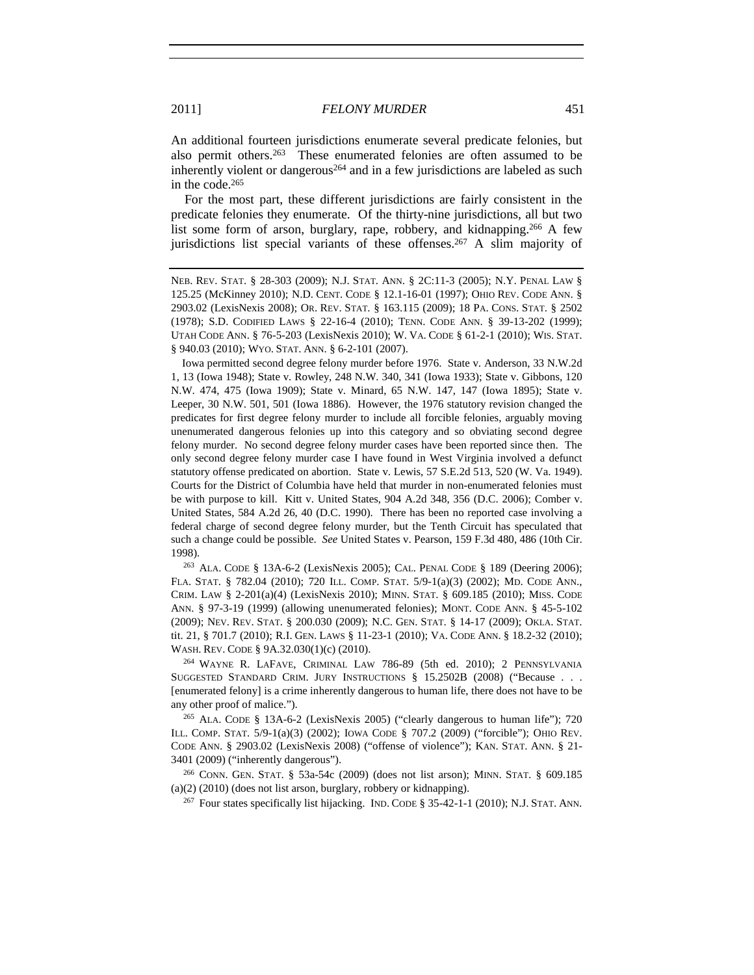An additional fourteen jurisdictions enumerate several predicate felonies, but also permit others.263 These enumerated felonies are often assumed to be inherently violent or dangerous<sup>264</sup> and in a few jurisdictions are labeled as such in the code.265

For the most part, these different jurisdictions are fairly consistent in the predicate felonies they enumerate. Of the thirty-nine jurisdictions, all but two list some form of arson, burglary, rape, robbery, and kidnapping.266 A few jurisdictions list special variants of these offenses.<sup>267</sup> A slim majority of

Iowa permitted second degree felony murder before 1976. State v. Anderson, 33 N.W.2d 1, 13 (Iowa 1948); State v. Rowley, 248 N.W. 340, 341 (Iowa 1933); State v. Gibbons, 120 N.W. 474, 475 (Iowa 1909); State v. Minard, 65 N.W. 147, 147 (Iowa 1895); State v. Leeper, 30 N.W. 501, 501 (Iowa 1886). However, the 1976 statutory revision changed the predicates for first degree felony murder to include all forcible felonies, arguably moving unenumerated dangerous felonies up into this category and so obviating second degree felony murder. No second degree felony murder cases have been reported since then. The only second degree felony murder case I have found in West Virginia involved a defunct statutory offense predicated on abortion. State v. Lewis, 57 S.E.2d 513, 520 (W. Va. 1949). Courts for the District of Columbia have held that murder in non-enumerated felonies must be with purpose to kill. Kitt v. United States, 904 A.2d 348, 356 (D.C. 2006); Comber v. United States, 584 A.2d 26, 40 (D.C. 1990).There has been no reported case involving a federal charge of second degree felony murder, but the Tenth Circuit has speculated that such a change could be possible. *See* United States v. Pearson, 159 F.3d 480, 486 (10th Cir. 1998).

<sup>263</sup> ALA. CODE § 13A-6-2 (LexisNexis 2005); CAL. PENAL CODE § 189 (Deering 2006); FLA. STAT. § 782.04 (2010); 720 ILL. COMP. STAT. 5/9-1(a)(3) (2002); MD. CODE ANN., CRIM. LAW § 2-201(a)(4) (LexisNexis 2010); MINN. STAT. § 609.185 (2010); MISS. CODE ANN. § 97-3-19 (1999) (allowing unenumerated felonies); MONT. CODE ANN. § 45-5-102 (2009); NEV. REV. STAT. § 200.030 (2009); N.C. GEN. STAT. § 14-17 (2009); OKLA. STAT. tit. 21, § 701.7 (2010); R.I. GEN. LAWS § 11-23-1 (2010); VA. CODE ANN. § 18.2-32 (2010); WASH. REV. CODE § 9A.32.030(1)(c) (2010).

<sup>264</sup> WAYNE R. LAFAVE, CRIMINAL LAW 786-89 (5th ed. 2010); 2 PENNSYLVANIA SUGGESTED STANDARD CRIM. JURY INSTRUCTIONS § 15.2502B (2008) ("Because . . . [enumerated felony] is a crime inherently dangerous to human life, there does not have to be any other proof of malice.").

<sup>265</sup> ALA. CODE § 13A-6-2 (LexisNexis 2005) ("clearly dangerous to human life"); 720 ILL. COMP. STAT. 5/9-1(a)(3) (2002); IOWA CODE § 707.2 (2009) ("forcible"); OHIO REV. CODE ANN. § 2903.02 (LexisNexis 2008) ("offense of violence"); KAN. STAT. ANN. § 21- 3401 (2009) ("inherently dangerous").

<sup>266</sup> CONN. GEN. STAT. § 53a-54c (2009) (does not list arson); MINN. STAT. § 609.185 (a)(2) (2010) (does not list arson, burglary, robbery or kidnapping).

<sup>267</sup> Four states specifically list hijacking. IND. CODE  $\S$  35-42-1-1 (2010); N.J. STAT. ANN.

NEB. REV. STAT. § 28-303 (2009); N.J. STAT. ANN. § 2C:11-3 (2005); N.Y. PENAL LAW § 125.25 (McKinney 2010); N.D. CENT. CODE § 12.1-16-01 (1997); OHIO REV. CODE ANN. § 2903.02 (LexisNexis 2008); OR. REV. STAT. § 163.115 (2009); 18 PA. CONS. STAT. § 2502 (1978); S.D. CODIFIED LAWS § 22-16-4 (2010); TENN. CODE ANN. § 39-13-202 (1999); UTAH CODE ANN. § 76-5-203 (LexisNexis 2010); W. VA. CODE § 61-2-1 (2010); WIS. STAT. § 940.03 (2010); WYO. STAT. ANN. § 6-2-101 (2007).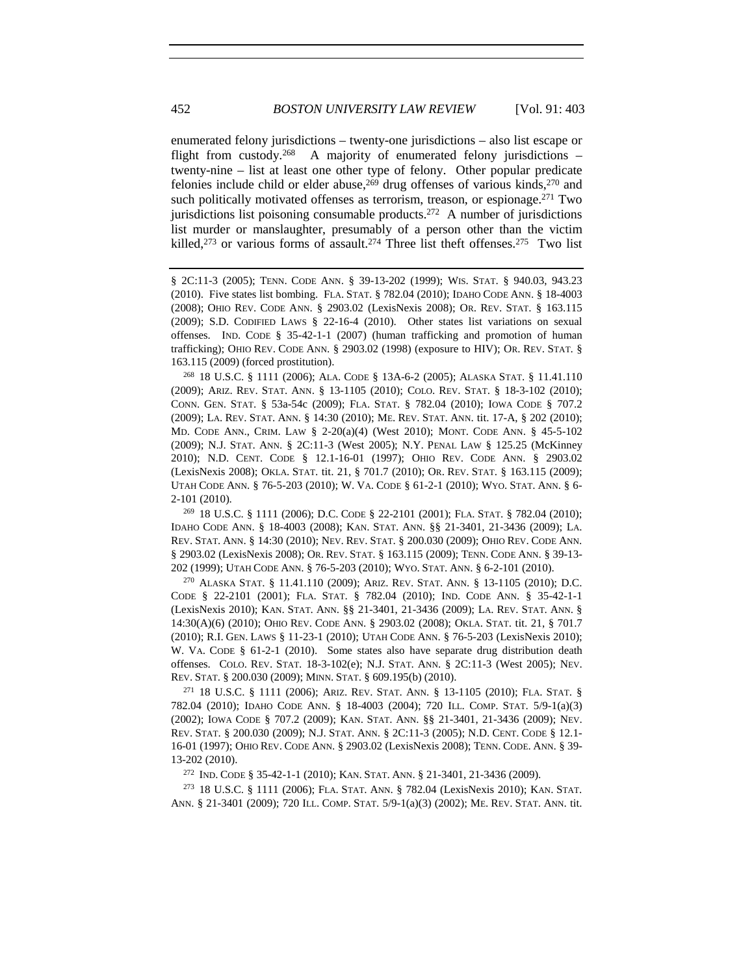enumerated felony jurisdictions – twenty-one jurisdictions – also list escape or flight from custody.<sup>268</sup> A majority of enumerated felony jurisdictions  $$ twenty-nine – list at least one other type of felony. Other popular predicate felonies include child or elder abuse, $269$  drug offenses of various kinds, $270$  and such politically motivated offenses as terrorism, treason, or espionage.<sup>271</sup> Two jurisdictions list poisoning consumable products.<sup>272</sup> A number of jurisdictions list murder or manslaughter, presumably of a person other than the victim killed,<sup>273</sup> or various forms of assault.<sup>274</sup> Three list theft offenses.<sup>275</sup> Two list

<sup>268</sup> 18 U.S.C. § 1111 (2006); ALA. CODE § 13A-6-2 (2005); ALASKA STAT. § 11.41.110 (2009); ARIZ. REV. STAT. ANN. § 13-1105 (2010); COLO. REV. STAT. § 18-3-102 (2010); CONN. GEN. STAT. § 53a-54c (2009); FLA. STAT. § 782.04 (2010); IOWA CODE § 707.2 (2009); LA. REV. STAT. ANN. § 14:30 (2010); ME. REV. STAT. ANN. tit. 17-A, § 202 (2010); MD. CODE ANN., CRIM. LAW § 2-20(a)(4) (West 2010); MONT. CODE ANN. § 45-5-102 (2009); N.J. STAT. ANN. § 2C:11-3 (West 2005); N.Y. PENAL LAW § 125.25 (McKinney 2010); N.D. CENT. CODE § 12.1-16-01 (1997); OHIO REV. CODE ANN. § 2903.02 (LexisNexis 2008); OKLA. STAT. tit. 21, § 701.7 (2010); OR. REV. STAT. § 163.115 (2009); UTAH CODE ANN. § 76-5-203 (2010); W. VA. CODE § 61-2-1 (2010); WYO. STAT. ANN. § 6- 2-101 (2010).

<sup>269</sup> 18 U.S.C. § 1111 (2006); D.C. CODE § 22-2101 (2001); FLA. STAT. § 782.04 (2010); IDAHO CODE ANN. § 18-4003 (2008); KAN. STAT. ANN. §§ 21-3401, 21-3436 (2009); LA. REV. STAT. ANN. § 14:30 (2010); NEV. REV. STAT. § 200.030 (2009); OHIO REV. CODE ANN. § 2903.02 (LexisNexis 2008); OR. REV. STAT. § 163.115 (2009); TENN. CODE ANN. § 39-13- 202 (1999); UTAH CODE ANN. § 76-5-203 (2010); WYO. STAT. ANN. § 6-2-101 (2010).

<sup>270</sup> ALASKA STAT. § 11.41.110 (2009); ARIZ. REV. STAT. ANN. § 13-1105 (2010); D.C. CODE § 22-2101 (2001); FLA. STAT. § 782.04 (2010); IND. CODE ANN. § 35-42-1-1 (LexisNexis 2010); KAN. STAT. ANN. §§ 21-3401, 21-3436 (2009); LA. REV. STAT. ANN. § 14:30(A)(6) (2010); OHIO REV. CODE ANN. § 2903.02 (2008); OKLA. STAT. tit. 21, § 701.7 (2010); R.I. GEN. LAWS § 11-23-1 (2010); UTAH CODE ANN. § 76-5-203 (LexisNexis 2010); W. VA. CODE § 61-2-1 (2010). Some states also have separate drug distribution death offenses. COLO. REV. STAT. 18-3-102(e); N.J. STAT. ANN. § 2C:11-3 (West 2005); NEV. REV. STAT. § 200.030 (2009); MINN. STAT. § 609.195(b) (2010).

<sup>271</sup> 18 U.S.C. § 1111 (2006); ARIZ. REV. STAT. ANN. § 13-1105 (2010); FLA. STAT. § 782.04 (2010); IDAHO CODE ANN. § 18-4003 (2004); 720 ILL. COMP. STAT. 5/9-1(a)(3) (2002); IOWA CODE § 707.2 (2009); KAN. STAT. ANN. §§ 21-3401, 21-3436 (2009); NEV. REV. STAT. § 200.030 (2009); N.J. STAT. ANN. § 2C:11-3 (2005); N.D. CENT. CODE § 12.1- 16-01 (1997); OHIO REV. CODE ANN. § 2903.02 (LexisNexis 2008); TENN. CODE. ANN. § 39- 13-202 (2010).

<sup>272</sup> IND. CODE § 35-42-1-1 (2010); KAN. STAT. ANN. § 21-3401, 21-3436 (2009).<br><sup>273</sup> 18 U.S.C. § 1111 (2006); FLA. STAT. ANN. § 782.04 (LexisNexis 2010); KAN. STAT.

ANN. § 21-3401 (2009); 720 ILL. COMP. STAT. 5/9-1(a)(3) (2002); ME. REV. STAT. ANN. tit.

<sup>§ 2</sup>C:11-3 (2005); TENN. CODE ANN. § 39-13-202 (1999); WIS. STAT. § 940.03, 943.23 (2010). Five states list bombing. FLA. STAT. § 782.04 (2010); IDAHO CODE ANN. § 18-4003 (2008); OHIO REV. CODE ANN. § 2903.02 (LexisNexis 2008); OR. REV. STAT. § 163.115 (2009); S.D. CODIFIED LAWS § 22-16-4 (2010). Other states list variations on sexual offenses. IND. CODE § 35-42-1-1 (2007) (human trafficking and promotion of human trafficking); OHIO REV. CODE ANN. § 2903.02 (1998) (exposure to HIV); OR. REV. STAT. § 163.115 (2009) (forced prostitution).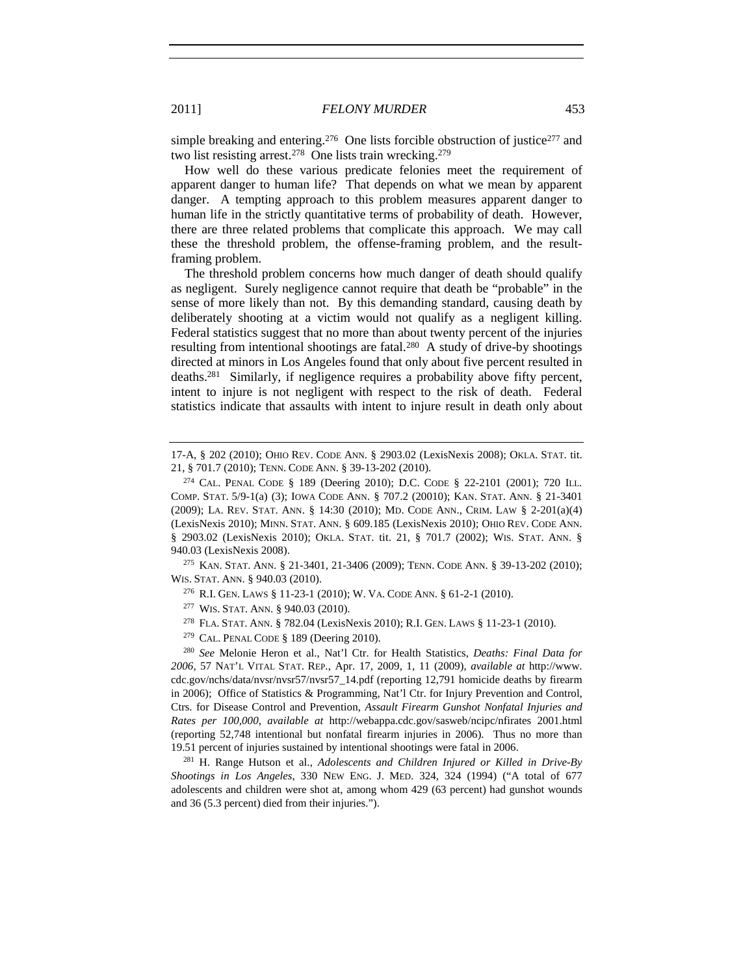simple breaking and entering.<sup>276</sup> One lists forcible obstruction of justice<sup>277</sup> and two list resisting arrest.278 One lists train wrecking.279

How well do these various predicate felonies meet the requirement of apparent danger to human life? That depends on what we mean by apparent danger. A tempting approach to this problem measures apparent danger to human life in the strictly quantitative terms of probability of death. However, there are three related problems that complicate this approach. We may call these the threshold problem, the offense-framing problem, and the resultframing problem.

The threshold problem concerns how much danger of death should qualify as negligent. Surely negligence cannot require that death be "probable" in the sense of more likely than not. By this demanding standard, causing death by deliberately shooting at a victim would not qualify as a negligent killing. Federal statistics suggest that no more than about twenty percent of the injuries resulting from intentional shootings are fatal.280 A study of drive-by shootings directed at minors in Los Angeles found that only about five percent resulted in deaths.281 Similarly, if negligence requires a probability above fifty percent, intent to injure is not negligent with respect to the risk of death. Federal statistics indicate that assaults with intent to injure result in death only about

<sup>275</sup> KAN. STAT. ANN. § 21-3401, 21-3406 (2009); TENN. CODE ANN. § 39-13-202 (2010); WIS. STAT. ANN. § 940.03 (2010).

<sup>276</sup> R.I. GEN. LAWS § 11-23-1 (2010); W. VA. CODE ANN. § 61-2-1 (2010).

<sup>278</sup> FLA. STAT. ANN. § 782.04 (LexisNexis 2010); R.I. GEN. LAWS § 11-23-1 (2010).

<sup>279</sup> CAL. PENAL CODE § 189 (Deering 2010).

<sup>280</sup> *See* Melonie Heron et al., Nat'l Ctr. for Health Statistics, *Deaths: Final Data for 2006*, 57 NAT'L VITAL STAT. REP., Apr. 17, 2009, 1, 11 (2009), *available at* http://www. cdc.gov/nchs/data/nvsr/nvsr57/nvsr57\_14.pdf (reporting 12,791 homicide deaths by firearm in 2006); Office of Statistics & Programming, Nat'l Ctr. for Injury Prevention and Control, Ctrs. for Disease Control and Prevention, *Assault Firearm Gunshot Nonfatal Injuries and Rates per 100,000*, *available at* http://webappa.cdc.gov/sasweb/ncipc/nfirates 2001.html (reporting 52,748 intentional but nonfatal firearm injuries in 2006). Thus no more than 19.51 percent of injuries sustained by intentional shootings were fatal in 2006. 281 H. Range Hutson et al., *Adolescents and Children Injured or Killed in Drive-By* 

*Shootings in Los Angeles*, 330 NEW ENG. J. MED. 324, 324 (1994) ("A total of 677 adolescents and children were shot at, among whom 429 (63 percent) had gunshot wounds and 36 (5.3 percent) died from their injuries.").

<sup>17-</sup>A, § 202 (2010); OHIO REV. CODE ANN. § 2903.02 (LexisNexis 2008); OKLA. STAT. tit. 21, § 701.7 (2010); TENN. CODE ANN. § 39-13-202 (2010).

<sup>274</sup> CAL. PENAL CODE § 189 (Deering 2010); D.C. CODE § 22-2101 (2001); 720 ILL. COMP. STAT. 5/9-1(a) (3); IOWA CODE ANN. § 707.2 (20010); KAN. STAT. ANN. § 21-3401 (2009); LA. REV. STAT. ANN. § 14:30 (2010); MD. CODE ANN., CRIM. LAW § 2-201(a)(4) (LexisNexis 2010); MINN. STAT. ANN. § 609.185 (LexisNexis 2010); OHIO REV. CODE ANN. § 2903.02 (LexisNexis 2010); OKLA. STAT. tit. 21, § 701.7 (2002); WIS. STAT. ANN. § 940.03 (LexisNexis 2008).

<sup>277</sup> WIS. STAT. ANN. § 940.03 (2010).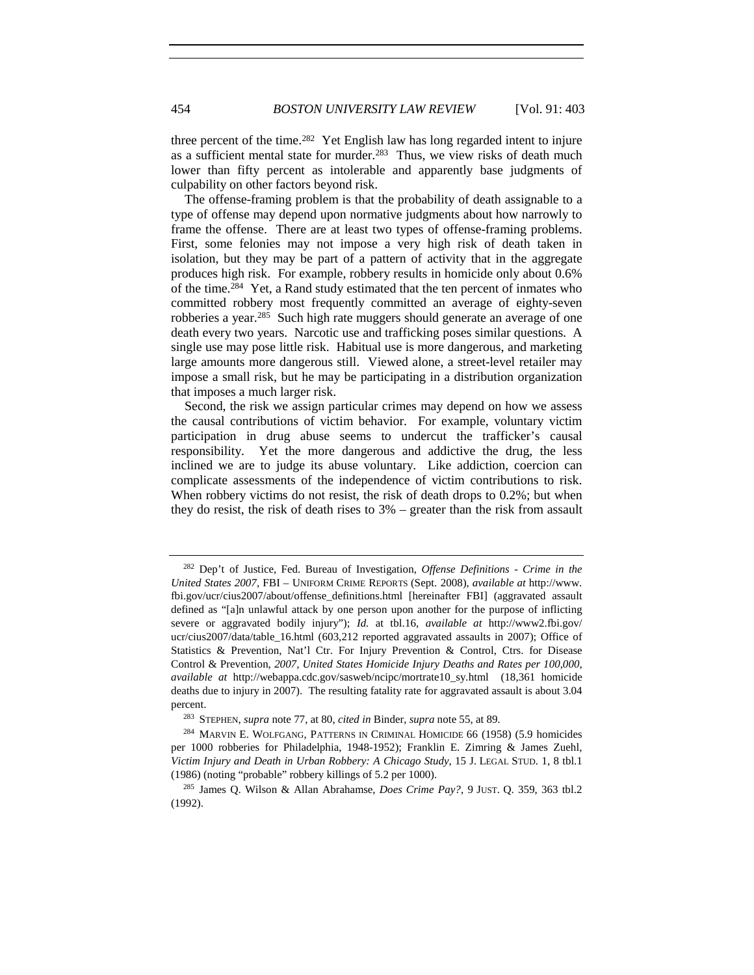three percent of the time.<sup>282</sup> Yet English law has long regarded intent to injure as a sufficient mental state for murder.<sup>283</sup> Thus, we view risks of death much lower than fifty percent as intolerable and apparently base judgments of culpability on other factors beyond risk.

The offense-framing problem is that the probability of death assignable to a type of offense may depend upon normative judgments about how narrowly to frame the offense. There are at least two types of offense-framing problems. First, some felonies may not impose a very high risk of death taken in isolation, but they may be part of a pattern of activity that in the aggregate produces high risk. For example, robbery results in homicide only about 0.6% of the time.284 Yet, a Rand study estimated that the ten percent of inmates who committed robbery most frequently committed an average of eighty-seven robberies a year.<sup>285</sup> Such high rate muggers should generate an average of one death every two years. Narcotic use and trafficking poses similar questions. A single use may pose little risk. Habitual use is more dangerous, and marketing large amounts more dangerous still. Viewed alone, a street-level retailer may impose a small risk, but he may be participating in a distribution organization that imposes a much larger risk.

Second, the risk we assign particular crimes may depend on how we assess the causal contributions of victim behavior. For example, voluntary victim participation in drug abuse seems to undercut the trafficker's causal responsibility. Yet the more dangerous and addictive the drug, the less inclined we are to judge its abuse voluntary. Like addiction, coercion can complicate assessments of the independence of victim contributions to risk. When robbery victims do not resist, the risk of death drops to 0.2%; but when they do resist, the risk of death rises to 3% – greater than the risk from assault

<sup>282</sup> Dep't of Justice, Fed. Bureau of Investigation, *Offense Definitions - Crime in the United States 2007*, FBI – UNIFORM CRIME REPORTS (Sept. 2008), *available at* http://www. fbi.gov/ucr/cius2007/about/offense\_definitions.html [hereinafter FBI] (aggravated assault defined as "[a]n unlawful attack by one person upon another for the purpose of inflicting severe or aggravated bodily injury"); *Id.* at tbl.16, *available at* http://www2.fbi.gov/ ucr/cius2007/data/table\_16.html (603,212 reported aggravated assaults in 2007); Office of Statistics & Prevention, Nat'l Ctr. For Injury Prevention & Control, Ctrs. for Disease Control & Prevention, *2007, United States Homicide Injury Deaths and Rates per 100,000*, *available at* http://webappa.cdc.gov/sasweb/ncipc/mortrate10\_sy.html (18,361 homicide deaths due to injury in 2007). The resulting fatality rate for aggravated assault is about 3.04 percent.

<sup>283</sup> STEPHEN, *supra* note 77, at 80, *cited in* Binder, *supra* note 55, at 89.

<sup>284</sup> MARVIN E. WOLFGANG, PATTERNS IN CRIMINAL HOMICIDE 66 (1958) (5.9 homicides per 1000 robberies for Philadelphia, 1948-1952); Franklin E. Zimring & James Zuehl, *Victim Injury and Death in Urban Robbery: A Chicago Study*, 15 J. LEGAL STUD. 1, 8 tbl.1 (1986) (noting "probable" robbery killings of 5.2 per 1000).

<sup>285</sup> James Q. Wilson & Allan Abrahamse, *Does Crime Pay?*, 9 JUST. Q. 359, 363 tbl.2 (1992).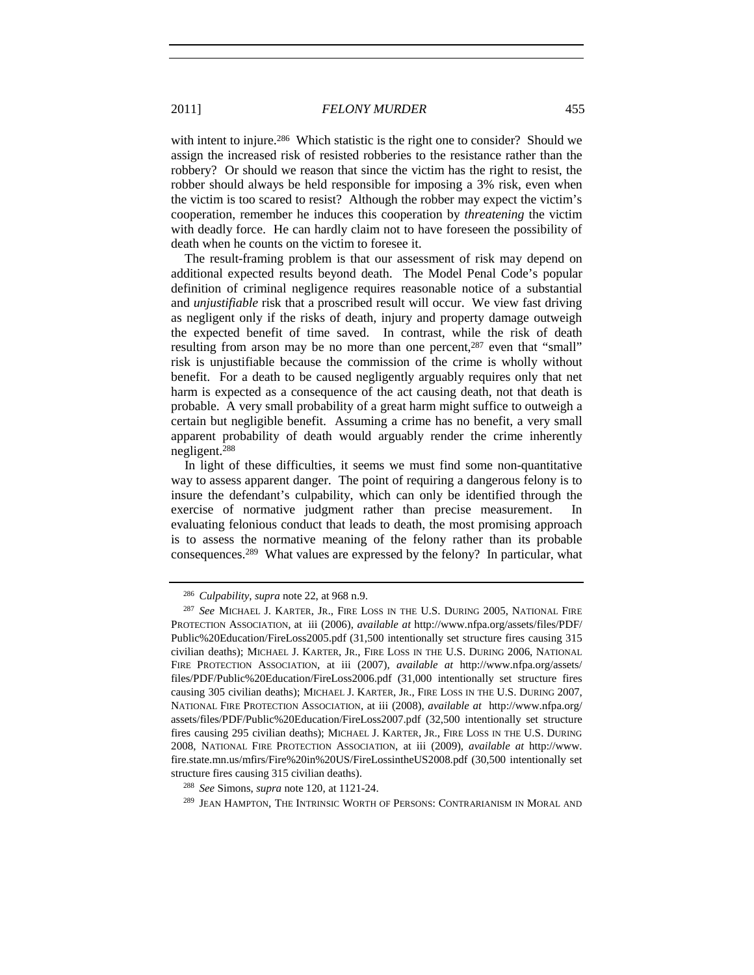with intent to injure.<sup>286</sup> Which statistic is the right one to consider? Should we assign the increased risk of resisted robberies to the resistance rather than the robbery? Or should we reason that since the victim has the right to resist, the robber should always be held responsible for imposing a 3% risk, even when the victim is too scared to resist? Although the robber may expect the victim's cooperation, remember he induces this cooperation by *threatening* the victim with deadly force. He can hardly claim not to have foreseen the possibility of death when he counts on the victim to foresee it.

The result-framing problem is that our assessment of risk may depend on additional expected results beyond death. The Model Penal Code's popular definition of criminal negligence requires reasonable notice of a substantial and *unjustifiable* risk that a proscribed result will occur. We view fast driving as negligent only if the risks of death, injury and property damage outweigh the expected benefit of time saved. In contrast, while the risk of death resulting from arson may be no more than one percent.<sup>287</sup> even that "small" risk is unjustifiable because the commission of the crime is wholly without benefit. For a death to be caused negligently arguably requires only that net harm is expected as a consequence of the act causing death, not that death is probable. A very small probability of a great harm might suffice to outweigh a certain but negligible benefit. Assuming a crime has no benefit, a very small apparent probability of death would arguably render the crime inherently negligent.288

In light of these difficulties, it seems we must find some non-quantitative way to assess apparent danger. The point of requiring a dangerous felony is to insure the defendant's culpability, which can only be identified through the exercise of normative judgment rather than precise measurement. evaluating felonious conduct that leads to death, the most promising approach is to assess the normative meaning of the felony rather than its probable consequences.289 What values are expressed by the felony? In particular, what

<sup>286</sup> *Culpability*, *supra* note 22, at 968 n.9.

<sup>287</sup> *See* MICHAEL J. KARTER, JR., FIRE LOSS IN THE U.S. DURING 2005, NATIONAL FIRE PROTECTION ASSOCIATION, at iii (2006), *available at* http://www.nfpa.org/assets/files/PDF/ Public%20Education/FireLoss2005.pdf (31,500 intentionally set structure fires causing 315 civilian deaths); MICHAEL J. KARTER, JR., FIRE LOSS IN THE U.S. DURING 2006, NATIONAL FIRE PROTECTION ASSOCIATION, at iii (2007), *available at* http://www.nfpa.org/assets/ files/PDF/Public%20Education/FireLoss2006.pdf (31,000 intentionally set structure fires causing 305 civilian deaths); MICHAEL J. KARTER, JR., FIRE LOSS IN THE U.S. DURING 2007, NATIONAL FIRE PROTECTION ASSOCIATION, at iii (2008), *available at* http://www.nfpa.org/ assets/files/PDF/Public%20Education/FireLoss2007.pdf (32,500 intentionally set structure fires causing 295 civilian deaths); MICHAEL J. KARTER, JR., FIRE LOSS IN THE U.S. DURING 2008, NATIONAL FIRE PROTECTION ASSOCIATION, at iii (2009), *available at* http://www. fire.state.mn.us/mfirs/Fire%20in%20US/FireLossintheUS2008.pdf (30,500 intentionally set structure fires causing 315 civilian deaths). 288 *See* Simons, *supra* note 120, at 1121-24.

<sup>&</sup>lt;sup>289</sup> JEAN HAMPTON, THE INTRINSIC WORTH OF PERSONS: CONTRARIANISM IN MORAL AND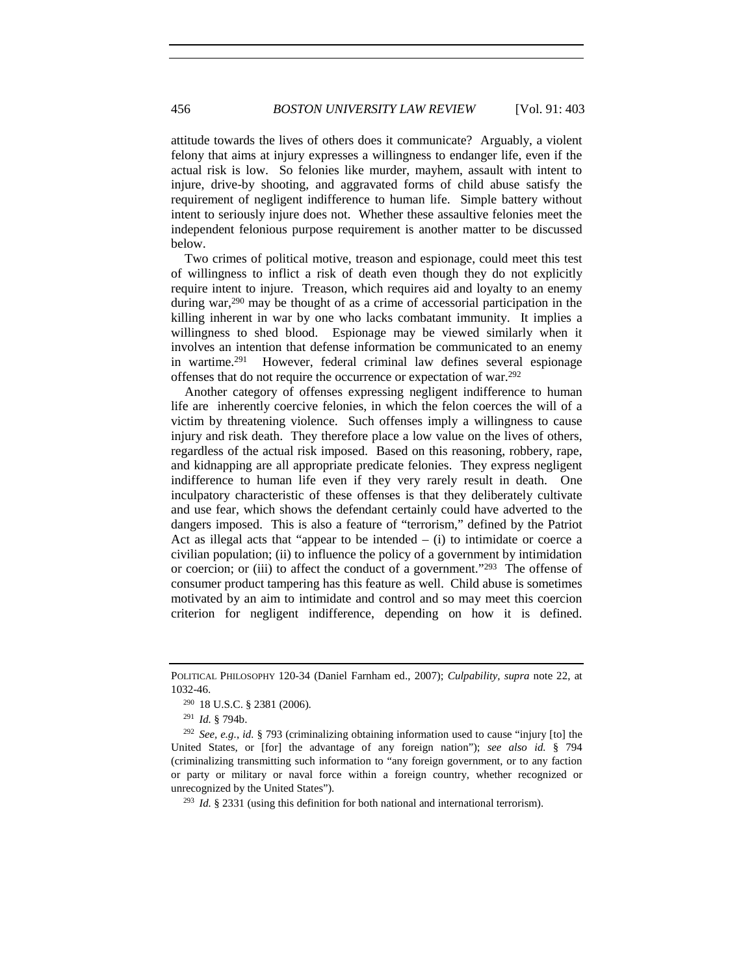attitude towards the lives of others does it communicate? Arguably, a violent felony that aims at injury expresses a willingness to endanger life, even if the actual risk is low. So felonies like murder, mayhem, assault with intent to injure, drive-by shooting, and aggravated forms of child abuse satisfy the requirement of negligent indifference to human life. Simple battery without intent to seriously injure does not. Whether these assaultive felonies meet the independent felonious purpose requirement is another matter to be discussed below.

Two crimes of political motive, treason and espionage, could meet this test of willingness to inflict a risk of death even though they do not explicitly require intent to injure. Treason, which requires aid and loyalty to an enemy during war,<sup>290</sup> may be thought of as a crime of accessorial participation in the killing inherent in war by one who lacks combatant immunity. It implies a willingness to shed blood. Espionage may be viewed similarly when it involves an intention that defense information be communicated to an enemy in wartime.291 However, federal criminal law defines several espionage offenses that do not require the occurrence or expectation of war.292

Another category of offenses expressing negligent indifference to human life are inherently coercive felonies, in which the felon coerces the will of a victim by threatening violence. Such offenses imply a willingness to cause injury and risk death. They therefore place a low value on the lives of others, regardless of the actual risk imposed. Based on this reasoning, robbery, rape, and kidnapping are all appropriate predicate felonies. They express negligent indifference to human life even if they very rarely result in death. One inculpatory characteristic of these offenses is that they deliberately cultivate and use fear, which shows the defendant certainly could have adverted to the dangers imposed. This is also a feature of "terrorism," defined by the Patriot Act as illegal acts that "appear to be intended  $-$  (i) to intimidate or coerce a civilian population; (ii) to influence the policy of a government by intimidation or coercion; or (iii) to affect the conduct of a government."293 The offense of consumer product tampering has this feature as well. Child abuse is sometimes motivated by an aim to intimidate and control and so may meet this coercion criterion for negligent indifference, depending on how it is defined.

POLITICAL PHILOSOPHY 120-34 (Daniel Farnham ed., 2007); *Culpability, supra* note 22, at 1032-46.

<sup>290</sup> 18 U.S.C. § 2381 (2006).

<sup>291</sup> *Id.* § 794b.

<sup>292</sup> *See, e.g.*, *id.* § 793 (criminalizing obtaining information used to cause "injury [to] the United States, or [for] the advantage of any foreign nation"); *see also id.* § 794 (criminalizing transmitting such information to "any foreign government, or to any faction or party or military or naval force within a foreign country, whether recognized or unrecognized by the United States").

<sup>293</sup> *Id.* § 2331 (using this definition for both national and international terrorism).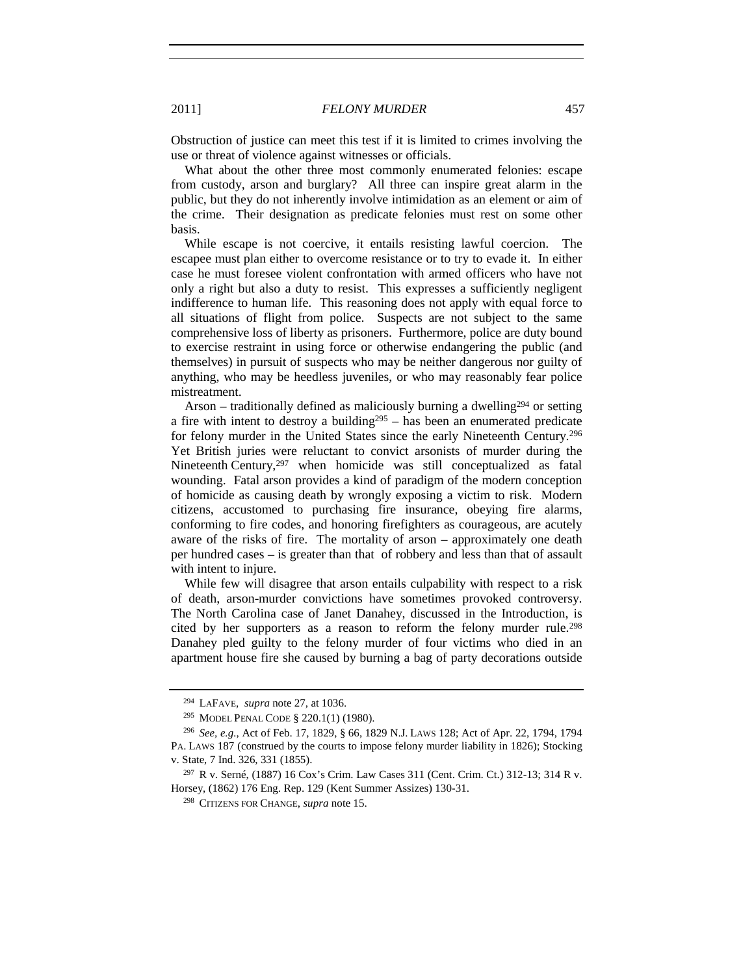Obstruction of justice can meet this test if it is limited to crimes involving the use or threat of violence against witnesses or officials.

What about the other three most commonly enumerated felonies: escape from custody, arson and burglary? All three can inspire great alarm in the public, but they do not inherently involve intimidation as an element or aim of the crime. Their designation as predicate felonies must rest on some other basis.

While escape is not coercive, it entails resisting lawful coercion. The escapee must plan either to overcome resistance or to try to evade it. In either case he must foresee violent confrontation with armed officers who have not only a right but also a duty to resist. This expresses a sufficiently negligent indifference to human life. This reasoning does not apply with equal force to all situations of flight from police. Suspects are not subject to the same comprehensive loss of liberty as prisoners. Furthermore, police are duty bound to exercise restraint in using force or otherwise endangering the public (and themselves) in pursuit of suspects who may be neither dangerous nor guilty of anything, who may be heedless juveniles, or who may reasonably fear police mistreatment.

Arson – traditionally defined as maliciously burning a dwelling<sup>294</sup> or setting a fire with intent to destroy a building<sup>295</sup> – has been an enumerated predicate for felony murder in the United States since the early Nineteenth Century.296 Yet British juries were reluctant to convict arsonists of murder during the Nineteenth Century,<sup>297</sup> when homicide was still conceptualized as fatal wounding. Fatal arson provides a kind of paradigm of the modern conception of homicide as causing death by wrongly exposing a victim to risk. Modern citizens, accustomed to purchasing fire insurance, obeying fire alarms, conforming to fire codes, and honoring firefighters as courageous, are acutely aware of the risks of fire. The mortality of arson – approximately one death per hundred cases – is greater than that of robbery and less than that of assault with intent to injure.

While few will disagree that arson entails culpability with respect to a risk of death, arson-murder convictions have sometimes provoked controversy. The North Carolina case of Janet Danahey, discussed in the Introduction, is cited by her supporters as a reason to reform the felony murder rule.298 Danahey pled guilty to the felony murder of four victims who died in an apartment house fire she caused by burning a bag of party decorations outside

<sup>294</sup> LAFAVE, *supra* note 27, at 1036.

<sup>295</sup> MODEL PENAL CODE § 220.1(1) (1980).

<sup>296</sup> *See, e.g.*, Act of Feb. 17, 1829, § 66, 1829 N.J. LAWS 128; Act of Apr. 22, 1794, 1794 PA. LAWS 187 (construed by the courts to impose felony murder liability in 1826); Stocking v. State, 7 Ind. 326, 331 (1855).

<sup>297</sup> R v. Serné, (1887) 16 Cox's Crim. Law Cases 311 (Cent. Crim. Ct.) 312-13; 314 R v. Horsey, (1862) 176 Eng. Rep. 129 (Kent Summer Assizes) 130-31.

<sup>298</sup> CITIZENS FOR CHANGE, *supra* note 15.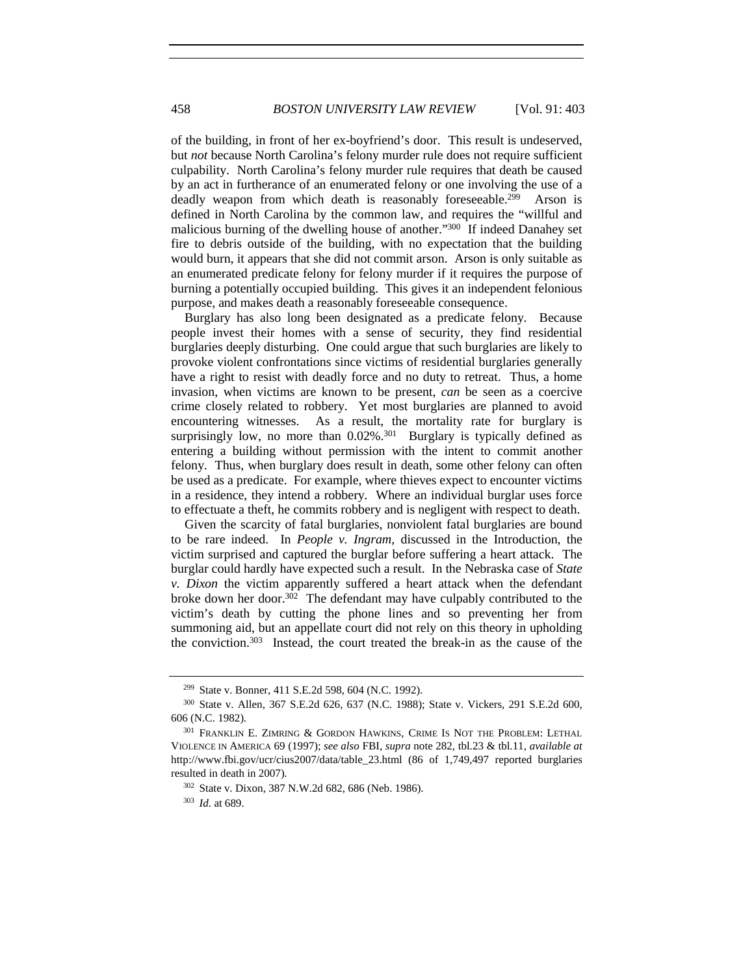of the building, in front of her ex-boyfriend's door. This result is undeserved, but *not* because North Carolina's felony murder rule does not require sufficient culpability. North Carolina's felony murder rule requires that death be caused by an act in furtherance of an enumerated felony or one involving the use of a deadly weapon from which death is reasonably foreseeable.<sup>299</sup> Arson is defined in North Carolina by the common law, and requires the "willful and malicious burning of the dwelling house of another."300 If indeed Danahey set fire to debris outside of the building, with no expectation that the building would burn, it appears that she did not commit arson. Arson is only suitable as an enumerated predicate felony for felony murder if it requires the purpose of burning a potentially occupied building. This gives it an independent felonious purpose, and makes death a reasonably foreseeable consequence.

Burglary has also long been designated as a predicate felony. Because people invest their homes with a sense of security, they find residential burglaries deeply disturbing. One could argue that such burglaries are likely to provoke violent confrontations since victims of residential burglaries generally have a right to resist with deadly force and no duty to retreat. Thus, a home invasion, when victims are known to be present, *can* be seen as a coercive crime closely related to robbery. Yet most burglaries are planned to avoid encountering witnesses. As a result, the mortality rate for burglary is surprisingly low, no more than  $0.02\%$ .<sup>301</sup> Burglary is typically defined as entering a building without permission with the intent to commit another felony. Thus, when burglary does result in death, some other felony can often be used as a predicate. For example, where thieves expect to encounter victims in a residence, they intend a robbery. Where an individual burglar uses force to effectuate a theft, he commits robbery and is negligent with respect to death.

Given the scarcity of fatal burglaries, nonviolent fatal burglaries are bound to be rare indeed. In *People v. Ingram*, discussed in the Introduction, the victim surprised and captured the burglar before suffering a heart attack. The burglar could hardly have expected such a result. In the Nebraska case of *State v. Dixon* the victim apparently suffered a heart attack when the defendant broke down her door.<sup>302</sup> The defendant may have culpably contributed to the victim's death by cutting the phone lines and so preventing her from summoning aid, but an appellate court did not rely on this theory in upholding the conviction.303 Instead, the court treated the break-in as the cause of the

<sup>299</sup> State v. Bonner, 411 S.E.2d 598, 604 (N.C. 1992).

<sup>300</sup> State v. Allen, 367 S.E.2d 626, 637 (N.C. 1988); State v. Vickers, 291 S.E.2d 600, 606 (N.C. 1982).

<sup>301</sup> FRANKLIN E. ZIMRING & GORDON HAWKINS, CRIME IS NOT THE PROBLEM: LETHAL VIOLENCE IN AMERICA 69 (1997); *see also* FBI, *supra* note 282, tbl.23 & tbl.11, *available at* http://www.fbi.gov/ucr/cius2007/data/table\_23.html (86 of 1,749,497 reported burglaries resulted in death in 2007).<br><sup>302</sup> State v. Dixon, 387 N.W.2d 682, 686 (Neb. 1986).

<sup>303</sup> *Id*. at 689.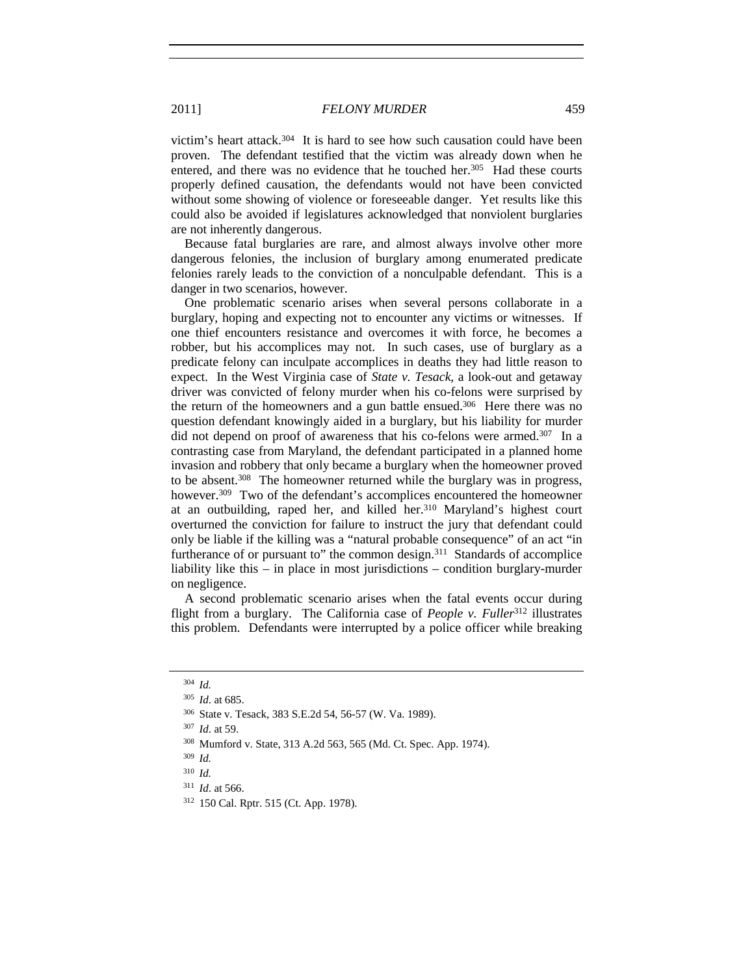victim's heart attack.304 It is hard to see how such causation could have been proven. The defendant testified that the victim was already down when he entered, and there was no evidence that he touched her.<sup>305</sup> Had these courts properly defined causation, the defendants would not have been convicted without some showing of violence or foreseeable danger. Yet results like this could also be avoided if legislatures acknowledged that nonviolent burglaries are not inherently dangerous.

Because fatal burglaries are rare, and almost always involve other more dangerous felonies, the inclusion of burglary among enumerated predicate felonies rarely leads to the conviction of a nonculpable defendant. This is a danger in two scenarios, however.

One problematic scenario arises when several persons collaborate in a burglary, hoping and expecting not to encounter any victims or witnesses. If one thief encounters resistance and overcomes it with force, he becomes a robber, but his accomplices may not. In such cases, use of burglary as a predicate felony can inculpate accomplices in deaths they had little reason to expect. In the West Virginia case of *State v. Tesack*, a look-out and getaway driver was convicted of felony murder when his co-felons were surprised by the return of the homeowners and a gun battle ensued.306 Here there was no question defendant knowingly aided in a burglary, but his liability for murder did not depend on proof of awareness that his co-felons were armed.<sup>307</sup> In a contrasting case from Maryland, the defendant participated in a planned home invasion and robbery that only became a burglary when the homeowner proved to be absent.308 The homeowner returned while the burglary was in progress, however.<sup>309</sup> Two of the defendant's accomplices encountered the homeowner at an outbuilding, raped her, and killed her.<sup>310</sup> Maryland's highest court overturned the conviction for failure to instruct the jury that defendant could only be liable if the killing was a "natural probable consequence" of an act "in furtherance of or pursuant to" the common design.<sup>311</sup> Standards of accomplice liability like this – in place in most jurisdictions – condition burglary-murder on negligence.

A second problematic scenario arises when the fatal events occur during flight from a burglary. The California case of *People v. Fuller*312 illustrates this problem. Defendants were interrupted by a police officer while breaking

<sup>304</sup> *Id.*

<sup>305</sup> *Id*. at 685.

<sup>306</sup> State v. Tesack, 383 S.E.2d 54, 56-57 (W. Va. 1989).

<sup>307</sup> *Id*. at 59.

<sup>308</sup> Mumford v. State, 313 A.2d 563, 565 (Md. Ct. Spec. App. 1974).

<sup>309</sup> *Id.*

<sup>310</sup> *Id.*

<sup>311</sup> *Id*. at 566.

<sup>312</sup> 150 Cal. Rptr. 515 (Ct. App. 1978).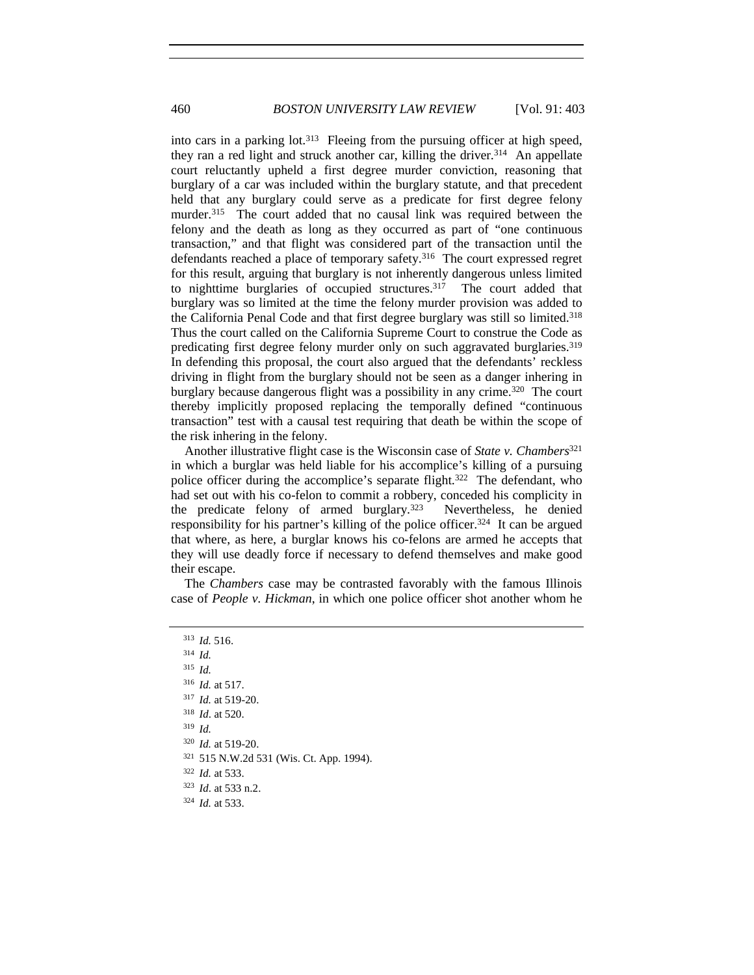into cars in a parking lot.313 Fleeing from the pursuing officer at high speed, they ran a red light and struck another car, killing the driver.<sup>314</sup> An appellate court reluctantly upheld a first degree murder conviction, reasoning that burglary of a car was included within the burglary statute, and that precedent held that any burglary could serve as a predicate for first degree felony murder.<sup>315</sup> The court added that no causal link was required between the felony and the death as long as they occurred as part of "one continuous transaction," and that flight was considered part of the transaction until the defendants reached a place of temporary safety.<sup>316</sup> The court expressed regret for this result, arguing that burglary is not inherently dangerous unless limited to nighttime burglaries of occupied structures.317 The court added that burglary was so limited at the time the felony murder provision was added to the California Penal Code and that first degree burglary was still so limited.318 Thus the court called on the California Supreme Court to construe the Code as predicating first degree felony murder only on such aggravated burglaries.319 In defending this proposal, the court also argued that the defendants' reckless driving in flight from the burglary should not be seen as a danger inhering in burglary because dangerous flight was a possibility in any crime.<sup>320</sup> The court thereby implicitly proposed replacing the temporally defined "continuous transaction" test with a causal test requiring that death be within the scope of the risk inhering in the felony.

Another illustrative flight case is the Wisconsin case of *State v. Chambers*<sup>321</sup> in which a burglar was held liable for his accomplice's killing of a pursuing police officer during the accomplice's separate flight.322 The defendant, who had set out with his co-felon to commit a robbery, conceded his complicity in the predicate felony of armed burglary.323 Nevertheless, he denied responsibility for his partner's killing of the police officer.324 It can be argued that where, as here, a burglar knows his co-felons are armed he accepts that they will use deadly force if necessary to defend themselves and make good their escape.

The *Chambers* case may be contrasted favorably with the famous Illinois case of *People v. Hickman*, in which one police officer shot another whom he

 *Id.* 516. <sup>314</sup> *Id.* <sup>315</sup> *Id. Id.* at 517. *Id.* at 519-20. *Id*. at 520. <sup>319</sup> *Id. Id.* at 519-20. 515 N.W.2d 531 (Wis. Ct. App. 1994). *Id.* at 533. *Id*. at 533 n.2. *Id.* at 533.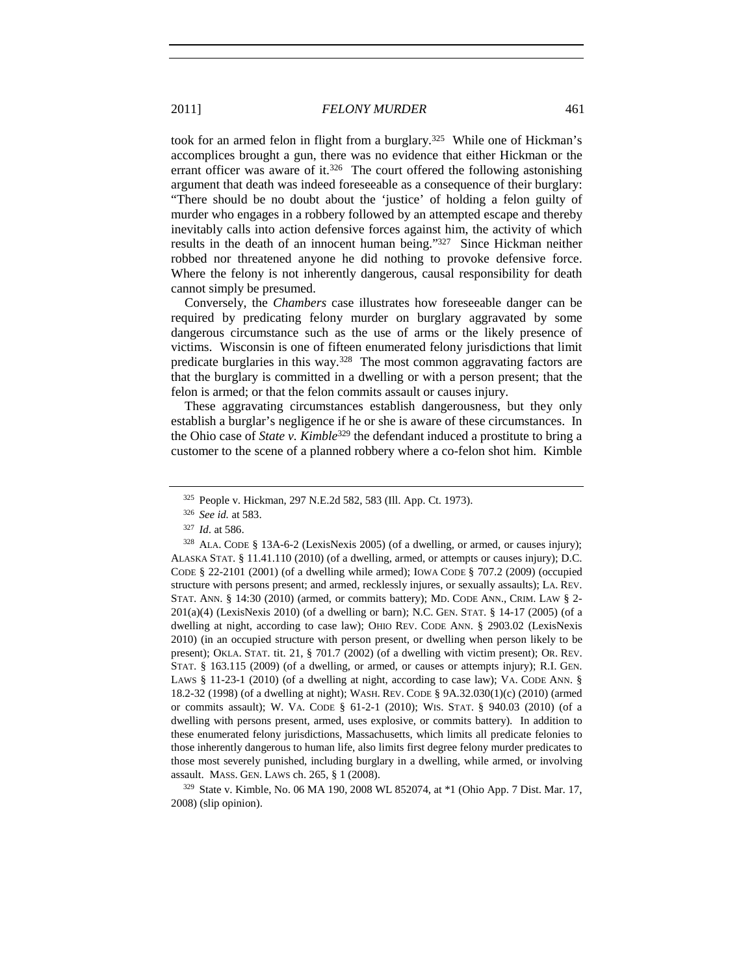took for an armed felon in flight from a burglary.<sup>325</sup> While one of Hickman's accomplices brought a gun, there was no evidence that either Hickman or the errant officer was aware of it.<sup>326</sup> The court offered the following astonishing argument that death was indeed foreseeable as a consequence of their burglary: "There should be no doubt about the 'justice' of holding a felon guilty of murder who engages in a robbery followed by an attempted escape and thereby inevitably calls into action defensive forces against him, the activity of which results in the death of an innocent human being."327 Since Hickman neither robbed nor threatened anyone he did nothing to provoke defensive force. Where the felony is not inherently dangerous, causal responsibility for death cannot simply be presumed.

Conversely, the *Chambers* case illustrates how foreseeable danger can be required by predicating felony murder on burglary aggravated by some dangerous circumstance such as the use of arms or the likely presence of victims. Wisconsin is one of fifteen enumerated felony jurisdictions that limit predicate burglaries in this way.328 The most common aggravating factors are that the burglary is committed in a dwelling or with a person present; that the felon is armed; or that the felon commits assault or causes injury.

These aggravating circumstances establish dangerousness, but they only establish a burglar's negligence if he or she is aware of these circumstances. In the Ohio case of *State v. Kimble*329 the defendant induced a prostitute to bring a customer to the scene of a planned robbery where a co-felon shot him. Kimble

<sup>325</sup> People v. Hickman, 297 N.E.2d 582, 583 (Ill. App. Ct. 1973). 326 *See id.* at 583.

<sup>327</sup> *Id*. at 586.

 $328$  ALA. CODE § 13A-6-2 (LexisNexis 2005) (of a dwelling, or armed, or causes injury); ALASKA STAT. § 11.41.110 (2010) (of a dwelling, armed, or attempts or causes injury); D.C. CODE § 22-2101 (2001) (of a dwelling while armed); IOWA CODE § 707.2 (2009) (occupied structure with persons present; and armed, recklessly injures, or sexually assaults); LA. REV. STAT. ANN. § 14:30 (2010) (armed, or commits battery); MD. CODE ANN., CRIM. LAW § 2- 201(a)(4) (LexisNexis 2010) (of a dwelling or barn); N.C. GEN. STAT. § 14-17 (2005) (of a dwelling at night, according to case law); OHIO REV. CODE ANN. § 2903.02 (LexisNexis 2010) (in an occupied structure with person present, or dwelling when person likely to be present); OKLA. STAT. tit. 21, § 701.7 (2002) (of a dwelling with victim present); OR. REV. STAT. § 163.115 (2009) (of a dwelling, or armed, or causes or attempts injury); R.I. GEN. LAWS § 11-23-1 (2010) (of a dwelling at night, according to case law); VA. CODE ANN. § 18.2-32 (1998) (of a dwelling at night); WASH. REV. CODE § 9A.32.030(1)(c) (2010) (armed or commits assault); W. VA. CODE § 61-2-1 (2010); WIS. STAT. § 940.03 (2010) (of a dwelling with persons present, armed, uses explosive, or commits battery). In addition to these enumerated felony jurisdictions, Massachusetts, which limits all predicate felonies to those inherently dangerous to human life, also limits first degree felony murder predicates to those most severely punished, including burglary in a dwelling, while armed, or involving assault. MASS. GEN. LAWS ch. 265, § 1 (2008).

<sup>329</sup> State v. Kimble, No. 06 MA 190, 2008 WL 852074, at \*1 (Ohio App. 7 Dist. Mar. 17, 2008) (slip opinion).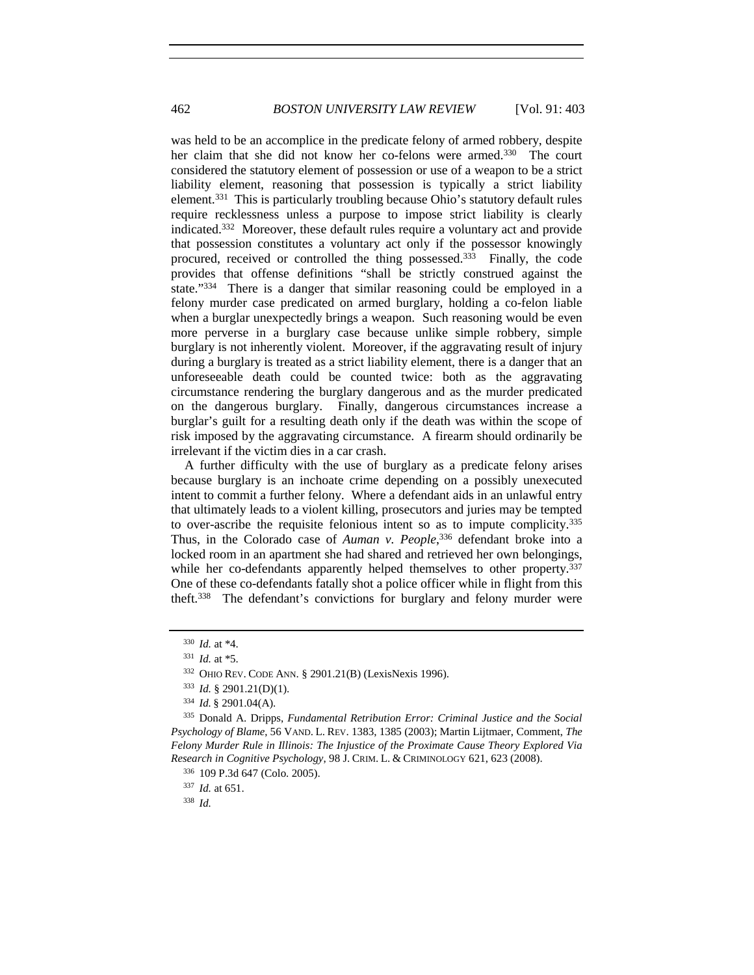was held to be an accomplice in the predicate felony of armed robbery, despite her claim that she did not know her co-felons were armed.<sup>330</sup> The court considered the statutory element of possession or use of a weapon to be a strict liability element, reasoning that possession is typically a strict liability element.331 This is particularly troubling because Ohio's statutory default rules require recklessness unless a purpose to impose strict liability is clearly indicated.332 Moreover, these default rules require a voluntary act and provide that possession constitutes a voluntary act only if the possessor knowingly procured, received or controlled the thing possessed.333 Finally, the code provides that offense definitions "shall be strictly construed against the state."334 There is a danger that similar reasoning could be employed in a felony murder case predicated on armed burglary, holding a co-felon liable when a burglar unexpectedly brings a weapon. Such reasoning would be even more perverse in a burglary case because unlike simple robbery, simple burglary is not inherently violent. Moreover, if the aggravating result of injury during a burglary is treated as a strict liability element, there is a danger that an unforeseeable death could be counted twice: both as the aggravating circumstance rendering the burglary dangerous and as the murder predicated on the dangerous burglary. Finally, dangerous circumstances increase a burglar's guilt for a resulting death only if the death was within the scope of risk imposed by the aggravating circumstance. A firearm should ordinarily be irrelevant if the victim dies in a car crash.

A further difficulty with the use of burglary as a predicate felony arises because burglary is an inchoate crime depending on a possibly unexecuted intent to commit a further felony. Where a defendant aids in an unlawful entry that ultimately leads to a violent killing, prosecutors and juries may be tempted to over-ascribe the requisite felonious intent so as to impute complicity.335 Thus, in the Colorado case of *Auman v. People*, 336 defendant broke into a locked room in an apartment she had shared and retrieved her own belongings, while her co-defendants apparently helped themselves to other property.<sup>337</sup> One of these co-defendants fatally shot a police officer while in flight from this theft.338 The defendant's convictions for burglary and felony murder were

<sup>337</sup> *Id.* at 651.

<sup>338</sup> *Id.*

<sup>330</sup> *Id.* at \*4.

<sup>331</sup> *Id.* at \*5.

<sup>332</sup> OHIO REV. CODE ANN. § 2901.21(B) (LexisNexis 1996).

<sup>333</sup> *Id.* § 2901.21(D)(1).

<sup>334</sup> *Id.* § 2901.04(A).

<sup>335</sup> Donald A. Dripps, *Fundamental Retribution Error: Criminal Justice and the Social Psychology of Blame*, 56 VAND. L. REV. 1383, 1385 (2003); Martin Lijtmaer, Comment, *The Felony Murder Rule in Illinois: The Injustice of the Proximate Cause Theory Explored Via Research in Cognitive Psychology*, 98 J. CRIM. L. & CRIMINOLOGY 621, 623 (2008).

<sup>336</sup> 109 P.3d 647 (Colo. 2005).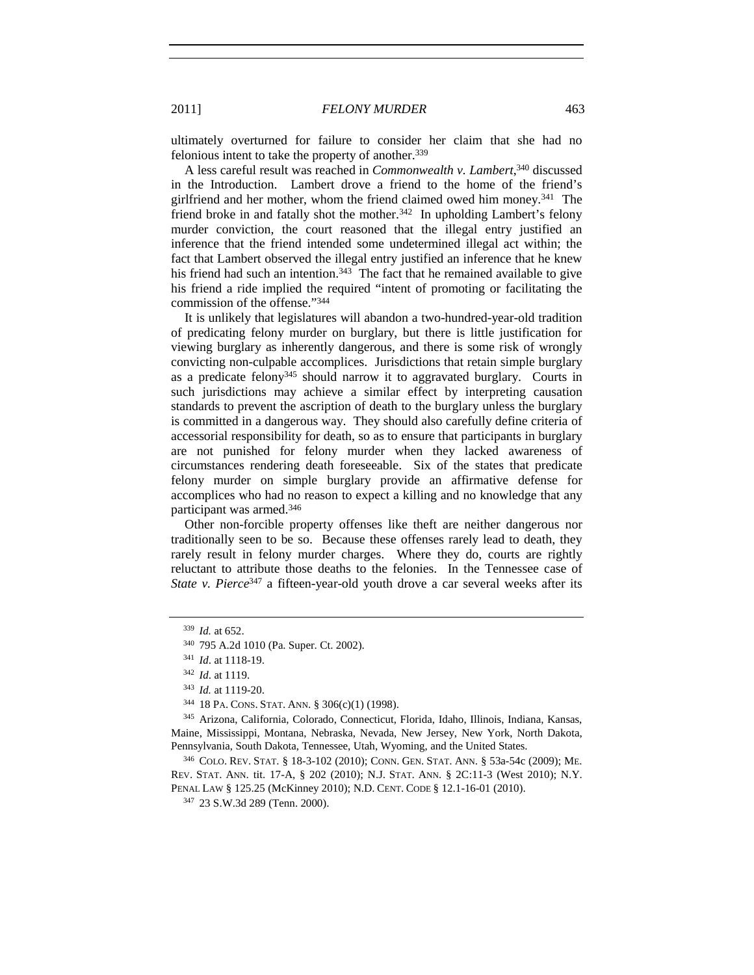ultimately overturned for failure to consider her claim that she had no felonious intent to take the property of another.339

A less careful result was reached in *Commonwealth v. Lambert*, 340 discussed in the Introduction. Lambert drove a friend to the home of the friend's girlfriend and her mother, whom the friend claimed owed him money.341 The friend broke in and fatally shot the mother.<sup>342</sup> In upholding Lambert's felony murder conviction, the court reasoned that the illegal entry justified an inference that the friend intended some undetermined illegal act within; the fact that Lambert observed the illegal entry justified an inference that he knew his friend had such an intention. $343$  The fact that he remained available to give his friend a ride implied the required "intent of promoting or facilitating the commission of the offense."344

It is unlikely that legislatures will abandon a two-hundred-year-old tradition of predicating felony murder on burglary, but there is little justification for viewing burglary as inherently dangerous, and there is some risk of wrongly convicting non-culpable accomplices. Jurisdictions that retain simple burglary as a predicate felony345 should narrow it to aggravated burglary. Courts in such jurisdictions may achieve a similar effect by interpreting causation standards to prevent the ascription of death to the burglary unless the burglary is committed in a dangerous way. They should also carefully define criteria of accessorial responsibility for death, so as to ensure that participants in burglary are not punished for felony murder when they lacked awareness of circumstances rendering death foreseeable. Six of the states that predicate felony murder on simple burglary provide an affirmative defense for accomplices who had no reason to expect a killing and no knowledge that any participant was armed.346

Other non-forcible property offenses like theft are neither dangerous nor traditionally seen to be so. Because these offenses rarely lead to death, they rarely result in felony murder charges. Where they do, courts are rightly reluctant to attribute those deaths to the felonies. In the Tennessee case of *State v. Pierce*347 a fifteen-year-old youth drove a car several weeks after its

<sup>346</sup> COLO. REV. STAT. § 18-3-102 (2010); CONN. GEN. STAT. ANN. § 53a-54c (2009); ME. REV. STAT. ANN. tit. 17-A, § 202 (2010); N.J. STAT. ANN. § 2C:11-3 (West 2010); N.Y. PENAL LAW § 125.25 (McKinney 2010); N.D. CENT. CODE § 12.1-16-01 (2010).

<sup>347</sup> 23 S.W.3d 289 (Tenn. 2000).

<sup>339</sup> *Id.* at 652.

<sup>340</sup> 795 A.2d 1010 (Pa. Super. Ct. 2002).

<sup>341</sup> *Id*. at 1118-19.

<sup>342</sup> *Id*. at 1119.

<sup>343</sup> *Id.* at 1119-20.

<sup>344</sup> 18 PA. CONS. STAT. ANN. § 306(c)(1) (1998).

<sup>345</sup> Arizona, California, Colorado, Connecticut, Florida, Idaho, Illinois, Indiana, Kansas, Maine, Mississippi, Montana, Nebraska, Nevada, New Jersey, New York, North Dakota, Pennsylvania, South Dakota, Tennessee, Utah, Wyoming, and the United States.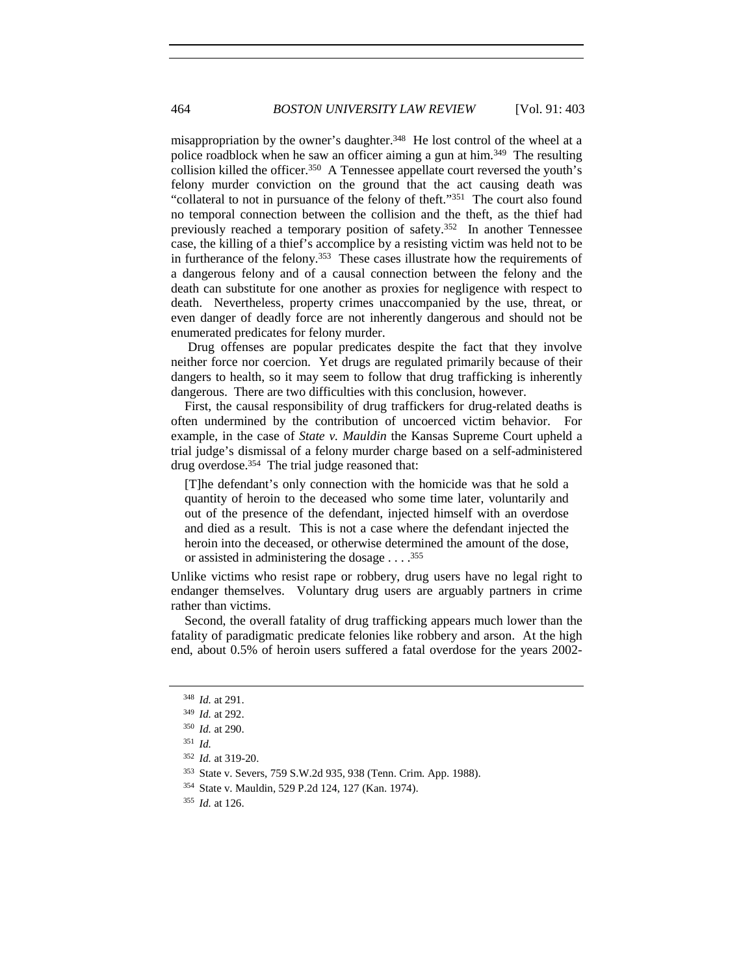misappropriation by the owner's daughter.<sup>348</sup> He lost control of the wheel at a police roadblock when he saw an officer aiming a gun at him.349 The resulting collision killed the officer.<sup>350</sup> A Tennessee appellate court reversed the youth's felony murder conviction on the ground that the act causing death was "collateral to not in pursuance of the felony of theft."351 The court also found no temporal connection between the collision and the theft, as the thief had previously reached a temporary position of safety.352 In another Tennessee case, the killing of a thief's accomplice by a resisting victim was held not to be in furtherance of the felony.353 These cases illustrate how the requirements of a dangerous felony and of a causal connection between the felony and the death can substitute for one another as proxies for negligence with respect to death. Nevertheless, property crimes unaccompanied by the use, threat, or even danger of deadly force are not inherently dangerous and should not be enumerated predicates for felony murder.

 Drug offenses are popular predicates despite the fact that they involve neither force nor coercion. Yet drugs are regulated primarily because of their dangers to health, so it may seem to follow that drug trafficking is inherently dangerous. There are two difficulties with this conclusion, however.

First, the causal responsibility of drug traffickers for drug-related deaths is often undermined by the contribution of uncoerced victim behavior. For example, in the case of *State v. Mauldin* the Kansas Supreme Court upheld a trial judge's dismissal of a felony murder charge based on a self-administered drug overdose.354 The trial judge reasoned that:

[T]he defendant's only connection with the homicide was that he sold a quantity of heroin to the deceased who some time later, voluntarily and out of the presence of the defendant, injected himself with an overdose and died as a result. This is not a case where the defendant injected the heroin into the deceased, or otherwise determined the amount of the dose, or assisted in administering the dosage  $\ldots$ .<sup>355</sup>

Unlike victims who resist rape or robbery, drug users have no legal right to endanger themselves. Voluntary drug users are arguably partners in crime rather than victims.

Second, the overall fatality of drug trafficking appears much lower than the fatality of paradigmatic predicate felonies like robbery and arson. At the high end, about 0.5% of heroin users suffered a fatal overdose for the years 2002-

<sup>354</sup> State v. Mauldin, 529 P.2d 124, 127 (Kan. 1974).

<sup>348</sup> *Id.* at 291.

<sup>349</sup> *Id.* at 292.

<sup>350</sup> *Id.* at 290.

<sup>351</sup> *Id.*

<sup>352</sup> *Id.* at 319-20.

<sup>353</sup> State v. Severs, 759 S.W.2d 935, 938 (Tenn. Crim. App. 1988).

<sup>355</sup> *Id.* at 126.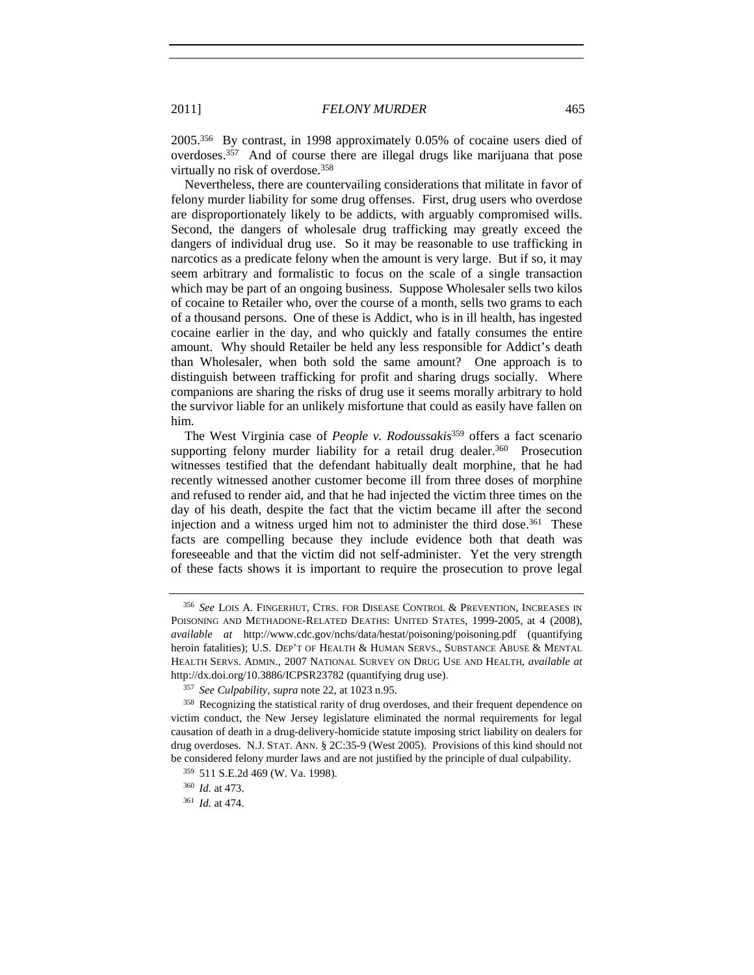2005.356 By contrast, in 1998 approximately 0.05% of cocaine users died of overdoses.357 And of course there are illegal drugs like marijuana that pose virtually no risk of overdose.358

Nevertheless, there are countervailing considerations that militate in favor of felony murder liability for some drug offenses. First, drug users who overdose are disproportionately likely to be addicts, with arguably compromised wills. Second, the dangers of wholesale drug trafficking may greatly exceed the dangers of individual drug use. So it may be reasonable to use trafficking in narcotics as a predicate felony when the amount is very large. But if so, it may seem arbitrary and formalistic to focus on the scale of a single transaction which may be part of an ongoing business. Suppose Wholesaler sells two kilos of cocaine to Retailer who, over the course of a month, sells two grams to each of a thousand persons. One of these is Addict, who is in ill health, has ingested cocaine earlier in the day, and who quickly and fatally consumes the entire amount. Why should Retailer be held any less responsible for Addict's death than Wholesaler, when both sold the same amount? One approach is to distinguish between trafficking for profit and sharing drugs socially. Where companions are sharing the risks of drug use it seems morally arbitrary to hold the survivor liable for an unlikely misfortune that could as easily have fallen on him.

The West Virginia case of *People v. Rodoussakis*359 offers a fact scenario supporting felony murder liability for a retail drug dealer.<sup>360</sup> Prosecution witnesses testified that the defendant habitually dealt morphine, that he had recently witnessed another customer become ill from three doses of morphine and refused to render aid, and that he had injected the victim three times on the day of his death, despite the fact that the victim became ill after the second injection and a witness urged him not to administer the third dose.<sup>361</sup> These facts are compelling because they include evidence both that death was foreseeable and that the victim did not self-administer. Yet the very strength of these facts shows it is important to require the prosecution to prove legal

<sup>356</sup> *See* LOIS A. FINGERHUT, CTRS. FOR DISEASE CONTROL & PREVENTION, INCREASES IN POISONING AND METHADONE-RELATED DEATHS: UNITED STATES, 1999-2005, at 4 (2008), *available at* http://www.cdc.gov/nchs/data/hestat/poisoning/poisoning.pdf (quantifying heroin fatalities); U.S. DEP'T OF HEALTH & HUMAN SERVS., SUBSTANCE ABUSE & MENTAL HEALTH SERVS. ADMIN., 2007 NATIONAL SURVEY ON DRUG USE AND HEALTH, *available at* http://dx.doi.org/10.3886/ICPSR23782 (quantifying drug use).

<sup>357</sup> *See Culpability*, *supra* note 22, at 1023 n.95.

<sup>&</sup>lt;sup>358</sup> Recognizing the statistical rarity of drug overdoses, and their frequent dependence on victim conduct, the New Jersey legislature eliminated the normal requirements for legal causation of death in a drug-delivery-homicide statute imposing strict liability on dealers for drug overdoses. N.J. STAT. ANN. § 2C:35-9 (West 2005). Provisions of this kind should not be considered felony murder laws and are not justified by the principle of dual culpability. 359 511 S.E.2d 469 (W. Va. 1998).

<sup>360</sup> *Id.* at 473.

<sup>361</sup> *Id.* at 474.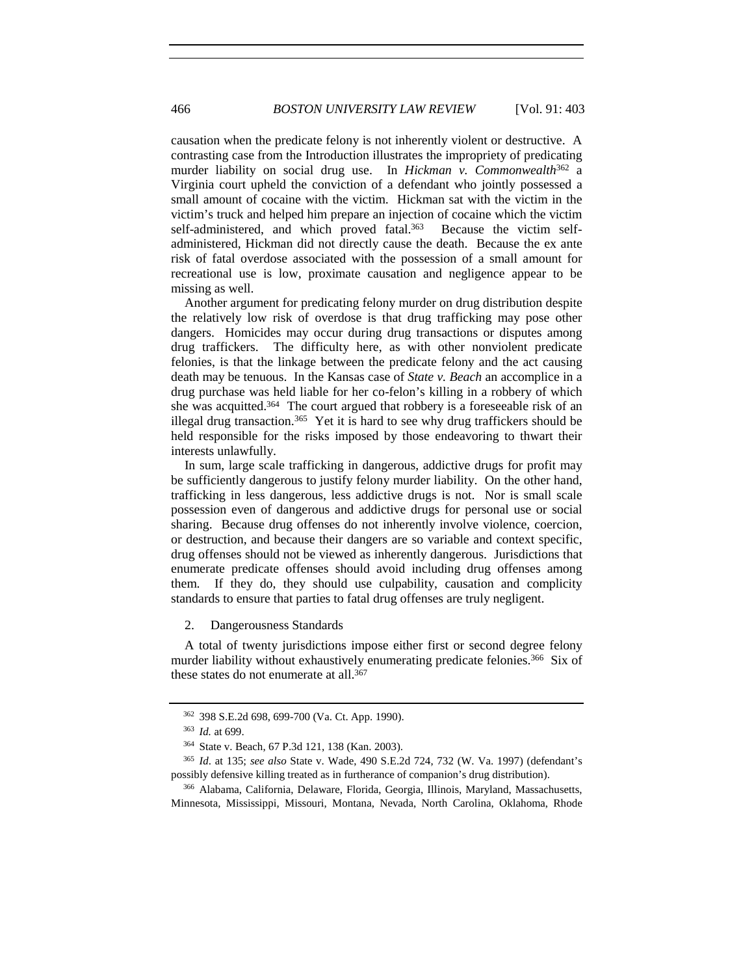causation when the predicate felony is not inherently violent or destructive. A contrasting case from the Introduction illustrates the impropriety of predicating murder liability on social drug use. In *Hickman v. Commonwealth*362 a Virginia court upheld the conviction of a defendant who jointly possessed a small amount of cocaine with the victim. Hickman sat with the victim in the victim's truck and helped him prepare an injection of cocaine which the victim self-administered, and which proved fatal.<sup>363</sup> Because the victim selfadministered, Hickman did not directly cause the death. Because the ex ante risk of fatal overdose associated with the possession of a small amount for recreational use is low, proximate causation and negligence appear to be missing as well.

Another argument for predicating felony murder on drug distribution despite the relatively low risk of overdose is that drug trafficking may pose other dangers. Homicides may occur during drug transactions or disputes among drug traffickers. The difficulty here, as with other nonviolent predicate felonies, is that the linkage between the predicate felony and the act causing death may be tenuous. In the Kansas case of *State v. Beach* an accomplice in a drug purchase was held liable for her co-felon's killing in a robbery of which she was acquitted.<sup>364</sup> The court argued that robbery is a foreseeable risk of an illegal drug transaction.365 Yet it is hard to see why drug traffickers should be held responsible for the risks imposed by those endeavoring to thwart their interests unlawfully.

In sum, large scale trafficking in dangerous, addictive drugs for profit may be sufficiently dangerous to justify felony murder liability. On the other hand, trafficking in less dangerous, less addictive drugs is not. Nor is small scale possession even of dangerous and addictive drugs for personal use or social sharing. Because drug offenses do not inherently involve violence, coercion, or destruction, and because their dangers are so variable and context specific, drug offenses should not be viewed as inherently dangerous. Jurisdictions that enumerate predicate offenses should avoid including drug offenses among them. If they do, they should use culpability, causation and complicity standards to ensure that parties to fatal drug offenses are truly negligent.

2. Dangerousness Standards

A total of twenty jurisdictions impose either first or second degree felony murder liability without exhaustively enumerating predicate felonies.<sup>366</sup> Six of these states do not enumerate at all.<sup>367</sup>

<sup>362</sup> 398 S.E.2d 698, 699-700 (Va. Ct. App. 1990).

<sup>363</sup> *Id.* at 699.

<sup>364</sup> State v. Beach, 67 P.3d 121, 138 (Kan. 2003).

<sup>365</sup> *Id*. at 135; *see also* State v. Wade, 490 S.E.2d 724, 732 (W. Va. 1997) (defendant's possibly defensive killing treated as in furtherance of companion's drug distribution).

<sup>366</sup> Alabama, California, Delaware, Florida, Georgia, Illinois, Maryland, Massachusetts, Minnesota, Mississippi, Missouri, Montana, Nevada, North Carolina, Oklahoma, Rhode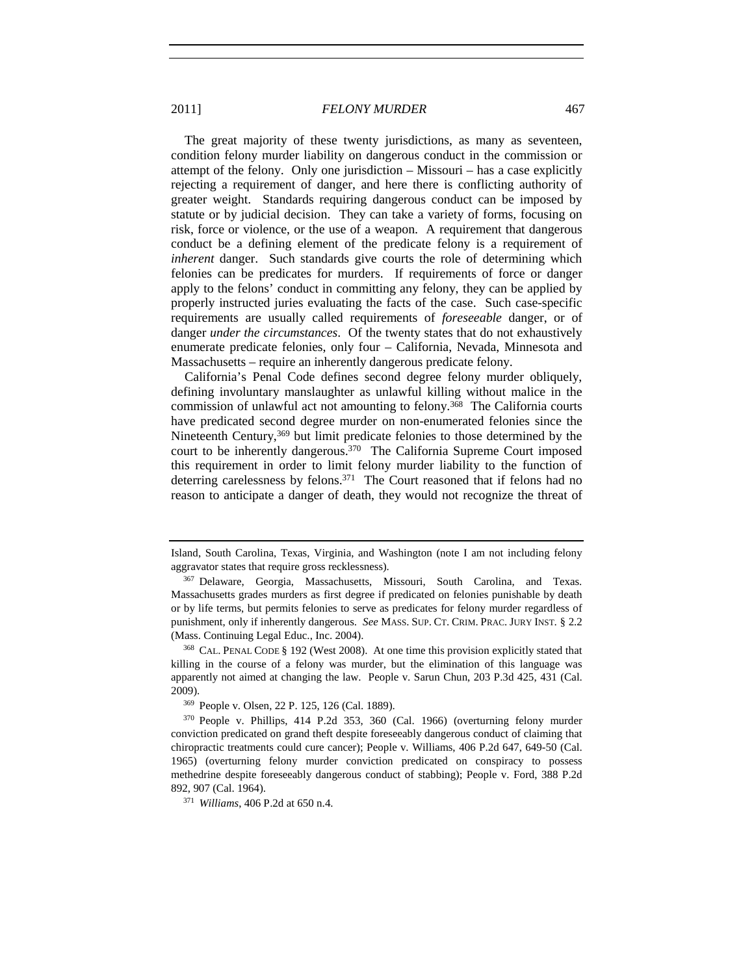The great majority of these twenty jurisdictions, as many as seventeen, condition felony murder liability on dangerous conduct in the commission or attempt of the felony. Only one jurisdiction – Missouri – has a case explicitly rejecting a requirement of danger, and here there is conflicting authority of greater weight. Standards requiring dangerous conduct can be imposed by statute or by judicial decision. They can take a variety of forms, focusing on risk, force or violence, or the use of a weapon. A requirement that dangerous conduct be a defining element of the predicate felony is a requirement of *inherent* danger. Such standards give courts the role of determining which felonies can be predicates for murders. If requirements of force or danger apply to the felons' conduct in committing any felony, they can be applied by properly instructed juries evaluating the facts of the case. Such case-specific requirements are usually called requirements of *foreseeable* danger, or of danger *under the circumstances*. Of the twenty states that do not exhaustively enumerate predicate felonies, only four – California, Nevada, Minnesota and Massachusetts – require an inherently dangerous predicate felony.

California's Penal Code defines second degree felony murder obliquely, defining involuntary manslaughter as unlawful killing without malice in the commission of unlawful act not amounting to felony.368 The California courts have predicated second degree murder on non-enumerated felonies since the Nineteenth Century,<sup>369</sup> but limit predicate felonies to those determined by the court to be inherently dangerous.370 The California Supreme Court imposed this requirement in order to limit felony murder liability to the function of deterring carelessness by felons.371 The Court reasoned that if felons had no reason to anticipate a danger of death, they would not recognize the threat of

Island, South Carolina, Texas, Virginia, and Washington (note I am not including felony aggravator states that require gross recklessness).<br><sup>367</sup> Delaware, Georgia, Massachusetts, Missouri, South Carolina, and Texas.

Massachusetts grades murders as first degree if predicated on felonies punishable by death or by life terms, but permits felonies to serve as predicates for felony murder regardless of punishment, only if inherently dangerous. *See* MASS. SUP. CT. CRIM. PRAC. JURY INST. § 2.2 (Mass. Continuing Legal Educ., Inc. 2004).

<sup>368</sup> CAL. PENAL CODE § 192 (West 2008). At one time this provision explicitly stated that killing in the course of a felony was murder, but the elimination of this language was apparently not aimed at changing the law. People v. Sarun Chun, 203 P.3d 425, 431 (Cal. 2009).

<sup>369</sup> People v. Olsen, 22 P. 125, 126 (Cal. 1889).

<sup>370</sup> People v. Phillips, 414 P.2d 353, 360 (Cal. 1966) (overturning felony murder conviction predicated on grand theft despite foreseeably dangerous conduct of claiming that chiropractic treatments could cure cancer); People v. Williams, 406 P.2d 647, 649-50 (Cal. 1965) (overturning felony murder conviction predicated on conspiracy to possess methedrine despite foreseeably dangerous conduct of stabbing); People v. Ford, 388 P.2d 892, 907 (Cal. 1964). 371 *Williams*, 406 P.2d at 650 n.4.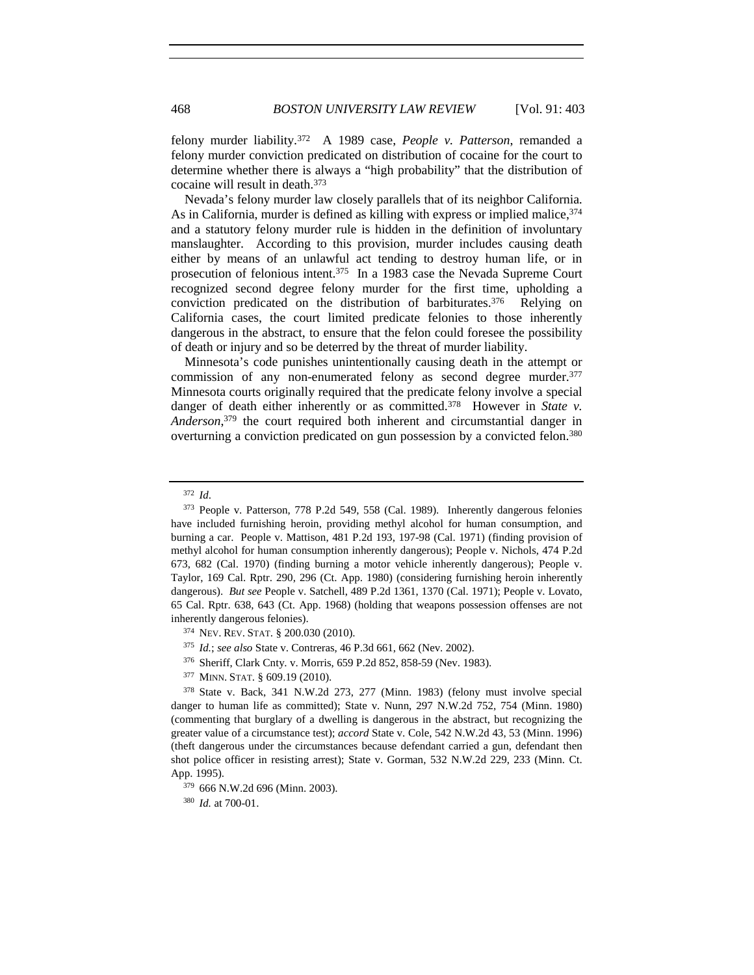felony murder liability.372 A 1989 case, *People v. Patterson*, remanded a felony murder conviction predicated on distribution of cocaine for the court to determine whether there is always a "high probability" that the distribution of cocaine will result in death.373

Nevada's felony murder law closely parallels that of its neighbor California. As in California, murder is defined as killing with express or implied malice,374 and a statutory felony murder rule is hidden in the definition of involuntary manslaughter. According to this provision, murder includes causing death either by means of an unlawful act tending to destroy human life, or in prosecution of felonious intent.375 In a 1983 case the Nevada Supreme Court recognized second degree felony murder for the first time, upholding a conviction predicated on the distribution of barbiturates.<sup>376</sup> Relying on California cases, the court limited predicate felonies to those inherently dangerous in the abstract, to ensure that the felon could foresee the possibility of death or injury and so be deterred by the threat of murder liability.

Minnesota's code punishes unintentionally causing death in the attempt or commission of any non-enumerated felony as second degree murder.<sup>377</sup> Minnesota courts originally required that the predicate felony involve a special danger of death either inherently or as committed.<sup>378</sup> However in *State v*. *Anderson*, 379 the court required both inherent and circumstantial danger in overturning a conviction predicated on gun possession by a convicted felon.380

- 
- <sup>375</sup> *Id.*; *see also* State v. Contreras, 46 P.3d 661, 662 (Nev. 2002). 376 Sheriff, Clark Cnty. v. Morris, 659 P.2d 852, 858-59 (Nev. 1983).
- <sup>377</sup> MINN. STAT. § 609.19 (2010).

<sup>378</sup> State v. Back, 341 N.W.2d 273, 277 (Minn. 1983) (felony must involve special danger to human life as committed); State v. Nunn, 297 N.W.2d 752, 754 (Minn. 1980) (commenting that burglary of a dwelling is dangerous in the abstract, but recognizing the greater value of a circumstance test); *accord* State v. Cole, 542 N.W.2d 43, 53 (Minn. 1996) (theft dangerous under the circumstances because defendant carried a gun, defendant then shot police officer in resisting arrest); State v. Gorman, 532 N.W.2d 229, 233 (Minn. Ct. App. 1995).<br><sup>379</sup> 666 N.W.2d 696 (Minn. 2003).

<sup>380</sup> *Id.* at 700-01.

<sup>372</sup> *Id*.

<sup>373</sup> People v. Patterson, 778 P.2d 549, 558 (Cal. 1989).Inherently dangerous felonies have included furnishing heroin, providing methyl alcohol for human consumption, and burning a car. People v. Mattison, 481 P.2d 193, 197-98 (Cal. 1971) (finding provision of methyl alcohol for human consumption inherently dangerous); People v. Nichols, 474 P.2d 673, 682 (Cal. 1970) (finding burning a motor vehicle inherently dangerous); People v. Taylor, 169 Cal. Rptr. 290, 296 (Ct. App. 1980) (considering furnishing heroin inherently dangerous). *But see* People v. Satchell, 489 P.2d 1361, 1370 (Cal. 1971); People v. Lovato, 65 Cal. Rptr. 638, 643 (Ct. App. 1968) (holding that weapons possession offenses are not inherently dangerous felonies).<br><sup>374</sup> NEV. REV. STAT. § 200.030 (2010).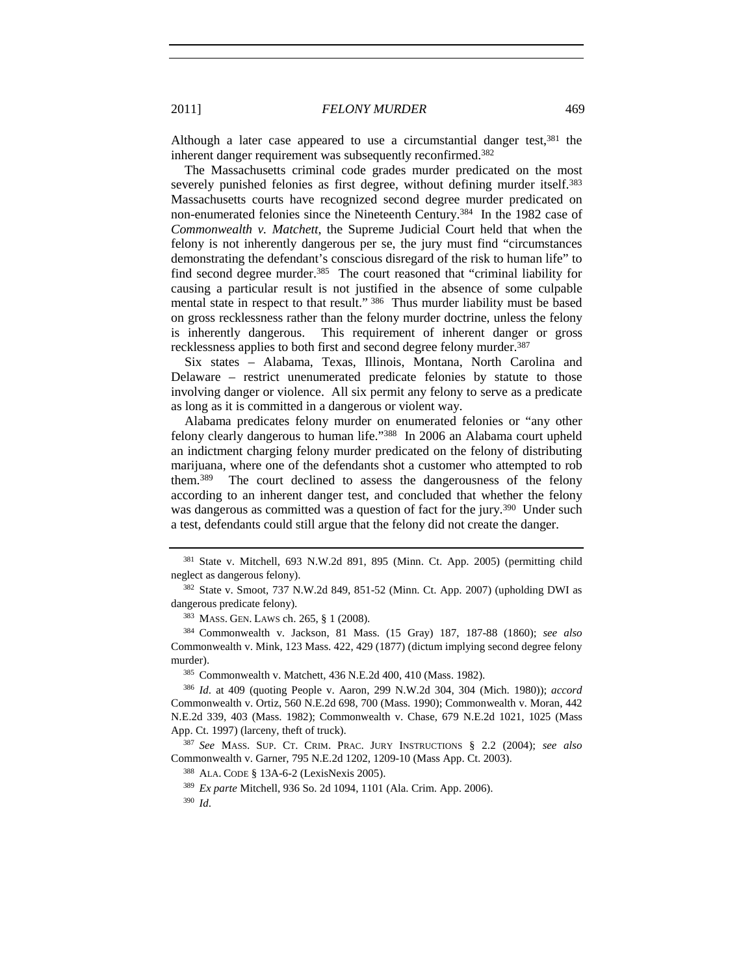Although a later case appeared to use a circumstantial danger test,  $381$  the inherent danger requirement was subsequently reconfirmed.<sup>382</sup>

The Massachusetts criminal code grades murder predicated on the most severely punished felonies as first degree, without defining murder itself.383 Massachusetts courts have recognized second degree murder predicated on non-enumerated felonies since the Nineteenth Century.384 In the 1982 case of *Commonwealth v. Matchett*, the Supreme Judicial Court held that when the felony is not inherently dangerous per se, the jury must find "circumstances demonstrating the defendant's conscious disregard of the risk to human life" to find second degree murder.<sup>385</sup> The court reasoned that "criminal liability for causing a particular result is not justified in the absence of some culpable mental state in respect to that result." <sup>386</sup> Thus murder liability must be based on gross recklessness rather than the felony murder doctrine, unless the felony is inherently dangerous. This requirement of inherent danger or gross This requirement of inherent danger or gross recklessness applies to both first and second degree felony murder.<sup>387</sup>

Six states – Alabama, Texas, Illinois, Montana, North Carolina and Delaware – restrict unenumerated predicate felonies by statute to those involving danger or violence. All six permit any felony to serve as a predicate as long as it is committed in a dangerous or violent way.

Alabama predicates felony murder on enumerated felonies or "any other felony clearly dangerous to human life."388 In 2006 an Alabama court upheld an indictment charging felony murder predicated on the felony of distributing marijuana, where one of the defendants shot a customer who attempted to rob them.389 The court declined to assess the dangerousness of the felony according to an inherent danger test, and concluded that whether the felony was dangerous as committed was a question of fact for the jury.<sup>390</sup> Under such a test, defendants could still argue that the felony did not create the danger.

<sup>383</sup> MASS. GEN. LAWS ch. 265, § 1 (2008).

<sup>384</sup> Commonwealth v. Jackson, 81 Mass. (15 Gray) 187, 187-88 (1860); *see also*  Commonwealth v. Mink, 123 Mass. 422, 429 (1877) (dictum implying second degree felony murder).

<sup>385</sup> Commonwealth v. Matchett, 436 N.E.2d 400, 410 (Mass. 1982).

<sup>387</sup> *See* MASS. SUP. CT. CRIM. PRAC. JURY INSTRUCTIONS § 2.2 (2004); *see also*  Commonwealth v. Garner, 795 N.E.2d 1202, 1209-10 (Mass App. Ct. 2003).

<sup>388</sup> ALA. CODE § 13A-6-2 (LexisNexis 2005).

<sup>389</sup> *Ex parte* Mitchell, 936 So. 2d 1094, 1101 (Ala. Crim. App. 2006).

<sup>390</sup> *Id*.

<sup>381</sup> State v. Mitchell, 693 N.W.2d 891, 895 (Minn. Ct. App. 2005) (permitting child neglect as dangerous felony).

<sup>382</sup> State v. Smoot, 737 N.W.2d 849, 851-52 (Minn. Ct. App. 2007) (upholding DWI as dangerous predicate felony).

<sup>386</sup> *Id*. at 409 (quoting People v. Aaron, 299 N.W.2d 304, 304 (Mich. 1980)); *accord* Commonwealth v. Ortiz, 560 N.E.2d 698, 700 (Mass. 1990); Commonwealth v. Moran, 442 N.E.2d 339, 403 (Mass. 1982); Commonwealth v. Chase, 679 N.E.2d 1021, 1025 (Mass App. Ct. 1997) (larceny, theft of truck).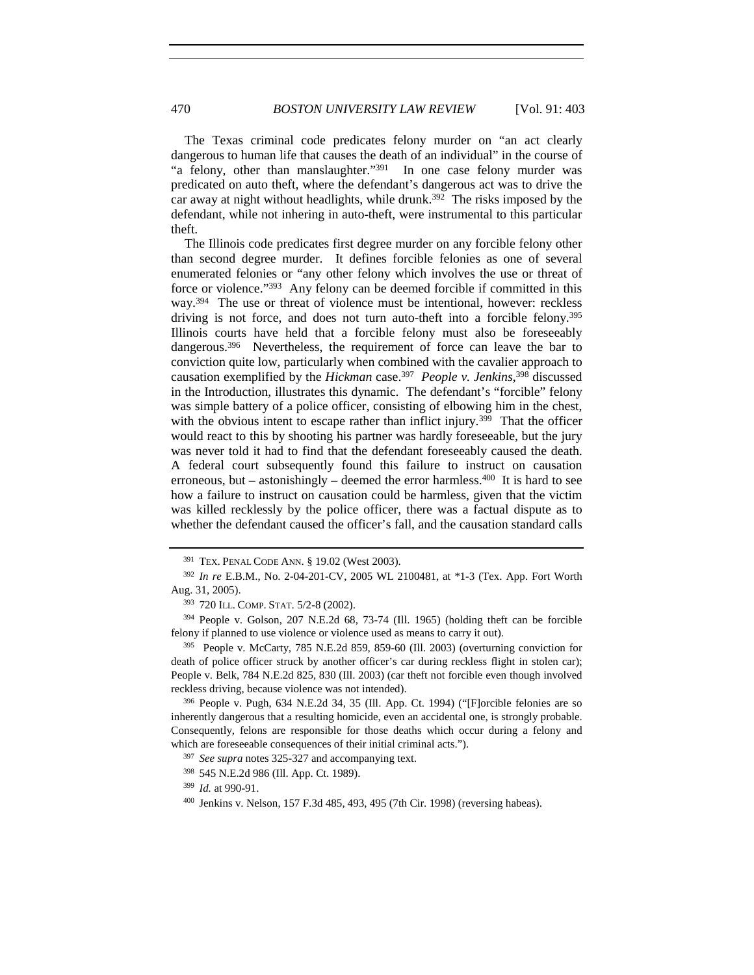The Texas criminal code predicates felony murder on "an act clearly dangerous to human life that causes the death of an individual" in the course of "a felony, other than manslaughter."391 In one case felony murder was predicated on auto theft, where the defendant's dangerous act was to drive the car away at night without headlights, while drunk.<sup>392</sup> The risks imposed by the defendant, while not inhering in auto-theft, were instrumental to this particular theft.

The Illinois code predicates first degree murder on any forcible felony other than second degree murder. It defines forcible felonies as one of several enumerated felonies or "any other felony which involves the use or threat of force or violence."393 Any felony can be deemed forcible if committed in this way.<sup>394</sup> The use or threat of violence must be intentional, however: reckless driving is not force, and does not turn auto-theft into a forcible felony.<sup>395</sup> Illinois courts have held that a forcible felony must also be foreseeably dangerous.396 Nevertheless, the requirement of force can leave the bar to conviction quite low, particularly when combined with the cavalier approach to causation exemplified by the *Hickman* case.397 *People v. Jenkins*, 398 discussed in the Introduction, illustrates this dynamic. The defendant's "forcible" felony was simple battery of a police officer, consisting of elbowing him in the chest, with the obvious intent to escape rather than inflict injury.<sup>399</sup> That the officer would react to this by shooting his partner was hardly foreseeable, but the jury was never told it had to find that the defendant foreseeably caused the death. A federal court subsequently found this failure to instruct on causation erroneous, but – astonishingly – deemed the error harmless.<sup>400</sup> It is hard to see how a failure to instruct on causation could be harmless, given that the victim was killed recklessly by the police officer, there was a factual dispute as to whether the defendant caused the officer's fall, and the causation standard calls

<sup>391</sup> TEX. PENAL CODE ANN. § 19.02 (West 2003).

<sup>392</sup> *In re* E.B.M., No. 2-04-201-CV, 2005 WL 2100481, at \*1-3 (Tex. App. Fort Worth Aug. 31, 2005).

<sup>393</sup> 720 ILL. COMP. STAT. 5/2-8 (2002).

<sup>394</sup> People v. Golson, 207 N.E.2d 68, 73-74 (Ill. 1965) (holding theft can be forcible felony if planned to use violence or violence used as means to carry it out).

<sup>395</sup> People v. McCarty, 785 N.E.2d 859, 859-60 (Ill. 2003) (overturning conviction for death of police officer struck by another officer's car during reckless flight in stolen car); People v. Belk, 784 N.E.2d 825, 830 (Ill. 2003) (car theft not forcible even though involved reckless driving, because violence was not intended).<br><sup>396</sup> People v. Pugh, 634 N.E.2d 34, 35 (Ill. App. Ct. 1994) ("[F]orcible felonies are so

inherently dangerous that a resulting homicide, even an accidental one, is strongly probable. Consequently, felons are responsible for those deaths which occur during a felony and which are foreseeable consequences of their initial criminal acts.").<br><sup>397</sup> *See supra* notes 325-327 and accompanying text.

<sup>398</sup> 545 N.E.2d 986 (Ill. App. Ct. 1989).

<sup>399</sup> *Id.* at 990-91.

<sup>400</sup> Jenkins v. Nelson, 157 F.3d 485, 493, 495 (7th Cir. 1998) (reversing habeas).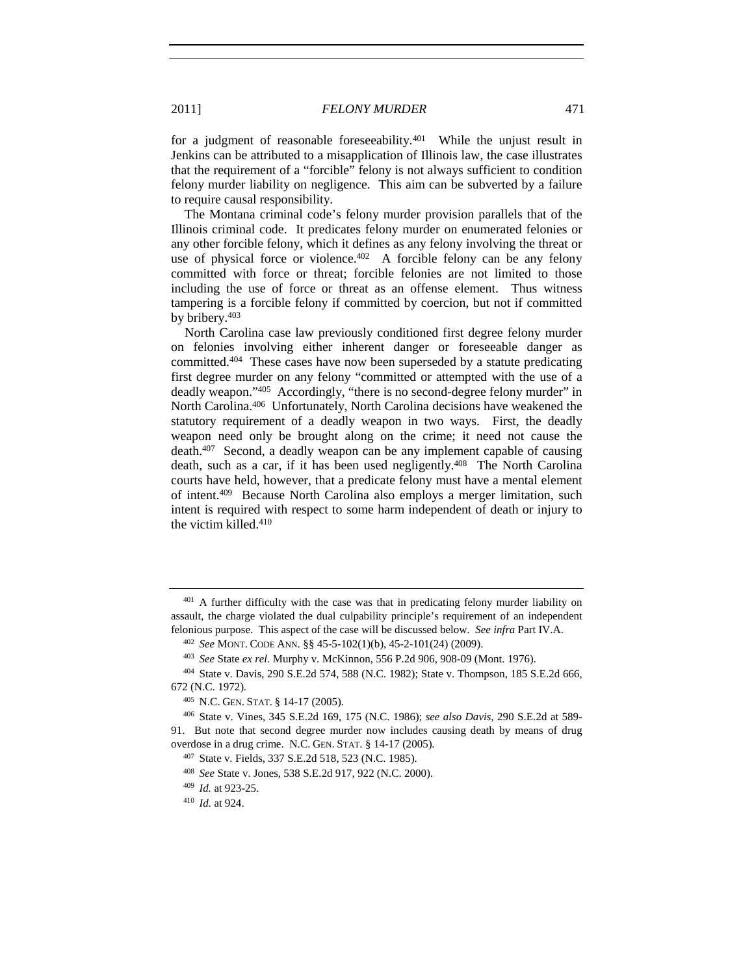for a judgment of reasonable foreseeability.<sup>401</sup> While the unjust result in Jenkins can be attributed to a misapplication of Illinois law, the case illustrates that the requirement of a "forcible" felony is not always sufficient to condition felony murder liability on negligence. This aim can be subverted by a failure to require causal responsibility.

The Montana criminal code's felony murder provision parallels that of the Illinois criminal code. It predicates felony murder on enumerated felonies or any other forcible felony, which it defines as any felony involving the threat or use of physical force or violence.<sup>402</sup> A forcible felony can be any felony committed with force or threat; forcible felonies are not limited to those including the use of force or threat as an offense element. Thus witness tampering is a forcible felony if committed by coercion, but not if committed by bribery.403

North Carolina case law previously conditioned first degree felony murder on felonies involving either inherent danger or foreseeable danger as committed.404 These cases have now been superseded by a statute predicating first degree murder on any felony "committed or attempted with the use of a deadly weapon."405 Accordingly, "there is no second-degree felony murder" in North Carolina.406 Unfortunately, North Carolina decisions have weakened the statutory requirement of a deadly weapon in two ways. First, the deadly weapon need only be brought along on the crime; it need not cause the death.407 Second, a deadly weapon can be any implement capable of causing death, such as a car, if it has been used negligently.408 The North Carolina courts have held, however, that a predicate felony must have a mental element of intent.409 Because North Carolina also employs a merger limitation, such intent is required with respect to some harm independent of death or injury to the victim killed.410

<sup>&</sup>lt;sup>401</sup> A further difficulty with the case was that in predicating felony murder liability on assault, the charge violated the dual culpability principle's requirement of an independent felonious purpose. This aspect of the case will be discussed below. *See infra* Part IV.A.

<sup>402</sup> *See* MONT. CODE ANN. §§ 45-5-102(1)(b), 45-2-101(24) (2009).

<sup>403</sup> *See* State *ex rel.* Murphy v. McKinnon, 556 P.2d 906, 908-09 (Mont. 1976).

<sup>404</sup> State v. Davis, 290 S.E.2d 574, 588 (N.C. 1982); State v. Thompson, 185 S.E.2d 666, 672 (N.C. 1972).

<sup>405</sup> N.C. GEN. STAT. § 14-17 (2005).

<sup>406</sup> State v. Vines, 345 S.E.2d 169, 175 (N.C. 1986); *see also Davis*, 290 S.E.2d at 589- 91. But note that second degree murder now includes causing death by means of drug overdose in a drug crime. N.C. GEN. STAT. § 14-17 (2005).

<sup>407</sup> State v. Fields, 337 S.E.2d 518, 523 (N.C. 1985).

<sup>408</sup> *See* State v. Jones, 538 S.E.2d 917, 922 (N.C. 2000).

<sup>409</sup> *Id.* at 923-25.

<sup>410</sup> *Id.* at 924.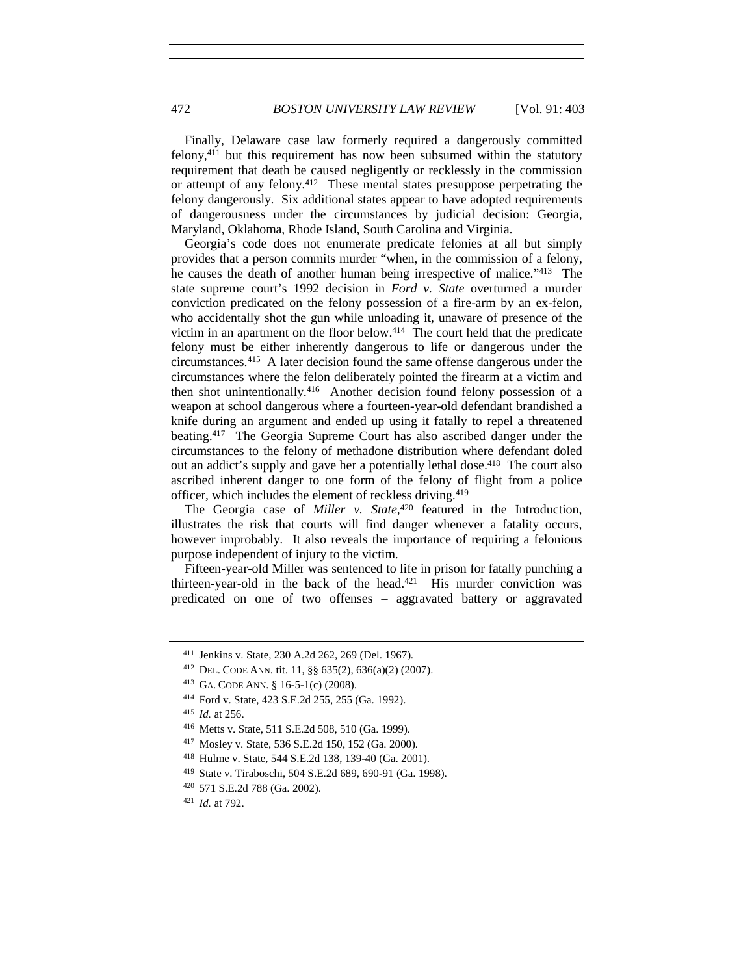472 *BOSTON UNIVERSITY LAW REVIEW* [Vol. 91: 403

 Finally, Delaware case law formerly required a dangerously committed felony,411 but this requirement has now been subsumed within the statutory requirement that death be caused negligently or recklessly in the commission or attempt of any felony.412 These mental states presuppose perpetrating the felony dangerously. Six additional states appear to have adopted requirements of dangerousness under the circumstances by judicial decision: Georgia, Maryland, Oklahoma, Rhode Island, South Carolina and Virginia.

Georgia's code does not enumerate predicate felonies at all but simply provides that a person commits murder "when, in the commission of a felony, he causes the death of another human being irrespective of malice."413 The state supreme court's 1992 decision in *Ford v. State* overturned a murder conviction predicated on the felony possession of a fire-arm by an ex-felon, who accidentally shot the gun while unloading it, unaware of presence of the victim in an apartment on the floor below.414 The court held that the predicate felony must be either inherently dangerous to life or dangerous under the circumstances.415 A later decision found the same offense dangerous under the circumstances where the felon deliberately pointed the firearm at a victim and then shot unintentionally.416 Another decision found felony possession of a weapon at school dangerous where a fourteen-year-old defendant brandished a knife during an argument and ended up using it fatally to repel a threatened beating.417 The Georgia Supreme Court has also ascribed danger under the circumstances to the felony of methadone distribution where defendant doled out an addict's supply and gave her a potentially lethal dose.418 The court also ascribed inherent danger to one form of the felony of flight from a police officer, which includes the element of reckless driving.419

The Georgia case of *Miller v. State*, 420 featured in the Introduction, illustrates the risk that courts will find danger whenever a fatality occurs, however improbably. It also reveals the importance of requiring a felonious purpose independent of injury to the victim.

Fifteen-year-old Miller was sentenced to life in prison for fatally punching a thirteen-year-old in the back of the head.<sup>421</sup> His murder conviction was predicated on one of two offenses – aggravated battery or aggravated

<sup>411</sup> Jenkins v. State, 230 A.2d 262, 269 (Del. 1967).<br><sup>412</sup> DEL. CODE ANN. tit. 11, §§ 635(2), 636(a)(2) (2007).

<sup>413</sup> GA. CODE ANN. § 16-5-1(c) (2008).

<sup>414</sup> Ford v. State, 423 S.E.2d 255, 255 (Ga. 1992).

<sup>415</sup> *Id.* at 256.

<sup>416</sup> Metts v. State, 511 S.E.2d 508, 510 (Ga. 1999).

<sup>417</sup> Mosley v. State, 536 S.E.2d 150, 152 (Ga. 2000).

<sup>418</sup> Hulme v. State, 544 S.E.2d 138, 139-40 (Ga. 2001).

<sup>419</sup> State v. Tiraboschi, 504 S.E.2d 689, 690-91 (Ga. 1998).

<sup>420</sup> 571 S.E.2d 788 (Ga. 2002).

<sup>421</sup> *Id.* at 792.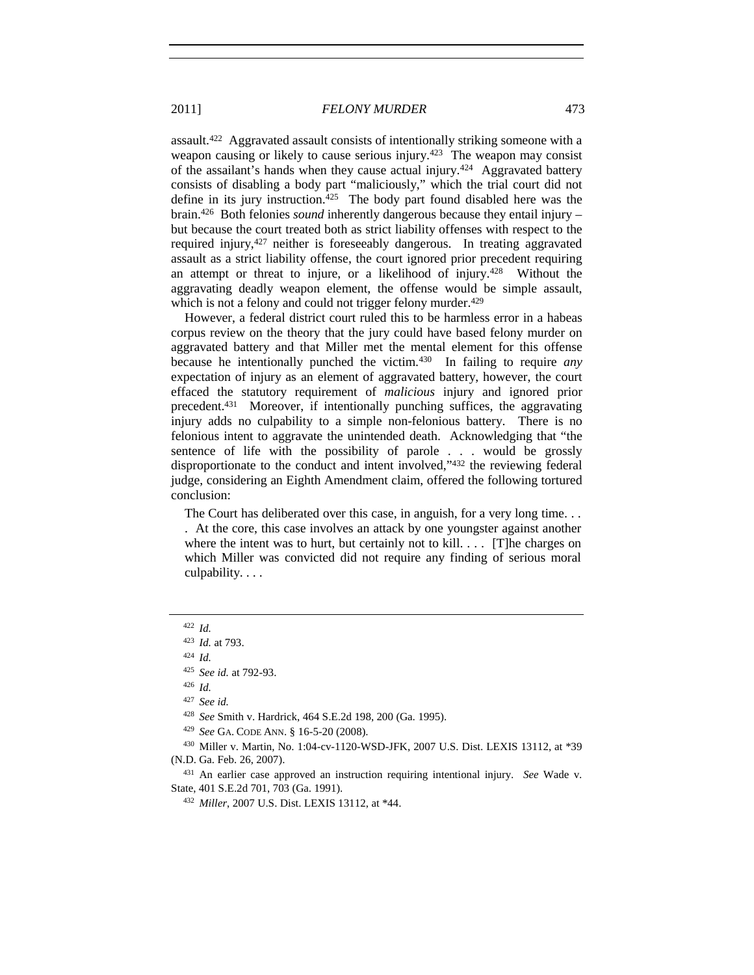assault.422 Aggravated assault consists of intentionally striking someone with a weapon causing or likely to cause serious injury.<sup>423</sup> The weapon may consist of the assailant's hands when they cause actual injury.424 Aggravated battery consists of disabling a body part "maliciously," which the trial court did not define in its jury instruction.<sup>425</sup> The body part found disabled here was the brain.426 Both felonies *sound* inherently dangerous because they entail injury – but because the court treated both as strict liability offenses with respect to the required injury,<sup>427</sup> neither is foreseeably dangerous. In treating aggravated assault as a strict liability offense, the court ignored prior precedent requiring an attempt or threat to injure, or a likelihood of injury.428 Without the aggravating deadly weapon element, the offense would be simple assault, which is not a felony and could not trigger felony murder.<sup>429</sup>

However, a federal district court ruled this to be harmless error in a habeas corpus review on the theory that the jury could have based felony murder on aggravated battery and that Miller met the mental element for this offense because he intentionally punched the victim.430 In failing to require *any* expectation of injury as an element of aggravated battery, however, the court effaced the statutory requirement of *malicious* injury and ignored prior precedent.431 Moreover, if intentionally punching suffices, the aggravating injury adds no culpability to a simple non-felonious battery. There is no felonious intent to aggravate the unintended death. Acknowledging that "the sentence of life with the possibility of parole . . . would be grossly disproportionate to the conduct and intent involved,"432 the reviewing federal judge, considering an Eighth Amendment claim, offered the following tortured conclusion:

The Court has deliberated over this case, in anguish, for a very long time. . .

. At the core, this case involves an attack by one youngster against another where the intent was to hurt, but certainly not to kill. . . . [T]he charges on which Miller was convicted did not require any finding of serious moral culpability. . . .

<sup>424</sup> *Id.*

<sup>422</sup> *Id.*

<sup>423</sup> *Id.* at 793.

<sup>425</sup> *See id.* at 792-93.

<sup>426</sup> *Id.*

<sup>427</sup> *See id.*

<sup>428</sup> *See* Smith v. Hardrick, 464 S.E.2d 198, 200 (Ga. 1995).

<sup>429</sup> *See* GA. CODE ANN. § 16-5-20 (2008).

<sup>430</sup> Miller v. Martin, No. 1:04-cv-1120-WSD-JFK, 2007 U.S. Dist. LEXIS 13112, at \*39

<sup>(</sup>N.D. Ga. Feb. 26, 2007).

<sup>431</sup> An earlier case approved an instruction requiring intentional injury. *See* Wade v. State, 401 S.E.2d 701, 703 (Ga. 1991).

<sup>432</sup> *Miller*, 2007 U.S. Dist. LEXIS 13112, at \*44.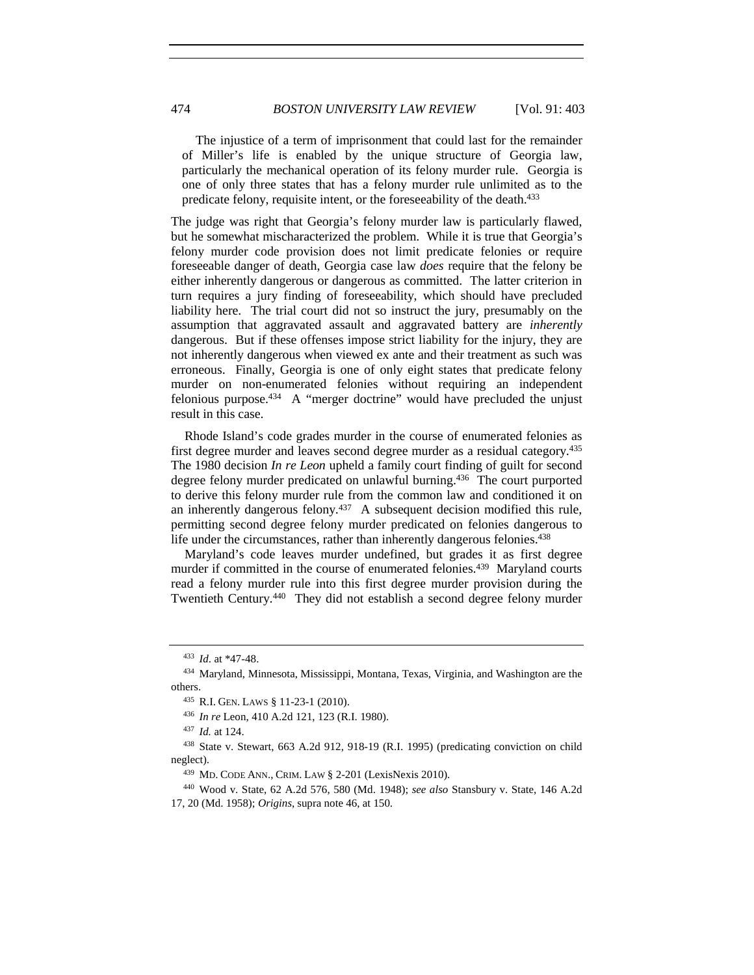The injustice of a term of imprisonment that could last for the remainder of Miller's life is enabled by the unique structure of Georgia law, particularly the mechanical operation of its felony murder rule. Georgia is one of only three states that has a felony murder rule unlimited as to the predicate felony, requisite intent, or the foreseeability of the death.433

The judge was right that Georgia's felony murder law is particularly flawed, but he somewhat mischaracterized the problem. While it is true that Georgia's felony murder code provision does not limit predicate felonies or require foreseeable danger of death, Georgia case law *does* require that the felony be either inherently dangerous or dangerous as committed. The latter criterion in turn requires a jury finding of foreseeability, which should have precluded liability here. The trial court did not so instruct the jury, presumably on the assumption that aggravated assault and aggravated battery are *inherently* dangerous. But if these offenses impose strict liability for the injury, they are not inherently dangerous when viewed ex ante and their treatment as such was erroneous. Finally, Georgia is one of only eight states that predicate felony murder on non-enumerated felonies without requiring an independent felonious purpose. $434$  A "merger doctrine" would have precluded the unjust result in this case.

Rhode Island's code grades murder in the course of enumerated felonies as first degree murder and leaves second degree murder as a residual category.435 The 1980 decision *In re Leon* upheld a family court finding of guilt for second degree felony murder predicated on unlawful burning.<sup>436</sup> The court purported to derive this felony murder rule from the common law and conditioned it on an inherently dangerous felony. $437$  A subsequent decision modified this rule, permitting second degree felony murder predicated on felonies dangerous to life under the circumstances, rather than inherently dangerous felonies.<sup>438</sup>

Maryland's code leaves murder undefined, but grades it as first degree murder if committed in the course of enumerated felonies.<sup>439</sup> Maryland courts read a felony murder rule into this first degree murder provision during the Twentieth Century.440 They did not establish a second degree felony murder

<sup>433</sup> *Id*. at \*47-48.

<sup>434</sup> Maryland, Minnesota, Mississippi, Montana, Texas, Virginia, and Washington are the others.

<sup>435</sup> R.I. GEN. LAWS § 11-23-1 (2010).

<sup>436</sup> *In re* Leon, 410 A.2d 121, 123 (R.I. 1980).

<sup>437</sup> *Id.* at 124.

<sup>438</sup> State v. Stewart, 663 A.2d 912, 918-19 (R.I. 1995) (predicating conviction on child neglect).

<sup>439</sup> MD. CODE ANN., CRIM. LAW § 2-201 (LexisNexis 2010). 440 Wood v. State, 62 A.2d 576, 580 (Md. 1948); *see also* Stansbury v. State, 146 A.2d 17, 20 (Md. 1958); *Origins*, supra note 46, at 150.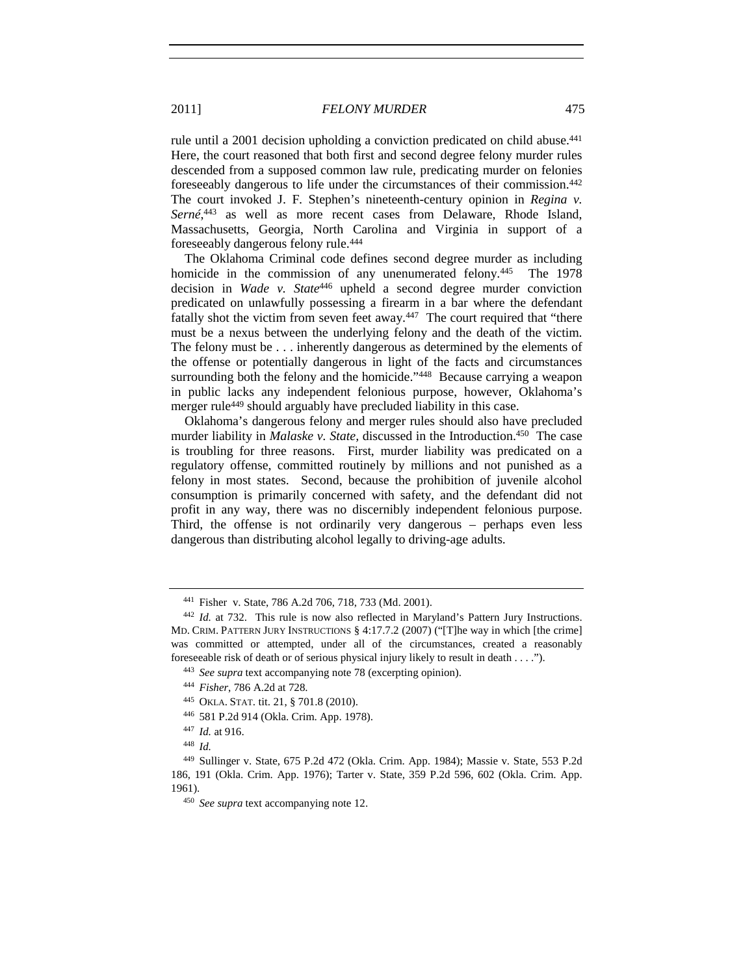rule until a 2001 decision upholding a conviction predicated on child abuse.<sup>441</sup> Here, the court reasoned that both first and second degree felony murder rules descended from a supposed common law rule, predicating murder on felonies foreseeably dangerous to life under the circumstances of their commission.442 The court invoked J. F. Stephen's nineteenth-century opinion in *Regina v. Serné*, 443 as well as more recent cases from Delaware, Rhode Island, Massachusetts, Georgia, North Carolina and Virginia in support of a foreseeably dangerous felony rule.444

The Oklahoma Criminal code defines second degree murder as including homicide in the commission of any unenumerated felony.<sup>445</sup> The 1978 decision in *Wade v. State*446 upheld a second degree murder conviction predicated on unlawfully possessing a firearm in a bar where the defendant fatally shot the victim from seven feet away. $447$  The court required that "there must be a nexus between the underlying felony and the death of the victim. The felony must be . . . inherently dangerous as determined by the elements of the offense or potentially dangerous in light of the facts and circumstances surrounding both the felony and the homicide."<sup>448</sup> Because carrying a weapon in public lacks any independent felonious purpose, however, Oklahoma's merger rule449 should arguably have precluded liability in this case.

Oklahoma's dangerous felony and merger rules should also have precluded murder liability in *Malaske v. State*, discussed in the Introduction.<sup>450</sup> The case is troubling for three reasons. First, murder liability was predicated on a regulatory offense, committed routinely by millions and not punished as a felony in most states. Second, because the prohibition of juvenile alcohol consumption is primarily concerned with safety, and the defendant did not profit in any way, there was no discernibly independent felonious purpose. Third, the offense is not ordinarily very dangerous – perhaps even less dangerous than distributing alcohol legally to driving-age adults.

<sup>441</sup> Fisher v. State, 786 A.2d 706, 718, 733 (Md. 2001).

<sup>442</sup> *Id.* at 732. This rule is now also reflected in Maryland's Pattern Jury Instructions. MD. CRIM. PATTERN JURY INSTRUCTIONS  $\S 4:17.7.2$  (2007) ("The way in which [the crime] was committed or attempted, under all of the circumstances, created a reasonably foreseeable risk of death or of serious physical injury likely to result in death . . . .").

<sup>443</sup> *See supra* text accompanying note 78 (excerpting opinion).

<sup>444</sup> *Fisher*, 786 A.2d at 728.

<sup>445</sup> OKLA. STAT. tit. 21, § 701.8 (2010).

<sup>446</sup> 581 P.2d 914 (Okla. Crim. App. 1978).

<sup>447</sup> *Id.* at 916.

<sup>448</sup> *Id.*

<sup>449</sup> Sullinger v. State, 675 P.2d 472 (Okla. Crim. App. 1984); Massie v. State, 553 P.2d 186, 191 (Okla. Crim. App. 1976); Tarter v. State, 359 P.2d 596, 602 (Okla. Crim. App. 1961). 450 *See supra* text accompanying note 12.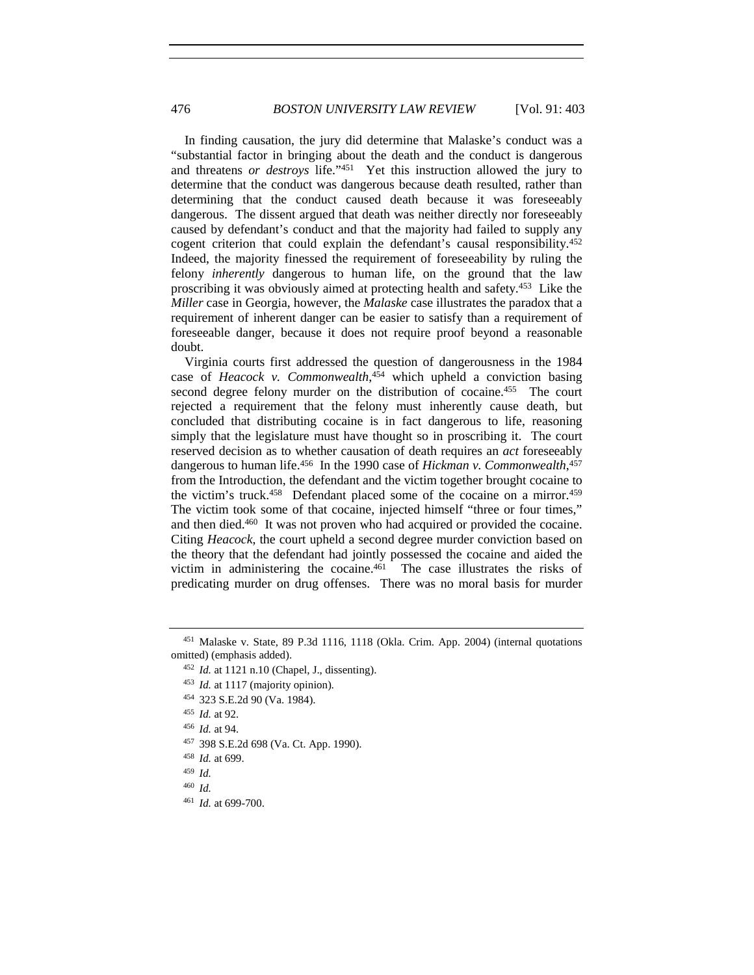In finding causation, the jury did determine that Malaske's conduct was a "substantial factor in bringing about the death and the conduct is dangerous and threatens *or destroys* life."451 Yet this instruction allowed the jury to determine that the conduct was dangerous because death resulted, rather than determining that the conduct caused death because it was foreseeably dangerous. The dissent argued that death was neither directly nor foreseeably caused by defendant's conduct and that the majority had failed to supply any cogent criterion that could explain the defendant's causal responsibility.452 Indeed, the majority finessed the requirement of foreseeability by ruling the felony *inherently* dangerous to human life, on the ground that the law proscribing it was obviously aimed at protecting health and safety.453 Like the *Miller* case in Georgia, however, the *Malaske* case illustrates the paradox that a requirement of inherent danger can be easier to satisfy than a requirement of foreseeable danger, because it does not require proof beyond a reasonable doubt.

Virginia courts first addressed the question of dangerousness in the 1984 case of *Heacock v. Commonwealth*, 454 which upheld a conviction basing second degree felony murder on the distribution of cocaine.<sup>455</sup> The court rejected a requirement that the felony must inherently cause death, but concluded that distributing cocaine is in fact dangerous to life, reasoning simply that the legislature must have thought so in proscribing it. The court reserved decision as to whether causation of death requires an *act* foreseeably dangerous to human life.456 In the 1990 case of *Hickman v. Commonwealth*, 457 from the Introduction, the defendant and the victim together brought cocaine to the victim's truck.<sup>458</sup> Defendant placed some of the cocaine on a mirror.<sup>459</sup> The victim took some of that cocaine, injected himself "three or four times," and then died.460 It was not proven who had acquired or provided the cocaine. Citing *Heacock*, the court upheld a second degree murder conviction based on the theory that the defendant had jointly possessed the cocaine and aided the victim in administering the cocaine.461 The case illustrates the risks of predicating murder on drug offenses. There was no moral basis for murder

<sup>451</sup> Malaske v. State, 89 P.3d 1116, 1118 (Okla. Crim. App. 2004) (internal quotations omitted) (emphasis added).

<sup>452</sup> *Id.* at 1121 n.10 (Chapel, J., dissenting).

<sup>453</sup> *Id.* at 1117 (majority opinion).

<sup>454</sup> 323 S.E.2d 90 (Va. 1984).

<sup>455</sup> *Id.* at 92.

<sup>456</sup> *Id.* at 94.

<sup>457</sup> 398 S.E.2d 698 (Va. Ct. App. 1990).

<sup>458</sup> *Id.* at 699.

<sup>459</sup> *Id.*

<sup>460</sup> *Id.*

<sup>461</sup> *Id.* at 699-700.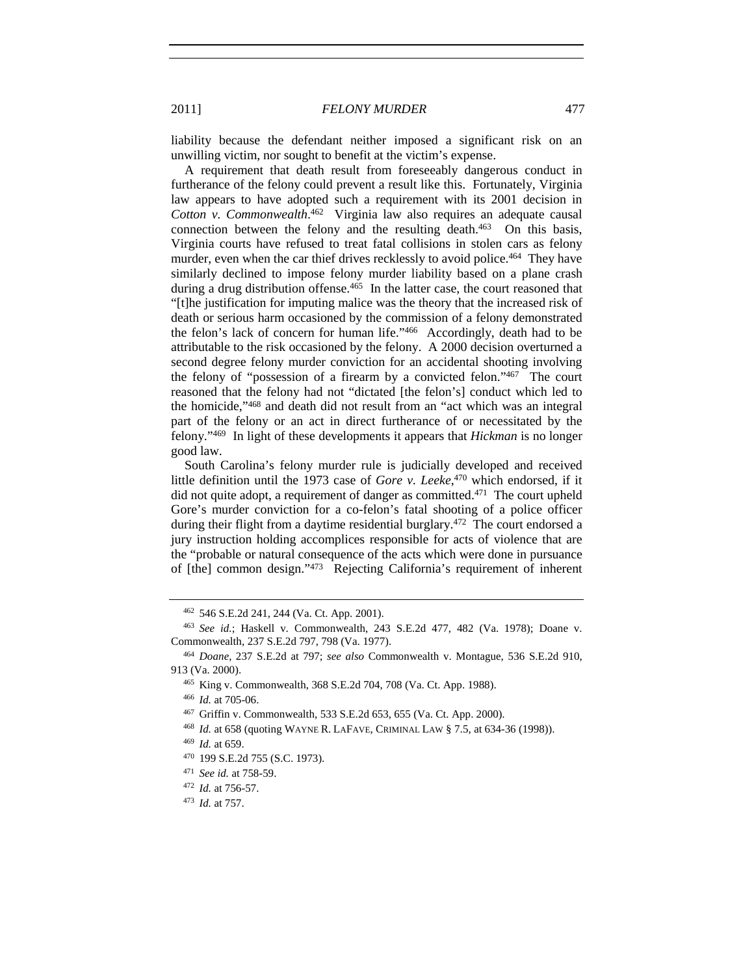liability because the defendant neither imposed a significant risk on an unwilling victim, nor sought to benefit at the victim's expense.

A requirement that death result from foreseeably dangerous conduct in furtherance of the felony could prevent a result like this. Fortunately, Virginia law appears to have adopted such a requirement with its 2001 decision in *Cotton v. Commonwealth*. 462 Virginia law also requires an adequate causal connection between the felony and the resulting death.463 On this basis, Virginia courts have refused to treat fatal collisions in stolen cars as felony murder, even when the car thief drives recklessly to avoid police.<sup>464</sup> They have similarly declined to impose felony murder liability based on a plane crash during a drug distribution offense.<sup>465</sup> In the latter case, the court reasoned that "[t]he justification for imputing malice was the theory that the increased risk of death or serious harm occasioned by the commission of a felony demonstrated the felon's lack of concern for human life."466 Accordingly, death had to be attributable to the risk occasioned by the felony. A 2000 decision overturned a second degree felony murder conviction for an accidental shooting involving the felony of "possession of a firearm by a convicted felon."467 The court reasoned that the felony had not "dictated [the felon's] conduct which led to the homicide,"468 and death did not result from an "act which was an integral part of the felony or an act in direct furtherance of or necessitated by the felony."469 In light of these developments it appears that *Hickman* is no longer good law.

South Carolina's felony murder rule is judicially developed and received little definition until the 1973 case of *Gore v. Leeke*, 470 which endorsed, if it did not quite adopt, a requirement of danger as committed.471 The court upheld Gore's murder conviction for a co-felon's fatal shooting of a police officer during their flight from a daytime residential burglary.<sup>472</sup> The court endorsed a jury instruction holding accomplices responsible for acts of violence that are the "probable or natural consequence of the acts which were done in pursuance of [the] common design."473 Rejecting California's requirement of inherent

<sup>462</sup> 546 S.E.2d 241, 244 (Va. Ct. App. 2001).

<sup>463</sup> *See id.*; Haskell v. Commonwealth, 243 S.E.2d 477, 482 (Va. 1978); Doane v. Commonwealth, 237 S.E.2d 797, 798 (Va. 1977).

<sup>464</sup> *Doane*, 237 S.E.2d at 797; *see also* Commonwealth v. Montague, 536 S.E.2d 910, 913 (Va. 2000).

<sup>465</sup> King v. Commonwealth, 368 S.E.2d 704, 708 (Va. Ct. App. 1988).

<sup>466</sup> *Id.* at 705-06.

<sup>467</sup> Griffin v. Commonwealth, 533 S.E.2d 653, 655 (Va. Ct. App. 2000).

<sup>468</sup> *Id.* at 658 (quoting WAYNE R. LAFAVE, CRIMINAL LAW § 7.5, at 634-36 (1998)).

<sup>469</sup> *Id.* at 659.

<sup>470</sup> 199 S.E.2d 755 (S.C. 1973).

<sup>471</sup> *See id.* at 758-59.

<sup>472</sup> *Id.* at 756-57.

<sup>473</sup> *Id.* at 757.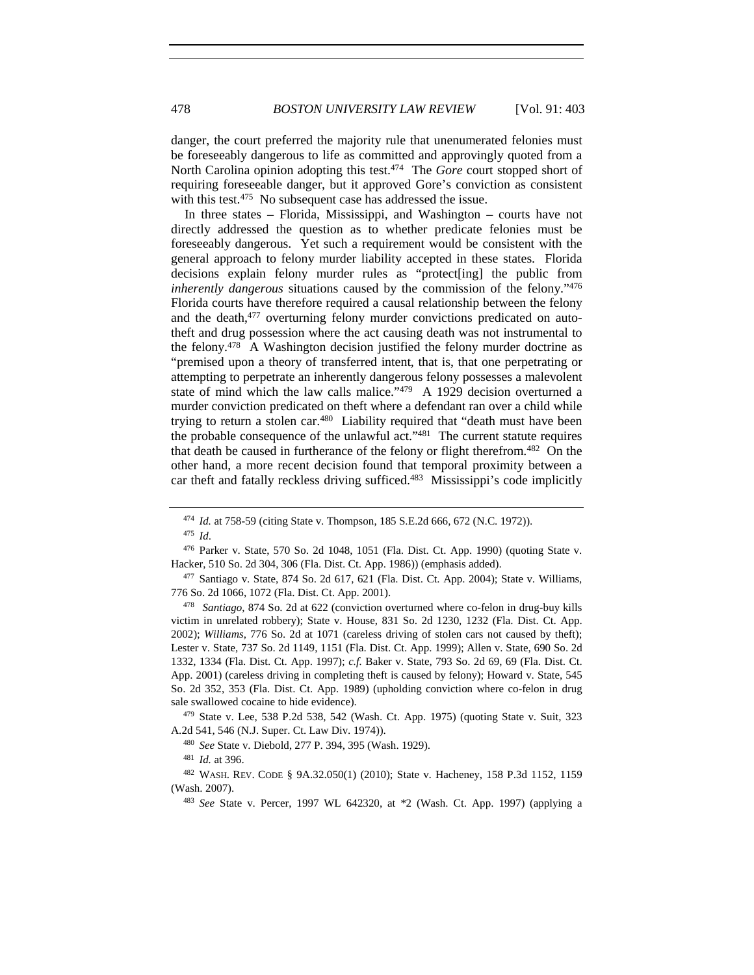danger, the court preferred the majority rule that unenumerated felonies must be foreseeably dangerous to life as committed and approvingly quoted from a North Carolina opinion adopting this test.474 The *Gore* court stopped short of requiring foreseeable danger, but it approved Gore's conviction as consistent with this test.<sup>475</sup> No subsequent case has addressed the issue.

In three states – Florida, Mississippi, and Washington – courts have not directly addressed the question as to whether predicate felonies must be foreseeably dangerous. Yet such a requirement would be consistent with the general approach to felony murder liability accepted in these states. Florida decisions explain felony murder rules as "protect[ing] the public from *inherently dangerous* situations caused by the commission of the felony."476 Florida courts have therefore required a causal relationship between the felony and the death,<sup>477</sup> overturning felony murder convictions predicated on autotheft and drug possession where the act causing death was not instrumental to the felony.478 A Washington decision justified the felony murder doctrine as "premised upon a theory of transferred intent, that is, that one perpetrating or attempting to perpetrate an inherently dangerous felony possesses a malevolent state of mind which the law calls malice."479 A 1929 decision overturned a murder conviction predicated on theft where a defendant ran over a child while trying to return a stolen car.480 Liability required that "death must have been the probable consequence of the unlawful act."481 The current statute requires that death be caused in furtherance of the felony or flight therefrom.482 On the other hand, a more recent decision found that temporal proximity between a car theft and fatally reckless driving sufficed.<sup>483</sup> Mississippi's code implicitly

<sup>479</sup> State v. Lee, 538 P.2d 538, 542 (Wash. Ct. App. 1975) (quoting State v. Suit, 323 A.2d 541, 546 (N.J. Super. Ct. Law Div. 1974)).

<sup>480</sup> *See* State v. Diebold, 277 P. 394, 395 (Wash. 1929). 481 *Id.* at 396.

<sup>474</sup> *Id.* at 758-59 (citing State v. Thompson, 185 S.E.2d 666, 672 (N.C. 1972)).

<sup>475</sup> *Id*.

<sup>476</sup> Parker v. State, 570 So. 2d 1048, 1051 (Fla. Dist. Ct. App. 1990) (quoting State v. Hacker, 510 So. 2d 304, 306 (Fla. Dist. Ct. App. 1986)) (emphasis added).

<sup>477</sup> Santiago v. State, 874 So. 2d 617, 621 (Fla. Dist. Ct. App. 2004); State v. Williams, 776 So. 2d 1066, 1072 (Fla. Dist. Ct. App. 2001).

<sup>478</sup> *Santiago*, 874 So. 2d at 622 (conviction overturned where co-felon in drug-buy kills victim in unrelated robbery); State v. House, 831 So. 2d 1230, 1232 (Fla. Dist. Ct. App. 2002); *Williams*, 776 So. 2d at 1071 (careless driving of stolen cars not caused by theft); Lester v. State, 737 So. 2d 1149, 1151 (Fla. Dist. Ct. App. 1999); Allen v. State, 690 So. 2d 1332, 1334 (Fla. Dist. Ct. App. 1997); *c.f.* Baker v. State, 793 So. 2d 69, 69 (Fla. Dist. Ct. App. 2001) (careless driving in completing theft is caused by felony); Howard v. State, 545 So. 2d 352, 353 (Fla. Dist. Ct. App. 1989) (upholding conviction where co-felon in drug sale swallowed cocaine to hide evidence).

<sup>482</sup> WASH. REV. CODE § 9A.32.050(1) (2010); State v. Hacheney, 158 P.3d 1152, 1159 (Wash. 2007).

<sup>483</sup> *See* State v. Percer, 1997 WL 642320, at \*2 (Wash. Ct. App. 1997) (applying a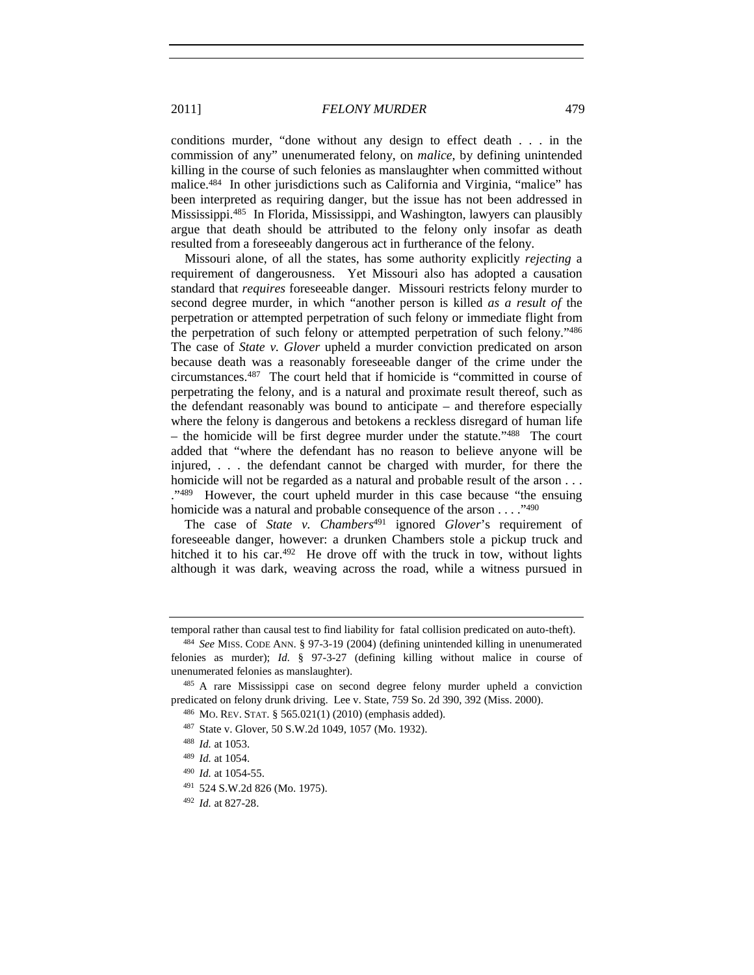conditions murder, "done without any design to effect death . . . in the commission of any" unenumerated felony, on *malice*, by defining unintended killing in the course of such felonies as manslaughter when committed without malice.484 In other jurisdictions such as California and Virginia, "malice" has been interpreted as requiring danger, but the issue has not been addressed in Mississippi.485 In Florida, Mississippi, and Washington, lawyers can plausibly argue that death should be attributed to the felony only insofar as death resulted from a foreseeably dangerous act in furtherance of the felony.

Missouri alone, of all the states, has some authority explicitly *rejecting* a requirement of dangerousness. Yet Missouri also has adopted a causation standard that *requires* foreseeable danger. Missouri restricts felony murder to second degree murder, in which "another person is killed *as a result of* the perpetration or attempted perpetration of such felony or immediate flight from the perpetration of such felony or attempted perpetration of such felony."486 The case of *State v. Glover* upheld a murder conviction predicated on arson because death was a reasonably foreseeable danger of the crime under the circumstances.487 The court held that if homicide is "committed in course of perpetrating the felony, and is a natural and proximate result thereof, such as the defendant reasonably was bound to anticipate – and therefore especially where the felony is dangerous and betokens a reckless disregard of human life – the homicide will be first degree murder under the statute."488 The court added that "where the defendant has no reason to believe anyone will be injured, . . . the defendant cannot be charged with murder, for there the homicide will not be regarded as a natural and probable result of the arson . . . ."489 However, the court upheld murder in this case because "the ensuing homicide was a natural and probable consequence of the arson  $\dots$ ."490

The case of *State v. Chambers*491 ignored *Glover*'s requirement of foreseeable danger, however: a drunken Chambers stole a pickup truck and hitched it to his car.<sup>492</sup> He drove off with the truck in tow, without lights although it was dark, weaving across the road, while a witness pursued in

temporal rather than causal test to find liability for fatal collision predicated on auto-theft).

<sup>484</sup> *See* MISS. CODE ANN. § 97-3-19 (2004) (defining unintended killing in unenumerated felonies as murder); *Id.* § 97-3-27 (defining killing without malice in course of unenumerated felonies as manslaughter).

<sup>485</sup> A rare Mississippi case on second degree felony murder upheld a conviction predicated on felony drunk driving. Lee v. State, 759 So. 2d 390, 392 (Miss. 2000).

<sup>486</sup> MO. REV. STAT. § 565.021(1) (2010) (emphasis added).

<sup>487</sup> State v. Glover, 50 S.W.2d 1049, 1057 (Mo. 1932).

<sup>488</sup> *Id.* at 1053.

<sup>489</sup> *Id.* at 1054.

<sup>490</sup> *Id.* at 1054-55.

<sup>491</sup> 524 S.W.2d 826 (Mo. 1975).

<sup>492</sup> *Id.* at 827-28.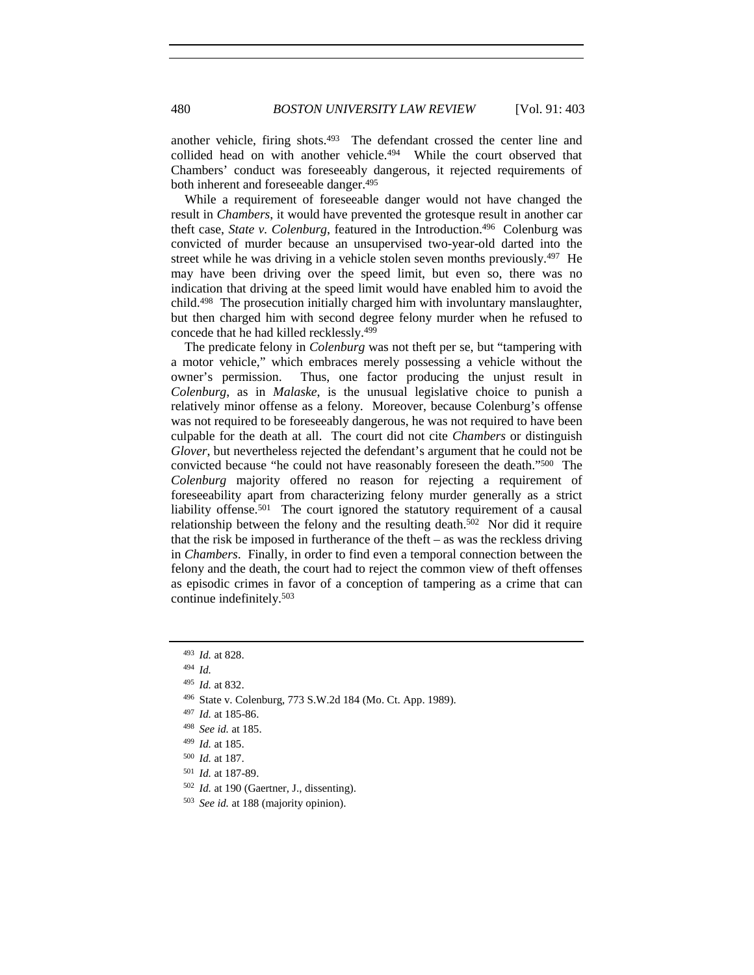another vehicle, firing shots.493 The defendant crossed the center line and collided head on with another vehicle.<sup>494</sup> While the court observed that Chambers' conduct was foreseeably dangerous, it rejected requirements of both inherent and foreseeable danger.<sup>495</sup>

While a requirement of foreseeable danger would not have changed the result in *Chambers*, it would have prevented the grotesque result in another car theft case, *State v. Colenburg*, featured in the Introduction.<sup>496</sup> Colenburg was convicted of murder because an unsupervised two-year-old darted into the street while he was driving in a vehicle stolen seven months previously.<sup>497</sup> He may have been driving over the speed limit, but even so, there was no indication that driving at the speed limit would have enabled him to avoid the child.498 The prosecution initially charged him with involuntary manslaughter, but then charged him with second degree felony murder when he refused to concede that he had killed recklessly.499

The predicate felony in *Colenburg* was not theft per se, but "tampering with a motor vehicle," which embraces merely possessing a vehicle without the owner's permission. Thus, one factor producing the unjust result in *Colenburg*, as in *Malaske*, is the unusual legislative choice to punish a relatively minor offense as a felony. Moreover, because Colenburg's offense was not required to be foreseeably dangerous, he was not required to have been culpable for the death at all. The court did not cite *Chambers* or distinguish *Glover*, but nevertheless rejected the defendant's argument that he could not be convicted because "he could not have reasonably foreseen the death."500 The *Colenburg* majority offered no reason for rejecting a requirement of foreseeability apart from characterizing felony murder generally as a strict liability offense.<sup>501</sup> The court ignored the statutory requirement of a causal relationship between the felony and the resulting death.<sup>502</sup> Nor did it require that the risk be imposed in furtherance of the theft – as was the reckless driving in *Chambers*. Finally, in order to find even a temporal connection between the felony and the death, the court had to reject the common view of theft offenses as episodic crimes in favor of a conception of tampering as a crime that can continue indefinitely.503

- <sup>498</sup> *See id.* at 185.
- <sup>499</sup> *Id.* at 185.
- <sup>500</sup> *Id.* at 187.
- <sup>501</sup> *Id.* at 187-89.
- <sup>502</sup> *Id.* at 190 (Gaertner, J., dissenting).
- <sup>503</sup> *See id.* at 188 (majority opinion).

<sup>493</sup> *Id.* at 828. 494 *Id.*

<sup>495</sup> *Id.* at 832.

<sup>496</sup> State v. Colenburg, 773 S.W.2d 184 (Mo. Ct. App. 1989).

<sup>497</sup> *Id.* at 185-86.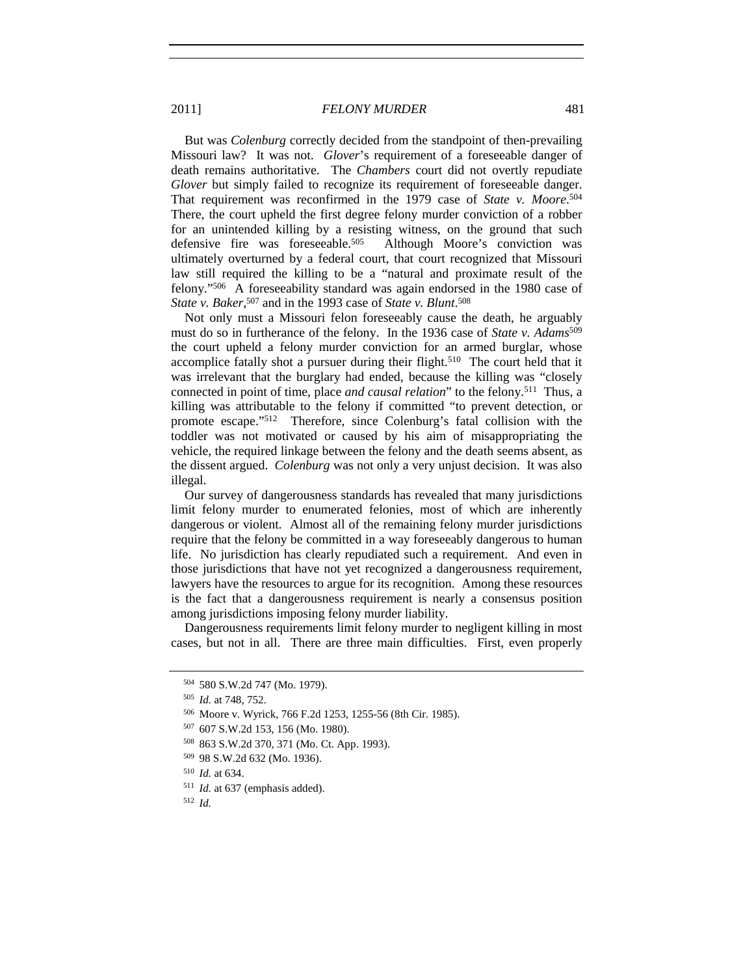But was *Colenburg* correctly decided from the standpoint of then-prevailing Missouri law? It was not. *Glover*'s requirement of a foreseeable danger of death remains authoritative. The *Chambers* court did not overtly repudiate *Glover* but simply failed to recognize its requirement of foreseeable danger. That requirement was reconfirmed in the 1979 case of *State v. Moore*. 504 There, the court upheld the first degree felony murder conviction of a robber for an unintended killing by a resisting witness, on the ground that such defensive fire was foreseeable.505 Although Moore's conviction was ultimately overturned by a federal court, that court recognized that Missouri law still required the killing to be a "natural and proximate result of the felony."506 A foreseeability standard was again endorsed in the 1980 case of *State v. Baker*, 507 and in the 1993 case of *State v. Blunt*. 508

Not only must a Missouri felon foreseeably cause the death, he arguably must do so in furtherance of the felony. In the 1936 case of *State v. Adams*<sup>509</sup> the court upheld a felony murder conviction for an armed burglar, whose accomplice fatally shot a pursuer during their flight.<sup>510</sup> The court held that it was irrelevant that the burglary had ended, because the killing was "closely connected in point of time, place *and causal relation*" to the felony.511 Thus, a killing was attributable to the felony if committed "to prevent detection, or promote escape."512 Therefore, since Colenburg's fatal collision with the toddler was not motivated or caused by his aim of misappropriating the vehicle, the required linkage between the felony and the death seems absent, as the dissent argued. *Colenburg* was not only a very unjust decision. It was also illegal.

Our survey of dangerousness standards has revealed that many jurisdictions limit felony murder to enumerated felonies, most of which are inherently dangerous or violent. Almost all of the remaining felony murder jurisdictions require that the felony be committed in a way foreseeably dangerous to human life. No jurisdiction has clearly repudiated such a requirement. And even in those jurisdictions that have not yet recognized a dangerousness requirement, lawyers have the resources to argue for its recognition. Among these resources is the fact that a dangerousness requirement is nearly a consensus position among jurisdictions imposing felony murder liability.

Dangerousness requirements limit felony murder to negligent killing in most cases, but not in all. There are three main difficulties. First, even properly

<sup>511</sup> *Id.* at 637 (emphasis added).

<sup>504</sup> 580 S.W.2d 747 (Mo. 1979).

<sup>505</sup> *Id.* at 748, 752.

<sup>506</sup> Moore v. Wyrick, 766 F.2d 1253, 1255-56 (8th Cir. 1985).

<sup>507</sup> 607 S.W.2d 153, 156 (Mo. 1980).

<sup>508</sup> 863 S.W.2d 370, 371 (Mo. Ct. App. 1993).

<sup>509</sup> 98 S.W.2d 632 (Mo. 1936).

<sup>510</sup> *Id.* at 634.

<sup>512</sup> *Id.*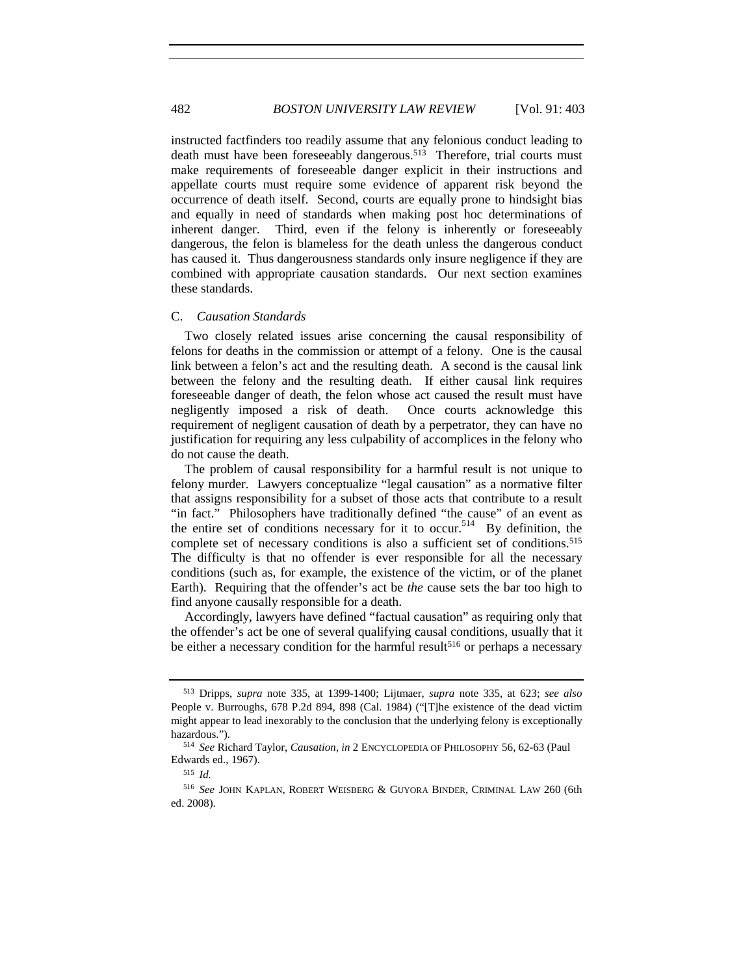instructed factfinders too readily assume that any felonious conduct leading to death must have been foreseeably dangerous.<sup>513</sup> Therefore, trial courts must make requirements of foreseeable danger explicit in their instructions and appellate courts must require some evidence of apparent risk beyond the occurrence of death itself. Second, courts are equally prone to hindsight bias and equally in need of standards when making post hoc determinations of inherent danger. Third, even if the felony is inherently or foreseeably dangerous, the felon is blameless for the death unless the dangerous conduct has caused it. Thus dangerousness standards only insure negligence if they are combined with appropriate causation standards. Our next section examines these standards.

### C. *Causation Standards*

Two closely related issues arise concerning the causal responsibility of felons for deaths in the commission or attempt of a felony. One is the causal link between a felon's act and the resulting death. A second is the causal link between the felony and the resulting death. If either causal link requires foreseeable danger of death, the felon whose act caused the result must have negligently imposed a risk of death. Once courts acknowledge this requirement of negligent causation of death by a perpetrator, they can have no justification for requiring any less culpability of accomplices in the felony who do not cause the death.

The problem of causal responsibility for a harmful result is not unique to felony murder. Lawyers conceptualize "legal causation" as a normative filter that assigns responsibility for a subset of those acts that contribute to a result "in fact." Philosophers have traditionally defined "the cause" of an event as the entire set of conditions necessary for it to occur.<sup>514</sup> By definition, the complete set of necessary conditions is also a sufficient set of conditions.<sup>515</sup> The difficulty is that no offender is ever responsible for all the necessary conditions (such as, for example, the existence of the victim, or of the planet Earth). Requiring that the offender's act be *the* cause sets the bar too high to find anyone causally responsible for a death.

Accordingly, lawyers have defined "factual causation" as requiring only that the offender's act be one of several qualifying causal conditions, usually that it be either a necessary condition for the harmful result<sup>516</sup> or perhaps a necessary

<sup>513</sup> Dripps, *supra* note 335, at 1399-1400; Lijtmaer, *supra* note 335, at 623; *see also* People v. Burroughs, 678 P.2d 894, 898 (Cal. 1984) ("[T]he existence of the dead victim might appear to lead inexorably to the conclusion that the underlying felony is exceptionally hazardous."). 514 *See* Richard Taylor, *Causation*, *in* 2 ENCYCLOPEDIA OF PHILOSOPHY 56, 62-63 (Paul

Edwards ed., 1967).

<sup>515</sup> *Id.* 516 *See* JOHN KAPLAN, ROBERT WEISBERG & GUYORA BINDER, CRIMINAL LAW 260 (6th ed. 2008).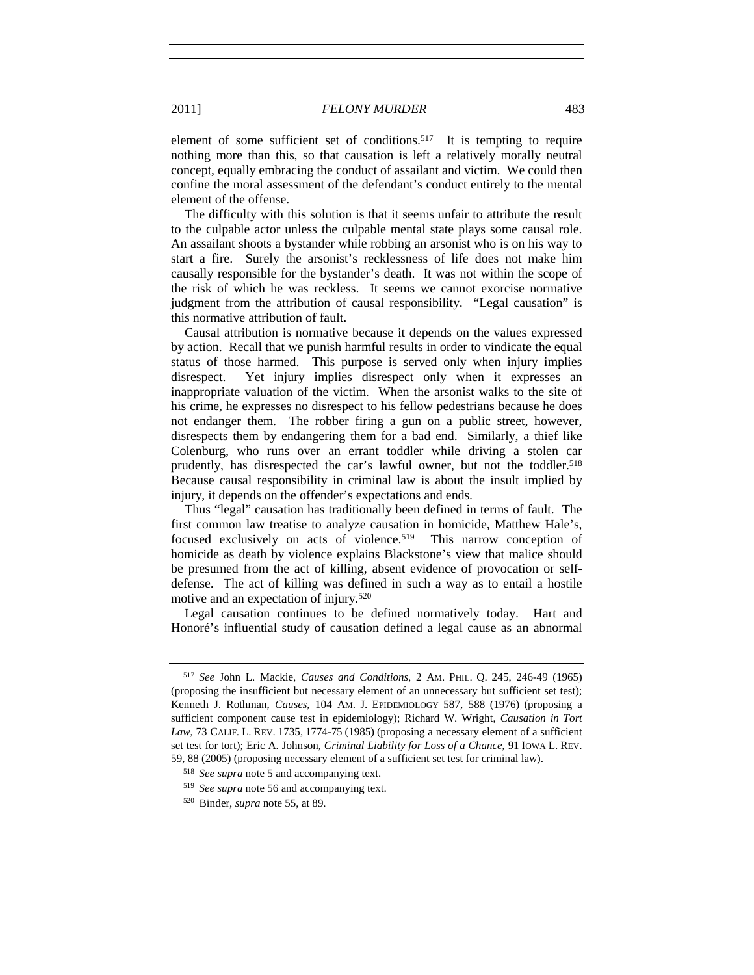element of some sufficient set of conditions.517 It is tempting to require nothing more than this, so that causation is left a relatively morally neutral concept, equally embracing the conduct of assailant and victim. We could then confine the moral assessment of the defendant's conduct entirely to the mental element of the offense.

The difficulty with this solution is that it seems unfair to attribute the result to the culpable actor unless the culpable mental state plays some causal role. An assailant shoots a bystander while robbing an arsonist who is on his way to start a fire. Surely the arsonist's recklessness of life does not make him causally responsible for the bystander's death. It was not within the scope of the risk of which he was reckless. It seems we cannot exorcise normative judgment from the attribution of causal responsibility. "Legal causation" is this normative attribution of fault.

Causal attribution is normative because it depends on the values expressed by action. Recall that we punish harmful results in order to vindicate the equal status of those harmed. This purpose is served only when injury implies disrespect. Yet injury implies disrespect only when it expresses an inappropriate valuation of the victim. When the arsonist walks to the site of his crime, he expresses no disrespect to his fellow pedestrians because he does not endanger them. The robber firing a gun on a public street, however, disrespects them by endangering them for a bad end. Similarly, a thief like Colenburg, who runs over an errant toddler while driving a stolen car prudently, has disrespected the car's lawful owner, but not the toddler.<sup>518</sup> Because causal responsibility in criminal law is about the insult implied by injury, it depends on the offender's expectations and ends.

Thus "legal" causation has traditionally been defined in terms of fault. The first common law treatise to analyze causation in homicide, Matthew Hale's, focused exclusively on acts of violence.<sup>519</sup> This narrow conception of homicide as death by violence explains Blackstone's view that malice should be presumed from the act of killing, absent evidence of provocation or selfdefense. The act of killing was defined in such a way as to entail a hostile motive and an expectation of injury.520

Legal causation continues to be defined normatively today. Hart and Honoré's influential study of causation defined a legal cause as an abnormal

<sup>517</sup> *See* John L. Mackie, *Causes and Conditions*, 2 AM. PHIL. Q. 245, 246-49 (1965) (proposing the insufficient but necessary element of an unnecessary but sufficient set test); Kenneth J. Rothman, *Causes,* 104 AM. J. EPIDEMIOLOGY 587, 588 (1976) (proposing a sufficient component cause test in epidemiology); Richard W. Wright, *Causation in Tort Law*, 73 CALIF. L. REV. 1735, 1774-75 (1985) (proposing a necessary element of a sufficient set test for tort); Eric A. Johnson, *Criminal Liability for Loss of a Chance*, 91 IOWA L. REV. 59, 88 (2005) (proposing necessary element of a sufficient set test for criminal law). 518 *See supra* note 5 and accompanying text.

<sup>519</sup> *See supra* note 56 and accompanying text.

<sup>520</sup> Binder, *supra* note 55, at 89.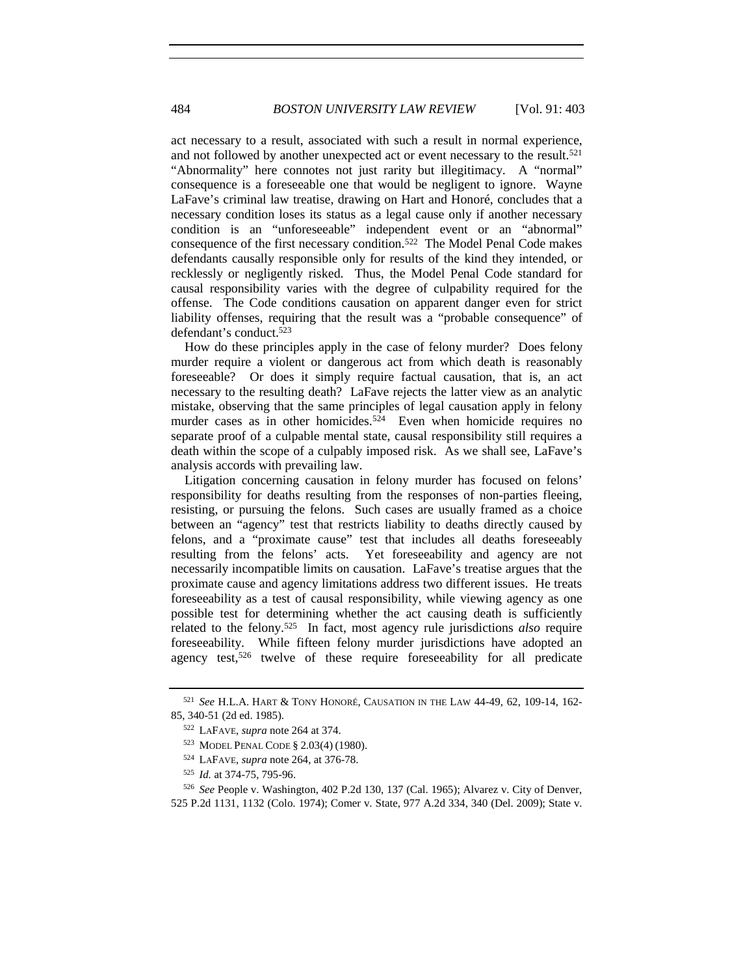act necessary to a result, associated with such a result in normal experience, and not followed by another unexpected act or event necessary to the result.<sup>521</sup> "Abnormality" here connotes not just rarity but illegitimacy. A "normal" consequence is a foreseeable one that would be negligent to ignore. Wayne LaFave's criminal law treatise, drawing on Hart and Honoré, concludes that a necessary condition loses its status as a legal cause only if another necessary condition is an "unforeseeable" independent event or an "abnormal" consequence of the first necessary condition.522 The Model Penal Code makes defendants causally responsible only for results of the kind they intended, or recklessly or negligently risked. Thus, the Model Penal Code standard for causal responsibility varies with the degree of culpability required for the offense. The Code conditions causation on apparent danger even for strict liability offenses, requiring that the result was a "probable consequence" of defendant's conduct.523

How do these principles apply in the case of felony murder? Does felony murder require a violent or dangerous act from which death is reasonably foreseeable? Or does it simply require factual causation, that is, an act necessary to the resulting death? LaFave rejects the latter view as an analytic mistake, observing that the same principles of legal causation apply in felony murder cases as in other homicides.<sup>524</sup> Even when homicide requires no separate proof of a culpable mental state, causal responsibility still requires a death within the scope of a culpably imposed risk. As we shall see, LaFave's analysis accords with prevailing law.

Litigation concerning causation in felony murder has focused on felons' responsibility for deaths resulting from the responses of non-parties fleeing, resisting, or pursuing the felons. Such cases are usually framed as a choice between an "agency" test that restricts liability to deaths directly caused by felons, and a "proximate cause" test that includes all deaths foreseeably resulting from the felons' acts. Yet foreseeability and agency are not necessarily incompatible limits on causation. LaFave's treatise argues that the proximate cause and agency limitations address two different issues. He treats foreseeability as a test of causal responsibility, while viewing agency as one possible test for determining whether the act causing death is sufficiently related to the felony.525 In fact, most agency rule jurisdictions *also* require foreseeability. While fifteen felony murder jurisdictions have adopted an agency test,526 twelve of these require foreseeability for all predicate

<sup>521</sup> *See* H.L.A. HART & TONY HONORÉ, CAUSATION IN THE LAW 44-49, 62, 109-14, 162- 85, 340-51 (2d ed. 1985).

<sup>522</sup> LAFAVE, *supra* note 264 at 374.

<sup>523</sup> MODEL PENAL CODE § 2.03(4) (1980). 524 LAFAVE, *supra* note 264, at 376-78.

<sup>525</sup> *Id.* at 374-75, 795-96.<br><sup>526</sup> *See* People v. Washington, 402 P.2d 130, 137 (Cal. 1965); Alvarez v. City of Denver, 525 P.2d 1131, 1132 (Colo. 1974); Comer v. State, 977 A.2d 334, 340 (Del. 2009); State v.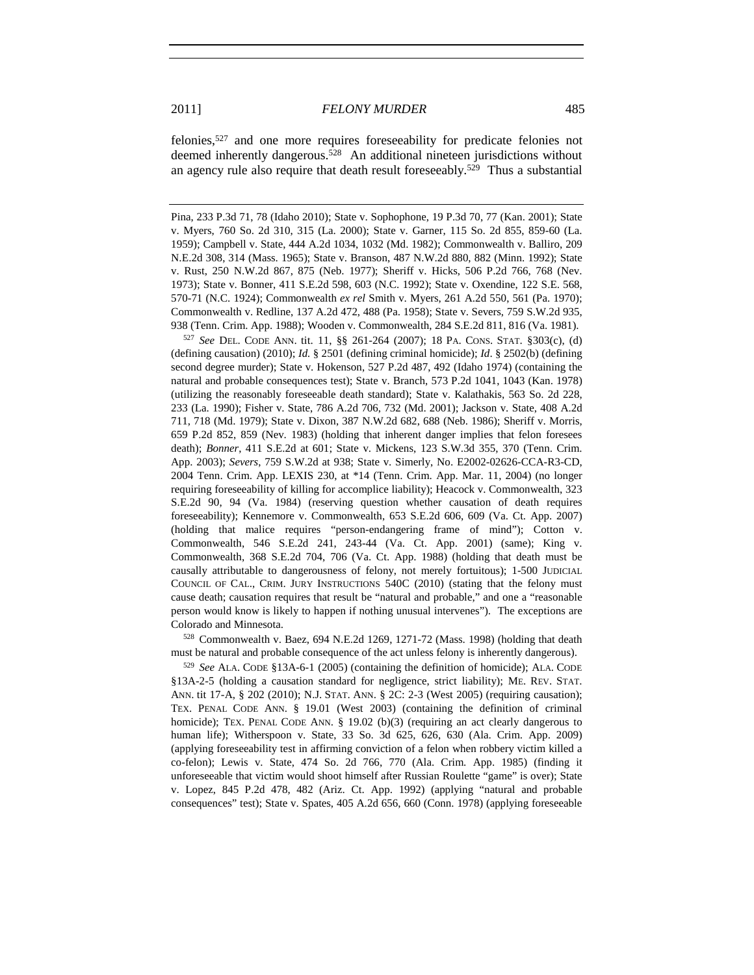felonies,527 and one more requires foreseeability for predicate felonies not deemed inherently dangerous.<sup>528</sup> An additional nineteen jurisdictions without an agency rule also require that death result foreseeably.<sup>529</sup> Thus a substantial

<sup>527</sup> *See* DEL. CODE ANN. tit. 11, §§ 261-264 (2007); 18 PA. CONS. STAT. §303(c), (d) (defining causation) (2010); *Id.* § 2501 (defining criminal homicide); *Id*. § 2502(b) (defining second degree murder); State v. Hokenson, 527 P.2d 487, 492 (Idaho 1974) (containing the natural and probable consequences test); State v. Branch, 573 P.2d 1041, 1043 (Kan. 1978) (utilizing the reasonably foreseeable death standard); State v. Kalathakis, 563 So. 2d 228, 233 (La. 1990); Fisher v. State, 786 A.2d 706, 732 (Md. 2001); Jackson v. State, 408 A.2d 711, 718 (Md. 1979); State v. Dixon, 387 N.W.2d 682, 688 (Neb. 1986); Sheriff v. Morris, 659 P.2d 852, 859 (Nev. 1983) (holding that inherent danger implies that felon foresees death); *Bonner*, 411 S.E.2d at 601; State v. Mickens, 123 S.W.3d 355, 370 (Tenn. Crim. App. 2003); *Severs*, 759 S.W.2d at 938; State v. Simerly, No. E2002-02626-CCA-R3-CD, 2004 Tenn. Crim. App. LEXIS 230, at \*14 (Tenn. Crim. App. Mar. 11, 2004) (no longer requiring foreseeability of killing for accomplice liability); Heacock v. Commonwealth, 323 S.E.2d 90, 94 (Va. 1984) (reserving question whether causation of death requires foreseeability); Kennemore v. Commonwealth, 653 S.E.2d 606, 609 (Va. Ct. App. 2007) (holding that malice requires "person-endangering frame of mind"); Cotton v. Commonwealth, 546 S.E.2d 241, 243-44 (Va. Ct. App. 2001) (same); King v. Commonwealth, 368 S.E.2d 704, 706 (Va. Ct. App. 1988) (holding that death must be causally attributable to dangerousness of felony, not merely fortuitous); 1-500 JUDICIAL COUNCIL OF CAL., CRIM. JURY INSTRUCTIONS 540C (2010) (stating that the felony must cause death; causation requires that result be "natural and probable," and one a "reasonable person would know is likely to happen if nothing unusual intervenes"). The exceptions are Colorado and Minnesota.

<sup>528</sup> Commonwealth v. Baez, 694 N.E.2d 1269, 1271-72 (Mass. 1998) (holding that death must be natural and probable consequence of the act unless felony is inherently dangerous).

<sup>529</sup> *See* ALA. CODE §13A-6-1 (2005) (containing the definition of homicide); ALA. CODE §13A-2-5 (holding a causation standard for negligence, strict liability); ME. REV. STAT. ANN. tit 17-A, § 202 (2010); N.J. STAT. ANN. § 2C: 2-3 (West 2005) (requiring causation); TEX. PENAL CODE ANN. § 19.01 (West 2003) (containing the definition of criminal homicide); TEX. PENAL CODE ANN. § 19.02 (b)(3) (requiring an act clearly dangerous to human life); Witherspoon v. State, 33 So. 3d 625, 626, 630 (Ala. Crim. App. 2009) (applying foreseeability test in affirming conviction of a felon when robbery victim killed a co-felon); Lewis v. State, 474 So. 2d 766, 770 (Ala. Crim. App. 1985) (finding it unforeseeable that victim would shoot himself after Russian Roulette "game" is over); State v. Lopez, 845 P.2d 478, 482 (Ariz. Ct. App. 1992) (applying "natural and probable consequences" test); State v. Spates, 405 A.2d 656, 660 (Conn. 1978) (applying foreseeable

Pina, 233 P.3d 71, 78 (Idaho 2010); State v. Sophophone, 19 P.3d 70, 77 (Kan. 2001); State v. Myers, 760 So. 2d 310, 315 (La. 2000); State v. Garner, 115 So. 2d 855, 859-60 (La. 1959); Campbell v. State, 444 A.2d 1034, 1032 (Md. 1982); Commonwealth v. Balliro, 209 N.E.2d 308, 314 (Mass. 1965); State v. Branson, 487 N.W.2d 880, 882 (Minn. 1992); State v. Rust, 250 N.W.2d 867, 875 (Neb. 1977); Sheriff v. Hicks, 506 P.2d 766, 768 (Nev. 1973); State v. Bonner, 411 S.E.2d 598, 603 (N.C. 1992); State v. Oxendine, 122 S.E. 568, 570-71 (N.C. 1924); Commonwealth *ex rel* Smith v. Myers, 261 A.2d 550, 561 (Pa. 1970); Commonwealth v. Redline, 137 A.2d 472, 488 (Pa. 1958); State v. Severs, 759 S.W.2d 935, 938 (Tenn. Crim. App. 1988); Wooden v. Commonwealth, 284 S.E.2d 811, 816 (Va. 1981).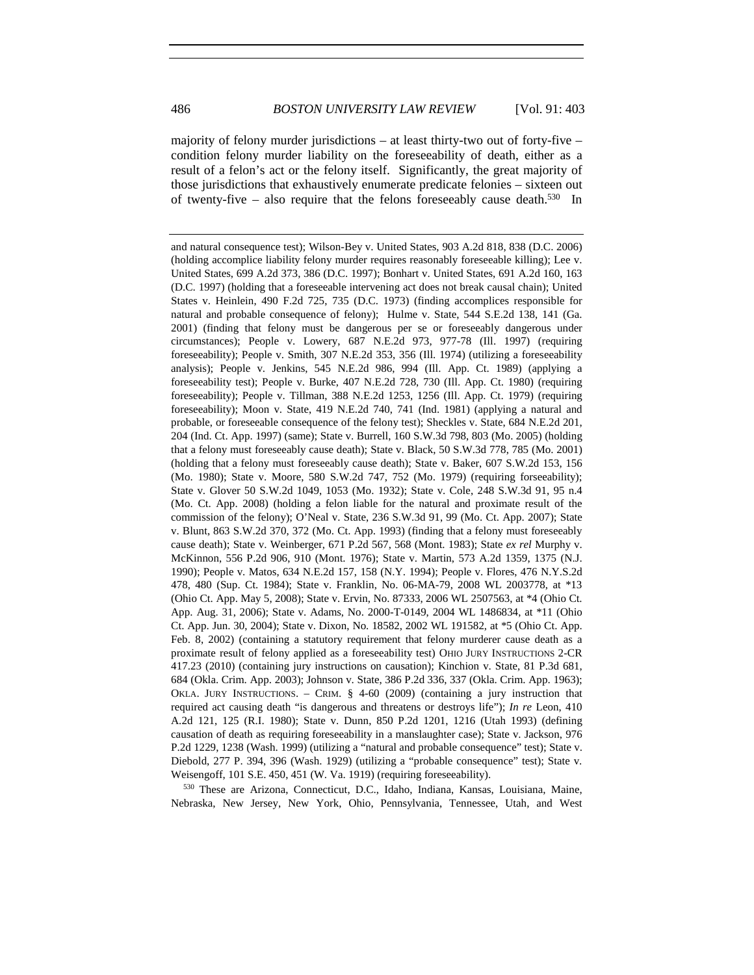majority of felony murder jurisdictions – at least thirty-two out of forty-five – condition felony murder liability on the foreseeability of death, either as a result of a felon's act or the felony itself. Significantly, the great majority of those jurisdictions that exhaustively enumerate predicate felonies – sixteen out of twenty-five – also require that the felons foreseeably cause death.<sup>530</sup> In

<sup>530</sup> These are Arizona, Connecticut, D.C., Idaho, Indiana, Kansas, Louisiana, Maine, Nebraska, New Jersey, New York, Ohio, Pennsylvania, Tennessee, Utah, and West

and natural consequence test); Wilson-Bey v. United States, 903 A.2d 818, 838 (D.C. 2006) (holding accomplice liability felony murder requires reasonably foreseeable killing); Lee v. United States, 699 A.2d 373, 386 (D.C. 1997); Bonhart v. United States, 691 A.2d 160, 163 (D.C. 1997) (holding that a foreseeable intervening act does not break causal chain); United States v. Heinlein, 490 F.2d 725, 735 (D.C. 1973) (finding accomplices responsible for natural and probable consequence of felony); Hulme v. State, 544 S.E.2d 138, 141 (Ga. 2001) (finding that felony must be dangerous per se or foreseeably dangerous under circumstances); People v. Lowery, 687 N.E.2d 973, 977-78 (Ill. 1997) (requiring foreseeability); People v. Smith, 307 N.E.2d 353, 356 (Ill. 1974) (utilizing a foreseeability analysis); People v. Jenkins, 545 N.E.2d 986, 994 (Ill. App. Ct. 1989) (applying a foreseeability test); People v. Burke, 407 N.E.2d 728, 730 (Ill. App. Ct. 1980) (requiring foreseeability); People v. Tillman, 388 N.E.2d 1253, 1256 (Ill. App. Ct. 1979) (requiring foreseeability); Moon v. State, 419 N.E.2d 740, 741 (Ind. 1981) (applying a natural and probable, or foreseeable consequence of the felony test); Sheckles v. State, 684 N.E.2d 201, 204 (Ind. Ct. App. 1997) (same); State v. Burrell, 160 S.W.3d 798, 803 (Mo. 2005) (holding that a felony must foreseeably cause death); State v. Black, 50 S.W.3d 778, 785 (Mo. 2001) (holding that a felony must foreseeably cause death); State v. Baker, 607 S.W.2d 153, 156 (Mo. 1980); State v. Moore, 580 S.W.2d 747, 752 (Mo. 1979) (requiring forseeability); State v. Glover 50 S.W.2d 1049, 1053 (Mo. 1932); State v. Cole, 248 S.W.3d 91, 95 n.4 (Mo. Ct. App. 2008) (holding a felon liable for the natural and proximate result of the commission of the felony); O'Neal v. State, 236 S.W.3d 91, 99 (Mo. Ct. App. 2007); State v. Blunt, 863 S.W.2d 370, 372 (Mo. Ct. App. 1993) (finding that a felony must foreseeably cause death); State v. Weinberger, 671 P.2d 567, 568 (Mont. 1983); State *ex rel* Murphy v. McKinnon, 556 P.2d 906, 910 (Mont. 1976); State v. Martin, 573 A.2d 1359, 1375 (N.J. 1990); People v. Matos, 634 N.E.2d 157, 158 (N.Y. 1994); People v. Flores, 476 N.Y.S.2d 478, 480 (Sup. Ct. 1984); State v. Franklin, No. 06-MA-79, 2008 WL 2003778, at \*13 (Ohio Ct. App. May 5, 2008); State v. Ervin, No. 87333, 2006 WL 2507563, at \*4 (Ohio Ct. App. Aug. 31, 2006); State v. Adams, No. 2000-T-0149, 2004 WL 1486834, at \*11 (Ohio Ct. App. Jun. 30, 2004); State v. Dixon, No. 18582, 2002 WL 191582, at \*5 (Ohio Ct. App. Feb. 8, 2002) (containing a statutory requirement that felony murderer cause death as a proximate result of felony applied as a foreseeability test) OHIO JURY INSTRUCTIONS 2-CR 417.23 (2010) (containing jury instructions on causation); Kinchion v. State, 81 P.3d 681, 684 (Okla. Crim. App. 2003); Johnson v. State, 386 P.2d 336, 337 (Okla. Crim. App. 1963); OKLA. JURY INSTRUCTIONS. – CRIM. § 4-60 (2009) (containing a jury instruction that required act causing death "is dangerous and threatens or destroys life"); *In re* Leon, 410 A.2d 121, 125 (R.I. 1980); State v. Dunn, 850 P.2d 1201, 1216 (Utah 1993) (defining causation of death as requiring foreseeability in a manslaughter case); State v. Jackson, 976 P.2d 1229, 1238 (Wash. 1999) (utilizing a "natural and probable consequence" test); State v. Diebold, 277 P. 394, 396 (Wash. 1929) (utilizing a "probable consequence" test); State v. Weisengoff, 101 S.E. 450, 451 (W. Va. 1919) (requiring foreseeability).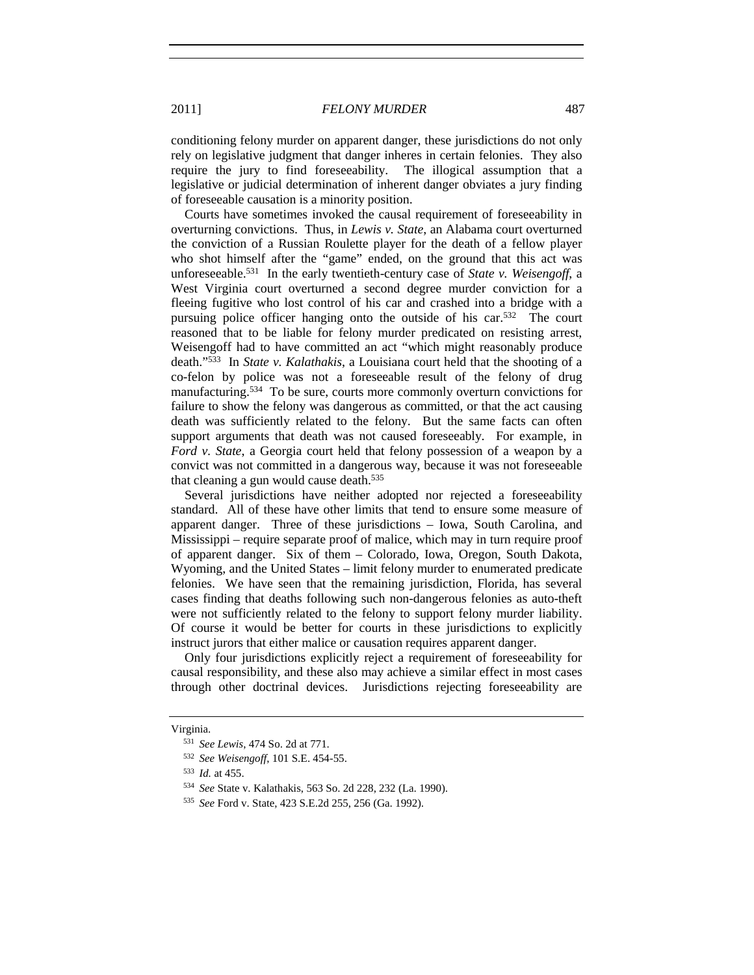conditioning felony murder on apparent danger, these jurisdictions do not only rely on legislative judgment that danger inheres in certain felonies. They also require the jury to find foreseeability. The illogical assumption that a legislative or judicial determination of inherent danger obviates a jury finding of foreseeable causation is a minority position.

Courts have sometimes invoked the causal requirement of foreseeability in overturning convictions. Thus, in *Lewis v. State*, an Alabama court overturned the conviction of a Russian Roulette player for the death of a fellow player who shot himself after the "game" ended, on the ground that this act was unforeseeable.531 In the early twentieth-century case of *State v. Weisengoff*, a West Virginia court overturned a second degree murder conviction for a fleeing fugitive who lost control of his car and crashed into a bridge with a pursuing police officer hanging onto the outside of his car.532 The court reasoned that to be liable for felony murder predicated on resisting arrest, Weisengoff had to have committed an act "which might reasonably produce death."533 In *State v. Kalathakis*, a Louisiana court held that the shooting of a co-felon by police was not a foreseeable result of the felony of drug manufacturing.534 To be sure, courts more commonly overturn convictions for failure to show the felony was dangerous as committed, or that the act causing death was sufficiently related to the felony. But the same facts can often support arguments that death was not caused foreseeably. For example, in *Ford v. State*, a Georgia court held that felony possession of a weapon by a convict was not committed in a dangerous way, because it was not foreseeable that cleaning a gun would cause death.535

Several jurisdictions have neither adopted nor rejected a foreseeability standard. All of these have other limits that tend to ensure some measure of apparent danger. Three of these jurisdictions – Iowa, South Carolina, and Mississippi – require separate proof of malice, which may in turn require proof of apparent danger. Six of them – Colorado, Iowa, Oregon, South Dakota, Wyoming, and the United States – limit felony murder to enumerated predicate felonies. We have seen that the remaining jurisdiction, Florida, has several cases finding that deaths following such non-dangerous felonies as auto-theft were not sufficiently related to the felony to support felony murder liability. Of course it would be better for courts in these jurisdictions to explicitly instruct jurors that either malice or causation requires apparent danger.

Only four jurisdictions explicitly reject a requirement of foreseeability for causal responsibility, and these also may achieve a similar effect in most cases through other doctrinal devices. Jurisdictions rejecting foreseeability are

Virginia.

<sup>531</sup> *See Lewis*, 474 So. 2d at 771.

<sup>532</sup> *See Weisengoff*, 101 S.E. 454-55.

<sup>533</sup> *Id.* at 455.

<sup>534</sup> *See* State v. Kalathakis, 563 So. 2d 228, 232 (La. 1990).

<sup>535</sup> *See* Ford v. State, 423 S.E.2d 255, 256 (Ga. 1992).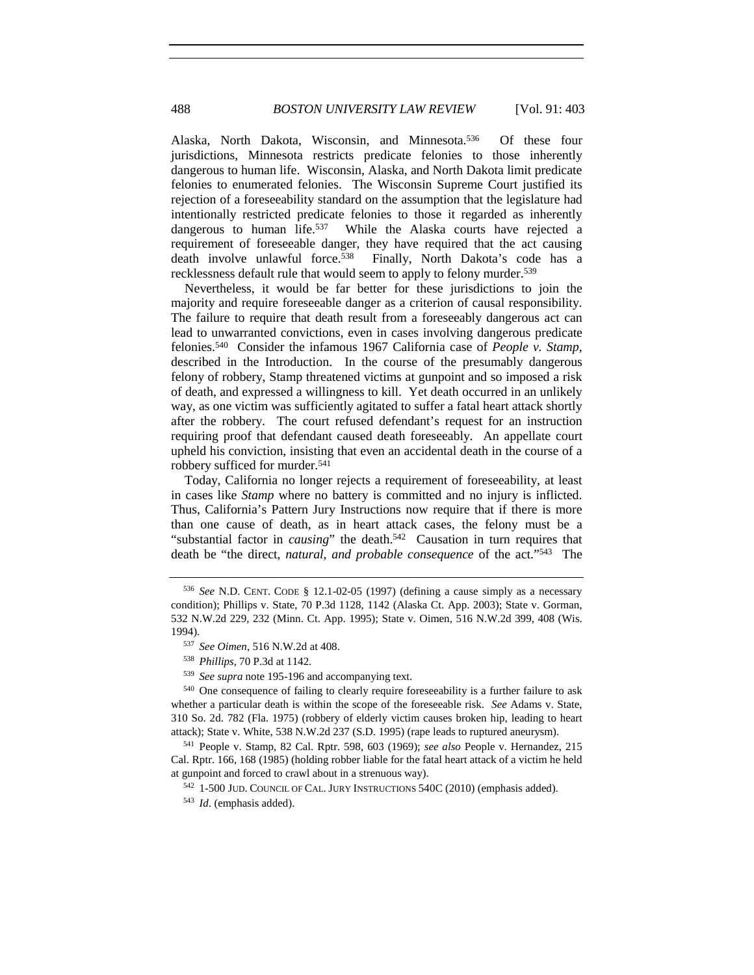Alaska, North Dakota, Wisconsin, and Minnesota.536 Of these four jurisdictions, Minnesota restricts predicate felonies to those inherently dangerous to human life. Wisconsin, Alaska, and North Dakota limit predicate felonies to enumerated felonies. The Wisconsin Supreme Court justified its rejection of a foreseeability standard on the assumption that the legislature had intentionally restricted predicate felonies to those it regarded as inherently dangerous to human life.<sup>537</sup> While the Alaska courts have rejected a requirement of foreseeable danger, they have required that the act causing death involve unlawful force.538 Finally, North Dakota's code has a recklessness default rule that would seem to apply to felony murder.<sup>539</sup>

Nevertheless, it would be far better for these jurisdictions to join the majority and require foreseeable danger as a criterion of causal responsibility. The failure to require that death result from a foreseeably dangerous act can lead to unwarranted convictions, even in cases involving dangerous predicate felonies.540 Consider the infamous 1967 California case of *People v. Stamp*, described in the Introduction. In the course of the presumably dangerous felony of robbery, Stamp threatened victims at gunpoint and so imposed a risk of death, and expressed a willingness to kill. Yet death occurred in an unlikely way, as one victim was sufficiently agitated to suffer a fatal heart attack shortly after the robbery. The court refused defendant's request for an instruction requiring proof that defendant caused death foreseeably. An appellate court upheld his conviction, insisting that even an accidental death in the course of a robbery sufficed for murder.541

Today, California no longer rejects a requirement of foreseeability, at least in cases like *Stamp* where no battery is committed and no injury is inflicted. Thus, California's Pattern Jury Instructions now require that if there is more than one cause of death, as in heart attack cases, the felony must be a "substantial factor in *causing*" the death.<sup>542</sup> Causation in turn requires that death be "the direct, *natural, and probable consequence* of the act."543 The

<sup>539</sup> *See supra* note 195-196 and accompanying text.

<sup>536</sup> *See* N.D. CENT. CODE § 12.1-02-05 (1997) (defining a cause simply as a necessary condition); Phillips v. State, 70 P.3d 1128, 1142 (Alaska Ct. App. 2003); State v. Gorman, 532 N.W.2d 229, 232 (Minn. Ct. App. 1995); State v. Oimen, 516 N.W.2d 399, 408 (Wis. 1994).

<sup>537</sup> *See Oimen*, 516 N.W.2d at 408.

<sup>538</sup> *Phillips*, 70 P.3d at 1142.

<sup>540</sup> One consequence of failing to clearly require foreseeability is a further failure to ask whether a particular death is within the scope of the foreseeable risk. *See* Adams v. State, 310 So. 2d. 782 (Fla. 1975) (robbery of elderly victim causes broken hip, leading to heart attack); State v. White, 538 N.W.2d 237 (S.D. 1995) (rape leads to ruptured aneurysm).

<sup>541</sup> People v. Stamp, 82 Cal. Rptr. 598, 603 (1969); *see also* People v. Hernandez, 215 Cal. Rptr. 166, 168 (1985) (holding robber liable for the fatal heart attack of a victim he held at gunpoint and forced to crawl about in a strenuous way).<br><sup>542</sup> 1-500 JUD. COUNCIL OF CAL. JURY INSTRUCTIONS 540C (2010) (emphasis added).

<sup>543</sup> *Id*. (emphasis added).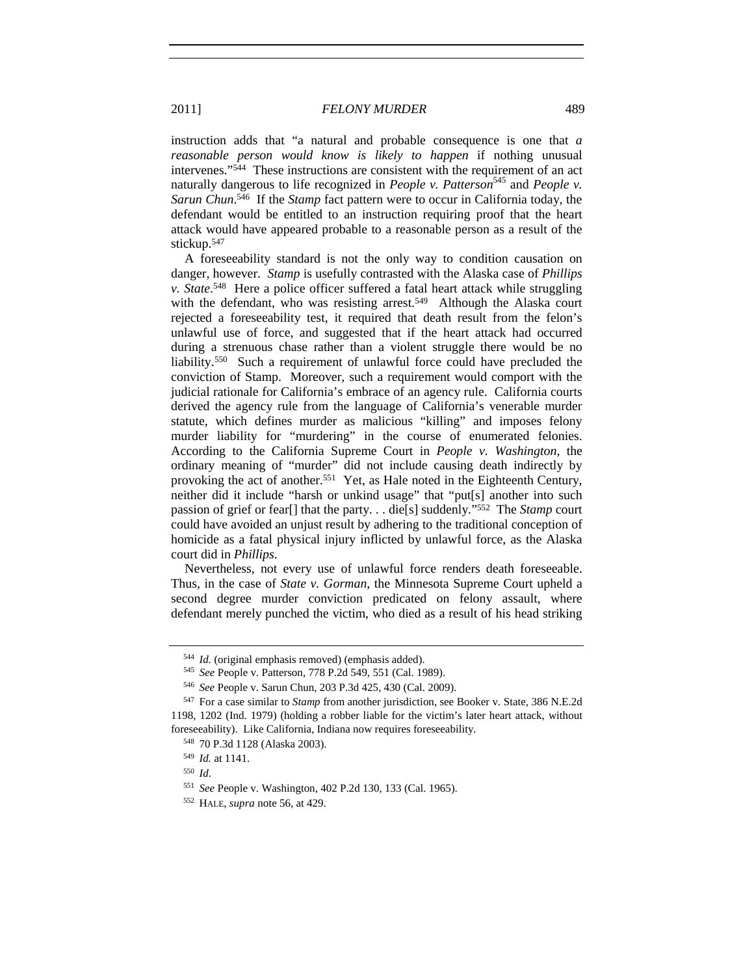instruction adds that "a natural and probable consequence is one that *a reasonable person would know is likely to happen* if nothing unusual intervenes."544 These instructions are consistent with the requirement of an act naturally dangerous to life recognized in *People v. Patterson*545 and *People v. Sarun Chun*. 546 If the *Stamp* fact pattern were to occur in California today, the defendant would be entitled to an instruction requiring proof that the heart attack would have appeared probable to a reasonable person as a result of the stickup.547

A foreseeability standard is not the only way to condition causation on danger, however. *Stamp* is usefully contrasted with the Alaska case of *Phillips v. State*. 548 Here a police officer suffered a fatal heart attack while struggling with the defendant, who was resisting arrest.<sup>549</sup> Although the Alaska court rejected a foreseeability test, it required that death result from the felon's unlawful use of force, and suggested that if the heart attack had occurred during a strenuous chase rather than a violent struggle there would be no liability.550 Such a requirement of unlawful force could have precluded the conviction of Stamp. Moreover, such a requirement would comport with the judicial rationale for California's embrace of an agency rule. California courts derived the agency rule from the language of California's venerable murder statute, which defines murder as malicious "killing" and imposes felony murder liability for "murdering" in the course of enumerated felonies. According to the California Supreme Court in *People v. Washington*, the ordinary meaning of "murder" did not include causing death indirectly by provoking the act of another.<sup>551</sup> Yet, as Hale noted in the Eighteenth Century, neither did it include "harsh or unkind usage" that "put[s] another into such passion of grief or fear[] that the party. . . die[s] suddenly."552 The *Stamp* court could have avoided an unjust result by adhering to the traditional conception of homicide as a fatal physical injury inflicted by unlawful force, as the Alaska court did in *Phillips*.

Nevertheless, not every use of unlawful force renders death foreseeable. Thus, in the case of *State v. Gorman*, the Minnesota Supreme Court upheld a second degree murder conviction predicated on felony assault, where defendant merely punched the victim, who died as a result of his head striking

<sup>544</sup> *Id.* (original emphasis removed) (emphasis added). 545 *See* People v. Patterson, 778 P.2d 549, 551 (Cal. 1989).

<sup>546</sup> *See* People v. Sarun Chun, 203 P.3d 425, 430 (Cal. 2009).

<sup>547</sup> For a case similar to *Stamp* from another jurisdiction, see Booker v. State, 386 N.E.2d 1198, 1202 (Ind. 1979) (holding a robber liable for the victim's later heart attack, without foreseeability). Like California, Indiana now requires foreseeability. 548 70 P.3d 1128 (Alaska 2003).

<sup>549</sup> *Id.* at 1141.

<sup>550</sup> *Id*.

<sup>551</sup> *See* People v. Washington, 402 P.2d 130, 133 (Cal. 1965).

<sup>552</sup> HALE, *supra* note 56, at 429.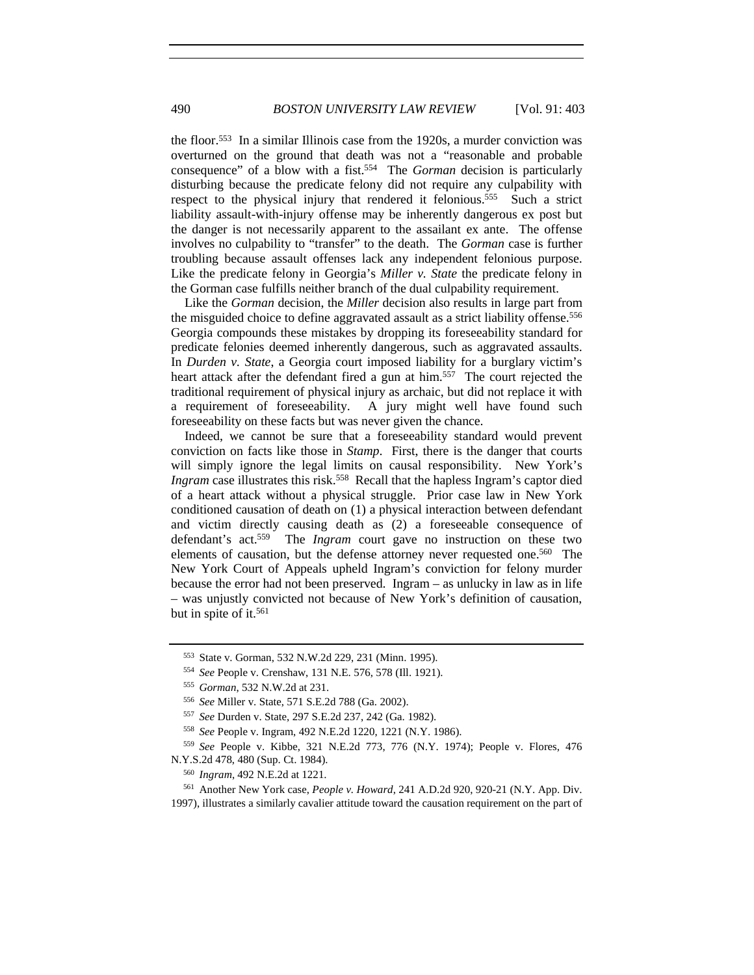the floor.553 In a similar Illinois case from the 1920s, a murder conviction was overturned on the ground that death was not a "reasonable and probable consequence" of a blow with a fist.554 The *Gorman* decision is particularly disturbing because the predicate felony did not require any culpability with respect to the physical injury that rendered it felonious.555 Such a strict liability assault-with-injury offense may be inherently dangerous ex post but the danger is not necessarily apparent to the assailant ex ante. The offense involves no culpability to "transfer" to the death. The *Gorman* case is further troubling because assault offenses lack any independent felonious purpose. Like the predicate felony in Georgia's *Miller v. State* the predicate felony in the Gorman case fulfills neither branch of the dual culpability requirement.

Like the *Gorman* decision, the *Miller* decision also results in large part from the misguided choice to define aggravated assault as a strict liability offense.556 Georgia compounds these mistakes by dropping its foreseeability standard for predicate felonies deemed inherently dangerous, such as aggravated assaults. In *Durden v. State*, a Georgia court imposed liability for a burglary victim's heart attack after the defendant fired a gun at him.557 The court rejected the traditional requirement of physical injury as archaic, but did not replace it with a requirement of foreseeability. A jury might well have found such foreseeability on these facts but was never given the chance.

Indeed, we cannot be sure that a foreseeability standard would prevent conviction on facts like those in *Stamp*. First, there is the danger that courts will simply ignore the legal limits on causal responsibility. New York's *Ingram* case illustrates this risk.<sup>558</sup> Recall that the hapless Ingram's captor died of a heart attack without a physical struggle. Prior case law in New York conditioned causation of death on (1) a physical interaction between defendant and victim directly causing death as (2) a foreseeable consequence of defendant's act.<sup>559</sup> The *Ingram* court gave no instruction on these two elements of causation, but the defense attorney never requested one.<sup>560</sup> The New York Court of Appeals upheld Ingram's conviction for felony murder because the error had not been preserved. Ingram – as unlucky in law as in life – was unjustly convicted not because of New York's definition of causation, but in spite of it.<sup>561</sup>

<sup>553</sup> State v. Gorman, 532 N.W.2d 229, 231 (Minn. 1995).

<sup>554</sup> *See* People v. Crenshaw, 131 N.E. 576, 578 (Ill. 1921).

<sup>555</sup> *Gorman*, 532 N.W.2d at 231.

<sup>556</sup> *See* Miller v. State, 571 S.E.2d 788 (Ga. 2002).

<sup>557</sup> *See* Durden v. State, 297 S.E.2d 237, 242 (Ga. 1982).

<sup>558</sup> *See* People v. Ingram, 492 N.E.2d 1220, 1221 (N.Y. 1986).

<sup>559</sup> *See* People v. Kibbe, 321 N.E.2d 773, 776 (N.Y. 1974); People v. Flores, 476 N.Y.S.2d 478, 480 (Sup. Ct. 1984).

<sup>&</sup>lt;sup>560</sup> *Ingram*, 492 N.E.2d at 1221.<br><sup>561</sup> Another New York case, *People v. Howard*, 241 A.D.2d 920, 920-21 (N.Y. App. Div.

<sup>1997),</sup> illustrates a similarly cavalier attitude toward the causation requirement on the part of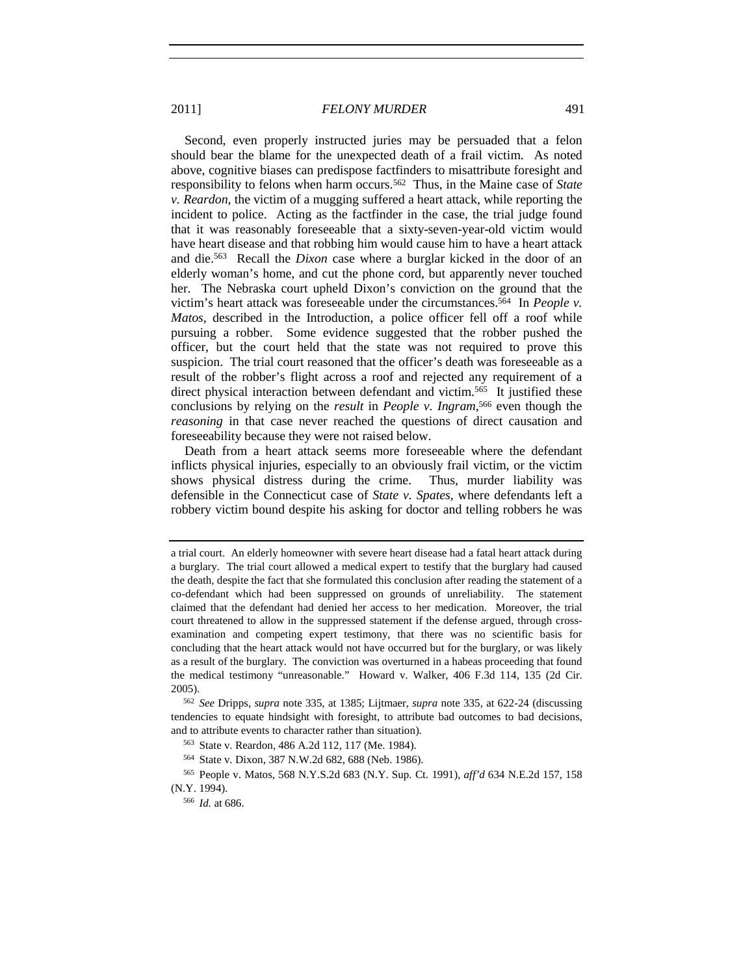Second, even properly instructed juries may be persuaded that a felon should bear the blame for the unexpected death of a frail victim. As noted above, cognitive biases can predispose factfinders to misattribute foresight and responsibility to felons when harm occurs.562 Thus, in the Maine case of *State v. Reardon*, the victim of a mugging suffered a heart attack, while reporting the incident to police. Acting as the factfinder in the case, the trial judge found that it was reasonably foreseeable that a sixty-seven-year-old victim would have heart disease and that robbing him would cause him to have a heart attack and die.563 Recall the *Dixon* case where a burglar kicked in the door of an elderly woman's home, and cut the phone cord, but apparently never touched her. The Nebraska court upheld Dixon's conviction on the ground that the victim's heart attack was foreseeable under the circumstances.564 In *People v. Matos*, described in the Introduction, a police officer fell off a roof while pursuing a robber. Some evidence suggested that the robber pushed the officer, but the court held that the state was not required to prove this suspicion. The trial court reasoned that the officer's death was foreseeable as a result of the robber's flight across a roof and rejected any requirement of a direct physical interaction between defendant and victim.<sup>565</sup> It justified these conclusions by relying on the *result* in *People v. Ingram*, 566 even though the *reasoning* in that case never reached the questions of direct causation and foreseeability because they were not raised below.

Death from a heart attack seems more foreseeable where the defendant inflicts physical injuries, especially to an obviously frail victim, or the victim shows physical distress during the crime. Thus, murder liability was defensible in the Connecticut case of *State v. Spates*, where defendants left a robbery victim bound despite his asking for doctor and telling robbers he was

a trial court. An elderly homeowner with severe heart disease had a fatal heart attack during a burglary. The trial court allowed a medical expert to testify that the burglary had caused the death, despite the fact that she formulated this conclusion after reading the statement of a co-defendant which had been suppressed on grounds of unreliability. The statement claimed that the defendant had denied her access to her medication. Moreover, the trial court threatened to allow in the suppressed statement if the defense argued, through crossexamination and competing expert testimony, that there was no scientific basis for concluding that the heart attack would not have occurred but for the burglary, or was likely as a result of the burglary. The conviction was overturned in a habeas proceeding that found the medical testimony "unreasonable."Howard v. Walker, 406 F.3d 114, 135 (2d Cir. 2005). 562 *See* Dripps, *supra* note 335, at 1385; Lijtmaer*, supra* note 335, at 622-24 (discussing

tendencies to equate hindsight with foresight, to attribute bad outcomes to bad decisions, and to attribute events to character rather than situation).

<sup>563</sup> State v. Reardon, 486 A.2d 112, 117 (Me. 1984). 564 State v. Dixon, 387 N.W.2d 682, 688 (Neb. 1986).

<sup>565</sup> People v. Matos, 568 N.Y.S.2d 683 (N.Y. Sup. Ct. 1991), *aff'd* 634 N.E.2d 157, 158 (N.Y. 1994).

<sup>566</sup> *Id.* at 686.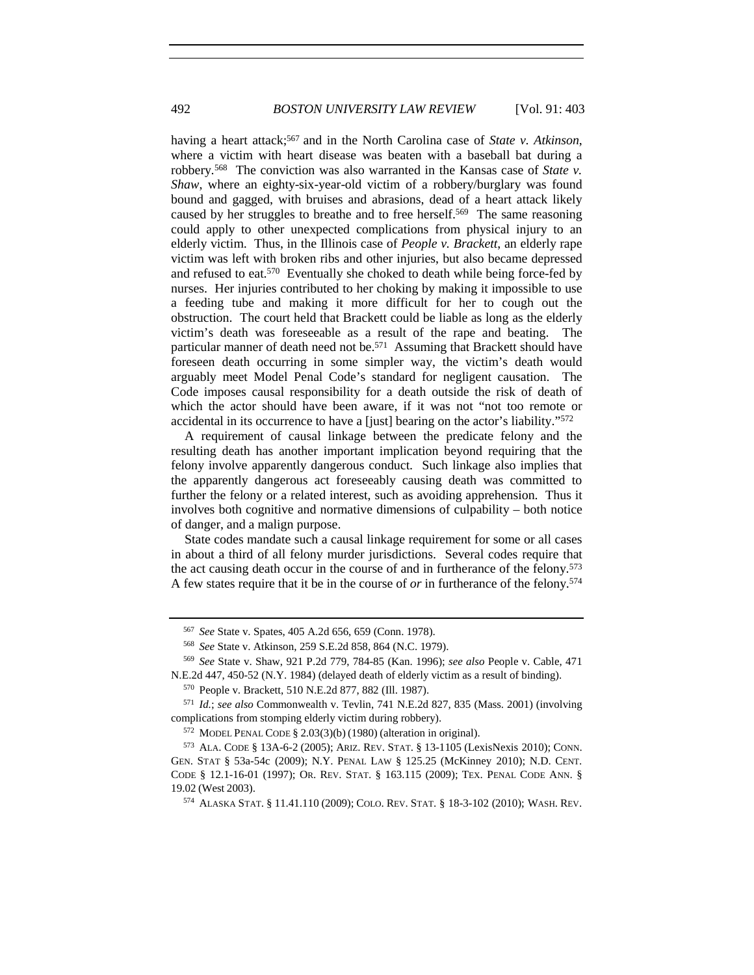having a heart attack;<sup>567</sup> and in the North Carolina case of *State v. Atkinson*, where a victim with heart disease was beaten with a baseball bat during a robbery.568 The conviction was also warranted in the Kansas case of *State v. Shaw*, where an eighty-six-year-old victim of a robbery/burglary was found bound and gagged, with bruises and abrasions, dead of a heart attack likely caused by her struggles to breathe and to free herself.<sup>569</sup> The same reasoning could apply to other unexpected complications from physical injury to an elderly victim. Thus, in the Illinois case of *People v. Brackett*, an elderly rape victim was left with broken ribs and other injuries, but also became depressed and refused to eat.570 Eventually she choked to death while being force-fed by nurses. Her injuries contributed to her choking by making it impossible to use a feeding tube and making it more difficult for her to cough out the obstruction. The court held that Brackett could be liable as long as the elderly victim's death was foreseeable as a result of the rape and beating. The particular manner of death need not be.<sup>571</sup> Assuming that Brackett should have foreseen death occurring in some simpler way, the victim's death would arguably meet Model Penal Code's standard for negligent causation. The Code imposes causal responsibility for a death outside the risk of death of which the actor should have been aware, if it was not "not too remote or accidental in its occurrence to have a [just] bearing on the actor's liability."572

A requirement of causal linkage between the predicate felony and the resulting death has another important implication beyond requiring that the felony involve apparently dangerous conduct. Such linkage also implies that the apparently dangerous act foreseeably causing death was committed to further the felony or a related interest, such as avoiding apprehension. Thus it involves both cognitive and normative dimensions of culpability – both notice of danger, and a malign purpose.

State codes mandate such a causal linkage requirement for some or all cases in about a third of all felony murder jurisdictions. Several codes require that the act causing death occur in the course of and in furtherance of the felony.<sup>573</sup> A few states require that it be in the course of  $or$  in furtherance of the felony.<sup>574</sup>

<sup>567</sup> *See* State v. Spates, 405 A.2d 656, 659 (Conn. 1978).

<sup>568</sup> *See* State v. Atkinson, 259 S.E.2d 858, 864 (N.C. 1979).

<sup>569</sup> *See* State v. Shaw, 921 P.2d 779, 784-85 (Kan. 1996); *see also* People v. Cable, 471 N.E.2d 447, 450-52 (N.Y. 1984) (delayed death of elderly victim as a result of binding).

<sup>570</sup> People v. Brackett, 510 N.E.2d 877, 882 (Ill. 1987).

<sup>571</sup> *Id.*; *see also* Commonwealth v. Tevlin, 741 N.E.2d 827, 835 (Mass. 2001) (involving complications from stomping elderly victim during robbery).

<sup>572</sup> MODEL PENAL CODE § 2.03(3)(b) (1980) (alteration in original).

<sup>573</sup> ALA. CODE § 13A-6-2 (2005); ARIZ. REV. STAT. § 13-1105 (LexisNexis 2010); CONN. GEN. STAT § 53a-54c (2009); N.Y. PENAL LAW § 125.25 (McKinney 2010); N.D. CENT. CODE § 12.1-16-01 (1997); OR. REV. STAT. § 163.115 (2009); TEX. PENAL CODE ANN. § 19.02 (West 2003).

<sup>574</sup> ALASKA STAT. § 11.41.110 (2009); COLO. REV. STAT. § 18-3-102 (2010); WASH. REV.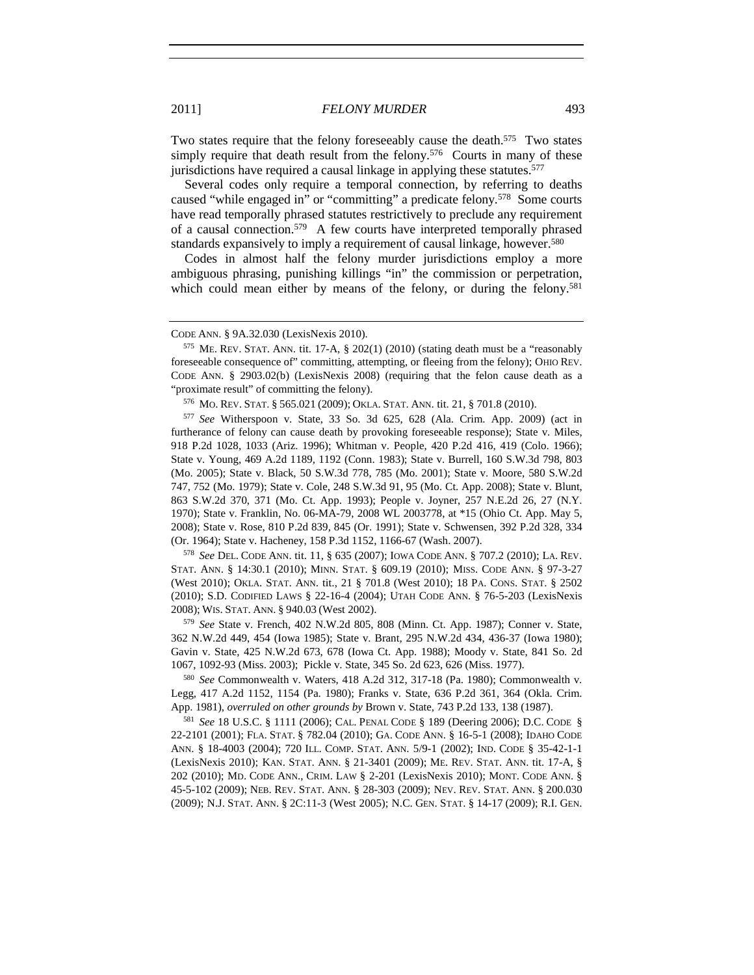Two states require that the felony foreseeably cause the death.<sup>575</sup> Two states simply require that death result from the felony.<sup>576</sup> Courts in many of these jurisdictions have required a causal linkage in applying these statutes.<sup>577</sup>

Several codes only require a temporal connection, by referring to deaths caused "while engaged in" or "committing" a predicate felony.578 Some courts have read temporally phrased statutes restrictively to preclude any requirement of a causal connection.579 A few courts have interpreted temporally phrased standards expansively to imply a requirement of causal linkage, however.<sup>580</sup>

Codes in almost half the felony murder jurisdictions employ a more ambiguous phrasing, punishing killings "in" the commission or perpetration, which could mean either by means of the felony, or during the felony.<sup>581</sup>

<sup>577</sup> *See* Witherspoon v. State, 33 So. 3d 625, 628 (Ala. Crim. App. 2009) (act in furtherance of felony can cause death by provoking foreseeable response); State v. Miles, 918 P.2d 1028, 1033 (Ariz. 1996); Whitman v. People, 420 P.2d 416, 419 (Colo. 1966); State v. Young, 469 A.2d 1189, 1192 (Conn. 1983); State v. Burrell, 160 S.W.3d 798, 803 (Mo. 2005); State v. Black, 50 S.W.3d 778, 785 (Mo. 2001); State v. Moore, 580 S.W.2d 747, 752 (Mo. 1979); State v. Cole, 248 S.W.3d 91, 95 (Mo. Ct. App. 2008); State v. Blunt, 863 S.W.2d 370, 371 (Mo. Ct. App. 1993); People v. Joyner, 257 N.E.2d 26, 27 (N.Y. 1970); State v. Franklin, No. 06-MA-79, 2008 WL 2003778, at \*15 (Ohio Ct. App. May 5, 2008); State v. Rose, 810 P.2d 839, 845 (Or. 1991); State v. Schwensen, 392 P.2d 328, 334 (Or. 1964); State v. Hacheney, 158 P.3d 1152, 1166-67 (Wash. 2007). 578 *See* DEL. CODE ANN. tit. 11, § 635 (2007); IOWA CODE ANN. § 707.2 (2010); LA. REV.

STAT. ANN. § 14:30.1 (2010); MINN. STAT. § 609.19 (2010); MISS. CODE ANN. § 97-3-27 (West 2010); OKLA. STAT. ANN. tit., 21 § 701.8 (West 2010); 18 PA. CONS. STAT. § 2502 (2010); S.D. CODIFIED LAWS § 22-16-4 (2004); UTAH CODE ANN. § 76-5-203 (LexisNexis 2008); WIS. STAT. ANN. § 940.03 (West 2002).

<sup>579</sup> *See* State v. French, 402 N.W.2d 805, 808 (Minn. Ct. App. 1987); Conner v. State, 362 N.W.2d 449, 454 (Iowa 1985); State v. Brant, 295 N.W.2d 434, 436-37 (Iowa 1980); Gavin v. State, 425 N.W.2d 673, 678 (Iowa Ct. App. 1988); Moody v. State, 841 So. 2d 1067, 1092-93 (Miss. 2003); Pickle v. State, 345 So. 2d 623, 626 (Miss. 1977).

<sup>580</sup> *See* Commonwealth v. Waters, 418 A.2d 312, 317-18 (Pa. 1980); Commonwealth v. Legg, 417 A.2d 1152, 1154 (Pa. 1980); Franks v. State, 636 P.2d 361, 364 (Okla. Crim. App. 1981), *overruled on other grounds by* Brown v. State, 743 P.2d 133, 138 (1987). 581 *See* 18 U.S.C. § 1111 (2006); CAL. PENAL CODE § 189 (Deering 2006); D.C. CODE §

22-2101 (2001); FLA. STAT. § 782.04 (2010); GA. CODE ANN. § 16-5-1 (2008); IDAHO CODE ANN. § 18-4003 (2004); 720 ILL. COMP. STAT. ANN. 5/9-1 (2002); IND. CODE § 35-42-1-1 (LexisNexis 2010); KAN. STAT. ANN. § 21-3401 (2009); ME. REV. STAT. ANN. tit. 17-A, § 202 (2010); MD. CODE ANN., CRIM. LAW § 2-201 (LexisNexis 2010); MONT. CODE ANN. § 45-5-102 (2009); NEB. REV. STAT. ANN. § 28-303 (2009); NEV. REV. STAT. ANN. § 200.030 (2009); N.J. STAT. ANN. § 2C:11-3 (West 2005); N.C. GEN. STAT. § 14-17 (2009); R.I. GEN.

CODE ANN. § 9A.32.030 (LexisNexis 2010).

 $575$  ME. REV. STAT. ANN. tit. 17-A, § 202(1) (2010) (stating death must be a "reasonably foreseeable consequence of" committing, attempting, or fleeing from the felony); OHIO REV. CODE ANN. § 2903.02(b) (LexisNexis 2008) (requiring that the felon cause death as a "proximate result" of committing the felony).<br><sup>576</sup> Mo. REV. STAT. § 565.021 (2009); OKLA. STAT. ANN. tit. 21, § 701.8 (2010).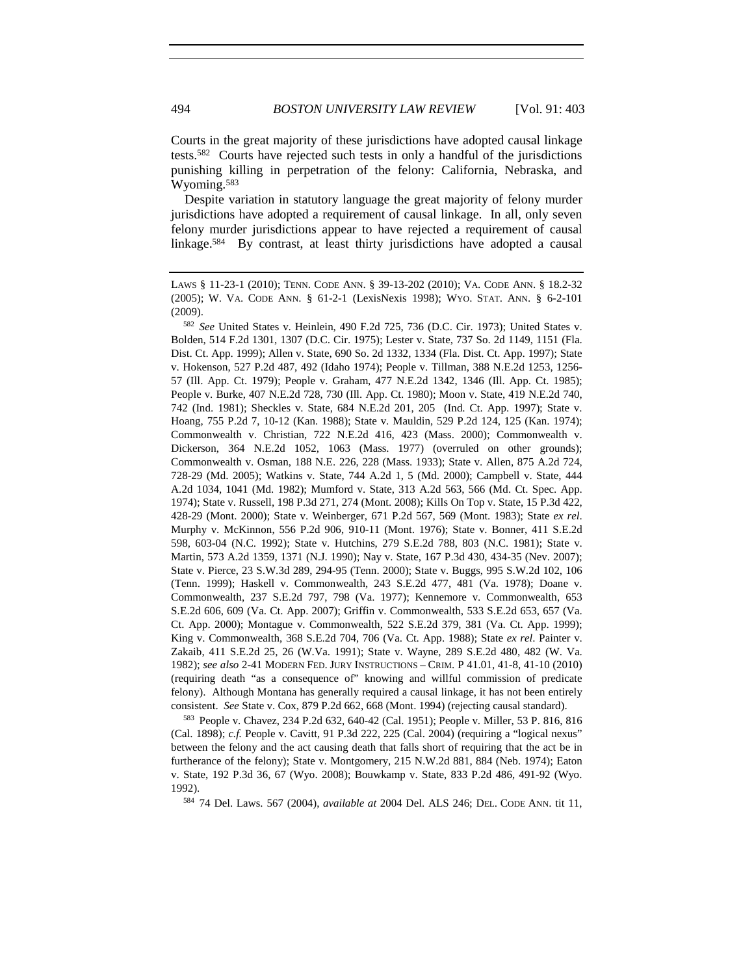Courts in the great majority of these jurisdictions have adopted causal linkage tests.582 Courts have rejected such tests in only a handful of the jurisdictions punishing killing in perpetration of the felony: California, Nebraska, and Wyoming.583

Despite variation in statutory language the great majority of felony murder jurisdictions have adopted a requirement of causal linkage. In all, only seven felony murder jurisdictions appear to have rejected a requirement of causal linkage.584 By contrast, at least thirty jurisdictions have adopted a causal

Bolden, 514 F.2d 1301, 1307 (D.C. Cir. 1975); Lester v. State, 737 So. 2d 1149, 1151 (Fla. Dist. Ct. App. 1999); Allen v. State, 690 So. 2d 1332, 1334 (Fla. Dist. Ct. App. 1997); State v. Hokenson, 527 P.2d 487, 492 (Idaho 1974); People v. Tillman, 388 N.E.2d 1253, 1256- 57 (Ill. App. Ct. 1979); People v. Graham, 477 N.E.2d 1342, 1346 (Ill. App. Ct. 1985); People v. Burke, 407 N.E.2d 728, 730 (Ill. App. Ct. 1980); Moon v. State, 419 N.E.2d 740, 742 (Ind. 1981); Sheckles v. State, 684 N.E.2d 201, 205 (Ind. Ct. App. 1997); State v. Hoang, 755 P.2d 7, 10-12 (Kan. 1988); State v. Mauldin, 529 P.2d 124, 125 (Kan. 1974); Commonwealth v. Christian, 722 N.E.2d 416, 423 (Mass. 2000); Commonwealth v. Dickerson, 364 N.E.2d 1052, 1063 (Mass. 1977) (overruled on other grounds); Commonwealth v. Osman, 188 N.E. 226, 228 (Mass. 1933); State v. Allen, 875 A.2d 724, 728-29 (Md. 2005); Watkins v. State, 744 A.2d 1, 5 (Md. 2000); Campbell v. State, 444 A.2d 1034, 1041 (Md. 1982); Mumford v. State, 313 A.2d 563, 566 (Md. Ct. Spec. App. 1974); State v. Russell, 198 P.3d 271, 274 (Mont. 2008); Kills On Top v. State, 15 P.3d 422, 428-29 (Mont. 2000); State v. Weinberger, 671 P.2d 567, 569 (Mont. 1983); State *ex rel*. Murphy v. McKinnon, 556 P.2d 906, 910-11 (Mont. 1976); State v. Bonner, 411 S.E.2d 598, 603-04 (N.C. 1992); State v. Hutchins, 279 S.E.2d 788, 803 (N.C. 1981); State v. Martin, 573 A.2d 1359, 1371 (N.J. 1990); Nay v. State, 167 P.3d 430, 434-35 (Nev. 2007); State v. Pierce, 23 S.W.3d 289, 294-95 (Tenn. 2000); State v. Buggs, 995 S.W.2d 102, 106 (Tenn. 1999); Haskell v. Commonwealth, 243 S.E.2d 477, 481 (Va. 1978); Doane v. Commonwealth, 237 S.E.2d 797, 798 (Va. 1977); Kennemore v. Commonwealth, 653 S.E.2d 606, 609 (Va. Ct. App. 2007); Griffin v. Commonwealth, 533 S.E.2d 653, 657 (Va. Ct. App. 2000); Montague v. Commonwealth, 522 S.E.2d 379, 381 (Va. Ct. App. 1999); King v. Commonwealth, 368 S.E.2d 704, 706 (Va. Ct. App. 1988); State *ex rel*. Painter v. Zakaib, 411 S.E.2d 25, 26 (W.Va. 1991); State v. Wayne, 289 S.E.2d 480, 482 (W. Va. 1982); *see also* 2-41 MODERN FED. JURY INSTRUCTIONS – CRIM. P 41.01, 41-8, 41-10 (2010) (requiring death "as a consequence of" knowing and willful commission of predicate felony). Although Montana has generally required a causal linkage, it has not been entirely consistent. *See* State v. Cox, 879 P.2d 662, 668 (Mont. 1994) (rejecting causal standard).

<sup>583</sup> People v. Chavez, 234 P.2d 632, 640-42 (Cal. 1951); People v. Miller, 53 P. 816, 816 (Cal. 1898); *c.f.* People v. Cavitt, 91 P.3d 222, 225 (Cal. 2004) (requiring a "logical nexus" between the felony and the act causing death that falls short of requiring that the act be in furtherance of the felony); State v. Montgomery, 215 N.W.2d 881, 884 (Neb. 1974); Eaton v. State, 192 P.3d 36, 67 (Wyo. 2008); Bouwkamp v. State, 833 P.2d 486, 491-92 (Wyo. 1992). 584 74 Del. Laws. 567 (2004), *available at* 2004 Del. ALS 246; DEL. CODE ANN. tit 11,

LAWS § 11-23-1 (2010); TENN. CODE ANN. § 39-13-202 (2010); VA. CODE ANN. § 18.2-32 (2005); W. VA. CODE ANN. § 61-2-1 (LexisNexis 1998); WYO. STAT. ANN. § 6-2-101 (2009). 582 *See* United States v. Heinlein, 490 F.2d 725, 736 (D.C. Cir. 1973); United States v.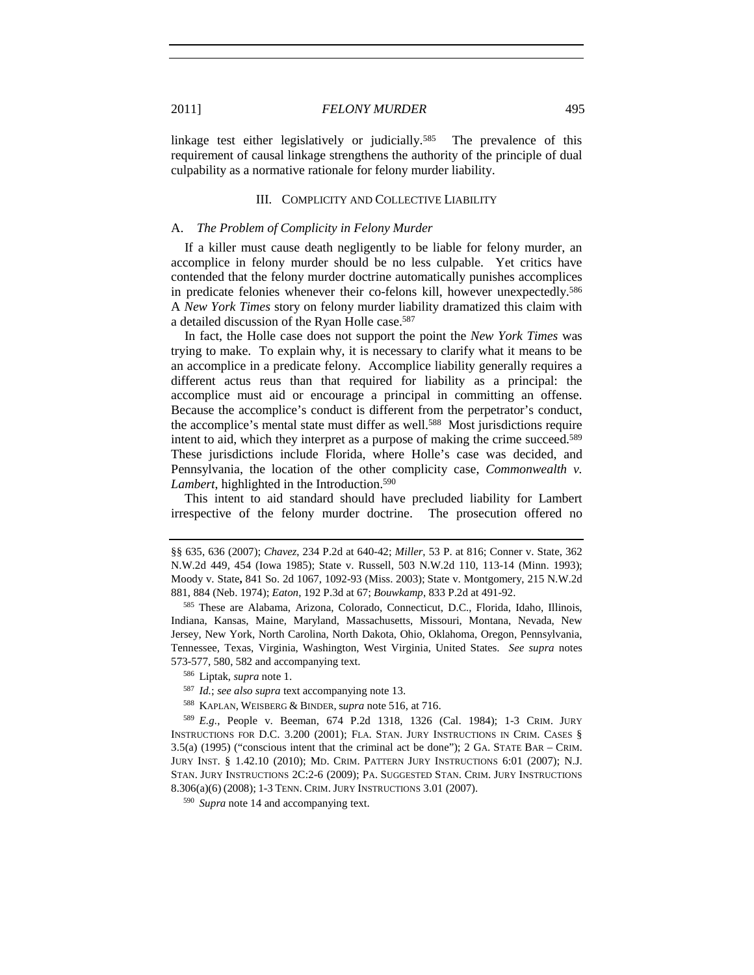linkage test either legislatively or judicially.585 The prevalence of this requirement of causal linkage strengthens the authority of the principle of dual culpability as a normative rationale for felony murder liability.

# III. COMPLICITY AND COLLECTIVE LIABILITY

### A. *The Problem of Complicity in Felony Murder*

If a killer must cause death negligently to be liable for felony murder, an accomplice in felony murder should be no less culpable. Yet critics have contended that the felony murder doctrine automatically punishes accomplices in predicate felonies whenever their co-felons kill, however unexpectedly.586 A *New York Times* story on felony murder liability dramatized this claim with a detailed discussion of the Ryan Holle case.587

In fact, the Holle case does not support the point the *New York Times* was trying to make. To explain why, it is necessary to clarify what it means to be an accomplice in a predicate felony. Accomplice liability generally requires a different actus reus than that required for liability as a principal: the accomplice must aid or encourage a principal in committing an offense. Because the accomplice's conduct is different from the perpetrator's conduct, the accomplice's mental state must differ as well.588 Most jurisdictions require intent to aid, which they interpret as a purpose of making the crime succeed.<sup>589</sup> These jurisdictions include Florida, where Holle's case was decided, and Pennsylvania, the location of the other complicity case, *Commonwealth v. Lambert*, highlighted in the Introduction.590

This intent to aid standard should have precluded liability for Lambert irrespective of the felony murder doctrine. The prosecution offered no

<sup>590</sup> *Supra* note 14 and accompanying text.

<sup>§§ 635, 636 (2007);</sup> *Chavez*, 234 P.2d at 640-42; *Miller*, 53 P. at 816; Conner v. State, 362 N.W.2d 449, 454 (Iowa 1985); State v. Russell, 503 N.W.2d 110, 113-14 (Minn. 1993); Moody v. State**,** 841 So. 2d 1067, 1092-93 (Miss. 2003); State v. Montgomery, 215 N.W.2d 881, 884 (Neb. 1974); *Eaton*, 192 P.3d at 67; *Bouwkamp*, 833 P.2d at 491-92.<br><sup>585</sup> These are Alabama, Arizona, Colorado, Connecticut, D.C., Florida, Idaho, Illinois,

Indiana, Kansas, Maine, Maryland, Massachusetts, Missouri, Montana, Nevada, New Jersey, New York, North Carolina, North Dakota, Ohio, Oklahoma, Oregon, Pennsylvania, Tennessee, Texas, Virginia, Washington, West Virginia, United States. *See supra* notes 573-577, 580, 582 and accompanying text.

<sup>586</sup> Liptak, *supra* note 1.

<sup>587</sup> *Id.*; *see also supra* text accompanying note 13.

<sup>588</sup> KAPLAN, WEISBERG & BINDER, s*upra* note 516, at 716.

<sup>589</sup> *E.g.*, People v. Beeman, 674 P.2d 1318, 1326 (Cal. 1984); 1-3 CRIM. JURY INSTRUCTIONS FOR D.C. 3.200 (2001); FLA. STAN. JURY INSTRUCTIONS IN CRIM. CASES § 3.5(a) (1995) ("conscious intent that the criminal act be done"); 2 GA. STATE BAR – CRIM. JURY INST. § 1.42.10 (2010); MD. CRIM. PATTERN JURY INSTRUCTIONS 6:01 (2007); N.J. STAN. JURY INSTRUCTIONS 2C:2-6 (2009); PA. SUGGESTED STAN. CRIM. JURY INSTRUCTIONS 8.306(a)(6) (2008); 1-3 TENN. CRIM. JURY INSTRUCTIONS 3.01 (2007).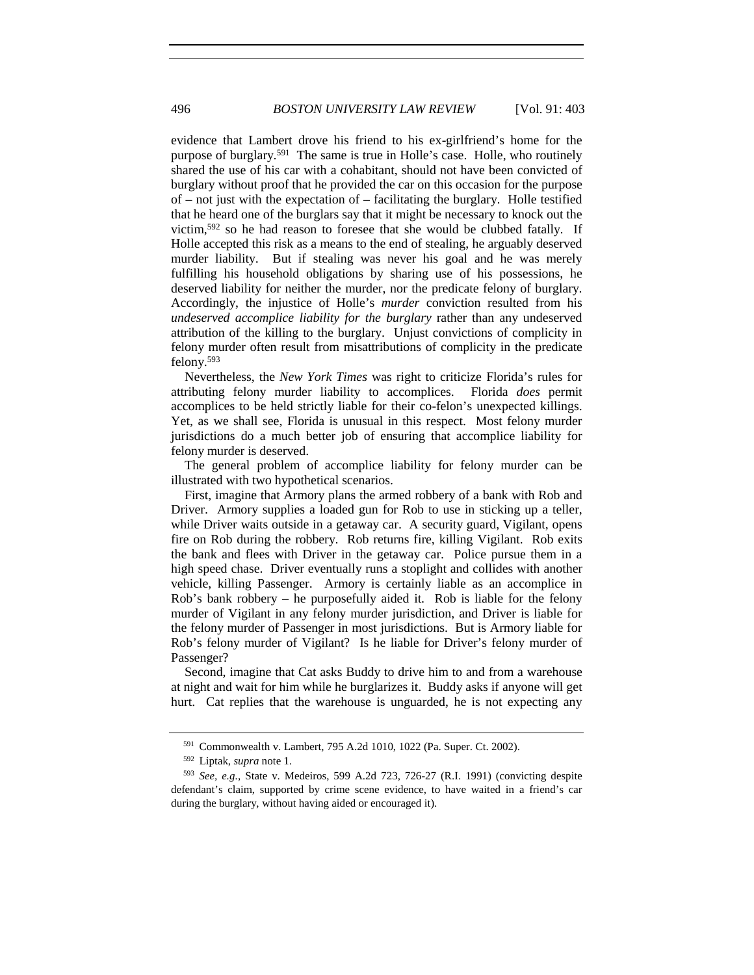evidence that Lambert drove his friend to his ex-girlfriend's home for the purpose of burglary.591 The same is true in Holle's case. Holle, who routinely shared the use of his car with a cohabitant, should not have been convicted of burglary without proof that he provided the car on this occasion for the purpose of – not just with the expectation of – facilitating the burglary. Holle testified that he heard one of the burglars say that it might be necessary to knock out the victim,592 so he had reason to foresee that she would be clubbed fatally. If Holle accepted this risk as a means to the end of stealing, he arguably deserved murder liability. But if stealing was never his goal and he was merely fulfilling his household obligations by sharing use of his possessions, he deserved liability for neither the murder, nor the predicate felony of burglary. Accordingly, the injustice of Holle's *murder* conviction resulted from his *undeserved accomplice liability for the burglary* rather than any undeserved attribution of the killing to the burglary. Unjust convictions of complicity in felony murder often result from misattributions of complicity in the predicate felony.593

Nevertheless, the *New York Times* was right to criticize Florida's rules for attributing felony murder liability to accomplices. Florida *does* permit accomplices to be held strictly liable for their co-felon's unexpected killings. Yet, as we shall see, Florida is unusual in this respect. Most felony murder jurisdictions do a much better job of ensuring that accomplice liability for felony murder is deserved.

The general problem of accomplice liability for felony murder can be illustrated with two hypothetical scenarios.

First, imagine that Armory plans the armed robbery of a bank with Rob and Driver. Armory supplies a loaded gun for Rob to use in sticking up a teller, while Driver waits outside in a getaway car. A security guard, Vigilant, opens fire on Rob during the robbery. Rob returns fire, killing Vigilant. Rob exits the bank and flees with Driver in the getaway car. Police pursue them in a high speed chase. Driver eventually runs a stoplight and collides with another vehicle, killing Passenger. Armory is certainly liable as an accomplice in Rob's bank robbery – he purposefully aided it. Rob is liable for the felony murder of Vigilant in any felony murder jurisdiction, and Driver is liable for the felony murder of Passenger in most jurisdictions. But is Armory liable for Rob's felony murder of Vigilant? Is he liable for Driver's felony murder of Passenger?

Second, imagine that Cat asks Buddy to drive him to and from a warehouse at night and wait for him while he burglarizes it. Buddy asks if anyone will get hurt. Cat replies that the warehouse is unguarded, he is not expecting any

<sup>591</sup> Commonwealth v. Lambert, 795 A.2d 1010, 1022 (Pa. Super. Ct. 2002).

<sup>592</sup> Liptak, *supra* note 1.

<sup>593</sup> *See, e.g.*, State v. Medeiros, 599 A.2d 723, 726-27 (R.I. 1991) (convicting despite defendant's claim, supported by crime scene evidence, to have waited in a friend's car during the burglary, without having aided or encouraged it).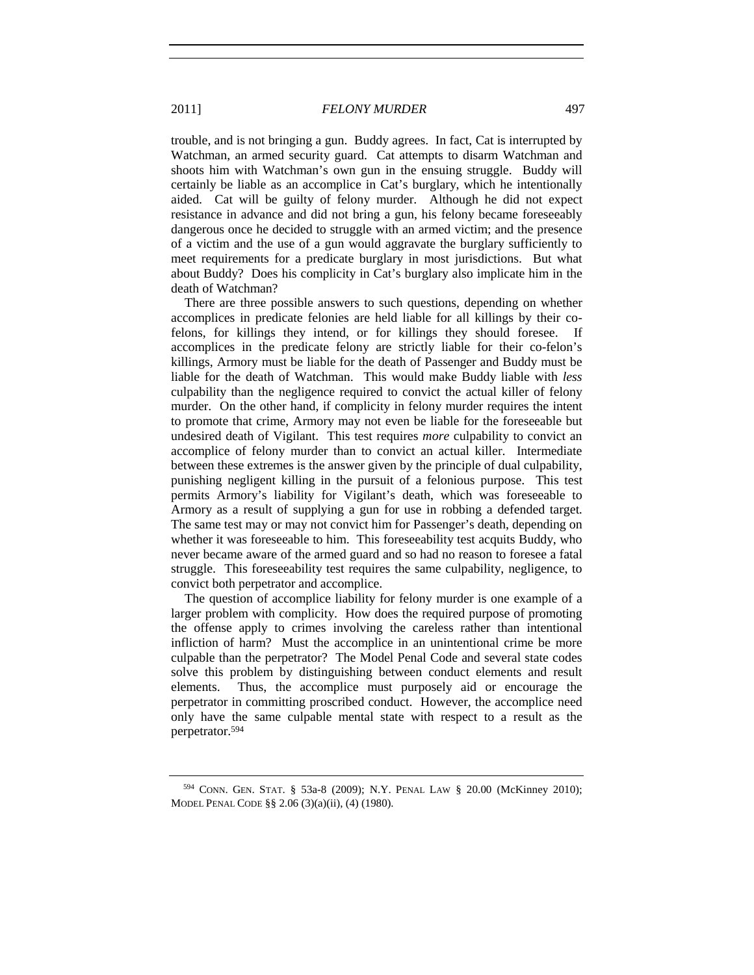trouble, and is not bringing a gun. Buddy agrees. In fact, Cat is interrupted by Watchman, an armed security guard. Cat attempts to disarm Watchman and shoots him with Watchman's own gun in the ensuing struggle. Buddy will certainly be liable as an accomplice in Cat's burglary, which he intentionally aided. Cat will be guilty of felony murder. Although he did not expect resistance in advance and did not bring a gun, his felony became foreseeably dangerous once he decided to struggle with an armed victim; and the presence of a victim and the use of a gun would aggravate the burglary sufficiently to meet requirements for a predicate burglary in most jurisdictions. But what about Buddy? Does his complicity in Cat's burglary also implicate him in the death of Watchman?

There are three possible answers to such questions, depending on whether accomplices in predicate felonies are held liable for all killings by their cofelons, for killings they intend, or for killings they should foresee. If accomplices in the predicate felony are strictly liable for their co-felon's killings, Armory must be liable for the death of Passenger and Buddy must be liable for the death of Watchman. This would make Buddy liable with *less* culpability than the negligence required to convict the actual killer of felony murder. On the other hand, if complicity in felony murder requires the intent to promote that crime, Armory may not even be liable for the foreseeable but undesired death of Vigilant. This test requires *more* culpability to convict an accomplice of felony murder than to convict an actual killer. Intermediate between these extremes is the answer given by the principle of dual culpability, punishing negligent killing in the pursuit of a felonious purpose. This test permits Armory's liability for Vigilant's death, which was foreseeable to Armory as a result of supplying a gun for use in robbing a defended target. The same test may or may not convict him for Passenger's death, depending on whether it was foreseeable to him. This foreseeability test acquits Buddy, who never became aware of the armed guard and so had no reason to foresee a fatal struggle. This foreseeability test requires the same culpability, negligence, to convict both perpetrator and accomplice.

The question of accomplice liability for felony murder is one example of a larger problem with complicity. How does the required purpose of promoting the offense apply to crimes involving the careless rather than intentional infliction of harm? Must the accomplice in an unintentional crime be more culpable than the perpetrator? The Model Penal Code and several state codes solve this problem by distinguishing between conduct elements and result elements. Thus, the accomplice must purposely aid or encourage the perpetrator in committing proscribed conduct. However, the accomplice need only have the same culpable mental state with respect to a result as the perpetrator.594

<sup>594</sup> CONN. GEN. STAT. § 53a-8 (2009); N.Y. PENAL LAW § 20.00 (McKinney 2010); MODEL PENAL CODE §§ 2.06 (3)(a)(ii), (4) (1980).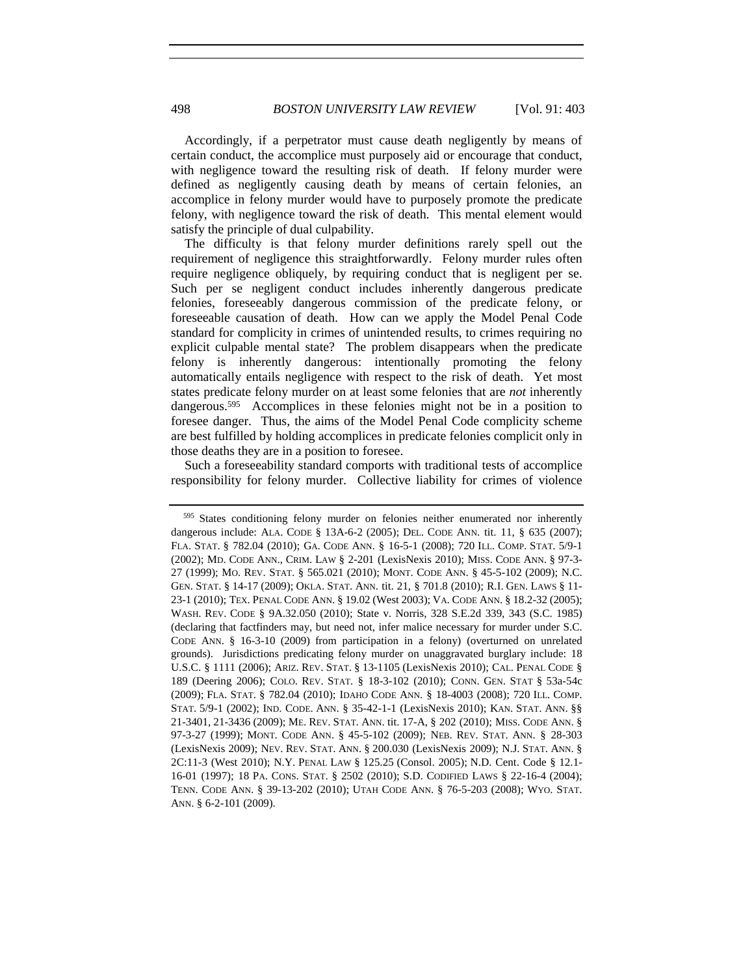Accordingly, if a perpetrator must cause death negligently by means of certain conduct, the accomplice must purposely aid or encourage that conduct, with negligence toward the resulting risk of death. If felony murder were defined as negligently causing death by means of certain felonies, an accomplice in felony murder would have to purposely promote the predicate felony, with negligence toward the risk of death. This mental element would satisfy the principle of dual culpability.

The difficulty is that felony murder definitions rarely spell out the requirement of negligence this straightforwardly. Felony murder rules often require negligence obliquely, by requiring conduct that is negligent per se. Such per se negligent conduct includes inherently dangerous predicate felonies, foreseeably dangerous commission of the predicate felony, or foreseeable causation of death. How can we apply the Model Penal Code standard for complicity in crimes of unintended results, to crimes requiring no explicit culpable mental state? The problem disappears when the predicate felony is inherently dangerous: intentionally promoting the felony automatically entails negligence with respect to the risk of death. Yet most states predicate felony murder on at least some felonies that are *not* inherently dangerous.595 Accomplices in these felonies might not be in a position to foresee danger. Thus, the aims of the Model Penal Code complicity scheme are best fulfilled by holding accomplices in predicate felonies complicit only in those deaths they are in a position to foresee.

Such a foreseeability standard comports with traditional tests of accomplice responsibility for felony murder. Collective liability for crimes of violence

<sup>595</sup> States conditioning felony murder on felonies neither enumerated nor inherently dangerous include: ALA. CODE § 13A-6-2 (2005); DEL. CODE ANN. tit. 11, § 635 (2007); FLA. STAT. § 782.04 (2010); GA. CODE ANN. § 16-5-1 (2008); 720 ILL. COMP. STAT. 5/9-1 (2002); MD. CODE ANN., CRIM. LAW § 2-201 (LexisNexis 2010); MISS. CODE ANN. § 97-3- 27 (1999); MO. REV. STAT. § 565.021 (2010); MONT. CODE ANN. § 45-5-102 (2009); N.C. GEN. STAT. § 14-17 (2009); OKLA. STAT. ANN. tit. 21, § 701.8 (2010); R.I. GEN. LAWS § 11- 23-1 (2010); TEX. PENAL CODE ANN. § 19.02 (West 2003); VA. CODE ANN. § 18.2-32 (2005); WASH. REV. CODE § 9A.32.050 (2010); State v. Norris, 328 S.E.2d 339, 343 (S.C. 1985) (declaring that factfinders may, but need not, infer malice necessary for murder under S.C. CODE ANN. § 16-3-10 (2009) from participation in a felony) (overturned on unrelated grounds). Jurisdictions predicating felony murder on unaggravated burglary include: 18 U.S.C. § 1111 (2006); ARIZ. REV. STAT. § 13-1105 (LexisNexis 2010); CAL. PENAL CODE § 189 (Deering 2006); COLO. REV. STAT. § 18-3-102 (2010); CONN. GEN. STAT § 53a-54c (2009); FLA. STAT. § 782.04 (2010); IDAHO CODE ANN. § 18-4003 (2008); 720 ILL. COMP. STAT. 5/9-1 (2002); IND. CODE. ANN. § 35-42-1-1 (LexisNexis 2010); KAN. STAT. ANN. §§ 21-3401, 21-3436 (2009); ME. REV. STAT. ANN. tit. 17-A, § 202 (2010); MISS. CODE ANN. § 97-3-27 (1999); MONT. CODE ANN. § 45-5-102 (2009); NEB. REV. STAT. ANN. § 28-303 (LexisNexis 2009); NEV. REV. STAT. ANN. § 200.030 (LexisNexis 2009); N.J. STAT. ANN. § 2C:11-3 (West 2010); N.Y. PENAL LAW § 125.25 (Consol. 2005); N.D. Cent. Code § 12.1- 16-01 (1997); 18 PA. CONS. STAT. § 2502 (2010); S.D. CODIFIED LAWS § 22-16-4 (2004); TENN. CODE ANN. § 39-13-202 (2010); UTAH CODE ANN. § 76-5-203 (2008); WYO. STAT. ANN. § 6-2-101 (2009).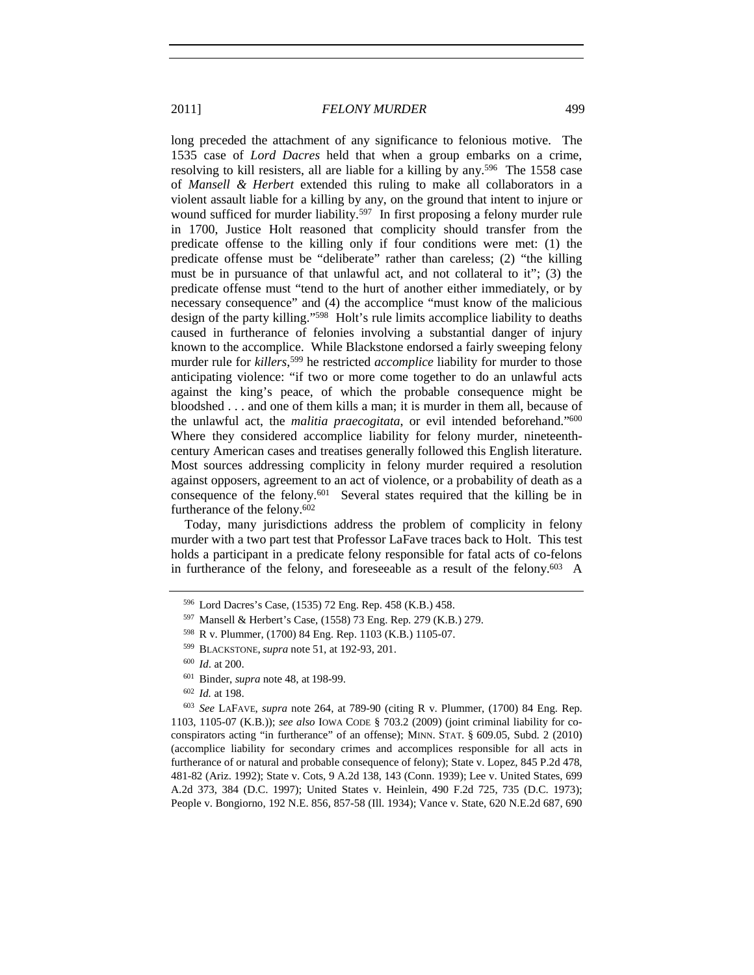long preceded the attachment of any significance to felonious motive. The 1535 case of *Lord Dacres* held that when a group embarks on a crime, resolving to kill resisters, all are liable for a killing by any.596 The 1558 case of *Mansell & Herbert* extended this ruling to make all collaborators in a violent assault liable for a killing by any, on the ground that intent to injure or wound sufficed for murder liability.<sup>597</sup> In first proposing a felony murder rule in 1700, Justice Holt reasoned that complicity should transfer from the predicate offense to the killing only if four conditions were met: (1) the predicate offense must be "deliberate" rather than careless; (2) "the killing must be in pursuance of that unlawful act, and not collateral to it"; (3) the predicate offense must "tend to the hurt of another either immediately, or by necessary consequence" and (4) the accomplice "must know of the malicious design of the party killing."598 Holt's rule limits accomplice liability to deaths caused in furtherance of felonies involving a substantial danger of injury known to the accomplice. While Blackstone endorsed a fairly sweeping felony murder rule for *killers*, 599 he restricted *accomplice* liability for murder to those anticipating violence: "if two or more come together to do an unlawful acts against the king's peace, of which the probable consequence might be bloodshed . . . and one of them kills a man; it is murder in them all, because of the unlawful act, the *malitia praecogitata*, or evil intended beforehand."600 Where they considered accomplice liability for felony murder, nineteenthcentury American cases and treatises generally followed this English literature. Most sources addressing complicity in felony murder required a resolution against opposers, agreement to an act of violence, or a probability of death as a consequence of the felony.601 Several states required that the killing be in furtherance of the felony.602

Today, many jurisdictions address the problem of complicity in felony murder with a two part test that Professor LaFave traces back to Holt. This test holds a participant in a predicate felony responsible for fatal acts of co-felons in furtherance of the felony, and foreseeable as a result of the felony.<sup>603</sup> A

<sup>603</sup> *See* LAFAVE, *supra* note 264, at 789-90 (citing R v. Plummer, (1700) 84 Eng. Rep. 1103, 1105-07 (K.B.)); *see also* IOWA CODE § 703.2 (2009) (joint criminal liability for coconspirators acting "in furtherance" of an offense); MINN. STAT. § 609.05, Subd. 2 (2010) (accomplice liability for secondary crimes and accomplices responsible for all acts in furtherance of or natural and probable consequence of felony); State v. Lopez, 845 P.2d 478, 481-82 (Ariz. 1992); State v. Cots, 9 A.2d 138, 143 (Conn. 1939); Lee v. United States, 699 A.2d 373, 384 (D.C. 1997); United States v. Heinlein, 490 F.2d 725, 735 (D.C. 1973); People v. Bongiorno, 192 N.E. 856, 857-58 (Ill. 1934); Vance v. State, 620 N.E.2d 687, 690

<sup>596</sup> Lord Dacres's Case, (1535) 72 Eng. Rep. 458 (K.B.) 458.

<sup>597</sup> Mansell & Herbert's Case, (1558) 73 Eng. Rep. 279 (K.B.) 279.

<sup>598</sup> R v. Plummer, (1700) 84 Eng. Rep. 1103 (K.B.) 1105-07.

<sup>599</sup> BLACKSTONE, *supra* note 51, at 192-93, 201.

<sup>600</sup> *Id*. at 200.

<sup>601</sup> Binder, *supra* note 48, at 198-99.

<sup>602</sup> *Id.* at 198.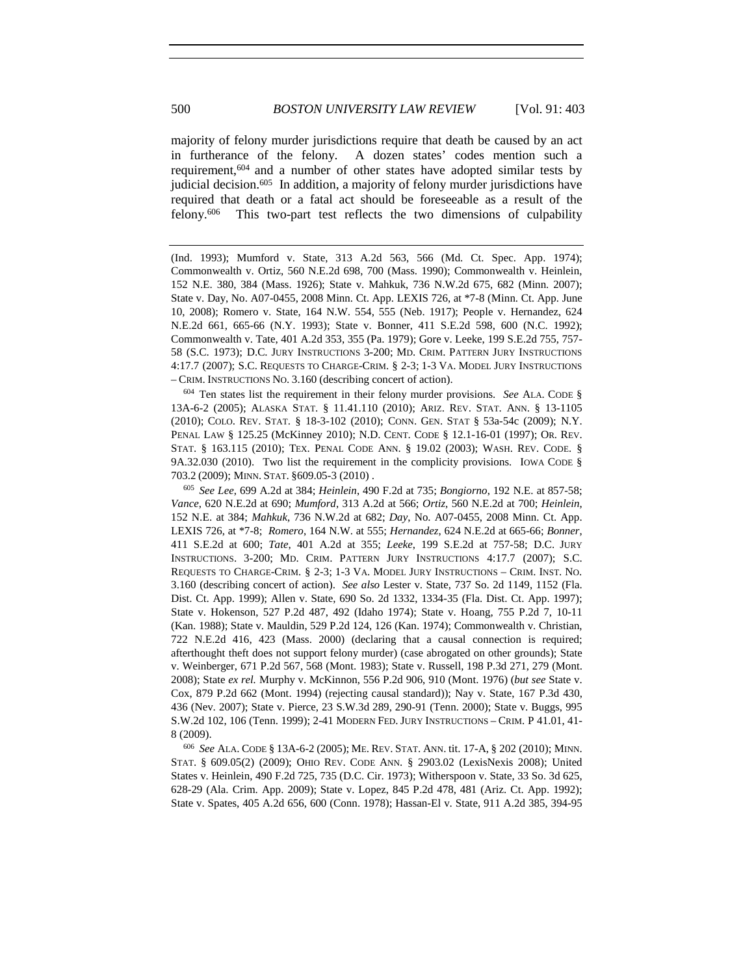majority of felony murder jurisdictions require that death be caused by an act in furtherance of the felony. A dozen states' codes mention such a requirement,604 and a number of other states have adopted similar tests by judicial decision.<sup>605</sup> In addition, a majority of felony murder jurisdictions have required that death or a fatal act should be foreseeable as a result of the felony.606 This two-part test reflects the two dimensions of culpability

(Ind. 1993); Mumford v. State, 313 A.2d 563, 566 (Md. Ct. Spec. App. 1974); Commonwealth v. Ortiz, 560 N.E.2d 698, 700 (Mass. 1990); Commonwealth v. Heinlein, 152 N.E. 380, 384 (Mass. 1926); State v. Mahkuk, 736 N.W.2d 675, 682 (Minn. 2007); State v. Day, No. A07-0455, 2008 Minn. Ct. App. LEXIS 726, at \*7-8 (Minn. Ct. App. June 10, 2008); Romero v. State, 164 N.W. 554, 555 (Neb. 1917); People v. Hernandez, 624 N.E.2d 661, 665-66 (N.Y. 1993); State v. Bonner, 411 S.E.2d 598, 600 (N.C. 1992); Commonwealth v. Tate, 401 A.2d 353, 355 (Pa. 1979); Gore v. Leeke, 199 S.E.2d 755, 757- 58 (S.C. 1973); D.C. JURY INSTRUCTIONS 3-200; MD. CRIM. PATTERN JURY INSTRUCTIONS 4:17.7 (2007); S.C. REQUESTS TO CHARGE-CRIM. § 2-3; 1-3 VA. MODEL JURY INSTRUCTIONS – CRIM. INSTRUCTIONS NO. 3.160 (describing concert of action).

<sup>604</sup> Ten states list the requirement in their felony murder provisions. *See* ALA. CODE § 13A-6-2 (2005); ALASKA STAT. § 11.41.110 (2010); ARIZ. REV. STAT. ANN. § 13-1105 (2010); COLO. REV. STAT. § 18-3-102 (2010); CONN. GEN. STAT § 53a-54c (2009); N.Y. PENAL LAW § 125.25 (McKinney 2010); N.D. CENT. CODE § 12.1-16-01 (1997); OR. REV. STAT. § 163.115 (2010); TEX. PENAL CODE ANN. § 19.02 (2003); WASH. REV. CODE. § 9A.32.030 (2010). Two list the requirement in the complicity provisions. IOWA CODE § 703.2 (2009); MINN. STAT. §609.05-3 (2010) .

<sup>605</sup> *See Lee*, 699 A.2d at 384; *Heinlein*, 490 F.2d at 735; *Bongiorno*, 192 N.E. at 857-58; *Vance*, 620 N.E.2d at 690; *Mumford*, 313 A.2d at 566; *Ortiz*, 560 N.E.2d at 700; *Heinlein*, 152 N.E. at 384; *Mahkuk*, 736 N.W.2d at 682; *Day*, No. A07-0455, 2008 Minn. Ct. App. LEXIS 726, at \*7-8; *Romero*, 164 N.W. at 555; *Hernandez*, 624 N.E.2d at 665-66; *Bonner*, 411 S.E.2d at 600; *Tate*, 401 A.2d at 355; *Leeke*, 199 S.E.2d at 757-58; D.C. JURY INSTRUCTIONS. 3-200; MD. CRIM. PATTERN JURY INSTRUCTIONS 4:17.7 (2007); S.C. REQUESTS TO CHARGE-CRIM. § 2-3; 1-3 VA. MODEL JURY INSTRUCTIONS – CRIM. INST. NO. 3.160 (describing concert of action). *See also* Lester v. State, 737 So. 2d 1149, 1152 (Fla. Dist. Ct. App. 1999); Allen v. State, 690 So. 2d 1332, 1334-35 (Fla. Dist. Ct. App. 1997); State v. Hokenson, 527 P.2d 487, 492 (Idaho 1974); State v. Hoang, 755 P.2d 7, 10-11 (Kan. 1988); State v. Mauldin, 529 P.2d 124, 126 (Kan. 1974); Commonwealth v. Christian, 722 N.E.2d 416, 423 (Mass. 2000) (declaring that a causal connection is required; afterthought theft does not support felony murder) (case abrogated on other grounds); State v. Weinberger, 671 P.2d 567, 568 (Mont. 1983); State v. Russell, 198 P.3d 271, 279 (Mont. 2008); State *ex rel.* Murphy v. McKinnon, 556 P.2d 906, 910 (Mont. 1976) (*but see* State v. Cox, 879 P.2d 662 (Mont. 1994) (rejecting causal standard)); Nay v. State, 167 P.3d 430, 436 (Nev. 2007); State v. Pierce, 23 S.W.3d 289, 290-91 (Tenn. 2000); State v. Buggs, 995 S.W.2d 102, 106 (Tenn. 1999); 2-41 MODERN FED. JURY INSTRUCTIONS – CRIM. P 41.01, 41- 8 (2009).

<sup>606</sup> *See* ALA. CODE § 13A-6-2 (2005); ME. REV. STAT. ANN. tit. 17-A, § 202 (2010); MINN. STAT. § 609.05(2) (2009); OHIO REV. CODE ANN. § 2903.02 (LexisNexis 2008); United States v. Heinlein, 490 F.2d 725, 735 (D.C. Cir. 1973); Witherspoon v. State, 33 So. 3d 625, 628-29 (Ala. Crim. App. 2009); State v. Lopez, 845 P.2d 478, 481 (Ariz. Ct. App. 1992); State v. Spates, 405 A.2d 656, 600 (Conn. 1978); Hassan-El v. State, 911 A.2d 385, 394-95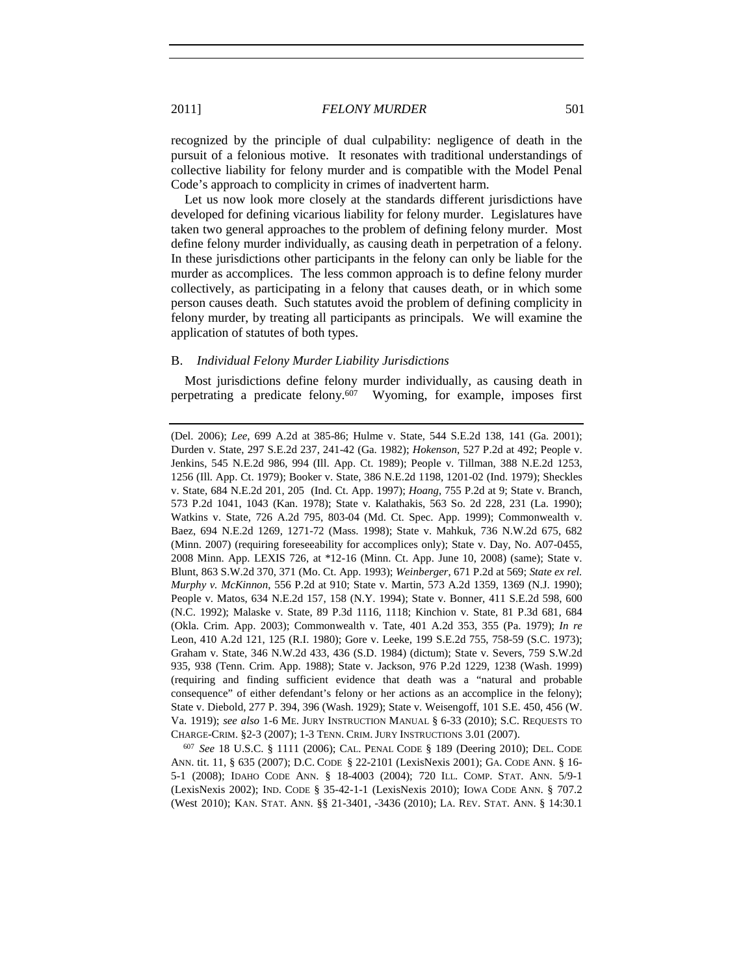recognized by the principle of dual culpability: negligence of death in the pursuit of a felonious motive. It resonates with traditional understandings of collective liability for felony murder and is compatible with the Model Penal Code's approach to complicity in crimes of inadvertent harm.

Let us now look more closely at the standards different jurisdictions have developed for defining vicarious liability for felony murder. Legislatures have taken two general approaches to the problem of defining felony murder. Most define felony murder individually, as causing death in perpetration of a felony. In these jurisdictions other participants in the felony can only be liable for the murder as accomplices. The less common approach is to define felony murder collectively, as participating in a felony that causes death, or in which some person causes death. Such statutes avoid the problem of defining complicity in felony murder, by treating all participants as principals. We will examine the application of statutes of both types.

#### B. *Individual Felony Murder Liability Jurisdictions*

Most jurisdictions define felony murder individually, as causing death in perpetrating a predicate felony.607 Wyoming, for example, imposes first

<sup>607</sup> *See* 18 U.S.C. § 1111 (2006); CAL. PENAL CODE § 189 (Deering 2010); DEL. CODE ANN. tit. 11, § 635 (2007); D.C. CODE § 22-2101 (LexisNexis 2001); GA. CODE ANN. § 16- 5-1 (2008); IDAHO CODE ANN. § 18-4003 (2004); 720 ILL. COMP. STAT. ANN. 5/9-1 (LexisNexis 2002); IND. CODE § 35-42-1-1 (LexisNexis 2010); IOWA CODE ANN. § 707.2 (West 2010); KAN. STAT. ANN. §§ 21-3401, -3436 (2010); LA. REV. STAT. ANN. § 14:30.1

<sup>(</sup>Del. 2006); *Lee*, 699 A.2d at 385-86; Hulme v. State, 544 S.E.2d 138, 141 (Ga. 2001); Durden v. State, 297 S.E.2d 237, 241-42 (Ga. 1982); *Hokenson*, 527 P.2d at 492; People v. Jenkins, 545 N.E.2d 986, 994 (Ill. App. Ct. 1989); People v. Tillman, 388 N.E.2d 1253, 1256 (Ill. App. Ct. 1979); Booker v. State, 386 N.E.2d 1198, 1201-02 (Ind. 1979); Sheckles v. State, 684 N.E.2d 201, 205 (Ind. Ct. App. 1997); *Hoang*, 755 P.2d at 9; State v. Branch, 573 P.2d 1041, 1043 (Kan. 1978); State v. Kalathakis, 563 So. 2d 228, 231 (La. 1990); Watkins v. State, 726 A.2d 795, 803-04 (Md. Ct. Spec. App. 1999); Commonwealth v. Baez, 694 N.E.2d 1269, 1271-72 (Mass. 1998); State v. Mahkuk, 736 N.W.2d 675, 682 (Minn. 2007) (requiring foreseeability for accomplices only); State v. Day, No. A07-0455, 2008 Minn. App. LEXIS 726, at \*12-16 (Minn. Ct. App. June 10, 2008) (same); State v. Blunt, 863 S.W.2d 370, 371 (Mo. Ct. App. 1993); *Weinberger*, 671 P.2d at 569; *State ex rel. Murphy v. McKinnon*, 556 P.2d at 910; State v. Martin, 573 A.2d 1359, 1369 (N.J. 1990); People v. Matos, 634 N.E.2d 157, 158 (N.Y. 1994); State v. Bonner, 411 S.E.2d 598, 600 (N.C. 1992); Malaske v. State, 89 P.3d 1116, 1118; Kinchion v. State, 81 P.3d 681, 684 (Okla. Crim. App. 2003); Commonwealth v. Tate, 401 A.2d 353, 355 (Pa. 1979); *In re* Leon, 410 A.2d 121, 125 (R.I. 1980); Gore v. Leeke, 199 S.E.2d 755, 758-59 (S.C. 1973); Graham v. State, 346 N.W.2d 433, 436 (S.D. 1984) (dictum); State v. Severs, 759 S.W.2d 935, 938 (Tenn. Crim. App. 1988); State v. Jackson, 976 P.2d 1229, 1238 (Wash. 1999) (requiring and finding sufficient evidence that death was a "natural and probable consequence" of either defendant's felony or her actions as an accomplice in the felony); State v. Diebold, 277 P. 394, 396 (Wash. 1929); State v. Weisengoff, 101 S.E. 450, 456 (W. Va. 1919); *see also* 1-6 ME. JURY INSTRUCTION MANUAL § 6-33 (2010); S.C. REQUESTS TO CHARGE-CRIM. §2-3 (2007); 1-3 TENN. CRIM. JURY INSTRUCTIONS 3.01 (2007).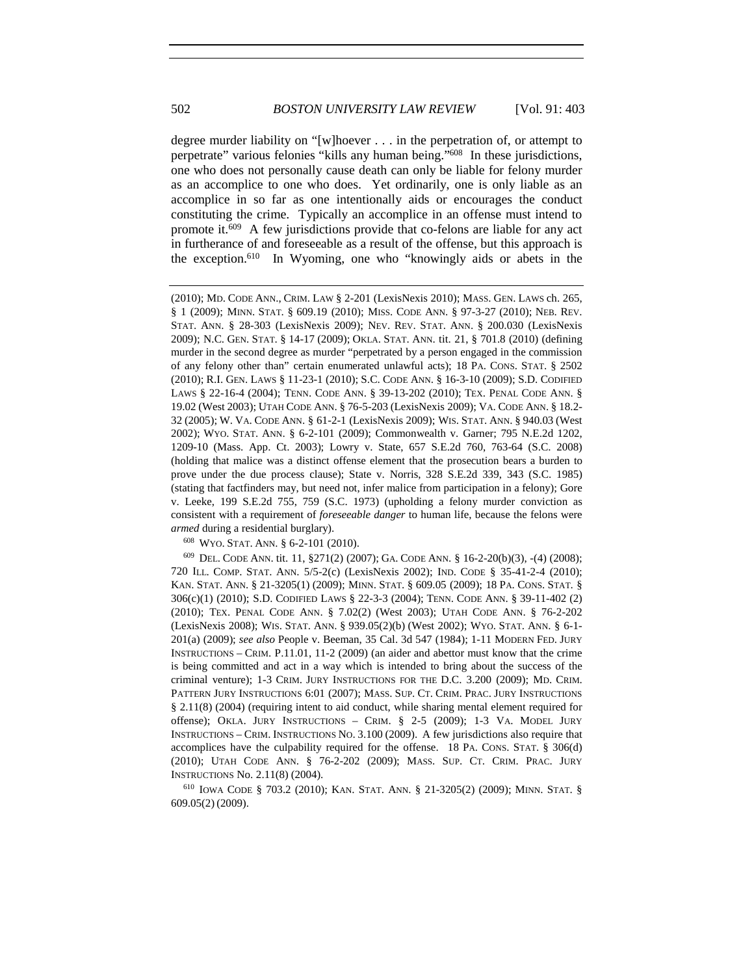degree murder liability on "[w]hoever . . . in the perpetration of, or attempt to perpetrate" various felonies "kills any human being."<sup>608</sup> In these jurisdictions, one who does not personally cause death can only be liable for felony murder as an accomplice to one who does. Yet ordinarily, one is only liable as an accomplice in so far as one intentionally aids or encourages the conduct constituting the crime. Typically an accomplice in an offense must intend to promote it.609 A few jurisdictions provide that co-felons are liable for any act in furtherance of and foreseeable as a result of the offense, but this approach is the exception.610 In Wyoming, one who "knowingly aids or abets in the

<sup>608</sup> WYO. STAT. ANN. § 6-2-101 (2010).

<sup>610</sup> IOWA CODE § 703.2 (2010); KAN. STAT. ANN. § 21-3205(2) (2009); MINN. STAT. § 609.05(2) (2009).

<sup>(2010);</sup> MD. CODE ANN., CRIM. LAW § 2-201 (LexisNexis 2010); MASS. GEN. LAWS ch. 265, § 1 (2009); MINN. STAT. § 609.19 (2010); MISS. CODE ANN. § 97-3-27 (2010); NEB. REV. STAT. ANN. § 28-303 (LexisNexis 2009); NEV. REV. STAT. ANN. § 200.030 (LexisNexis 2009); N.C. GEN. STAT. § 14-17 (2009); OKLA. STAT. ANN. tit. 21, § 701.8 (2010) (defining murder in the second degree as murder "perpetrated by a person engaged in the commission of any felony other than" certain enumerated unlawful acts); 18 PA. CONS. STAT. § 2502 (2010); R.I. GEN. LAWS § 11-23-1 (2010); S.C. CODE ANN. § 16-3-10 (2009); S.D. CODIFIED LAWS § 22-16-4 (2004); TENN. CODE ANN. § 39-13-202 (2010); TEX. PENAL CODE ANN. § 19.02 (West 2003); UTAH CODE ANN. § 76-5-203 (LexisNexis 2009); VA. CODE ANN. § 18.2- 32 (2005); W. VA. CODE ANN. § 61-2-1 (LexisNexis 2009); WIS. STAT. ANN. § 940.03 (West 2002); WYO. STAT. ANN. § 6-2-101 (2009); Commonwealth v. Garner; 795 N.E.2d 1202, 1209-10 (Mass. App. Ct. 2003); Lowry v. State, 657 S.E.2d 760, 763-64 (S.C. 2008) (holding that malice was a distinct offense element that the prosecution bears a burden to prove under the due process clause); State v. Norris, 328 S.E.2d 339, 343 (S.C. 1985) (stating that factfinders may, but need not, infer malice from participation in a felony); Gore v. Leeke, 199 S.E.2d 755, 759 (S.C. 1973) (upholding a felony murder conviction as consistent with a requirement of *foreseeable danger* to human life, because the felons were *armed* during a residential burglary).

<sup>609</sup> DEL. CODE ANN. tit. 11, §271(2) (2007); GA. CODE ANN. § 16-2-20(b)(3), -(4) (2008); 720 ILL. COMP. STAT. ANN. 5/5-2(c) (LexisNexis 2002); IND. CODE § 35-41-2-4 (2010); KAN. STAT. ANN. § 21-3205(1) (2009); MINN. STAT. § 609.05 (2009); 18 PA. CONS. STAT. § 306(c)(1) (2010); S.D. CODIFIED LAWS § 22-3-3 (2004); TENN. CODE ANN. § 39-11-402 (2) (2010); TEX. PENAL CODE ANN. § 7.02(2) (West 2003); UTAH CODE ANN. § 76-2-202 (LexisNexis 2008); WIS. STAT. ANN. § 939.05(2)(b) (West 2002); WYO. STAT. ANN. § 6-1- 201(a) (2009); *see also* People v. Beeman, 35 Cal. 3d 547 (1984); 1-11 MODERN FED. JURY INSTRUCTIONS – CRIM. P.11.01, 11-2 (2009) (an aider and abettor must know that the crime is being committed and act in a way which is intended to bring about the success of the criminal venture); 1-3 CRIM. JURY INSTRUCTIONS FOR THE D.C. 3.200 (2009); MD. CRIM. PATTERN JURY INSTRUCTIONS 6:01 (2007); MASS. SUP. CT. CRIM. PRAC. JURY INSTRUCTIONS § 2.11(8) (2004) (requiring intent to aid conduct, while sharing mental element required for offense); OKLA. JURY INSTRUCTIONS – CRIM. § 2-5 (2009); 1-3 VA. MODEL JURY INSTRUCTIONS – CRIM. INSTRUCTIONS NO. 3.100 (2009). A few jurisdictions also require that accomplices have the culpability required for the offense. 18 PA. CONS. STAT. § 306(d) (2010); UTAH CODE ANN. § 76-2-202 (2009); MASS. SUP. CT. CRIM. PRAC. JURY INSTRUCTIONS No. 2.11(8) (2004).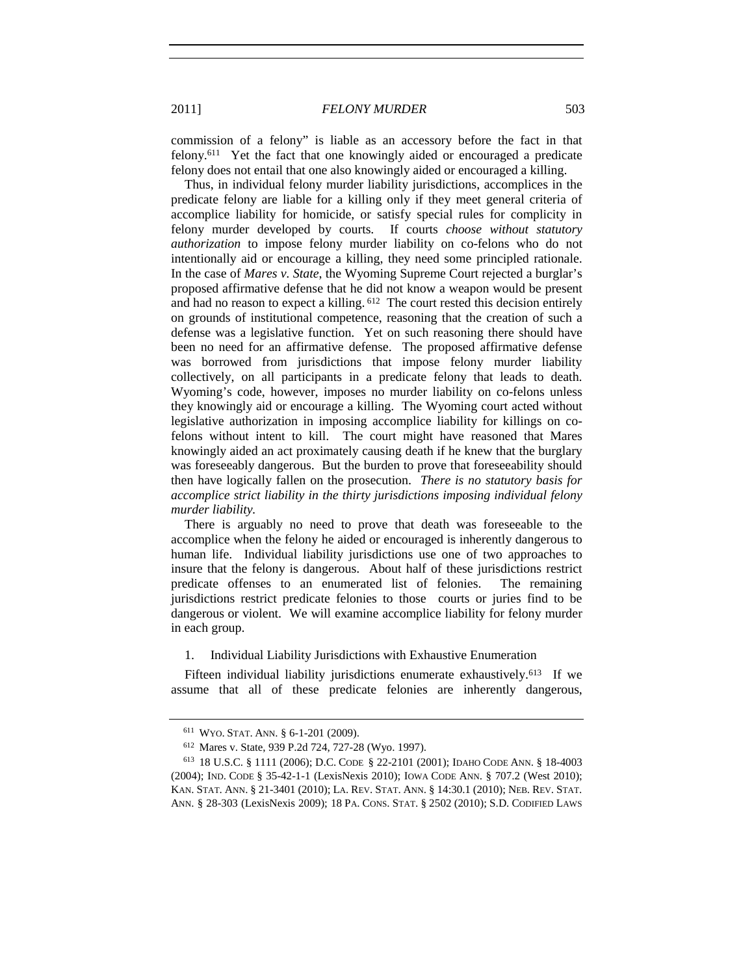commission of a felony" is liable as an accessory before the fact in that felony.611 Yet the fact that one knowingly aided or encouraged a predicate felony does not entail that one also knowingly aided or encouraged a killing.

Thus, in individual felony murder liability jurisdictions, accomplices in the predicate felony are liable for a killing only if they meet general criteria of accomplice liability for homicide, or satisfy special rules for complicity in felony murder developed by courts. If courts *choose without statutory authorization* to impose felony murder liability on co-felons who do not intentionally aid or encourage a killing, they need some principled rationale. In the case of *Mares v. State*, the Wyoming Supreme Court rejected a burglar's proposed affirmative defense that he did not know a weapon would be present and had no reason to expect a killing. 612 The court rested this decision entirely on grounds of institutional competence, reasoning that the creation of such a defense was a legislative function. Yet on such reasoning there should have been no need for an affirmative defense. The proposed affirmative defense was borrowed from jurisdictions that impose felony murder liability collectively, on all participants in a predicate felony that leads to death. Wyoming's code, however, imposes no murder liability on co-felons unless they knowingly aid or encourage a killing. The Wyoming court acted without legislative authorization in imposing accomplice liability for killings on cofelons without intent to kill. The court might have reasoned that Mares knowingly aided an act proximately causing death if he knew that the burglary was foreseeably dangerous. But the burden to prove that foreseeability should then have logically fallen on the prosecution. *There is no statutory basis for accomplice strict liability in the thirty jurisdictions imposing individual felony murder liability.*

There is arguably no need to prove that death was foreseeable to the accomplice when the felony he aided or encouraged is inherently dangerous to human life. Individual liability jurisdictions use one of two approaches to insure that the felony is dangerous. About half of these jurisdictions restrict predicate offenses to an enumerated list of felonies. The remaining jurisdictions restrict predicate felonies to those courts or juries find to be dangerous or violent. We will examine accomplice liability for felony murder in each group.

1. Individual Liability Jurisdictions with Exhaustive Enumeration

Fifteen individual liability jurisdictions enumerate exhaustively.<sup>613</sup> If we assume that all of these predicate felonies are inherently dangerous,

<sup>611</sup> WYO. STAT. ANN. § 6-1-201 (2009).

<sup>612</sup> Mares v. State, 939 P.2d 724, 727-28 (Wyo. 1997).

<sup>613</sup> 18 U.S.C. § 1111 (2006); D.C. CODE § 22-2101 (2001); IDAHO CODE ANN. § 18-4003 (2004); IND. CODE § 35-42-1-1 (LexisNexis 2010); IOWA CODE ANN. § 707.2 (West 2010); KAN. STAT. ANN. § 21-3401 (2010); LA. REV. STAT. ANN. § 14:30.1 (2010); NEB. REV. STAT. ANN. § 28-303 (LexisNexis 2009); 18 PA. CONS. STAT. § 2502 (2010); S.D. CODIFIED LAWS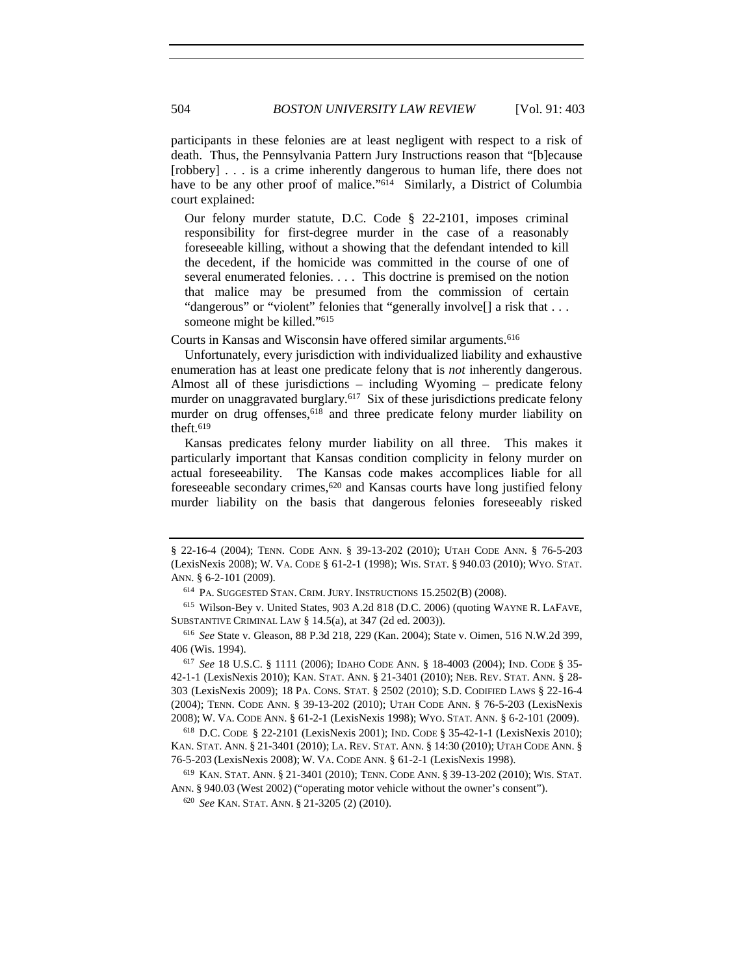participants in these felonies are at least negligent with respect to a risk of death. Thus, the Pennsylvania Pattern Jury Instructions reason that "[b]ecause [robbery] . . . is a crime inherently dangerous to human life, there does not have to be any other proof of malice."<sup>614</sup> Similarly, a District of Columbia court explained:

Our felony murder statute, D.C. Code § 22-2101, imposes criminal responsibility for first-degree murder in the case of a reasonably foreseeable killing, without a showing that the defendant intended to kill the decedent, if the homicide was committed in the course of one of several enumerated felonies. . . . This doctrine is premised on the notion that malice may be presumed from the commission of certain "dangerous" or "violent" felonies that "generally involve<sup>[]</sup> a risk that ... someone might be killed."615

Courts in Kansas and Wisconsin have offered similar arguments.616

Unfortunately, every jurisdiction with individualized liability and exhaustive enumeration has at least one predicate felony that is *not* inherently dangerous. Almost all of these jurisdictions – including Wyoming – predicate felony murder on unaggravated burglary.<sup>617</sup> Six of these jurisdictions predicate felony murder on drug offenses,<sup>618</sup> and three predicate felony murder liability on theft.619

Kansas predicates felony murder liability on all three. This makes it particularly important that Kansas condition complicity in felony murder on actual foreseeability. The Kansas code makes accomplices liable for all foreseeable secondary crimes,<sup>620</sup> and Kansas courts have long justified felony murder liability on the basis that dangerous felonies foreseeably risked

<sup>618</sup> D.C. CODE § 22-2101 (LexisNexis 2001); IND. CODE § 35-42-1-1 (LexisNexis 2010); KAN. STAT. ANN. § 21-3401 (2010); LA. REV. STAT. ANN. § 14:30 (2010); UTAH CODE ANN. § 76-5-203 (LexisNexis 2008); W. VA. CODE ANN. § 61-2-1 (LexisNexis 1998).

<sup>619</sup> KAN. STAT. ANN. § 21-3401 (2010); TENN. CODE ANN. § 39-13-202 (2010); WIS. STAT. ANN. § 940.03 (West 2002) ("operating motor vehicle without the owner's consent").

<sup>620</sup> *See* KAN. STAT. ANN. § 21-3205 (2) (2010).

<sup>§</sup> 22-16-4 (2004); TENN. CODE ANN. § 39-13-202 (2010); UTAH CODE ANN. § 76-5-203 (LexisNexis 2008); W. VA. CODE § 61-2-1 (1998); WIS. STAT. § 940.03 (2010); WYO. STAT. ANN. § 6-2-101 (2009).

<sup>614</sup> PA. SUGGESTED STAN. CRIM. JURY. INSTRUCTIONS 15.2502(B) (2008).

<sup>615</sup> Wilson-Bey v. United States, 903 A.2d 818 (D.C. 2006) (quoting WAYNE R. LAFAVE, SUBSTANTIVE CRIMINAL LAW § 14.5(a), at 347 (2d ed. 2003)).

<sup>616</sup> *See* State v. Gleason, 88 P.3d 218, 229 (Kan. 2004); State v. Oimen, 516 N.W.2d 399, 406 (Wis. 1994).

<sup>617</sup> *See* 18 U.S.C. § 1111 (2006); IDAHO CODE ANN. § 18-4003 (2004); IND. CODE § 35- 42-1-1 (LexisNexis 2010); KAN. STAT. ANN. § 21-3401 (2010); NEB. REV. STAT. ANN. § 28- 303 (LexisNexis 2009); 18 PA. CONS. STAT. § 2502 (2010); S.D. CODIFIED LAWS § 22-16-4 (2004); TENN. CODE ANN. § 39-13-202 (2010); UTAH CODE ANN. § 76-5-203 (LexisNexis 2008); W. VA. CODE ANN. § 61-2-1 (LexisNexis 1998); WYO. STAT. ANN. § 6-2-101 (2009).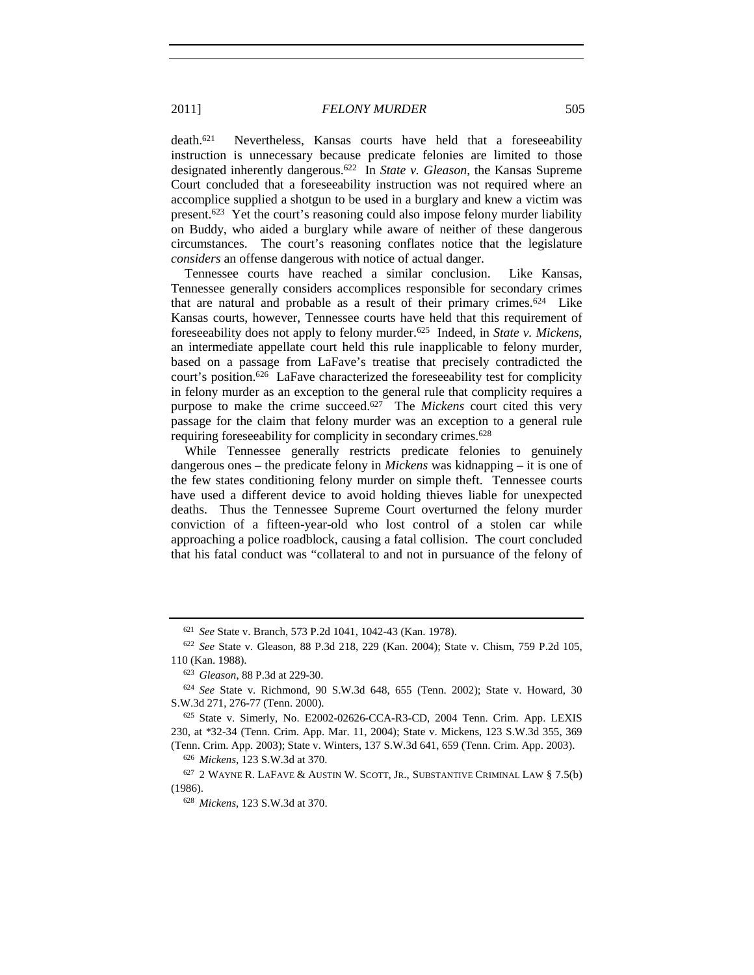death.621 Nevertheless, Kansas courts have held that a foreseeability instruction is unnecessary because predicate felonies are limited to those designated inherently dangerous.622 In *State v. Gleason*, the Kansas Supreme Court concluded that a foreseeability instruction was not required where an accomplice supplied a shotgun to be used in a burglary and knew a victim was present.623 Yet the court's reasoning could also impose felony murder liability on Buddy, who aided a burglary while aware of neither of these dangerous circumstances. The court's reasoning conflates notice that the legislature *considers* an offense dangerous with notice of actual danger.

Tennessee courts have reached a similar conclusion. Like Kansas, Tennessee generally considers accomplices responsible for secondary crimes that are natural and probable as a result of their primary crimes.624 Like Kansas courts, however, Tennessee courts have held that this requirement of foreseeability does not apply to felony murder.625 Indeed, in *State v. Mickens*, an intermediate appellate court held this rule inapplicable to felony murder, based on a passage from LaFave's treatise that precisely contradicted the court's position.626 LaFave characterized the foreseeability test for complicity in felony murder as an exception to the general rule that complicity requires a purpose to make the crime succeed.627 The *Mickens* court cited this very passage for the claim that felony murder was an exception to a general rule requiring foreseeability for complicity in secondary crimes.628

While Tennessee generally restricts predicate felonies to genuinely dangerous ones – the predicate felony in *Mickens* was kidnapping – it is one of the few states conditioning felony murder on simple theft. Tennessee courts have used a different device to avoid holding thieves liable for unexpected deaths. Thus the Tennessee Supreme Court overturned the felony murder conviction of a fifteen-year-old who lost control of a stolen car while approaching a police roadblock, causing a fatal collision. The court concluded that his fatal conduct was "collateral to and not in pursuance of the felony of

 $627$  2 WAYNE R. LAFAVE & AUSTIN W. SCOTT, JR., SUBSTANTIVE CRIMINAL LAW § 7.5(b) (1986).

<sup>628</sup> *Mickens*, 123 S.W.3d at 370.

<sup>621</sup> *See* State v. Branch, 573 P.2d 1041, 1042-43 (Kan. 1978).

<sup>622</sup> *See* State v. Gleason, 88 P.3d 218, 229 (Kan. 2004); State v. Chism, 759 P.2d 105, 110 (Kan. 1988).

<sup>623</sup> *Gleason*, 88 P.3d at 229-30.

<sup>624</sup> *See* State v. Richmond, 90 S.W.3d 648, 655 (Tenn. 2002); State v. Howard, 30 S.W.3d 271, 276-77 (Tenn. 2000).

<sup>625</sup> State v. Simerly, No. E2002-02626-CCA-R3-CD, 2004 Tenn. Crim. App. LEXIS 230, at \*32-34 (Tenn. Crim. App. Mar. 11, 2004); State v. Mickens, 123 S.W.3d 355, 369 (Tenn. Crim. App. 2003); State v. Winters, 137 S.W.3d 641, 659 (Tenn. Crim. App. 2003).

<sup>626</sup> *Mickens*, 123 S.W.3d at 370.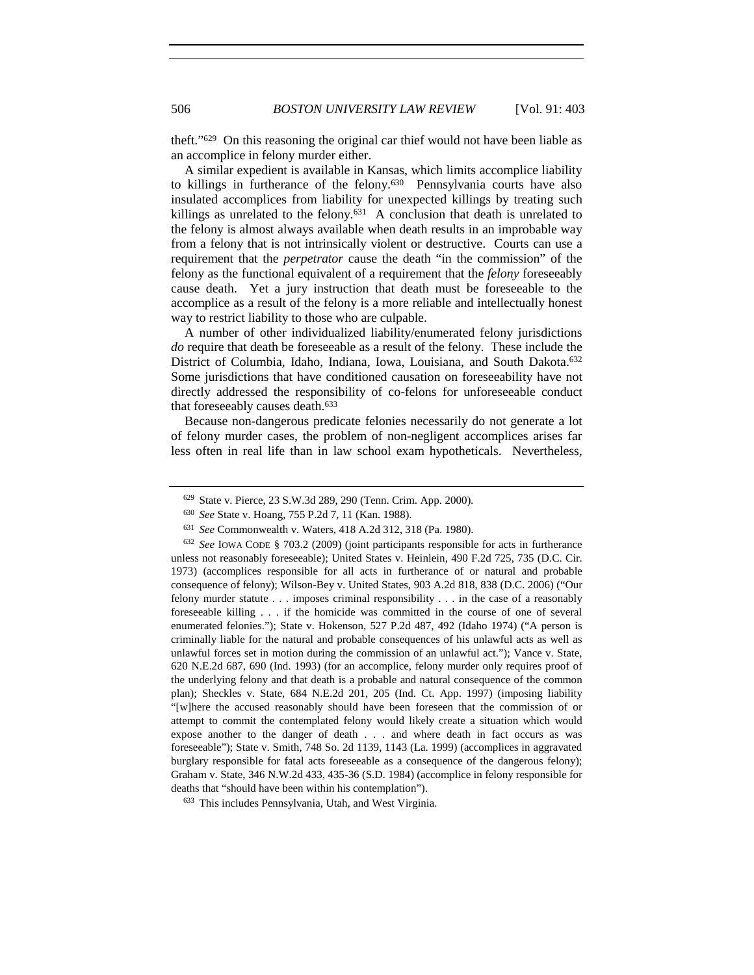theft."629 On this reasoning the original car thief would not have been liable as an accomplice in felony murder either.

A similar expedient is available in Kansas, which limits accomplice liability to killings in furtherance of the felony.630 Pennsylvania courts have also insulated accomplices from liability for unexpected killings by treating such killings as unrelated to the felony. $631$  A conclusion that death is unrelated to the felony is almost always available when death results in an improbable way from a felony that is not intrinsically violent or destructive. Courts can use a requirement that the *perpetrator* cause the death "in the commission" of the felony as the functional equivalent of a requirement that the *felony* foreseeably cause death. Yet a jury instruction that death must be foreseeable to the accomplice as a result of the felony is a more reliable and intellectually honest way to restrict liability to those who are culpable.

A number of other individualized liability/enumerated felony jurisdictions *do* require that death be foreseeable as a result of the felony. These include the District of Columbia, Idaho, Indiana, Iowa, Louisiana, and South Dakota.<sup>632</sup> Some jurisdictions that have conditioned causation on foreseeability have not directly addressed the responsibility of co-felons for unforeseeable conduct that foreseeably causes death.<sup>633</sup>

Because non-dangerous predicate felonies necessarily do not generate a lot of felony murder cases, the problem of non-negligent accomplices arises far less often in real life than in law school exam hypotheticals. Nevertheless,

<sup>629</sup> State v. Pierce, 23 S.W.3d 289, 290 (Tenn. Crim. App. 2000). 630 *See* State v. Hoang, 755 P.2d 7, 11 (Kan. 1988).

<sup>631</sup> *See* Commonwealth v. Waters, 418 A.2d 312, 318 (Pa. 1980).

<sup>632</sup> *See* IOWA CODE § 703.2 (2009) (joint participants responsible for acts in furtherance unless not reasonably foreseeable); United States v. Heinlein, 490 F.2d 725, 735 (D.C. Cir. 1973) (accomplices responsible for all acts in furtherance of or natural and probable consequence of felony); Wilson-Bey v. United States, 903 A.2d 818, 838 (D.C. 2006) ("Our felony murder statute . . . imposes criminal responsibility . . . in the case of a reasonably foreseeable killing . . . if the homicide was committed in the course of one of several enumerated felonies."); State v. Hokenson, 527 P.2d 487, 492 (Idaho 1974) ("A person is criminally liable for the natural and probable consequences of his unlawful acts as well as unlawful forces set in motion during the commission of an unlawful act."); Vance v. State, 620 N.E.2d 687, 690 (Ind. 1993) (for an accomplice, felony murder only requires proof of the underlying felony and that death is a probable and natural consequence of the common plan); Sheckles v. State, 684 N.E.2d 201, 205 (Ind. Ct. App. 1997) (imposing liability "[w]here the accused reasonably should have been foreseen that the commission of or attempt to commit the contemplated felony would likely create a situation which would expose another to the danger of death . . . and where death in fact occurs as was foreseeable"); State v. Smith, 748 So. 2d 1139, 1143 (La. 1999) (accomplices in aggravated burglary responsible for fatal acts foreseeable as a consequence of the dangerous felony); Graham v. State, 346 N.W.2d 433, 435-36 (S.D. 1984) (accomplice in felony responsible for deaths that "should have been within his contemplation"). 633 This includes Pennsylvania, Utah, and West Virginia.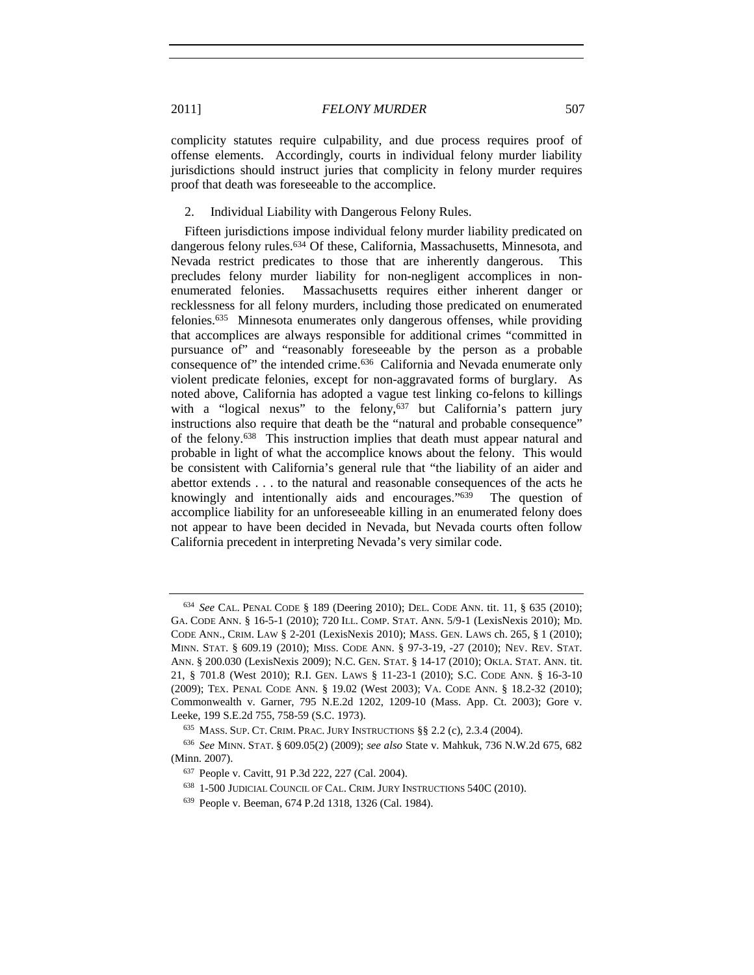complicity statutes require culpability, and due process requires proof of offense elements. Accordingly, courts in individual felony murder liability jurisdictions should instruct juries that complicity in felony murder requires proof that death was foreseeable to the accomplice.

2. Individual Liability with Dangerous Felony Rules.

Fifteen jurisdictions impose individual felony murder liability predicated on dangerous felony rules.634 Of these, California, Massachusetts, Minnesota, and Nevada restrict predicates to those that are inherently dangerous. This precludes felony murder liability for non-negligent accomplices in nonenumerated felonies. Massachusetts requires either inherent danger or recklessness for all felony murders, including those predicated on enumerated felonies.635 Minnesota enumerates only dangerous offenses, while providing that accomplices are always responsible for additional crimes "committed in pursuance of" and "reasonably foreseeable by the person as a probable consequence of" the intended crime.<sup>636</sup> California and Nevada enumerate only violent predicate felonies, except for non-aggravated forms of burglary. As noted above, California has adopted a vague test linking co-felons to killings with a "logical nexus" to the felony,<sup>637</sup> but California's pattern jury instructions also require that death be the "natural and probable consequence" of the felony.638 This instruction implies that death must appear natural and probable in light of what the accomplice knows about the felony. This would be consistent with California's general rule that "the liability of an aider and abettor extends . . . to the natural and reasonable consequences of the acts he knowingly and intentionally aids and encourages."639 The question of accomplice liability for an unforeseeable killing in an enumerated felony does not appear to have been decided in Nevada, but Nevada courts often follow California precedent in interpreting Nevada's very similar code.

<sup>634</sup> *See* CAL. PENAL CODE § 189 (Deering 2010); DEL. CODE ANN. tit. 11, § 635 (2010); GA. CODE ANN. § 16-5-1 (2010); 720 ILL. COMP. STAT. ANN. 5/9-1 (LexisNexis 2010); MD. CODE ANN., CRIM. LAW § 2-201 (LexisNexis 2010); MASS. GEN. LAWS ch. 265, § 1 (2010); MINN. STAT. § 609.19 (2010); MISS. CODE ANN. § 97-3-19, -27 (2010); NEV. REV. STAT. ANN. § 200.030 (LexisNexis 2009); N.C. GEN. STAT. § 14-17 (2010); OKLA. STAT. ANN. tit. 21, § 701.8 (West 2010); R.I. GEN. LAWS § 11-23-1 (2010); S.C. CODE ANN. § 16-3-10 (2009); TEX. PENAL CODE ANN. § 19.02 (West 2003); VA. CODE ANN. § 18.2-32 (2010); Commonwealth v. Garner, 795 N.E.2d 1202, 1209-10 (Mass. App. Ct. 2003); Gore v. Leeke, 199 S.E.2d 755, 758-59 (S.C. 1973).

<sup>635</sup> MASS. SUP. CT. CRIM. PRAC. JURY INSTRUCTIONS §§ 2.2 (c), 2.3.4 (2004).

<sup>636</sup> *See* MINN. STAT. § 609.05(2) (2009); *see also* State v. Mahkuk, 736 N.W.2d 675, 682 (Minn. 2007).

<sup>637</sup> People v. Cavitt, 91 P.3d 222, 227 (Cal. 2004).

<sup>638</sup> 1-500 JUDICIAL COUNCIL OF CAL. CRIM. JURY INSTRUCTIONS 540C (2010).

<sup>639</sup> People v. Beeman, 674 P.2d 1318, 1326 (Cal. 1984).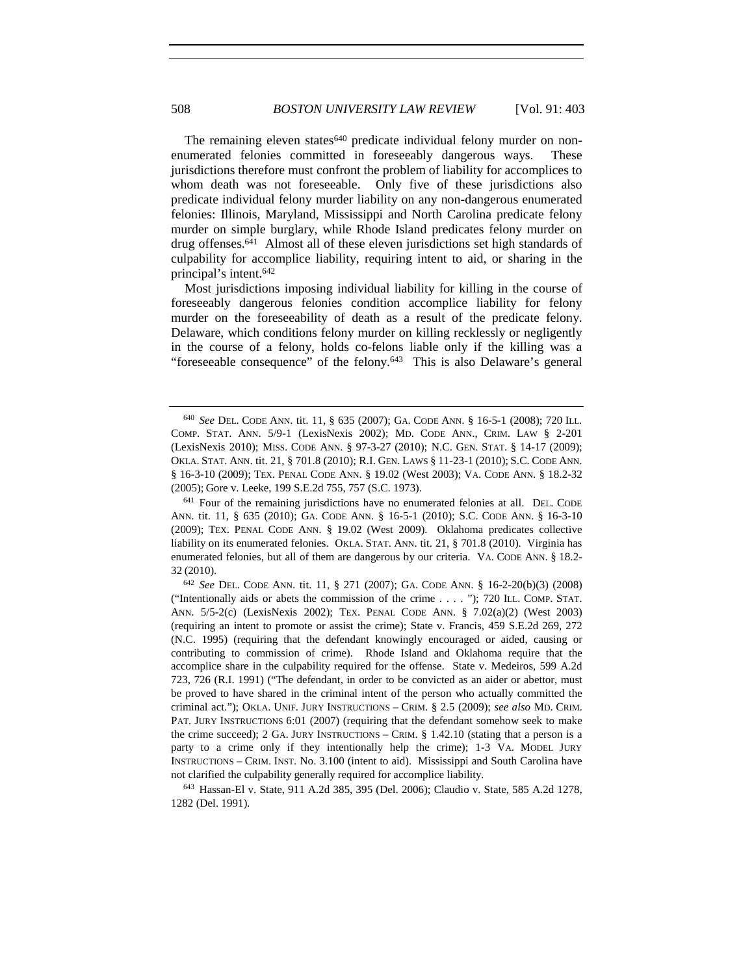The remaining eleven states<sup>640</sup> predicate individual felony murder on nonenumerated felonies committed in foreseeably dangerous ways. These jurisdictions therefore must confront the problem of liability for accomplices to whom death was not foreseeable. Only five of these jurisdictions also predicate individual felony murder liability on any non-dangerous enumerated felonies: Illinois, Maryland, Mississippi and North Carolina predicate felony murder on simple burglary, while Rhode Island predicates felony murder on drug offenses.641 Almost all of these eleven jurisdictions set high standards of culpability for accomplice liability, requiring intent to aid, or sharing in the principal's intent.642

Most jurisdictions imposing individual liability for killing in the course of foreseeably dangerous felonies condition accomplice liability for felony murder on the foreseeability of death as a result of the predicate felony. Delaware, which conditions felony murder on killing recklessly or negligently in the course of a felony, holds co-felons liable only if the killing was a "foreseeable consequence" of the felony.643 This is also Delaware's general

<sup>640</sup> *See* DEL. CODE ANN. tit. 11, § 635 (2007); GA. CODE ANN. § 16-5-1 (2008); 720 ILL. COMP. STAT. ANN. 5/9-1 (LexisNexis 2002); MD. CODE ANN., CRIM. LAW § 2-201 (LexisNexis 2010); MISS. CODE ANN. § 97-3-27 (2010); N.C. GEN. STAT. § 14-17 (2009); OKLA. STAT. ANN. tit. 21, § 701.8 (2010); R.I. GEN. LAWS § 11-23-1 (2010); S.C. CODE ANN. § 16-3-10 (2009); TEX. PENAL CODE ANN. § 19.02 (West 2003); VA. CODE ANN. § 18.2-32 (2005); Gore v. Leeke, 199 S.E.2d 755, 757 (S.C. 1973).

<sup>641</sup> Four of the remaining jurisdictions have no enumerated felonies at all. DEL. CODE ANN. tit. 11, § 635 (2010); GA. CODE ANN. § 16-5-1 (2010); S.C. CODE ANN. § 16-3-10 (2009); TEX. PENAL CODE ANN. § 19.02 (West 2009). Oklahoma predicates collective liability on its enumerated felonies. OKLA. STAT. ANN. tit. 21, § 701.8 (2010). Virginia has enumerated felonies, but all of them are dangerous by our criteria. VA. CODE ANN. § 18.2- 32 (2010).

<sup>642</sup> *See* DEL. CODE ANN. tit. 11, § 271 (2007); GA. CODE ANN. § 16-2-20(b)(3) (2008) ("Intentionally aids or abets the commission of the crime . . . . "); 720 ILL. COMP. STAT. ANN. 5/5-2(c) (LexisNexis 2002); TEX. PENAL CODE ANN. § 7.02(a)(2) (West 2003) (requiring an intent to promote or assist the crime); State v. Francis, 459 S.E.2d 269, 272 (N.C. 1995) (requiring that the defendant knowingly encouraged or aided, causing or contributing to commission of crime). Rhode Island and Oklahoma require that the accomplice share in the culpability required for the offense. State v. Medeiros, 599 A.2d 723, 726 (R.I. 1991) ("The defendant, in order to be convicted as an aider or abettor, must be proved to have shared in the criminal intent of the person who actually committed the criminal act."); OKLA. UNIF. JURY INSTRUCTIONS – CRIM. § 2.5 (2009); *see also* MD. CRIM. PAT. JURY INSTRUCTIONS 6:01 (2007) (requiring that the defendant somehow seek to make the crime succeed); 2 GA. JURY INSTRUCTIONS – CRIM.  $\S$  1.42.10 (stating that a person is a party to a crime only if they intentionally help the crime); 1-3 VA. MODEL JURY INSTRUCTIONS – CRIM. INST. No. 3.100 (intent to aid). Mississippi and South Carolina have not clarified the culpability generally required for accomplice liability.

<sup>643</sup> Hassan-El v. State, 911 A.2d 385, 395 (Del. 2006); Claudio v. State, 585 A.2d 1278, 1282 (Del. 1991).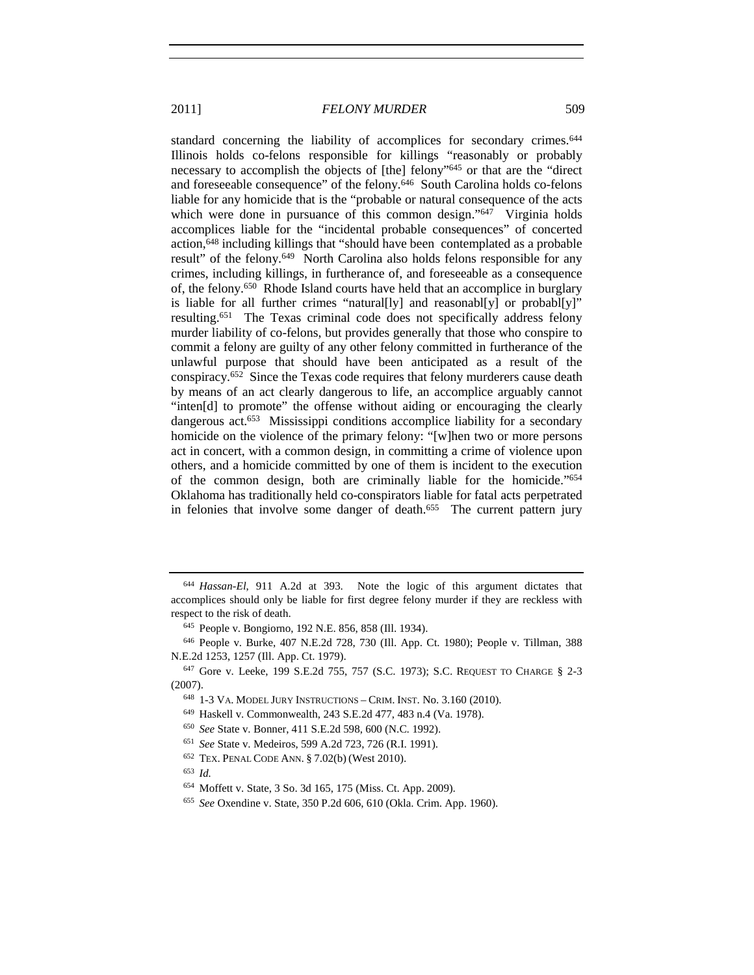standard concerning the liability of accomplices for secondary crimes.<sup>644</sup> Illinois holds co-felons responsible for killings "reasonably or probably necessary to accomplish the objects of [the] felony"645 or that are the "direct and foreseeable consequence" of the felony.646 South Carolina holds co-felons liable for any homicide that is the "probable or natural consequence of the acts which were done in pursuance of this common design."<sup>647</sup> Virginia holds accomplices liable for the "incidental probable consequences" of concerted action,648 including killings that "should have been contemplated as a probable result" of the felony.649 North Carolina also holds felons responsible for any crimes, including killings, in furtherance of, and foreseeable as a consequence of, the felony.650 Rhode Island courts have held that an accomplice in burglary is liable for all further crimes "natural[ly] and reasonabl[y] or probabl[y]" resulting.651 The Texas criminal code does not specifically address felony murder liability of co-felons, but provides generally that those who conspire to commit a felony are guilty of any other felony committed in furtherance of the unlawful purpose that should have been anticipated as a result of the conspiracy.652 Since the Texas code requires that felony murderers cause death by means of an act clearly dangerous to life, an accomplice arguably cannot "inten[d] to promote" the offense without aiding or encouraging the clearly dangerous act.<sup>653</sup> Mississippi conditions accomplice liability for a secondary homicide on the violence of the primary felony: "[w]hen two or more persons act in concert, with a common design, in committing a crime of violence upon others, and a homicide committed by one of them is incident to the execution of the common design, both are criminally liable for the homicide."654 Oklahoma has traditionally held co-conspirators liable for fatal acts perpetrated in felonies that involve some danger of death.<sup>655</sup> The current pattern jury

<sup>644</sup> *Hassan-El*, 911 A.2d at 393. Note the logic of this argument dictates that accomplices should only be liable for first degree felony murder if they are reckless with respect to the risk of death.

<sup>645</sup> People v. Bongiorno, 192 N.E. 856, 858 (Ill. 1934).

<sup>646</sup> People v. Burke, 407 N.E.2d 728, 730 (Ill. App. Ct. 1980); People v. Tillman, 388 N.E.2d 1253, 1257 (Ill. App. Ct. 1979).

<sup>647</sup> Gore v. Leeke, 199 S.E.2d 755, 757 (S.C. 1973); S.C. REQUEST TO CHARGE § 2-3 (2007).

<sup>648</sup> 1-3 VA. MODEL JURY INSTRUCTIONS – CRIM. INST. No. 3.160 (2010).

<sup>649</sup> Haskell v. Commonwealth, 243 S.E.2d 477, 483 n.4 (Va. 1978).

<sup>650</sup> *See* State v. Bonner, 411 S.E.2d 598, 600 (N.C. 1992).

<sup>651</sup> *See* State v. Medeiros, 599 A.2d 723, 726 (R.I. 1991).

<sup>652</sup> TEX. PENAL CODE ANN. § 7.02(b) (West 2010).

<sup>653</sup> *Id.*

<sup>654</sup> Moffett v. State, 3 So. 3d 165, 175 (Miss. Ct. App. 2009).

<sup>655</sup> *See* Oxendine v. State, 350 P.2d 606, 610 (Okla. Crim. App. 1960).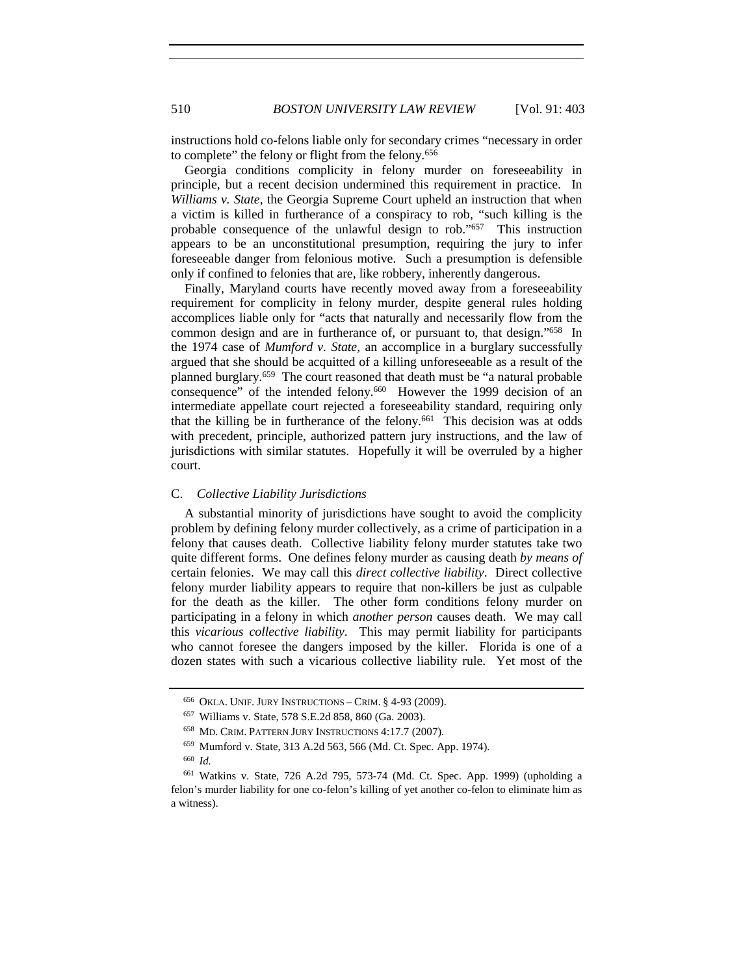510 *BOSTON UNIVERSITY LAW REVIEW* [Vol. 91: 403

instructions hold co-felons liable only for secondary crimes "necessary in order to complete" the felony or flight from the felony.<sup>656</sup>

Georgia conditions complicity in felony murder on foreseeability in principle, but a recent decision undermined this requirement in practice. In *Williams v. State*, the Georgia Supreme Court upheld an instruction that when a victim is killed in furtherance of a conspiracy to rob, "such killing is the probable consequence of the unlawful design to rob."657 This instruction appears to be an unconstitutional presumption, requiring the jury to infer foreseeable danger from felonious motive. Such a presumption is defensible only if confined to felonies that are, like robbery, inherently dangerous.

Finally, Maryland courts have recently moved away from a foreseeability requirement for complicity in felony murder, despite general rules holding accomplices liable only for "acts that naturally and necessarily flow from the common design and are in furtherance of, or pursuant to, that design."658 In the 1974 case of *Mumford v. State*, an accomplice in a burglary successfully argued that she should be acquitted of a killing unforeseeable as a result of the planned burglary.659 The court reasoned that death must be "a natural probable consequence" of the intended felony.<sup>660</sup> However the 1999 decision of an intermediate appellate court rejected a foreseeability standard, requiring only that the killing be in furtherance of the felony.661 This decision was at odds with precedent, principle, authorized pattern jury instructions, and the law of jurisdictions with similar statutes. Hopefully it will be overruled by a higher court.

## C. *Collective Liability Jurisdictions*

A substantial minority of jurisdictions have sought to avoid the complicity problem by defining felony murder collectively, as a crime of participation in a felony that causes death. Collective liability felony murder statutes take two quite different forms. One defines felony murder as causing death *by means of* certain felonies. We may call this *direct collective liability*. Direct collective felony murder liability appears to require that non-killers be just as culpable for the death as the killer. The other form conditions felony murder on participating in a felony in which *another person* causes death. We may call this *vicarious collective liability*. This may permit liability for participants who cannot foresee the dangers imposed by the killer. Florida is one of a dozen states with such a vicarious collective liability rule. Yet most of the

<sup>656</sup> OKLA. UNIF. JURY INSTRUCTIONS – CRIM. § 4-93 (2009).

<sup>657</sup> Williams v. State, 578 S.E.2d 858, 860 (Ga. 2003).

<sup>658</sup> MD. CRIM. PATTERN JURY INSTRUCTIONS 4:17.7 (2007).

<sup>659</sup> Mumford v. State, 313 A.2d 563, 566 (Md. Ct. Spec. App. 1974).

<sup>660</sup> *Id.*

<sup>661</sup> Watkins v. State, 726 A.2d 795, 573-74 (Md. Ct. Spec. App. 1999) (upholding a felon's murder liability for one co-felon's killing of yet another co-felon to eliminate him as a witness).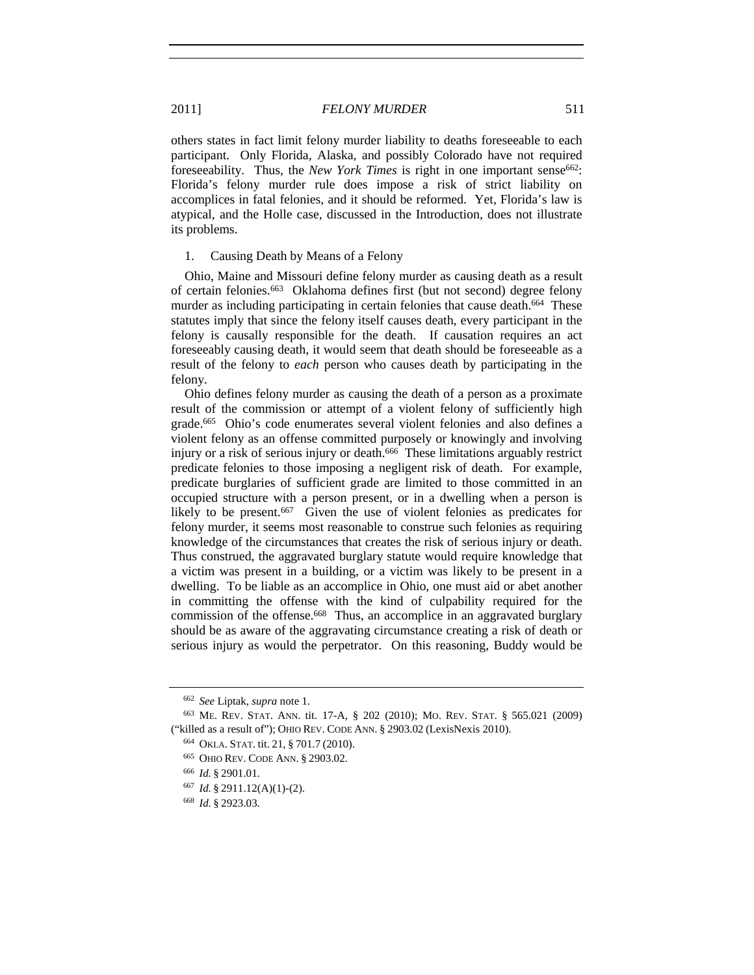others states in fact limit felony murder liability to deaths foreseeable to each participant. Only Florida, Alaska, and possibly Colorado have not required foreseeability. Thus, the *New York Times* is right in one important sense<sup>662</sup>: Florida's felony murder rule does impose a risk of strict liability on accomplices in fatal felonies, and it should be reformed. Yet, Florida's law is atypical, and the Holle case, discussed in the Introduction, does not illustrate its problems.

1. Causing Death by Means of a Felony

Ohio, Maine and Missouri define felony murder as causing death as a result of certain felonies.663 Oklahoma defines first (but not second) degree felony murder as including participating in certain felonies that cause death.<sup>664</sup> These statutes imply that since the felony itself causes death, every participant in the felony is causally responsible for the death. If causation requires an act foreseeably causing death, it would seem that death should be foreseeable as a result of the felony to *each* person who causes death by participating in the felony.

Ohio defines felony murder as causing the death of a person as a proximate result of the commission or attempt of a violent felony of sufficiently high grade.665 Ohio's code enumerates several violent felonies and also defines a violent felony as an offense committed purposely or knowingly and involving injury or a risk of serious injury or death.666 These limitations arguably restrict predicate felonies to those imposing a negligent risk of death. For example, predicate burglaries of sufficient grade are limited to those committed in an occupied structure with a person present, or in a dwelling when a person is likely to be present.<sup>667</sup> Given the use of violent felonies as predicates for felony murder, it seems most reasonable to construe such felonies as requiring knowledge of the circumstances that creates the risk of serious injury or death. Thus construed, the aggravated burglary statute would require knowledge that a victim was present in a building, or a victim was likely to be present in a dwelling. To be liable as an accomplice in Ohio, one must aid or abet another in committing the offense with the kind of culpability required for the commission of the offense.<sup>668</sup> Thus, an accomplice in an aggravated burglary should be as aware of the aggravating circumstance creating a risk of death or serious injury as would the perpetrator. On this reasoning, Buddy would be

<sup>667</sup> *Id.* § 2911.12(A)(1)-(2).

<sup>662</sup> *See* Liptak, *supra* note 1. 663 ME. REV. STAT. ANN. tit. 17-A, § 202 (2010); MO. REV. STAT. § 565.021 (2009) ("killed as a result of"); OHIO REV. CODE ANN. § 2903.02 (LexisNexis 2010).

<sup>664</sup> OKLA. STAT. tit. 21, § 701.7 (2010).

<sup>665</sup> OHIO REV. CODE ANN. § 2903.02.

<sup>666</sup> *Id.* § 2901.01.

<sup>668</sup> *Id.* § 2923.03.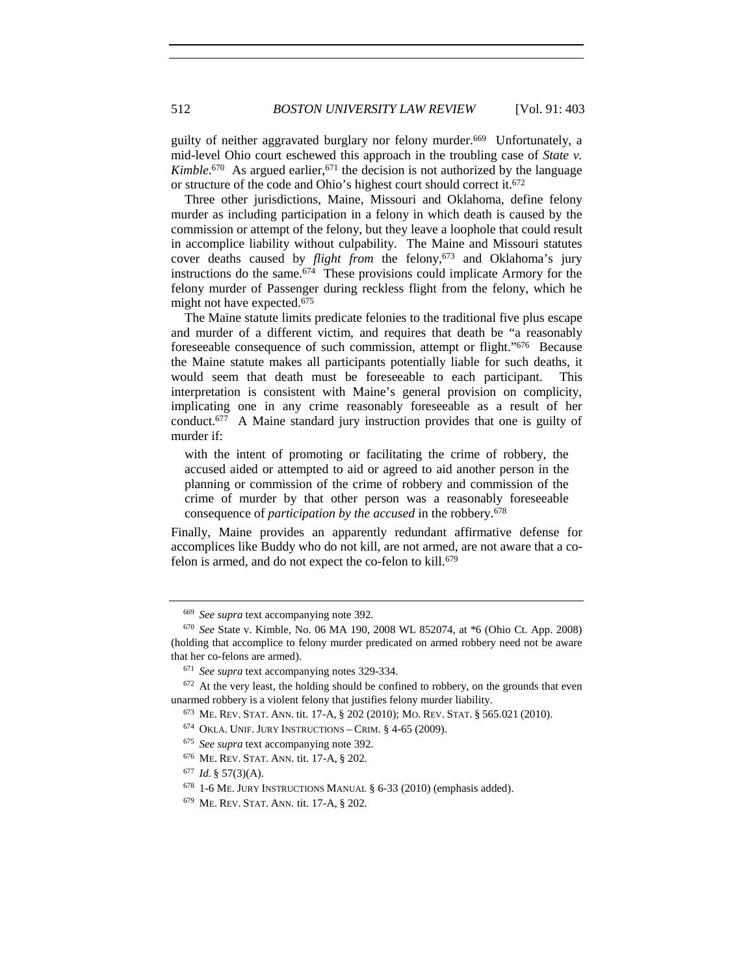guilty of neither aggravated burglary nor felony murder.<sup>669</sup> Unfortunately, a mid-level Ohio court eschewed this approach in the troubling case of *State v.*   $Kimble. 670$  As argued earlier,  $671$  the decision is not authorized by the language or structure of the code and Ohio's highest court should correct it.672

Three other jurisdictions, Maine, Missouri and Oklahoma, define felony murder as including participation in a felony in which death is caused by the commission or attempt of the felony, but they leave a loophole that could result in accomplice liability without culpability. The Maine and Missouri statutes cover deaths caused by *flight from* the felony,<sup>673</sup> and Oklahoma's jury instructions do the same.674 These provisions could implicate Armory for the felony murder of Passenger during reckless flight from the felony, which he might not have expected.675

The Maine statute limits predicate felonies to the traditional five plus escape and murder of a different victim, and requires that death be "a reasonably foreseeable consequence of such commission, attempt or flight."676 Because the Maine statute makes all participants potentially liable for such deaths, it would seem that death must be foreseeable to each participant. This interpretation is consistent with Maine's general provision on complicity, implicating one in any crime reasonably foreseeable as a result of her conduct.677 A Maine standard jury instruction provides that one is guilty of murder if:

with the intent of promoting or facilitating the crime of robbery, the accused aided or attempted to aid or agreed to aid another person in the planning or commission of the crime of robbery and commission of the crime of murder by that other person was a reasonably foreseeable consequence of *participation by the accused* in the robbery.<sup>678</sup>

Finally, Maine provides an apparently redundant affirmative defense for accomplices like Buddy who do not kill, are not armed, are not aware that a cofelon is armed, and do not expect the co-felon to kill.<sup>679</sup>

<sup>669</sup> *See supra* text accompanying note 392. 670 *See* State v. Kimble, No. 06 MA 190, 2008 WL 852074, at \*6 (Ohio Ct. App. 2008) (holding that accomplice to felony murder predicated on armed robbery need not be aware that her co-felons are armed).

<sup>671</sup> *See supra* text accompanying notes 329-334.

 $672$  At the very least, the holding should be confined to robbery, on the grounds that even unarmed robbery is a violent felony that justifies felony murder liability.

<sup>673</sup> ME. REV. STAT. ANN. tit. 17-A, § 202 (2010); MO. REV. STAT. § 565.021 (2010).

<sup>674</sup> OKLA. UNIF. JURY INSTRUCTIONS – CRIM. § 4-65 (2009).

<sup>675</sup> *See supra* text accompanying note 392.

<sup>676</sup> ME. REV. STAT. ANN. tit. 17-A, § 202.

<sup>677</sup> *Id.* § 57(3)(A).

 $678$  1-6 ME. JURY INSTRUCTIONS MANUAL § 6-33 (2010) (emphasis added).

<sup>679</sup> ME. REV. STAT. ANN. tit. 17-A, § 202.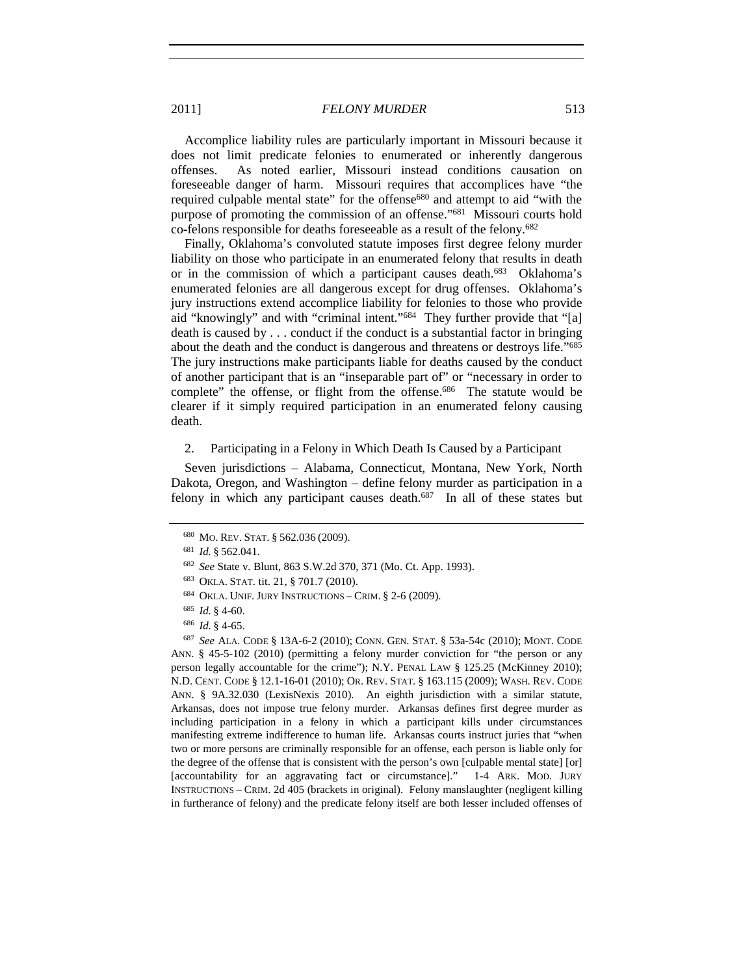Accomplice liability rules are particularly important in Missouri because it does not limit predicate felonies to enumerated or inherently dangerous offenses. As noted earlier, Missouri instead conditions causation on foreseeable danger of harm. Missouri requires that accomplices have "the required culpable mental state" for the offense680 and attempt to aid "with the purpose of promoting the commission of an offense."681 Missouri courts hold co-felons responsible for deaths foreseeable as a result of the felony.682

Finally, Oklahoma's convoluted statute imposes first degree felony murder liability on those who participate in an enumerated felony that results in death or in the commission of which a participant causes death.<sup>683</sup> Oklahoma's enumerated felonies are all dangerous except for drug offenses. Oklahoma's jury instructions extend accomplice liability for felonies to those who provide aid "knowingly" and with "criminal intent."684 They further provide that "[a] death is caused by . . . conduct if the conduct is a substantial factor in bringing about the death and the conduct is dangerous and threatens or destroys life."685 The jury instructions make participants liable for deaths caused by the conduct of another participant that is an "inseparable part of" or "necessary in order to complete" the offense, or flight from the offense.<sup>686</sup> The statute would be clearer if it simply required participation in an enumerated felony causing death.

2. Participating in a Felony in Which Death Is Caused by a Participant

Seven jurisdictions – Alabama, Connecticut, Montana, New York, North Dakota, Oregon, and Washington – define felony murder as participation in a felony in which any participant causes death. $687$  In all of these states but

<sup>680</sup> MO. REV. STAT. § 562.036 (2009).

<sup>681</sup> *Id.* § 562.041.

<sup>682</sup> *See* State v. Blunt, 863 S.W.2d 370, 371 (Mo. Ct. App. 1993). 683 OKLA. STAT. tit. 21, § 701.7 (2010).

<sup>684</sup> OKLA. UNIF. JURY INSTRUCTIONS – CRIM. § 2-6 (2009).

<sup>685</sup> *Id.* § 4-60. 686 *Id.* § 4-65. 687 *See* ALA. CODE § 13A-6-2 (2010); CONN. GEN. STAT. § 53a-54c (2010); MONT. CODE ANN. § 45-5-102 (2010) (permitting a felony murder conviction for "the person or any person legally accountable for the crime"); N.Y. PENAL LAW § 125.25 (McKinney 2010); N.D. CENT. CODE § 12.1-16-01 (2010); OR. REV. STAT. § 163.115 (2009); WASH. REV. CODE ANN. § 9A.32.030 (LexisNexis 2010). An eighth jurisdiction with a similar statute, Arkansas, does not impose true felony murder. Arkansas defines first degree murder as including participation in a felony in which a participant kills under circumstances manifesting extreme indifference to human life. Arkansas courts instruct juries that "when two or more persons are criminally responsible for an offense, each person is liable only for the degree of the offense that is consistent with the person's own [culpable mental state] [or] [accountability for an aggravating fact or circumstance]." 1-4 ARK. MOD. JURY INSTRUCTIONS – CRIM. 2d 405 (brackets in original). Felony manslaughter (negligent killing in furtherance of felony) and the predicate felony itself are both lesser included offenses of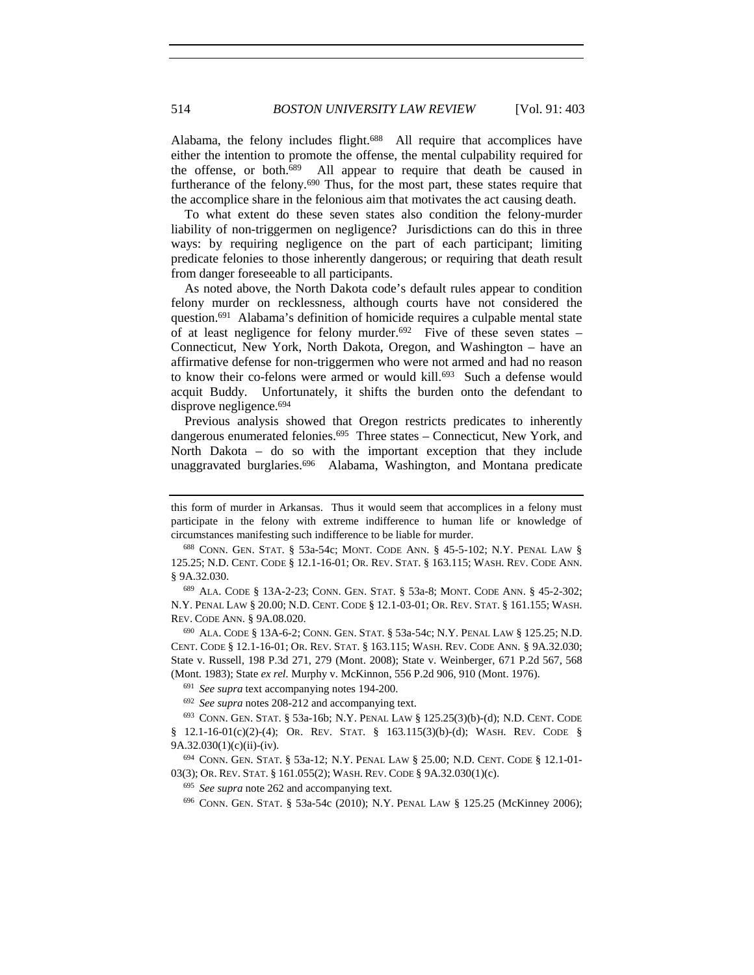Alabama, the felony includes flight.688 All require that accomplices have either the intention to promote the offense, the mental culpability required for the offense, or both.689 All appear to require that death be caused in furtherance of the felony.<sup>690</sup> Thus, for the most part, these states require that the accomplice share in the felonious aim that motivates the act causing death.

To what extent do these seven states also condition the felony-murder liability of non-triggermen on negligence? Jurisdictions can do this in three ways: by requiring negligence on the part of each participant; limiting predicate felonies to those inherently dangerous; or requiring that death result from danger foreseeable to all participants.

As noted above, the North Dakota code's default rules appear to condition felony murder on recklessness, although courts have not considered the question.<sup>691</sup> Alabama's definition of homicide requires a culpable mental state of at least negligence for felony murder.<sup>692</sup> Five of these seven states – Connecticut, New York, North Dakota, Oregon, and Washington – have an affirmative defense for non-triggermen who were not armed and had no reason to know their co-felons were armed or would kill.<sup>693</sup> Such a defense would acquit Buddy. Unfortunately, it shifts the burden onto the defendant to disprove negligence.<sup>694</sup>

Previous analysis showed that Oregon restricts predicates to inherently dangerous enumerated felonies.<sup>695</sup> Three states – Connecticut, New York, and North Dakota – do so with the important exception that they include unaggravated burglaries.696 Alabama, Washington, and Montana predicate

<sup>689</sup> ALA. CODE § 13A-2-23; CONN. GEN. STAT. § 53a-8; MONT. CODE ANN. § 45-2-302; N.Y. PENAL LAW § 20.00; N.D. CENT. CODE § 12.1-03-01; OR. REV. STAT. § 161.155; WASH. REV. CODE ANN. § 9A.08.020.

<sup>690</sup> ALA. CODE § 13A-6-2; CONN. GEN. STAT. § 53a-54c; N.Y. PENAL LAW § 125.25; N.D. CENT. CODE § 12.1-16-01; OR. REV. STAT. § 163.115; WASH. REV. CODE ANN. § 9A.32.030; State v. Russell, 198 P.3d 271, 279 (Mont. 2008); State v. Weinberger, 671 P.2d 567, 568 (Mont. 1983); State *ex rel.* Murphy v. McKinnon, 556 P.2d 906, 910 (Mont. 1976). 691 *See supra* text accompanying notes 194-200.

<sup>692</sup> *See supra* notes 208-212 and accompanying text.

<sup>693</sup> CONN. GEN. STAT. § 53a-16b; N.Y. PENAL LAW § 125.25(3)(b)-(d); N.D. CENT. CODE § 12.1-16-01(c)(2)-(4); OR. REV. STAT. § 163.115(3)(b)-(d); WASH. REV. CODE § 9A.32.030(1)(c)(ii)-(iv).

<sup>694</sup> CONN. GEN. STAT. § 53a-12; N.Y. PENAL LAW § 25.00; N.D. CENT. CODE § 12.1-01- 03(3); OR. REV. STAT. § 161.055(2); WASH. REV. CODE § 9A.32.030(1)(c).

<sup>695</sup> *See supra* note 262 and accompanying text.

<sup>696</sup> CONN. GEN. STAT. § 53a-54c (2010); N.Y. PENAL LAW § 125.25 (McKinney 2006);

this form of murder in Arkansas. Thus it would seem that accomplices in a felony must participate in the felony with extreme indifference to human life or knowledge of circumstances manifesting such indifference to be liable for murder.

<sup>688</sup> CONN. GEN. STAT. § 53a-54c; MONT. CODE ANN. § 45-5-102; N.Y. PENAL LAW § 125.25; N.D. CENT. CODE § 12.1-16-01; OR. REV. STAT. § 163.115; WASH. REV. CODE ANN. § 9A.32.030.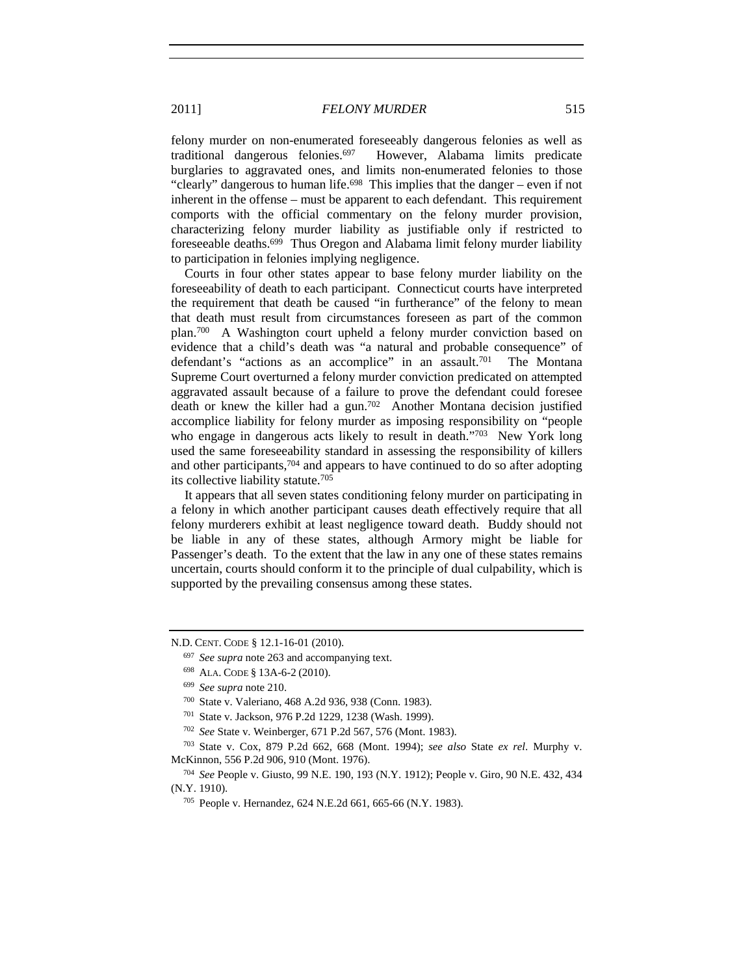felony murder on non-enumerated foreseeably dangerous felonies as well as traditional dangerous felonies.<sup>697</sup> However, Alabama limits predicate However, Alabama limits predicate burglaries to aggravated ones, and limits non-enumerated felonies to those "clearly" dangerous to human life.<sup>698</sup> This implies that the danger – even if not inherent in the offense – must be apparent to each defendant. This requirement comports with the official commentary on the felony murder provision, characterizing felony murder liability as justifiable only if restricted to foreseeable deaths.699 Thus Oregon and Alabama limit felony murder liability to participation in felonies implying negligence.

Courts in four other states appear to base felony murder liability on the foreseeability of death to each participant. Connecticut courts have interpreted the requirement that death be caused "in furtherance" of the felony to mean that death must result from circumstances foreseen as part of the common plan.700 A Washington court upheld a felony murder conviction based on evidence that a child's death was "a natural and probable consequence" of defendant's "actions as an accomplice" in an assault.<sup>701</sup> The Montana Supreme Court overturned a felony murder conviction predicated on attempted aggravated assault because of a failure to prove the defendant could foresee death or knew the killer had a gun.702 Another Montana decision justified accomplice liability for felony murder as imposing responsibility on "people who engage in dangerous acts likely to result in death."<sup>703</sup> New York long used the same foreseeability standard in assessing the responsibility of killers and other participants,704 and appears to have continued to do so after adopting its collective liability statute.705

It appears that all seven states conditioning felony murder on participating in a felony in which another participant causes death effectively require that all felony murderers exhibit at least negligence toward death. Buddy should not be liable in any of these states, although Armory might be liable for Passenger's death. To the extent that the law in any one of these states remains uncertain, courts should conform it to the principle of dual culpability, which is supported by the prevailing consensus among these states.

N.D. CENT. CODE § 12.1-16-01 (2010).

<sup>697</sup> *See supra* note 263 and accompanying text.

<sup>698</sup> ALA. CODE § 13A-6-2 (2010).

<sup>699</sup> *See supra* note 210.

<sup>700</sup> State v. Valeriano, 468 A.2d 936, 938 (Conn. 1983).

<sup>701</sup> State v. Jackson, 976 P.2d 1229, 1238 (Wash. 1999).

<sup>702</sup> *See* State v. Weinberger, 671 P.2d 567, 576 (Mont. 1983).

<sup>703</sup> State v. Cox, 879 P.2d 662, 668 (Mont. 1994); *see also* State *ex rel*. Murphy v. McKinnon, 556 P.2d 906, 910 (Mont. 1976).

<sup>704</sup> *See* People v. Giusto, 99 N.E. 190, 193 (N.Y. 1912); People v. Giro, 90 N.E. 432, 434 (N.Y. 1910).

<sup>705</sup> People v. Hernandez, 624 N.E.2d 661, 665-66 (N.Y. 1983).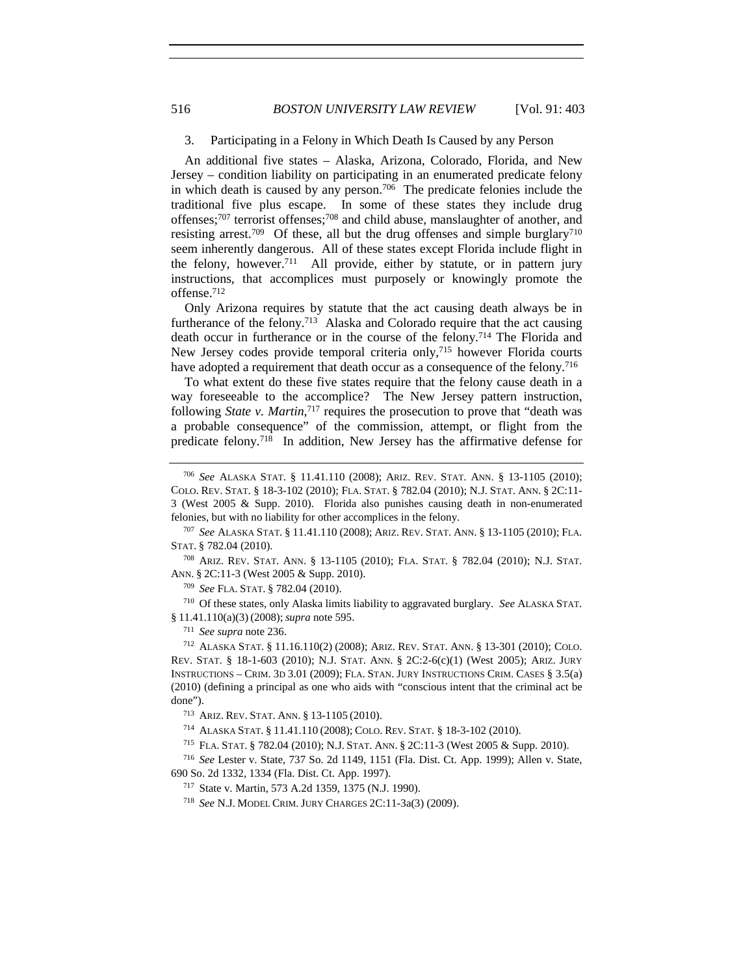# 3. Participating in a Felony in Which Death Is Caused by any Person

An additional five states – Alaska, Arizona, Colorado, Florida, and New Jersey – condition liability on participating in an enumerated predicate felony in which death is caused by any person.<sup>706</sup> The predicate felonies include the traditional five plus escape. In some of these states they include drug offenses;707 terrorist offenses;708 and child abuse, manslaughter of another, and resisting arrest.<sup>709</sup> Of these, all but the drug offenses and simple burglary<sup>710</sup> seem inherently dangerous. All of these states except Florida include flight in the felony, however.<sup>711</sup> All provide, either by statute, or in pattern jury instructions, that accomplices must purposely or knowingly promote the offense.712

Only Arizona requires by statute that the act causing death always be in furtherance of the felony.<sup>713</sup> Alaska and Colorado require that the act causing death occur in furtherance or in the course of the felony.714 The Florida and New Jersey codes provide temporal criteria only,<sup>715</sup> however Florida courts have adopted a requirement that death occur as a consequence of the felony.<sup>716</sup>

To what extent do these five states require that the felony cause death in a way foreseeable to the accomplice? The New Jersey pattern instruction, following *State v. Martin*, 717 requires the prosecution to prove that "death was a probable consequence" of the commission, attempt, or flight from the predicate felony.718 In addition, New Jersey has the affirmative defense for

<sup>708</sup> ARIZ. REV. STAT. ANN. § 13-1105 (2010); FLA. STAT. § 782.04 (2010); N.J. STAT. ANN. § 2C:11-3 (West 2005 & Supp. 2010).

<sup>709</sup> *See* FLA. STAT. § 782.04 (2010). 710 Of these states, only Alaska limits liability to aggravated burglary. *See* ALASKA STAT. § 11.41.110(a)(3) (2008); *supra* note 595.

<sup>711</sup> *See supra* note 236.

<sup>712</sup> ALASKA STAT. § 11.16.110(2) (2008); ARIZ. REV. STAT. ANN. § 13-301 (2010); COLO. REV. STAT. § 18-1-603 (2010); N.J. STAT. ANN. § 2C:2-6(c)(1) (West 2005); ARIZ. JURY INSTRUCTIONS – CRIM. 3D 3.01 (2009); FLA. STAN. JURY INSTRUCTIONS CRIM. CASES § 3.5(a) (2010) (defining a principal as one who aids with "conscious intent that the criminal act be done").

<sup>713</sup> ARIZ. REV. STAT. ANN. § 13-1105 (2010).

<sup>714</sup> ALASKA STAT. § 11.41.110 (2008); COLO. REV. STAT. § 18-3-102 (2010).

<sup>715</sup> FLA. STAT. § 782.04 (2010); N.J. STAT. ANN. § 2C:11-3 (West 2005 & Supp. 2010). 716 *See* Lester v. State, 737 So. 2d 1149, 1151 (Fla. Dist. Ct. App. 1999); Allen v. State, 690 So. 2d 1332, 1334 (Fla. Dist. Ct. App. 1997).

<sup>717</sup> State v. Martin, 573 A.2d 1359, 1375 (N.J. 1990).

<sup>718</sup> *See* N.J. MODEL CRIM. JURY CHARGES 2C:11-3a(3) (2009).

<sup>706</sup> *See* ALASKA STAT. § 11.41.110 (2008); ARIZ. REV. STAT. ANN. § 13-1105 (2010); COLO. REV. STAT. § 18-3-102 (2010); FLA. STAT. § 782.04 (2010); N.J. STAT. ANN. § 2C:11- 3 (West 2005 & Supp. 2010). Florida also punishes causing death in non-enumerated felonies, but with no liability for other accomplices in the felony.

<sup>707</sup> *See* ALASKA STAT. § 11.41.110 (2008); ARIZ. REV. STAT. ANN. § 13-1105 (2010); FLA. STAT. § 782.04 (2010).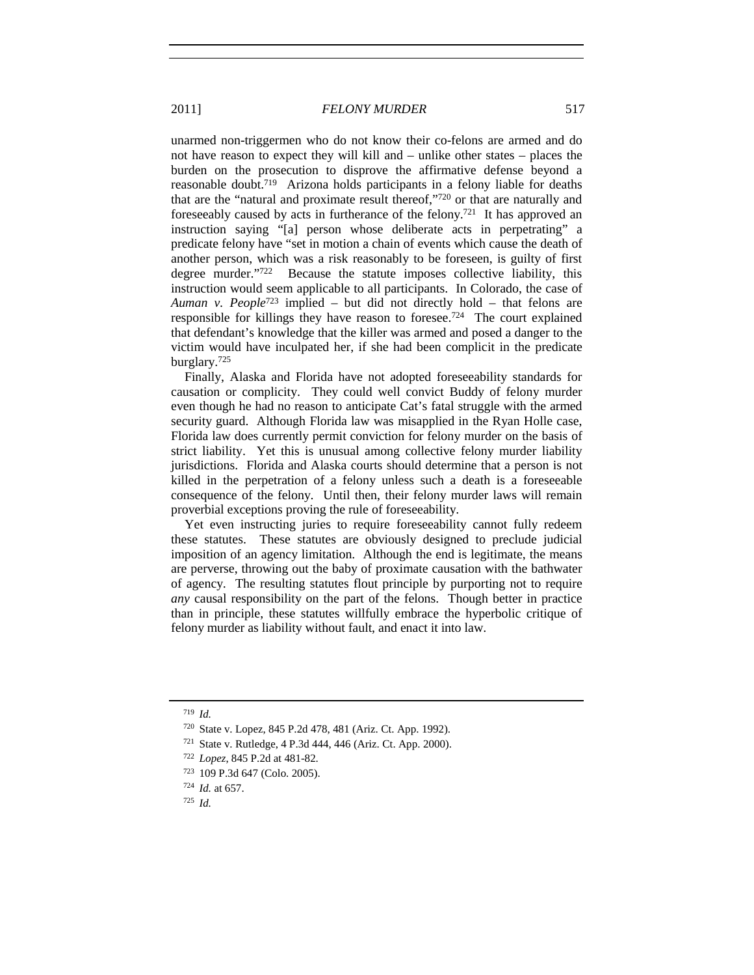unarmed non-triggermen who do not know their co-felons are armed and do not have reason to expect they will kill and – unlike other states – places the burden on the prosecution to disprove the affirmative defense beyond a reasonable doubt.719 Arizona holds participants in a felony liable for deaths that are the "natural and proximate result thereof,"720 or that are naturally and foreseeably caused by acts in furtherance of the felony.721 It has approved an instruction saying "[a] person whose deliberate acts in perpetrating" a predicate felony have "set in motion a chain of events which cause the death of another person, which was a risk reasonably to be foreseen, is guilty of first degree murder."722 Because the statute imposes collective liability, this instruction would seem applicable to all participants. In Colorado, the case of *Auman v. People*723 implied – but did not directly hold – that felons are responsible for killings they have reason to foresee.<sup>724</sup> The court explained that defendant's knowledge that the killer was armed and posed a danger to the victim would have inculpated her, if she had been complicit in the predicate burglary.725

Finally, Alaska and Florida have not adopted foreseeability standards for causation or complicity. They could well convict Buddy of felony murder even though he had no reason to anticipate Cat's fatal struggle with the armed security guard. Although Florida law was misapplied in the Ryan Holle case, Florida law does currently permit conviction for felony murder on the basis of strict liability. Yet this is unusual among collective felony murder liability jurisdictions. Florida and Alaska courts should determine that a person is not killed in the perpetration of a felony unless such a death is a foreseeable consequence of the felony. Until then, their felony murder laws will remain proverbial exceptions proving the rule of foreseeability.

Yet even instructing juries to require foreseeability cannot fully redeem these statutes. These statutes are obviously designed to preclude judicial imposition of an agency limitation. Although the end is legitimate, the means are perverse, throwing out the baby of proximate causation with the bathwater of agency. The resulting statutes flout principle by purporting not to require *any* causal responsibility on the part of the felons. Though better in practice than in principle, these statutes willfully embrace the hyperbolic critique of felony murder as liability without fault, and enact it into law.

<sup>719</sup> *Id.*

<sup>720</sup> State v. Lopez, 845 P.2d 478, 481 (Ariz. Ct. App. 1992).

<sup>721</sup> State v. Rutledge, 4 P.3d 444, 446 (Ariz. Ct. App. 2000).

<sup>722</sup> *Lopez*, 845 P.2d at 481-82.

<sup>723</sup> 109 P.3d 647 (Colo. 2005).

<sup>724</sup> *Id.* at 657.

<sup>725</sup> *Id.*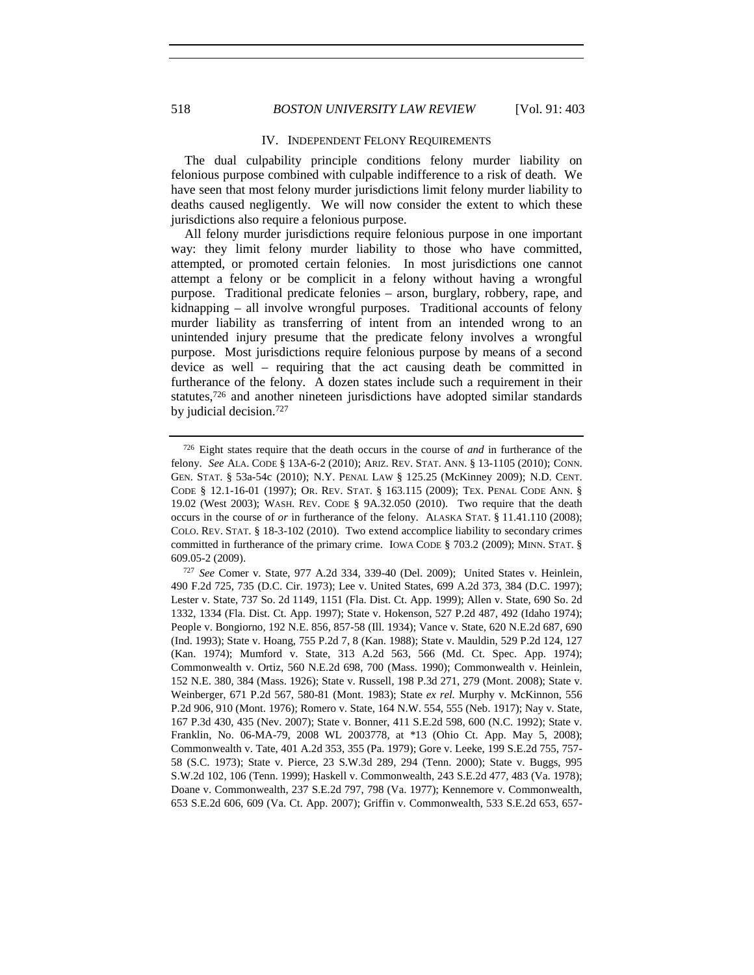### 518 *BOSTON UNIVERSITY LAW REVIEW* [Vol. 91: 403

#### IV. INDEPENDENT FELONY REQUIREMENTS

The dual culpability principle conditions felony murder liability on felonious purpose combined with culpable indifference to a risk of death. We have seen that most felony murder jurisdictions limit felony murder liability to deaths caused negligently. We will now consider the extent to which these jurisdictions also require a felonious purpose.

All felony murder jurisdictions require felonious purpose in one important way: they limit felony murder liability to those who have committed, attempted, or promoted certain felonies. In most jurisdictions one cannot attempt a felony or be complicit in a felony without having a wrongful purpose. Traditional predicate felonies – arson, burglary, robbery, rape, and kidnapping – all involve wrongful purposes. Traditional accounts of felony murder liability as transferring of intent from an intended wrong to an unintended injury presume that the predicate felony involves a wrongful purpose. Most jurisdictions require felonious purpose by means of a second device as well – requiring that the act causing death be committed in furtherance of the felony. A dozen states include such a requirement in their statutes,<sup>726</sup> and another nineteen jurisdictions have adopted similar standards by judicial decision.<sup>727</sup>

<sup>726</sup> Eight states require that the death occurs in the course of *and* in furtherance of the felony. *See* ALA. CODE § 13A-6-2 (2010); ARIZ. REV. STAT. ANN. § 13-1105 (2010); CONN. GEN. STAT. § 53a-54c (2010); N.Y. PENAL LAW § 125.25 (McKinney 2009); N.D. CENT. CODE § 12.1-16-01 (1997); OR. REV. STAT. § 163.115 (2009); TEX. PENAL CODE ANN. § 19.02 (West 2003); WASH. REV. CODE § 9A.32.050 (2010). Two require that the death occurs in the course of *or* in furtherance of the felony. ALASKA STAT. § 11.41.110 (2008); COLO. REV. STAT. § 18-3-102 (2010). Two extend accomplice liability to secondary crimes committed in furtherance of the primary crime. IOWA CODE § 703.2 (2009); MINN. STAT. § 609.05-2 (2009).

<sup>727</sup> *See* Comer v. State, 977 A.2d 334, 339-40 (Del. 2009); United States v. Heinlein, 490 F.2d 725, 735 (D.C. Cir. 1973); Lee v. United States, 699 A.2d 373, 384 (D.C. 1997); Lester v. State, 737 So. 2d 1149, 1151 (Fla. Dist. Ct. App. 1999); Allen v. State, 690 So. 2d 1332, 1334 (Fla. Dist. Ct. App. 1997); State v. Hokenson, 527 P.2d 487, 492 (Idaho 1974); People v. Bongiorno, 192 N.E. 856, 857-58 (Ill. 1934); Vance v. State, 620 N.E.2d 687, 690 (Ind. 1993); State v. Hoang, 755 P.2d 7, 8 (Kan. 1988); State v. Mauldin, 529 P.2d 124, 127 (Kan. 1974); Mumford v. State, 313 A.2d 563, 566 (Md. Ct. Spec. App. 1974); Commonwealth v. Ortiz, 560 N.E.2d 698, 700 (Mass. 1990); Commonwealth v. Heinlein, 152 N.E. 380, 384 (Mass. 1926); State v. Russell, 198 P.3d 271, 279 (Mont. 2008); State v. Weinberger, 671 P.2d 567, 580-81 (Mont. 1983); State *ex rel.* Murphy v. McKinnon, 556 P.2d 906, 910 (Mont. 1976); Romero v. State, 164 N.W. 554, 555 (Neb. 1917); Nay v. State, 167 P.3d 430, 435 (Nev. 2007); State v. Bonner, 411 S.E.2d 598, 600 (N.C. 1992); State v. Franklin, No. 06-MA-79, 2008 WL 2003778, at \*13 (Ohio Ct. App. May 5, 2008); Commonwealth v. Tate, 401 A.2d 353, 355 (Pa. 1979); Gore v. Leeke, 199 S.E.2d 755, 757- 58 (S.C. 1973); State v. Pierce, 23 S.W.3d 289, 294 (Tenn. 2000); State v. Buggs, 995 S.W.2d 102, 106 (Tenn. 1999); Haskell v. Commonwealth, 243 S.E.2d 477, 483 (Va. 1978); Doane v. Commonwealth, 237 S.E.2d 797, 798 (Va. 1977); Kennemore v. Commonwealth, 653 S.E.2d 606, 609 (Va. Ct. App. 2007); Griffin v. Commonwealth, 533 S.E.2d 653, 657-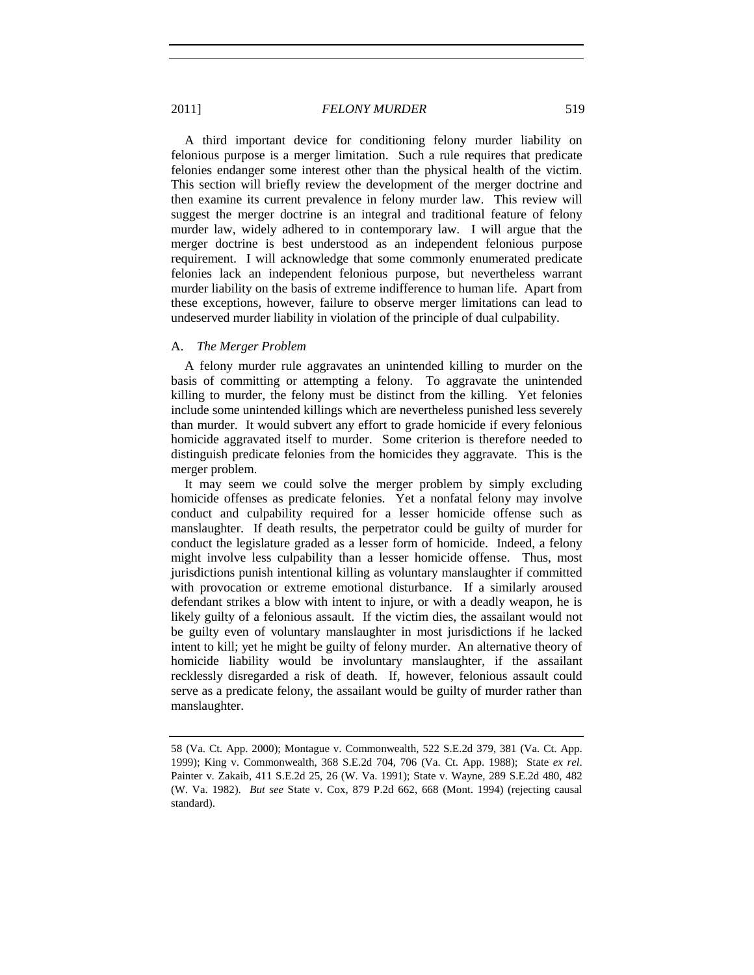A third important device for conditioning felony murder liability on felonious purpose is a merger limitation. Such a rule requires that predicate felonies endanger some interest other than the physical health of the victim. This section will briefly review the development of the merger doctrine and then examine its current prevalence in felony murder law. This review will suggest the merger doctrine is an integral and traditional feature of felony murder law, widely adhered to in contemporary law. I will argue that the merger doctrine is best understood as an independent felonious purpose requirement. I will acknowledge that some commonly enumerated predicate felonies lack an independent felonious purpose, but nevertheless warrant murder liability on the basis of extreme indifference to human life. Apart from these exceptions, however, failure to observe merger limitations can lead to undeserved murder liability in violation of the principle of dual culpability.

#### A. *The Merger Problem*

A felony murder rule aggravates an unintended killing to murder on the basis of committing or attempting a felony. To aggravate the unintended killing to murder, the felony must be distinct from the killing. Yet felonies include some unintended killings which are nevertheless punished less severely than murder. It would subvert any effort to grade homicide if every felonious homicide aggravated itself to murder. Some criterion is therefore needed to distinguish predicate felonies from the homicides they aggravate. This is the merger problem.

It may seem we could solve the merger problem by simply excluding homicide offenses as predicate felonies. Yet a nonfatal felony may involve conduct and culpability required for a lesser homicide offense such as manslaughter. If death results, the perpetrator could be guilty of murder for conduct the legislature graded as a lesser form of homicide. Indeed, a felony might involve less culpability than a lesser homicide offense. Thus, most jurisdictions punish intentional killing as voluntary manslaughter if committed with provocation or extreme emotional disturbance. If a similarly aroused defendant strikes a blow with intent to injure, or with a deadly weapon, he is likely guilty of a felonious assault. If the victim dies, the assailant would not be guilty even of voluntary manslaughter in most jurisdictions if he lacked intent to kill; yet he might be guilty of felony murder. An alternative theory of homicide liability would be involuntary manslaughter, if the assailant recklessly disregarded a risk of death. If, however, felonious assault could serve as a predicate felony, the assailant would be guilty of murder rather than manslaughter.

<sup>58 (</sup>Va. Ct. App. 2000); Montague v. Commonwealth, 522 S.E.2d 379, 381 (Va. Ct. App. 1999); King v. Commonwealth, 368 S.E.2d 704, 706 (Va. Ct. App. 1988); State *ex rel*. Painter v. Zakaib, 411 S.E.2d 25, 26 (W. Va. 1991); State v. Wayne, 289 S.E.2d 480, 482 (W. Va. 1982). *But see* State v. Cox, 879 P.2d 662, 668 (Mont. 1994) (rejecting causal standard).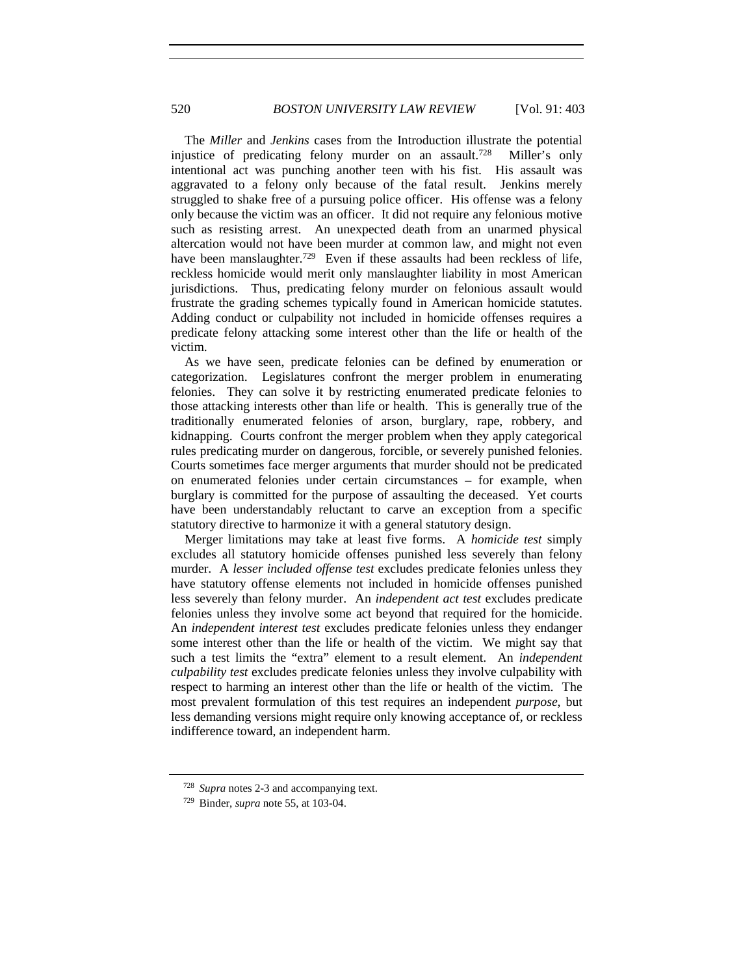The *Miller* and *Jenkins* cases from the Introduction illustrate the potential injustice of predicating felony murder on an assault.728 Miller's only intentional act was punching another teen with his fist. His assault was aggravated to a felony only because of the fatal result. Jenkins merely struggled to shake free of a pursuing police officer. His offense was a felony only because the victim was an officer. It did not require any felonious motive such as resisting arrest. An unexpected death from an unarmed physical altercation would not have been murder at common law, and might not even have been manslaughter.<sup>729</sup> Even if these assaults had been reckless of life, reckless homicide would merit only manslaughter liability in most American jurisdictions. Thus, predicating felony murder on felonious assault would frustrate the grading schemes typically found in American homicide statutes. Adding conduct or culpability not included in homicide offenses requires a predicate felony attacking some interest other than the life or health of the victim.

As we have seen, predicate felonies can be defined by enumeration or categorization. Legislatures confront the merger problem in enumerating felonies. They can solve it by restricting enumerated predicate felonies to those attacking interests other than life or health. This is generally true of the traditionally enumerated felonies of arson, burglary, rape, robbery, and kidnapping. Courts confront the merger problem when they apply categorical rules predicating murder on dangerous, forcible, or severely punished felonies. Courts sometimes face merger arguments that murder should not be predicated on enumerated felonies under certain circumstances – for example, when burglary is committed for the purpose of assaulting the deceased. Yet courts have been understandably reluctant to carve an exception from a specific statutory directive to harmonize it with a general statutory design.

Merger limitations may take at least five forms. A *homicide test* simply excludes all statutory homicide offenses punished less severely than felony murder. A *lesser included offense test* excludes predicate felonies unless they have statutory offense elements not included in homicide offenses punished less severely than felony murder. An *independent act test* excludes predicate felonies unless they involve some act beyond that required for the homicide. An *independent interest test* excludes predicate felonies unless they endanger some interest other than the life or health of the victim. We might say that such a test limits the "extra" element to a result element. An *independent culpability test* excludes predicate felonies unless they involve culpability with respect to harming an interest other than the life or health of the victim. The most prevalent formulation of this test requires an independent *purpose*, but less demanding versions might require only knowing acceptance of, or reckless indifference toward, an independent harm.

<sup>728</sup> *Supra* notes 2-3 and accompanying text.

<sup>729</sup> Binder, *supra* note 55, at 103-04.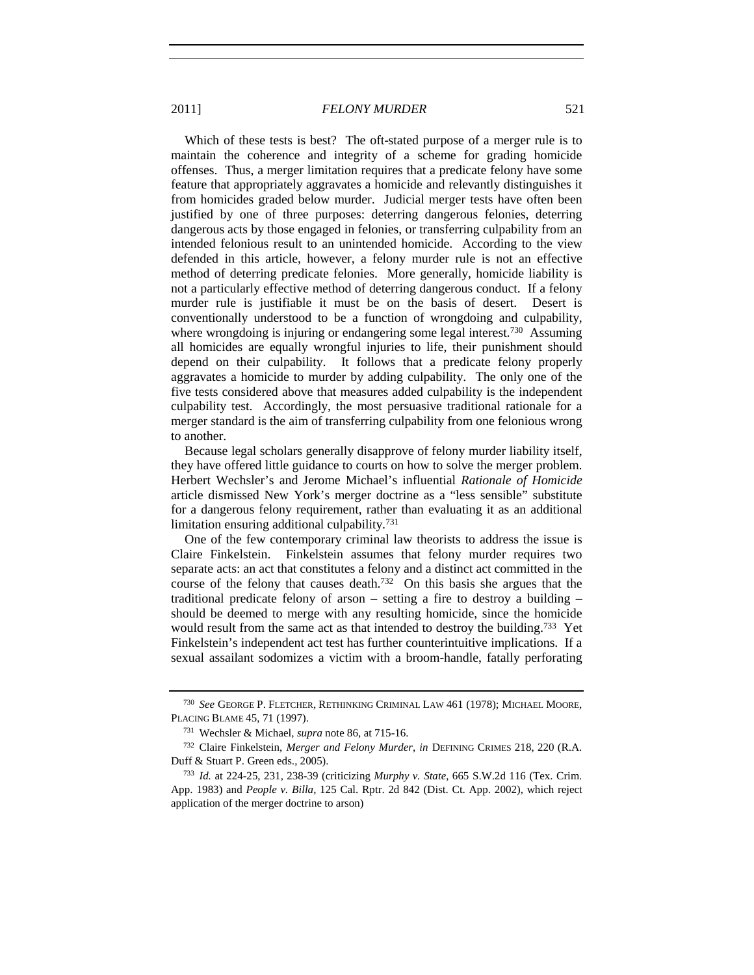Which of these tests is best? The oft-stated purpose of a merger rule is to maintain the coherence and integrity of a scheme for grading homicide offenses. Thus, a merger limitation requires that a predicate felony have some feature that appropriately aggravates a homicide and relevantly distinguishes it from homicides graded below murder. Judicial merger tests have often been justified by one of three purposes: deterring dangerous felonies, deterring dangerous acts by those engaged in felonies, or transferring culpability from an intended felonious result to an unintended homicide. According to the view defended in this article, however, a felony murder rule is not an effective method of deterring predicate felonies. More generally, homicide liability is not a particularly effective method of deterring dangerous conduct. If a felony murder rule is justifiable it must be on the basis of desert. Desert is conventionally understood to be a function of wrongdoing and culpability, where wrongdoing is injuring or endangering some legal interest.<sup>730</sup> Assuming all homicides are equally wrongful injuries to life, their punishment should depend on their culpability. It follows that a predicate felony properly aggravates a homicide to murder by adding culpability. The only one of the five tests considered above that measures added culpability is the independent culpability test. Accordingly, the most persuasive traditional rationale for a merger standard is the aim of transferring culpability from one felonious wrong to another.

Because legal scholars generally disapprove of felony murder liability itself, they have offered little guidance to courts on how to solve the merger problem. Herbert Wechsler's and Jerome Michael's influential *Rationale of Homicide* article dismissed New York's merger doctrine as a "less sensible" substitute for a dangerous felony requirement, rather than evaluating it as an additional limitation ensuring additional culpability.731

One of the few contemporary criminal law theorists to address the issue is Claire Finkelstein. Finkelstein assumes that felony murder requires two separate acts: an act that constitutes a felony and a distinct act committed in the course of the felony that causes death.732 On this basis she argues that the traditional predicate felony of arson – setting a fire to destroy a building – should be deemed to merge with any resulting homicide, since the homicide would result from the same act as that intended to destroy the building.733 Yet Finkelstein's independent act test has further counterintuitive implications. If a sexual assailant sodomizes a victim with a broom-handle, fatally perforating

<sup>730</sup> *See* GEORGE P. FLETCHER, RETHINKING CRIMINAL LAW 461 (1978); MICHAEL MOORE, PLACING BLAME 45, 71 (1997).

<sup>731</sup> Wechsler & Michael, *supra* note 86, at 715-16.

<sup>732</sup> Claire Finkelstein, *Merger and Felony Murder*, *in* DEFINING CRIMES 218, 220 (R.A. Duff & Stuart P. Green eds., 2005).

<sup>733</sup> *Id.* at 224-25, 231, 238-39 (criticizing *Murphy v. State*, 665 S.W.2d 116 (Tex. Crim. App. 1983) and *People v. Billa*, 125 Cal. Rptr. 2d 842 (Dist. Ct. App. 2002), which reject application of the merger doctrine to arson)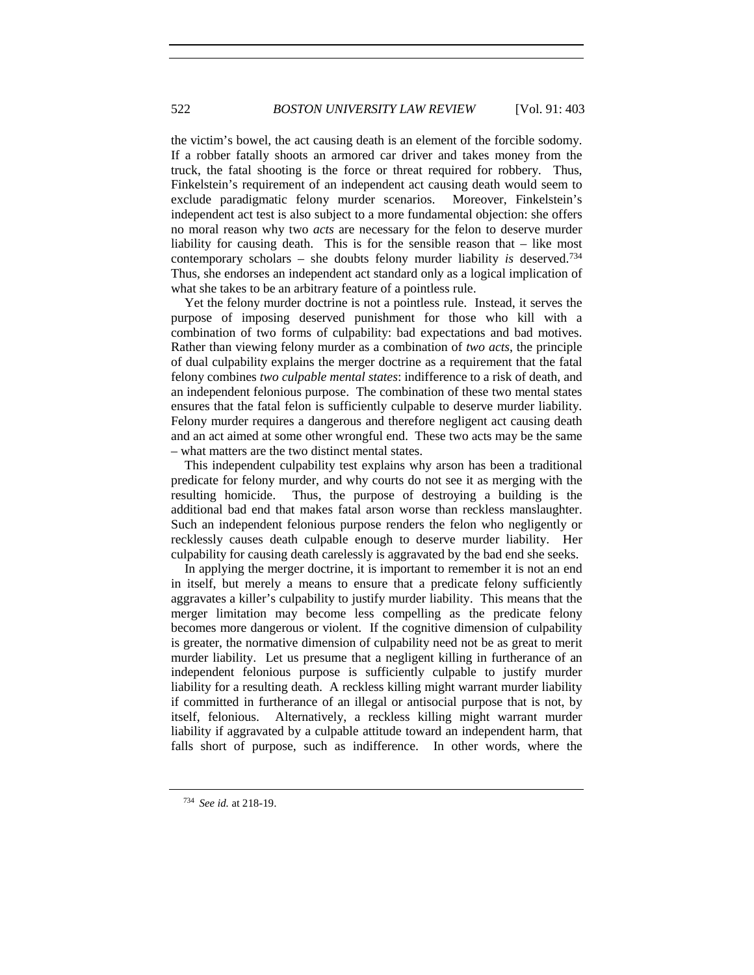the victim's bowel, the act causing death is an element of the forcible sodomy. If a robber fatally shoots an armored car driver and takes money from the truck, the fatal shooting is the force or threat required for robbery. Thus, Finkelstein's requirement of an independent act causing death would seem to exclude paradigmatic felony murder scenarios. Moreover, Finkelstein's independent act test is also subject to a more fundamental objection: she offers no moral reason why two *acts* are necessary for the felon to deserve murder liability for causing death. This is for the sensible reason that – like most contemporary scholars – she doubts felony murder liability *is* deserved.734 Thus, she endorses an independent act standard only as a logical implication of what she takes to be an arbitrary feature of a pointless rule.

Yet the felony murder doctrine is not a pointless rule. Instead, it serves the purpose of imposing deserved punishment for those who kill with a combination of two forms of culpability: bad expectations and bad motives. Rather than viewing felony murder as a combination of *two acts*, the principle of dual culpability explains the merger doctrine as a requirement that the fatal felony combines *two culpable mental states*: indifference to a risk of death, and an independent felonious purpose. The combination of these two mental states ensures that the fatal felon is sufficiently culpable to deserve murder liability. Felony murder requires a dangerous and therefore negligent act causing death and an act aimed at some other wrongful end. These two acts may be the same – what matters are the two distinct mental states.

This independent culpability test explains why arson has been a traditional predicate for felony murder, and why courts do not see it as merging with the resulting homicide. Thus, the purpose of destroying a building is the additional bad end that makes fatal arson worse than reckless manslaughter. Such an independent felonious purpose renders the felon who negligently or recklessly causes death culpable enough to deserve murder liability. Her culpability for causing death carelessly is aggravated by the bad end she seeks.

In applying the merger doctrine, it is important to remember it is not an end in itself, but merely a means to ensure that a predicate felony sufficiently aggravates a killer's culpability to justify murder liability. This means that the merger limitation may become less compelling as the predicate felony becomes more dangerous or violent. If the cognitive dimension of culpability is greater, the normative dimension of culpability need not be as great to merit murder liability. Let us presume that a negligent killing in furtherance of an independent felonious purpose is sufficiently culpable to justify murder liability for a resulting death. A reckless killing might warrant murder liability if committed in furtherance of an illegal or antisocial purpose that is not, by itself, felonious. Alternatively, a reckless killing might warrant murder liability if aggravated by a culpable attitude toward an independent harm, that falls short of purpose, such as indifference. In other words, where the

<sup>734</sup> *See id.* at 218-19.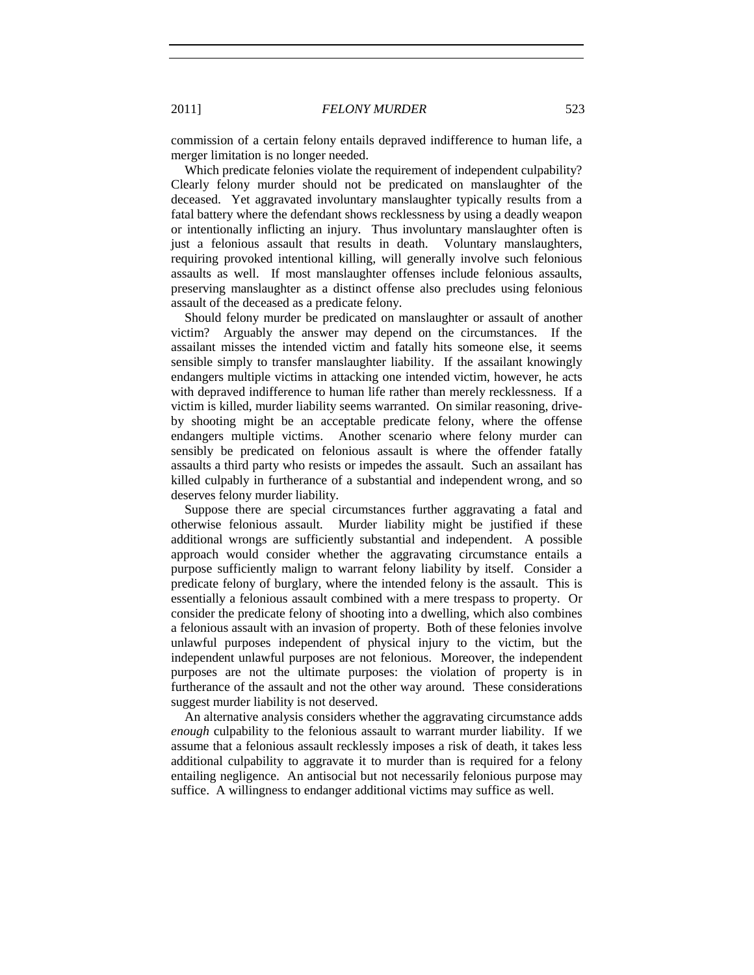commission of a certain felony entails depraved indifference to human life, a merger limitation is no longer needed.

Which predicate felonies violate the requirement of independent culpability? Clearly felony murder should not be predicated on manslaughter of the deceased. Yet aggravated involuntary manslaughter typically results from a fatal battery where the defendant shows recklessness by using a deadly weapon or intentionally inflicting an injury. Thus involuntary manslaughter often is just a felonious assault that results in death. Voluntary manslaughters, requiring provoked intentional killing, will generally involve such felonious assaults as well. If most manslaughter offenses include felonious assaults, preserving manslaughter as a distinct offense also precludes using felonious assault of the deceased as a predicate felony.

Should felony murder be predicated on manslaughter or assault of another victim? Arguably the answer may depend on the circumstances. If the assailant misses the intended victim and fatally hits someone else, it seems sensible simply to transfer manslaughter liability. If the assailant knowingly endangers multiple victims in attacking one intended victim, however, he acts with depraved indifference to human life rather than merely recklessness. If a victim is killed, murder liability seems warranted. On similar reasoning, driveby shooting might be an acceptable predicate felony, where the offense endangers multiple victims. Another scenario where felony murder can sensibly be predicated on felonious assault is where the offender fatally assaults a third party who resists or impedes the assault. Such an assailant has killed culpably in furtherance of a substantial and independent wrong, and so deserves felony murder liability.

Suppose there are special circumstances further aggravating a fatal and otherwise felonious assault. Murder liability might be justified if these additional wrongs are sufficiently substantial and independent. A possible approach would consider whether the aggravating circumstance entails a purpose sufficiently malign to warrant felony liability by itself. Consider a predicate felony of burglary, where the intended felony is the assault. This is essentially a felonious assault combined with a mere trespass to property. Or consider the predicate felony of shooting into a dwelling, which also combines a felonious assault with an invasion of property. Both of these felonies involve unlawful purposes independent of physical injury to the victim, but the independent unlawful purposes are not felonious. Moreover, the independent purposes are not the ultimate purposes: the violation of property is in furtherance of the assault and not the other way around. These considerations suggest murder liability is not deserved.

An alternative analysis considers whether the aggravating circumstance adds *enough* culpability to the felonious assault to warrant murder liability. If we assume that a felonious assault recklessly imposes a risk of death, it takes less additional culpability to aggravate it to murder than is required for a felony entailing negligence. An antisocial but not necessarily felonious purpose may suffice. A willingness to endanger additional victims may suffice as well.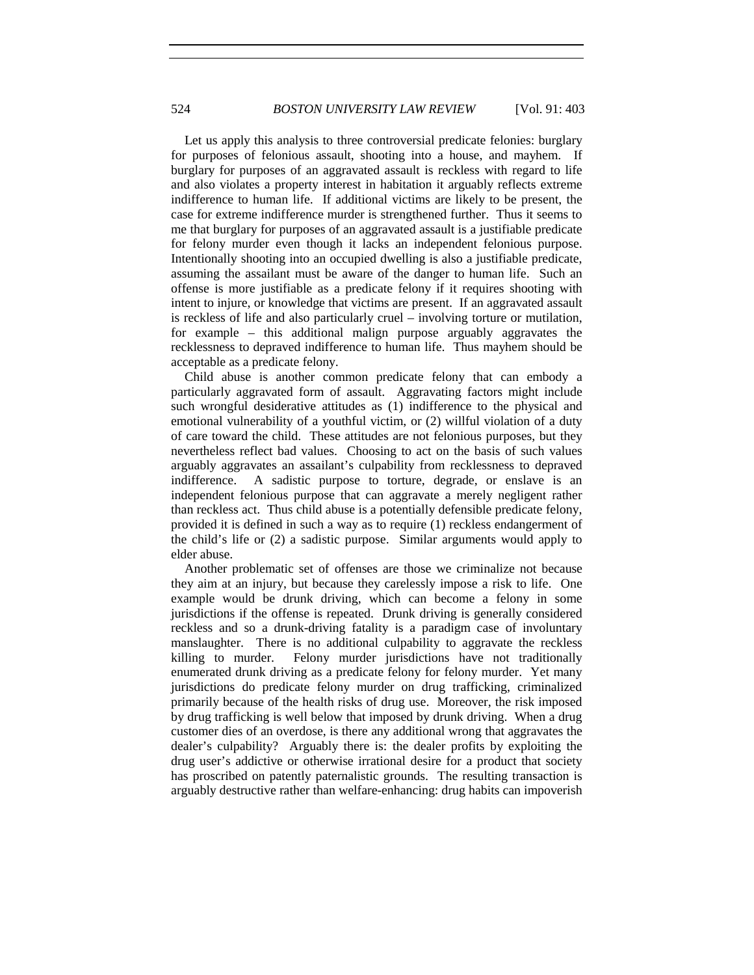Let us apply this analysis to three controversial predicate felonies: burglary for purposes of felonious assault, shooting into a house, and mayhem. If burglary for purposes of an aggravated assault is reckless with regard to life and also violates a property interest in habitation it arguably reflects extreme indifference to human life. If additional victims are likely to be present, the case for extreme indifference murder is strengthened further. Thus it seems to me that burglary for purposes of an aggravated assault is a justifiable predicate for felony murder even though it lacks an independent felonious purpose. Intentionally shooting into an occupied dwelling is also a justifiable predicate, assuming the assailant must be aware of the danger to human life. Such an offense is more justifiable as a predicate felony if it requires shooting with intent to injure, or knowledge that victims are present. If an aggravated assault is reckless of life and also particularly cruel – involving torture or mutilation, for example – this additional malign purpose arguably aggravates the recklessness to depraved indifference to human life. Thus mayhem should be acceptable as a predicate felony.

Child abuse is another common predicate felony that can embody a particularly aggravated form of assault. Aggravating factors might include such wrongful desiderative attitudes as (1) indifference to the physical and emotional vulnerability of a youthful victim, or (2) willful violation of a duty of care toward the child. These attitudes are not felonious purposes, but they nevertheless reflect bad values. Choosing to act on the basis of such values arguably aggravates an assailant's culpability from recklessness to depraved indifference. A sadistic purpose to torture, degrade, or enslave is an independent felonious purpose that can aggravate a merely negligent rather than reckless act. Thus child abuse is a potentially defensible predicate felony, provided it is defined in such a way as to require (1) reckless endangerment of the child's life or (2) a sadistic purpose. Similar arguments would apply to elder abuse.

Another problematic set of offenses are those we criminalize not because they aim at an injury, but because they carelessly impose a risk to life. One example would be drunk driving, which can become a felony in some jurisdictions if the offense is repeated. Drunk driving is generally considered reckless and so a drunk-driving fatality is a paradigm case of involuntary manslaughter. There is no additional culpability to aggravate the reckless killing to murder. Felony murder jurisdictions have not traditionally enumerated drunk driving as a predicate felony for felony murder. Yet many jurisdictions do predicate felony murder on drug trafficking, criminalized primarily because of the health risks of drug use. Moreover, the risk imposed by drug trafficking is well below that imposed by drunk driving. When a drug customer dies of an overdose, is there any additional wrong that aggravates the dealer's culpability? Arguably there is: the dealer profits by exploiting the drug user's addictive or otherwise irrational desire for a product that society has proscribed on patently paternalistic grounds. The resulting transaction is arguably destructive rather than welfare-enhancing: drug habits can impoverish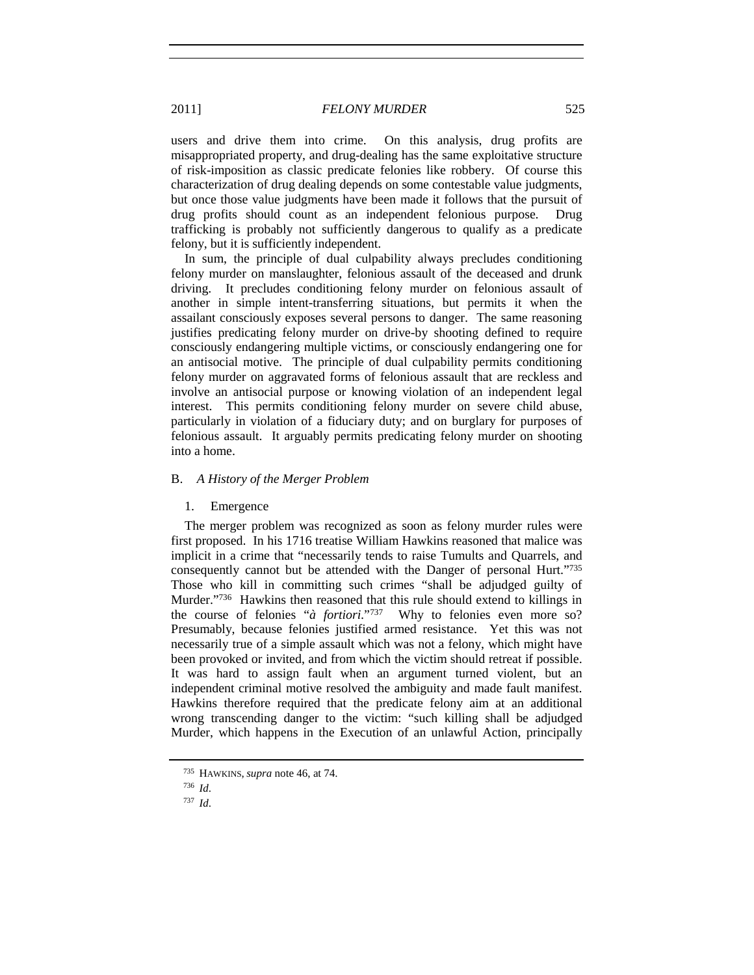users and drive them into crime. On this analysis, drug profits are misappropriated property, and drug-dealing has the same exploitative structure of risk-imposition as classic predicate felonies like robbery. Of course this characterization of drug dealing depends on some contestable value judgments, but once those value judgments have been made it follows that the pursuit of drug profits should count as an independent felonious purpose. Drug trafficking is probably not sufficiently dangerous to qualify as a predicate felony, but it is sufficiently independent.

In sum, the principle of dual culpability always precludes conditioning felony murder on manslaughter, felonious assault of the deceased and drunk driving. It precludes conditioning felony murder on felonious assault of another in simple intent-transferring situations, but permits it when the assailant consciously exposes several persons to danger. The same reasoning justifies predicating felony murder on drive-by shooting defined to require consciously endangering multiple victims, or consciously endangering one for an antisocial motive. The principle of dual culpability permits conditioning felony murder on aggravated forms of felonious assault that are reckless and involve an antisocial purpose or knowing violation of an independent legal interest. This permits conditioning felony murder on severe child abuse, particularly in violation of a fiduciary duty; and on burglary for purposes of felonious assault. It arguably permits predicating felony murder on shooting into a home.

#### B. *A History of the Merger Problem*

#### 1. Emergence

The merger problem was recognized as soon as felony murder rules were first proposed. In his 1716 treatise William Hawkins reasoned that malice was implicit in a crime that "necessarily tends to raise Tumults and Quarrels, and consequently cannot but be attended with the Danger of personal Hurt."735 Those who kill in committing such crimes "shall be adjudged guilty of Murder."736 Hawkins then reasoned that this rule should extend to killings in the course of felonies "*à fortiori*."737 Why to felonies even more so? Presumably, because felonies justified armed resistance. Yet this was not necessarily true of a simple assault which was not a felony, which might have been provoked or invited, and from which the victim should retreat if possible. It was hard to assign fault when an argument turned violent, but an independent criminal motive resolved the ambiguity and made fault manifest. Hawkins therefore required that the predicate felony aim at an additional wrong transcending danger to the victim: "such killing shall be adjudged Murder, which happens in the Execution of an unlawful Action, principally

<sup>735</sup> HAWKINS, *supra* note 46, at 74.

<sup>736</sup> *Id*.

<sup>737</sup> *Id*.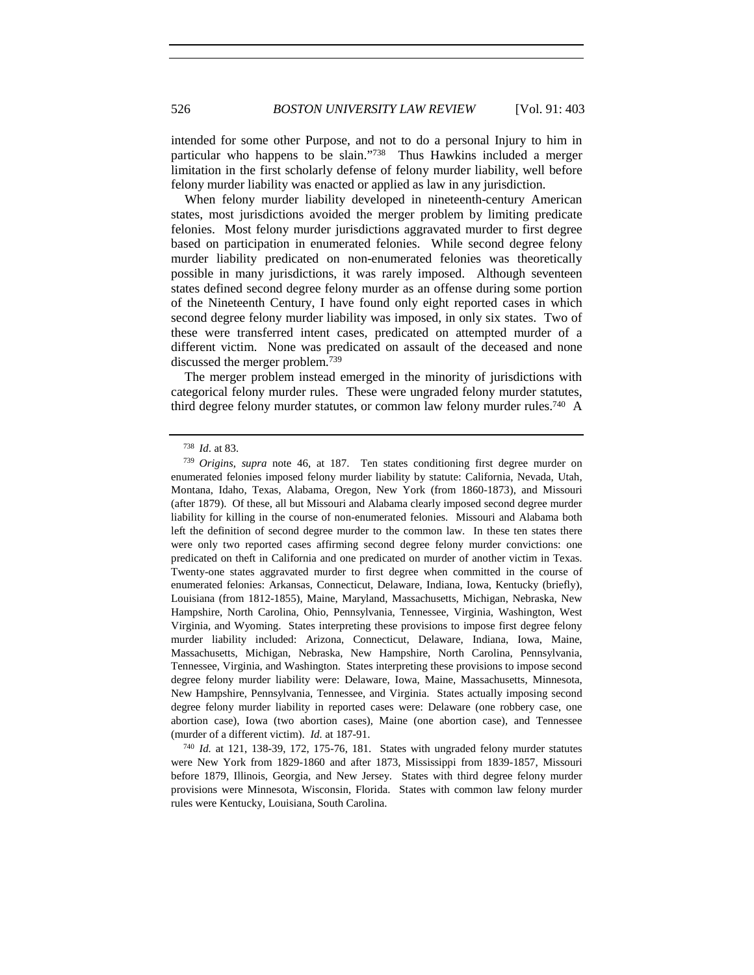intended for some other Purpose, and not to do a personal Injury to him in particular who happens to be slain."738 Thus Hawkins included a merger limitation in the first scholarly defense of felony murder liability, well before felony murder liability was enacted or applied as law in any jurisdiction.

When felony murder liability developed in nineteenth-century American states, most jurisdictions avoided the merger problem by limiting predicate felonies. Most felony murder jurisdictions aggravated murder to first degree based on participation in enumerated felonies. While second degree felony murder liability predicated on non-enumerated felonies was theoretically possible in many jurisdictions, it was rarely imposed. Although seventeen states defined second degree felony murder as an offense during some portion of the Nineteenth Century, I have found only eight reported cases in which second degree felony murder liability was imposed, in only six states. Two of these were transferred intent cases, predicated on attempted murder of a different victim. None was predicated on assault of the deceased and none discussed the merger problem.739

The merger problem instead emerged in the minority of jurisdictions with categorical felony murder rules. These were ungraded felony murder statutes, third degree felony murder statutes, or common law felony murder rules.<sup>740</sup> A

<sup>738</sup> *Id*. at 83.

<sup>739</sup> *Origins*, *supra* note 46, at 187. Ten states conditioning first degree murder on enumerated felonies imposed felony murder liability by statute: California, Nevada, Utah, Montana, Idaho, Texas, Alabama, Oregon, New York (from 1860-1873), and Missouri (after 1879). Of these, all but Missouri and Alabama clearly imposed second degree murder liability for killing in the course of non-enumerated felonies. Missouri and Alabama both left the definition of second degree murder to the common law. In these ten states there were only two reported cases affirming second degree felony murder convictions: one predicated on theft in California and one predicated on murder of another victim in Texas. Twenty-one states aggravated murder to first degree when committed in the course of enumerated felonies: Arkansas, Connecticut, Delaware, Indiana, Iowa, Kentucky (briefly), Louisiana (from 1812-1855), Maine, Maryland, Massachusetts, Michigan, Nebraska, New Hampshire, North Carolina, Ohio, Pennsylvania, Tennessee, Virginia, Washington, West Virginia, and Wyoming. States interpreting these provisions to impose first degree felony murder liability included: Arizona, Connecticut, Delaware, Indiana, Iowa, Maine, Massachusetts, Michigan, Nebraska, New Hampshire, North Carolina, Pennsylvania, Tennessee, Virginia, and Washington. States interpreting these provisions to impose second degree felony murder liability were: Delaware, Iowa, Maine, Massachusetts, Minnesota, New Hampshire, Pennsylvania, Tennessee, and Virginia. States actually imposing second degree felony murder liability in reported cases were: Delaware (one robbery case, one abortion case), Iowa (two abortion cases), Maine (one abortion case), and Tennessee (murder of a different victim). *Id.* at 187-91.

<sup>740</sup> *Id.* at 121, 138-39, 172, 175-76, 181. States with ungraded felony murder statutes were New York from 1829-1860 and after 1873, Mississippi from 1839-1857, Missouri before 1879, Illinois, Georgia, and New Jersey. States with third degree felony murder provisions were Minnesota, Wisconsin, Florida. States with common law felony murder rules were Kentucky, Louisiana, South Carolina.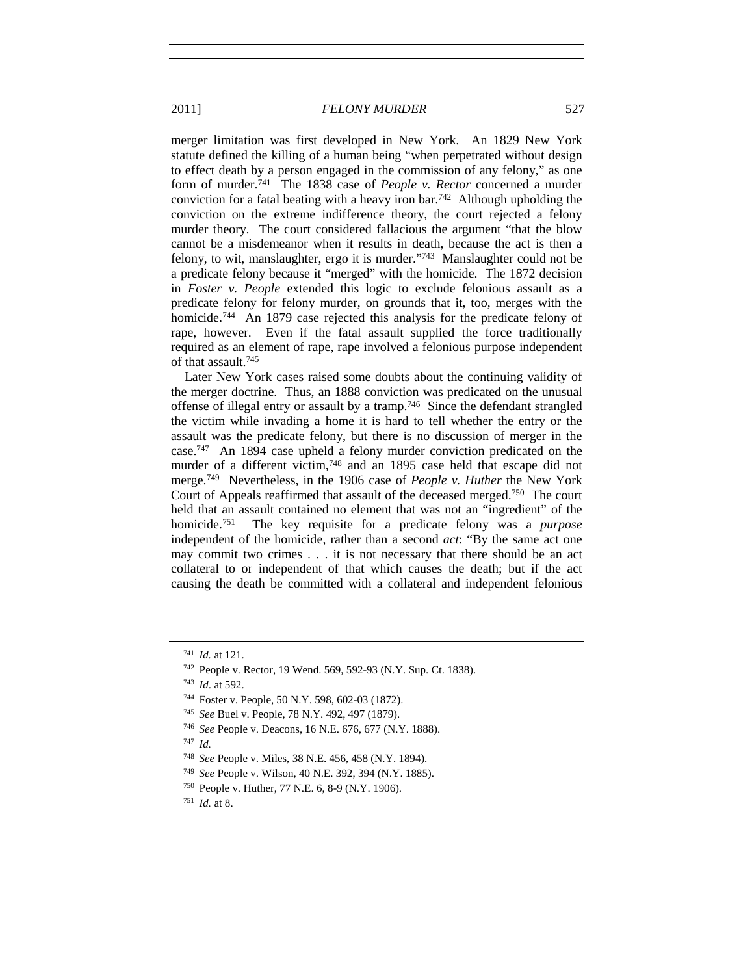merger limitation was first developed in New York. An 1829 New York statute defined the killing of a human being "when perpetrated without design to effect death by a person engaged in the commission of any felony," as one form of murder.741 The 1838 case of *People v. Rector* concerned a murder conviction for a fatal beating with a heavy iron bar.<sup>742</sup> Although upholding the conviction on the extreme indifference theory, the court rejected a felony murder theory. The court considered fallacious the argument "that the blow cannot be a misdemeanor when it results in death, because the act is then a felony, to wit, manslaughter, ergo it is murder."743 Manslaughter could not be a predicate felony because it "merged" with the homicide. The 1872 decision in *Foster v. People* extended this logic to exclude felonious assault as a predicate felony for felony murder, on grounds that it, too, merges with the homicide.<sup>744</sup> An 1879 case rejected this analysis for the predicate felony of rape, however. Even if the fatal assault supplied the force traditionally required as an element of rape, rape involved a felonious purpose independent of that assault.745

Later New York cases raised some doubts about the continuing validity of the merger doctrine. Thus, an 1888 conviction was predicated on the unusual offense of illegal entry or assault by a tramp.746 Since the defendant strangled the victim while invading a home it is hard to tell whether the entry or the assault was the predicate felony, but there is no discussion of merger in the case.747 An 1894 case upheld a felony murder conviction predicated on the murder of a different victim,<sup>748</sup> and an 1895 case held that escape did not merge.749 Nevertheless, in the 1906 case of *People v. Huther* the New York Court of Appeals reaffirmed that assault of the deceased merged.750 The court held that an assault contained no element that was not an "ingredient" of the homicide.751 The key requisite for a predicate felony was a *purpose* independent of the homicide, rather than a second *act*: "By the same act one may commit two crimes . . . it is not necessary that there should be an act collateral to or independent of that which causes the death; but if the act causing the death be committed with a collateral and independent felonious

- <sup>745</sup> *See* Buel v. People, 78 N.Y. 492, 497 (1879).
- <sup>746</sup> *See* People v. Deacons, 16 N.E. 676, 677 (N.Y. 1888).

<sup>747</sup> *Id.*

- <sup>748</sup> *See* People v. Miles, 38 N.E. 456, 458 (N.Y. 1894).
- <sup>749</sup> *See* People v. Wilson, 40 N.E. 392, 394 (N.Y. 1885).
- <sup>750</sup> People v. Huther, 77 N.E. 6, 8-9 (N.Y. 1906).

<sup>751</sup> *Id.* at 8.

<sup>741</sup> *Id.* at 121. 742 People v. Rector, 19 Wend. 569, 592-93 (N.Y. Sup. Ct. 1838).

<sup>743</sup> *Id*. at 592.

<sup>744</sup> Foster v. People, 50 N.Y. 598, 602-03 (1872).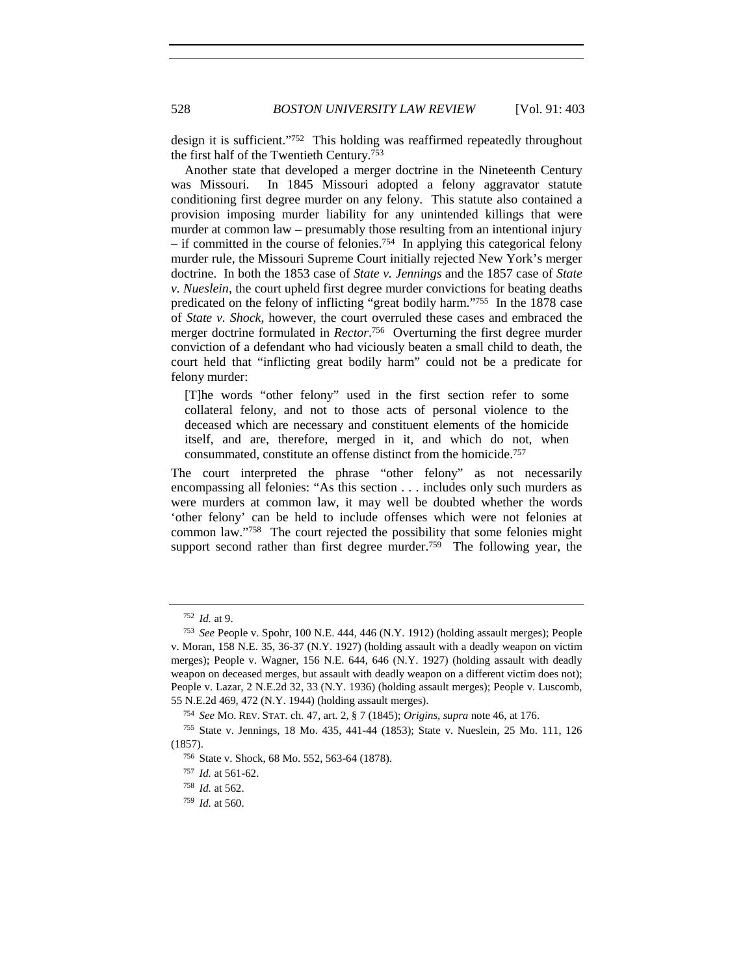design it is sufficient."752 This holding was reaffirmed repeatedly throughout the first half of the Twentieth Century.753

Another state that developed a merger doctrine in the Nineteenth Century was Missouri. In 1845 Missouri adopted a felony aggravator statute conditioning first degree murder on any felony. This statute also contained a provision imposing murder liability for any unintended killings that were murder at common law – presumably those resulting from an intentional injury  $-$  if committed in the course of felonies.<sup>754</sup> In applying this categorical felony murder rule, the Missouri Supreme Court initially rejected New York's merger doctrine. In both the 1853 case of *State v. Jennings* and the 1857 case of *State v. Nueslein*, the court upheld first degree murder convictions for beating deaths predicated on the felony of inflicting "great bodily harm."755 In the 1878 case of *State v. Shock*, however, the court overruled these cases and embraced the merger doctrine formulated in *Rector*. 756 Overturning the first degree murder conviction of a defendant who had viciously beaten a small child to death, the court held that "inflicting great bodily harm" could not be a predicate for felony murder:

[T]he words "other felony" used in the first section refer to some collateral felony, and not to those acts of personal violence to the deceased which are necessary and constituent elements of the homicide itself, and are, therefore, merged in it, and which do not, when consummated, constitute an offense distinct from the homicide.757

The court interpreted the phrase "other felony" as not necessarily encompassing all felonies: "As this section . . . includes only such murders as were murders at common law, it may well be doubted whether the words 'other felony' can be held to include offenses which were not felonies at common law."758 The court rejected the possibility that some felonies might support second rather than first degree murder.<sup>759</sup> The following year, the

<sup>752</sup> *Id.* at 9.

<sup>753</sup> *See* People v. Spohr, 100 N.E. 444, 446 (N.Y. 1912) (holding assault merges); People v. Moran, 158 N.E. 35, 36-37 (N.Y. 1927) (holding assault with a deadly weapon on victim merges); People v. Wagner, 156 N.E. 644, 646 (N.Y. 1927) (holding assault with deadly weapon on deceased merges, but assault with deadly weapon on a different victim does not); People v. Lazar, 2 N.E.2d 32, 33 (N.Y. 1936) (holding assault merges); People v. Luscomb, 55 N.E.2d 469, 472 (N.Y. 1944) (holding assault merges).

<sup>754</sup> *See* MO. REV. STAT. ch. 47, art. 2, § 7 (1845); *Origins*, *supra* note 46, at 176.

<sup>755</sup> State v. Jennings, 18 Mo. 435, 441-44 (1853); State v. Nueslein, 25 Mo. 111, 126 (1857).

<sup>756</sup> State v. Shock, 68 Mo. 552, 563-64 (1878).

<sup>757</sup> *Id.* at 561-62.

<sup>758</sup> *Id.* at 562.

<sup>759</sup> *Id.* at 560.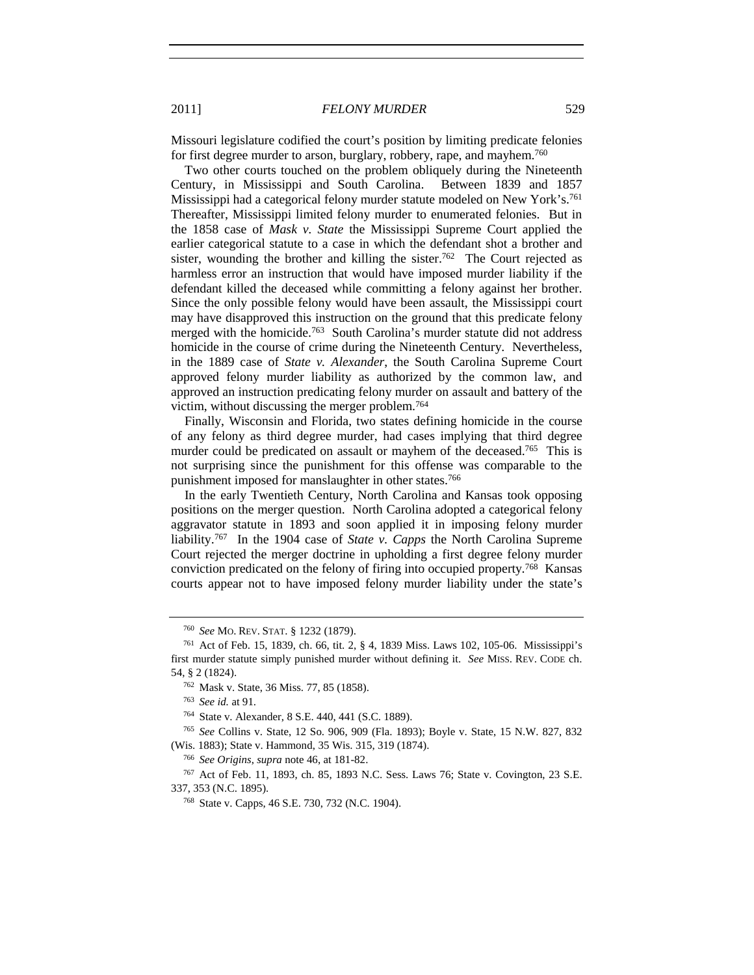Missouri legislature codified the court's position by limiting predicate felonies for first degree murder to arson, burglary, robbery, rape, and mayhem.760

Two other courts touched on the problem obliquely during the Nineteenth Century, in Mississippi and South Carolina. Between 1839 and 1857 Mississippi had a categorical felony murder statute modeled on New York's.<sup>761</sup> Thereafter, Mississippi limited felony murder to enumerated felonies. But in the 1858 case of *Mask v. State* the Mississippi Supreme Court applied the earlier categorical statute to a case in which the defendant shot a brother and sister, wounding the brother and killing the sister.<sup>762</sup> The Court rejected as harmless error an instruction that would have imposed murder liability if the defendant killed the deceased while committing a felony against her brother. Since the only possible felony would have been assault, the Mississippi court may have disapproved this instruction on the ground that this predicate felony merged with the homicide.<sup>763</sup> South Carolina's murder statute did not address homicide in the course of crime during the Nineteenth Century. Nevertheless, in the 1889 case of *State v. Alexander*, the South Carolina Supreme Court approved felony murder liability as authorized by the common law, and approved an instruction predicating felony murder on assault and battery of the victim, without discussing the merger problem.764

Finally, Wisconsin and Florida, two states defining homicide in the course of any felony as third degree murder, had cases implying that third degree murder could be predicated on assault or mayhem of the deceased.<sup>765</sup> This is not surprising since the punishment for this offense was comparable to the punishment imposed for manslaughter in other states.766

In the early Twentieth Century, North Carolina and Kansas took opposing positions on the merger question. North Carolina adopted a categorical felony aggravator statute in 1893 and soon applied it in imposing felony murder liability.767 In the 1904 case of *State v. Capps* the North Carolina Supreme Court rejected the merger doctrine in upholding a first degree felony murder conviction predicated on the felony of firing into occupied property.768 Kansas courts appear not to have imposed felony murder liability under the state's

<sup>760</sup> *See* MO. REV. STAT. § 1232 (1879).

<sup>761</sup> Act of Feb. 15, 1839, ch. 66, tit. 2, § 4, 1839 Miss. Laws 102, 105-06. Mississippi's first murder statute simply punished murder without defining it. *See* MISS. REV. CODE ch. 54, § 2 (1824).

<sup>762</sup> Mask v. State, 36 Miss. 77, 85 (1858).

<sup>763</sup> *See id.* at 91.

<sup>764</sup> State v. Alexander, 8 S.E. 440, 441 (S.C. 1889).

<sup>765</sup> *See* Collins v. State, 12 So. 906, 909 (Fla. 1893); Boyle v. State, 15 N.W. 827, 832 (Wis. 1883); State v. Hammond, 35 Wis. 315, 319 (1874).

<sup>766</sup> *See Origins*, *supra* note 46, at 181-82.

<sup>767</sup> Act of Feb. 11, 1893, ch. 85, 1893 N.C. Sess. Laws 76; State v. Covington, 23 S.E. 337, 353 (N.C. 1895).

<sup>768</sup> State v. Capps, 46 S.E. 730, 732 (N.C. 1904).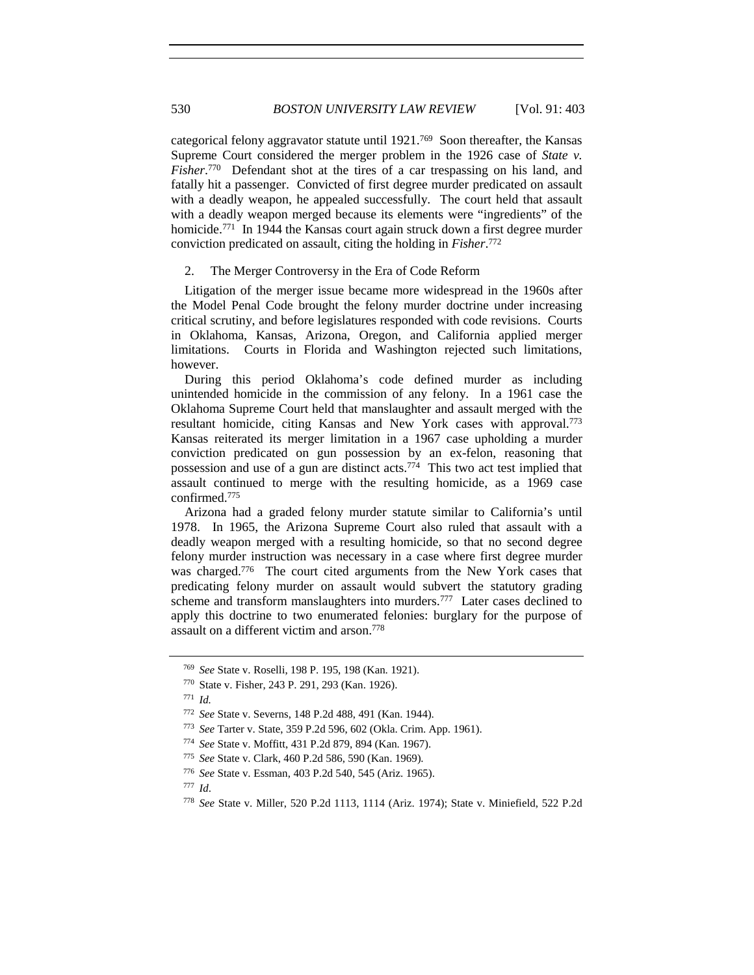categorical felony aggravator statute until 1921.769 Soon thereafter, the Kansas Supreme Court considered the merger problem in the 1926 case of *State v. Fisher*. 770 Defendant shot at the tires of a car trespassing on his land, and fatally hit a passenger. Convicted of first degree murder predicated on assault with a deadly weapon, he appealed successfully. The court held that assault with a deadly weapon merged because its elements were "ingredients" of the homicide.<sup>771</sup> In 1944 the Kansas court again struck down a first degree murder conviction predicated on assault, citing the holding in *Fisher*. 772

# 2. The Merger Controversy in the Era of Code Reform

Litigation of the merger issue became more widespread in the 1960s after the Model Penal Code brought the felony murder doctrine under increasing critical scrutiny, and before legislatures responded with code revisions. Courts in Oklahoma, Kansas, Arizona, Oregon, and California applied merger limitations. Courts in Florida and Washington rejected such limitations, however.

During this period Oklahoma's code defined murder as including unintended homicide in the commission of any felony. In a 1961 case the Oklahoma Supreme Court held that manslaughter and assault merged with the resultant homicide, citing Kansas and New York cases with approval.773 Kansas reiterated its merger limitation in a 1967 case upholding a murder conviction predicated on gun possession by an ex-felon, reasoning that possession and use of a gun are distinct acts.774 This two act test implied that assault continued to merge with the resulting homicide, as a 1969 case confirmed.775

Arizona had a graded felony murder statute similar to California's until 1978. In 1965, the Arizona Supreme Court also ruled that assault with a deadly weapon merged with a resulting homicide, so that no second degree felony murder instruction was necessary in a case where first degree murder was charged.776 The court cited arguments from the New York cases that predicating felony murder on assault would subvert the statutory grading scheme and transform manslaughters into murders.<sup>777</sup> Later cases declined to apply this doctrine to two enumerated felonies: burglary for the purpose of assault on a different victim and arson.778

<sup>777</sup> *Id*.

<sup>769</sup> *See* State v. Roselli, 198 P. 195, 198 (Kan. 1921).

<sup>770</sup> State v. Fisher, 243 P. 291, 293 (Kan. 1926).

<sup>771</sup> *Id.*

<sup>772</sup> *See* State v. Severns, 148 P.2d 488, 491 (Kan. 1944).

<sup>773</sup> *See* Tarter v. State, 359 P.2d 596, 602 (Okla. Crim. App. 1961).

<sup>774</sup> *See* State v. Moffitt, 431 P.2d 879, 894 (Kan. 1967).

<sup>775</sup> *See* State v. Clark, 460 P.2d 586, 590 (Kan. 1969).

<sup>776</sup> *See* State v. Essman, 403 P.2d 540, 545 (Ariz. 1965).

<sup>778</sup> *See* State v. Miller, 520 P.2d 1113, 1114 (Ariz. 1974); State v. Miniefield, 522 P.2d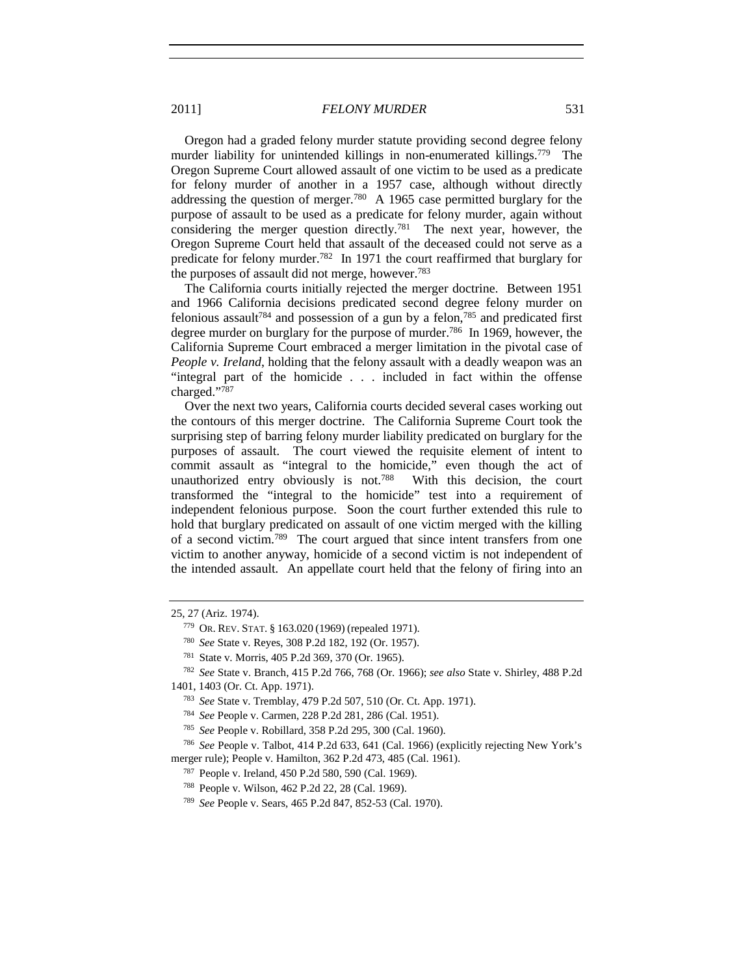Oregon had a graded felony murder statute providing second degree felony murder liability for unintended killings in non-enumerated killings.<sup>779</sup> The Oregon Supreme Court allowed assault of one victim to be used as a predicate for felony murder of another in a 1957 case, although without directly addressing the question of merger.780 A 1965 case permitted burglary for the purpose of assault to be used as a predicate for felony murder, again without considering the merger question directly.781 The next year, however, the Oregon Supreme Court held that assault of the deceased could not serve as a predicate for felony murder.782 In 1971 the court reaffirmed that burglary for the purposes of assault did not merge, however.783

The California courts initially rejected the merger doctrine. Between 1951 and 1966 California decisions predicated second degree felony murder on felonious assault<sup>784</sup> and possession of a gun by a felon,<sup>785</sup> and predicated first degree murder on burglary for the purpose of murder.786 In 1969, however, the California Supreme Court embraced a merger limitation in the pivotal case of *People v. Ireland*, holding that the felony assault with a deadly weapon was an "integral part of the homicide . . . included in fact within the offense charged."787

Over the next two years, California courts decided several cases working out the contours of this merger doctrine. The California Supreme Court took the surprising step of barring felony murder liability predicated on burglary for the purposes of assault. The court viewed the requisite element of intent to commit assault as "integral to the homicide," even though the act of unauthorized entry obviously is not.788 With this decision, the court transformed the "integral to the homicide" test into a requirement of independent felonious purpose. Soon the court further extended this rule to hold that burglary predicated on assault of one victim merged with the killing of a second victim.789 The court argued that since intent transfers from one victim to another anyway, homicide of a second victim is not independent of the intended assault. An appellate court held that the felony of firing into an

<sup>25, 27 (</sup>Ariz. 1974).

<sup>779</sup> OR. REV. STAT. § 163.020 (1969) (repealed 1971).

<sup>780</sup> *See* State v. Reyes, 308 P.2d 182, 192 (Or. 1957).

<sup>781</sup> State v. Morris, 405 P.2d 369, 370 (Or. 1965).

<sup>782</sup> *See* State v. Branch, 415 P.2d 766, 768 (Or. 1966); *see also* State v. Shirley, 488 P.2d 1401, 1403 (Or. Ct. App. 1971).

<sup>783</sup> *See* State v. Tremblay, 479 P.2d 507, 510 (Or. Ct. App. 1971). 784 *See* People v. Carmen, 228 P.2d 281, 286 (Cal. 1951).

<sup>785</sup> *See* People v. Robillard, 358 P.2d 295, 300 (Cal. 1960).

<sup>786</sup> *See* People v. Talbot, 414 P.2d 633, 641 (Cal. 1966) (explicitly rejecting New York's merger rule); People v. Hamilton, 362 P.2d 473, 485 (Cal. 1961).

<sup>787</sup> People v. Ireland, 450 P.2d 580, 590 (Cal. 1969).

<sup>788</sup> People v. Wilson, 462 P.2d 22, 28 (Cal. 1969).

<sup>789</sup> *See* People v. Sears, 465 P.2d 847, 852-53 (Cal. 1970).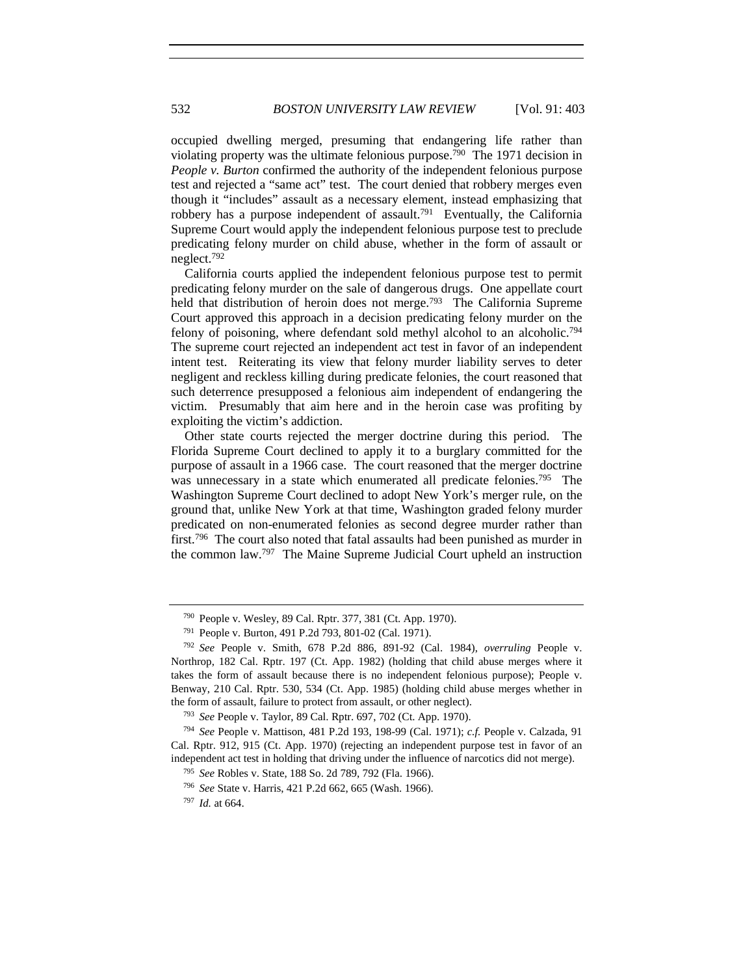occupied dwelling merged, presuming that endangering life rather than violating property was the ultimate felonious purpose.790 The 1971 decision in *People v. Burton* confirmed the authority of the independent felonious purpose test and rejected a "same act" test. The court denied that robbery merges even though it "includes" assault as a necessary element, instead emphasizing that robbery has a purpose independent of assault.<sup>791</sup> Eventually, the California Supreme Court would apply the independent felonious purpose test to preclude predicating felony murder on child abuse, whether in the form of assault or neglect.792

California courts applied the independent felonious purpose test to permit predicating felony murder on the sale of dangerous drugs. One appellate court held that distribution of heroin does not merge.<sup>793</sup> The California Supreme Court approved this approach in a decision predicating felony murder on the felony of poisoning, where defendant sold methyl alcohol to an alcoholic.<sup>794</sup> The supreme court rejected an independent act test in favor of an independent intent test. Reiterating its view that felony murder liability serves to deter negligent and reckless killing during predicate felonies, the court reasoned that such deterrence presupposed a felonious aim independent of endangering the victim. Presumably that aim here and in the heroin case was profiting by exploiting the victim's addiction.

Other state courts rejected the merger doctrine during this period. The Florida Supreme Court declined to apply it to a burglary committed for the purpose of assault in a 1966 case. The court reasoned that the merger doctrine was unnecessary in a state which enumerated all predicate felonies.<sup>795</sup> The Washington Supreme Court declined to adopt New York's merger rule, on the ground that, unlike New York at that time, Washington graded felony murder predicated on non-enumerated felonies as second degree murder rather than first.796 The court also noted that fatal assaults had been punished as murder in the common law.797 The Maine Supreme Judicial Court upheld an instruction

<sup>790</sup> People v. Wesley, 89 Cal. Rptr. 377, 381 (Ct. App. 1970).

<sup>791</sup> People v. Burton*,* 491 P.2d 793, 801-02 (Cal. 1971).

<sup>792</sup> *See* People v. Smith, 678 P.2d 886, 891-92 (Cal. 1984), *overruling* People v. Northrop, 182 Cal. Rptr. 197 (Ct. App. 1982) (holding that child abuse merges where it takes the form of assault because there is no independent felonious purpose); People v. Benway, 210 Cal. Rptr. 530, 534 (Ct. App. 1985) (holding child abuse merges whether in the form of assault, failure to protect from assault, or other neglect).

<sup>793</sup> *See* People v. Taylor, 89 Cal. Rptr. 697, 702 (Ct. App. 1970).

<sup>794</sup> *See* People v. Mattison, 481 P.2d 193, 198-99 (Cal. 1971); *c.f.* People v. Calzada, 91 Cal. Rptr. 912, 915 (Ct. App. 1970) (rejecting an independent purpose test in favor of an independent act test in holding that driving under the influence of narcotics did not merge). 795 *See* Robles v. State, 188 So. 2d 789, 792 (Fla. 1966).

<sup>796</sup> *See* State v. Harris, 421 P.2d 662, 665 (Wash. 1966).

<sup>797</sup> *Id.* at 664.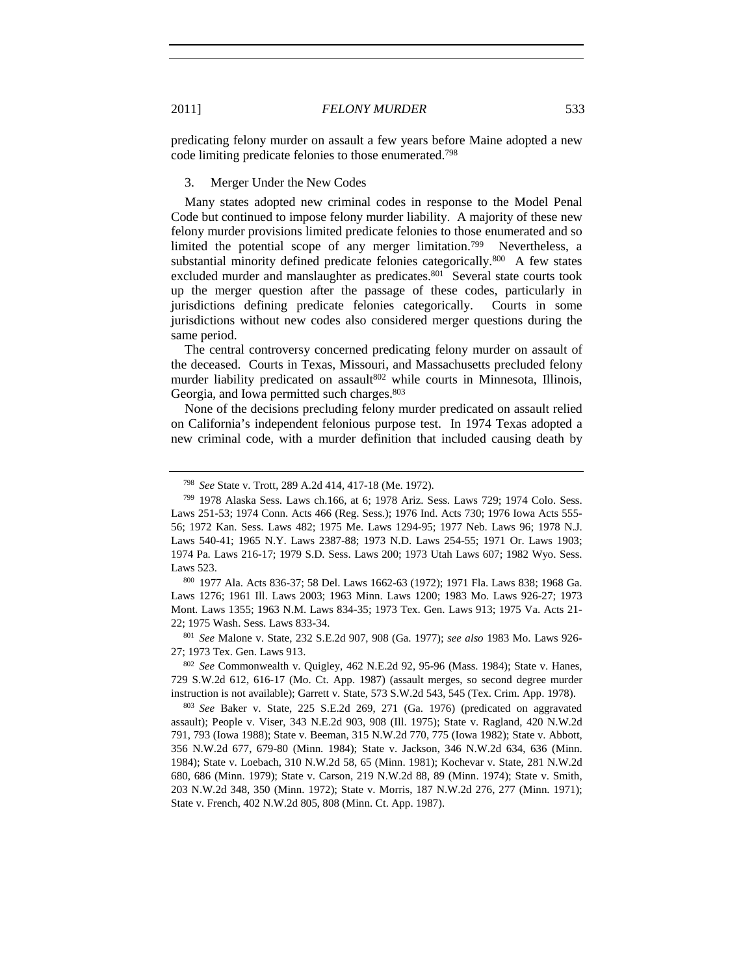predicating felony murder on assault a few years before Maine adopted a new code limiting predicate felonies to those enumerated.798

# 3. Merger Under the New Codes

Many states adopted new criminal codes in response to the Model Penal Code but continued to impose felony murder liability. A majority of these new felony murder provisions limited predicate felonies to those enumerated and so limited the potential scope of any merger limitation.799 Nevertheless, a substantial minority defined predicate felonies categorically.<sup>800</sup> A few states excluded murder and manslaughter as predicates.<sup>801</sup> Several state courts took up the merger question after the passage of these codes, particularly in jurisdictions defining predicate felonies categorically. Courts in some jurisdictions without new codes also considered merger questions during the same period.

The central controversy concerned predicating felony murder on assault of the deceased. Courts in Texas, Missouri, and Massachusetts precluded felony murder liability predicated on assault<sup>802</sup> while courts in Minnesota, Illinois, Georgia, and Iowa permitted such charges.<sup>803</sup>

None of the decisions precluding felony murder predicated on assault relied on California's independent felonious purpose test. In 1974 Texas adopted a new criminal code, with a murder definition that included causing death by

<sup>798</sup> *See* State v. Trott, 289 A.2d 414, 417-18 (Me. 1972).

<sup>799</sup> 1978 Alaska Sess. Laws ch.166, at 6; 1978 Ariz. Sess. Laws 729; 1974 Colo. Sess. Laws 251-53; 1974 Conn. Acts 466 (Reg. Sess.); 1976 Ind. Acts 730; 1976 Iowa Acts 555- 56; 1972 Kan. Sess. Laws 482; 1975 Me. Laws 1294-95; 1977 Neb. Laws 96; 1978 N.J. Laws 540-41; 1965 N.Y. Laws 2387-88; 1973 N.D. Laws 254-55; 1971 Or. Laws 1903; 1974 Pa. Laws 216-17; 1979 S.D. Sess. Laws 200; 1973 Utah Laws 607; 1982 Wyo. Sess. Laws 523.

<sup>800</sup> 1977 Ala. Acts 836-37; 58 Del. Laws 1662-63 (1972); 1971 Fla. Laws 838; 1968 Ga. Laws 1276; 1961 Ill. Laws 2003; 1963 Minn. Laws 1200; 1983 Mo. Laws 926-27; 1973 Mont. Laws 1355; 1963 N.M. Laws 834-35; 1973 Tex. Gen. Laws 913; 1975 Va. Acts 21- 22; 1975 Wash. Sess. Laws 833-34.

<sup>801</sup> *See* Malone v. State, 232 S.E.2d 907, 908 (Ga. 1977); *see also* 1983 Mo. Laws 926- 27; 1973 Tex. Gen. Laws 913.

<sup>802</sup> *See* Commonwealth v. Quigley, 462 N.E.2d 92, 95-96 (Mass. 1984); State v. Hanes, 729 S.W.2d 612, 616-17 (Mo. Ct. App. 1987) (assault merges, so second degree murder instruction is not available); Garrett v. State, 573 S.W.2d 543, 545 (Tex. Crim. App. 1978).

<sup>803</sup> *See* Baker v. State, 225 S.E.2d 269, 271 (Ga. 1976) (predicated on aggravated assault); People v. Viser, 343 N.E.2d 903, 908 (Ill. 1975); State v. Ragland, 420 N.W.2d 791, 793 (Iowa 1988); State v. Beeman, 315 N.W.2d 770, 775 (Iowa 1982); State v. Abbott, 356 N.W.2d 677, 679-80 (Minn. 1984); State v. Jackson, 346 N.W.2d 634, 636 (Minn. 1984); State v. Loebach, 310 N.W.2d 58, 65 (Minn. 1981); Kochevar v. State, 281 N.W.2d 680, 686 (Minn. 1979); State v. Carson, 219 N.W.2d 88, 89 (Minn. 1974); State v. Smith, 203 N.W.2d 348, 350 (Minn. 1972); State v. Morris, 187 N.W.2d 276, 277 (Minn. 1971); State v. French, 402 N.W.2d 805, 808 (Minn. Ct. App. 1987).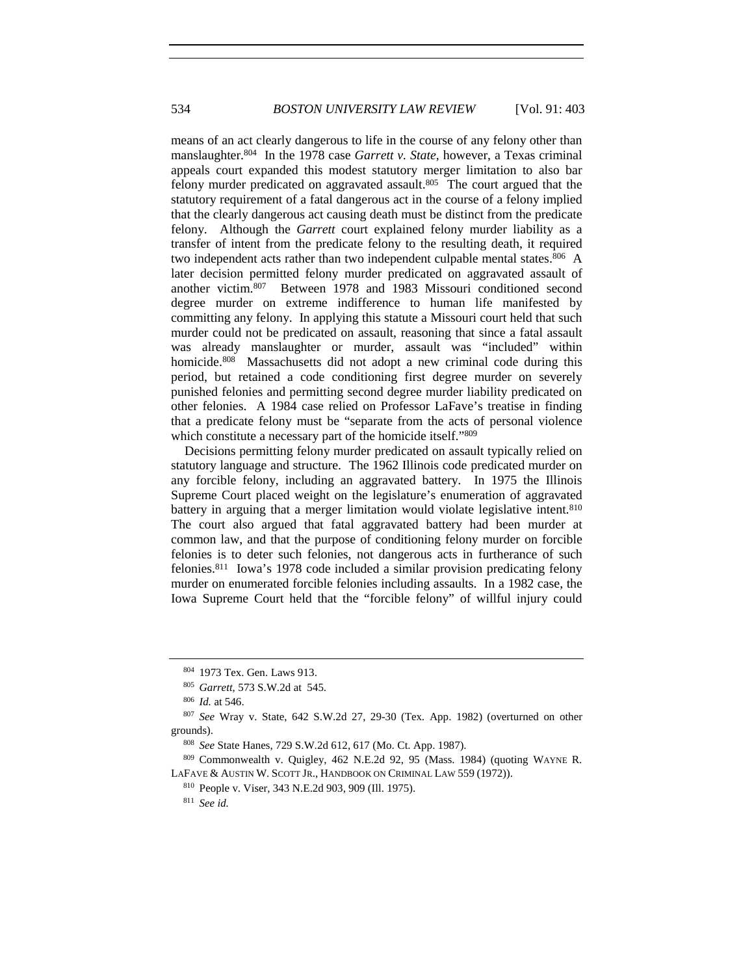means of an act clearly dangerous to life in the course of any felony other than manslaughter.804 In the 1978 case *Garrett v. State*, however, a Texas criminal appeals court expanded this modest statutory merger limitation to also bar felony murder predicated on aggravated assault.805 The court argued that the statutory requirement of a fatal dangerous act in the course of a felony implied that the clearly dangerous act causing death must be distinct from the predicate felony. Although the *Garrett* court explained felony murder liability as a transfer of intent from the predicate felony to the resulting death, it required two independent acts rather than two independent culpable mental states. $806$  A later decision permitted felony murder predicated on aggravated assault of another victim.807 Between 1978 and 1983 Missouri conditioned second degree murder on extreme indifference to human life manifested by committing any felony. In applying this statute a Missouri court held that such murder could not be predicated on assault, reasoning that since a fatal assault was already manslaughter or murder, assault was "included" within homicide.<sup>808</sup> Massachusetts did not adopt a new criminal code during this period, but retained a code conditioning first degree murder on severely punished felonies and permitting second degree murder liability predicated on other felonies. A 1984 case relied on Professor LaFave's treatise in finding that a predicate felony must be "separate from the acts of personal violence which constitute a necessary part of the homicide itself."<sup>809</sup>

Decisions permitting felony murder predicated on assault typically relied on statutory language and structure. The 1962 Illinois code predicated murder on any forcible felony, including an aggravated battery. In 1975 the Illinois Supreme Court placed weight on the legislature's enumeration of aggravated battery in arguing that a merger limitation would violate legislative intent.<sup>810</sup> The court also argued that fatal aggravated battery had been murder at common law, and that the purpose of conditioning felony murder on forcible felonies is to deter such felonies, not dangerous acts in furtherance of such felonies.811 Iowa's 1978 code included a similar provision predicating felony murder on enumerated forcible felonies including assaults. In a 1982 case, the Iowa Supreme Court held that the "forcible felony" of willful injury could

<sup>811</sup> *See id.*

<sup>804</sup> 1973 Tex. Gen. Laws 913.

<sup>805</sup> *Garrett*, 573 S.W.2d at 545.

<sup>806</sup> *Id.* at 546.

<sup>807</sup> *See* Wray v. State, 642 S.W.2d 27, 29-30 (Tex. App. 1982) (overturned on other grounds).

<sup>&</sup>lt;sup>808</sup> *See* State Hanes, 729 S.W.2d 612, 617 (Mo. Ct. App. 1987).<br><sup>809</sup> Commonwealth v. Quigley, 462 N.E.2d 92, 95 (Mass. 1984) (quoting WAYNE R. LAFAVE & AUSTIN W. SCOTT JR., HANDBOOK ON CRIMINAL LAW 559 (1972)).

<sup>810</sup> People v. Viser, 343 N.E.2d 903, 909 (Ill. 1975).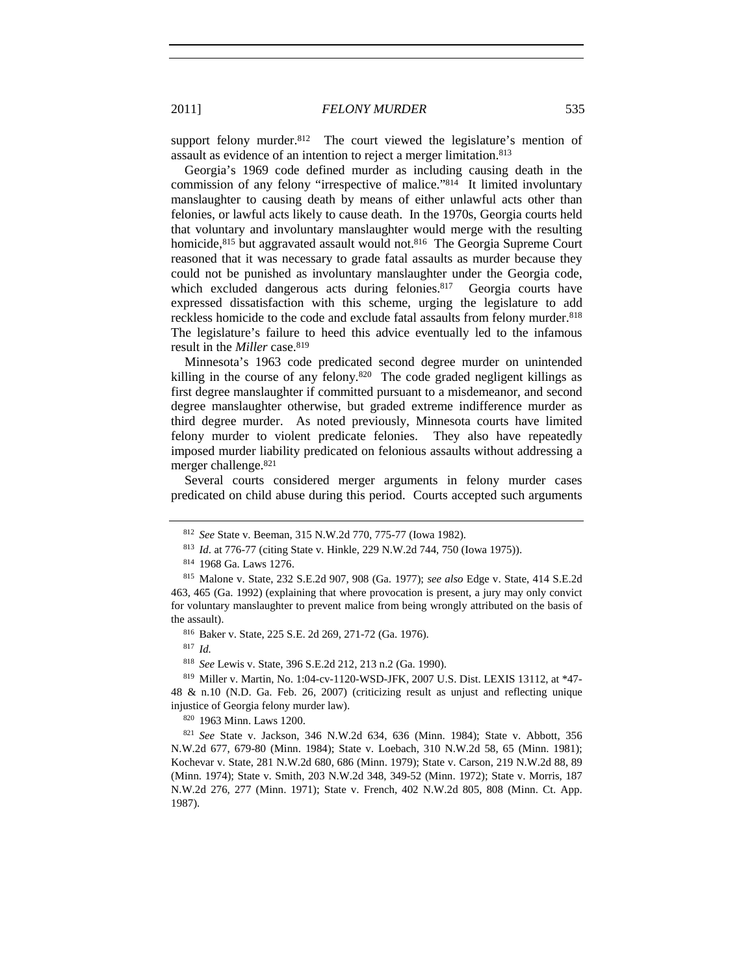support felony murder. $812$  The court viewed the legislature's mention of assault as evidence of an intention to reject a merger limitation.813

Georgia's 1969 code defined murder as including causing death in the commission of any felony "irrespective of malice."814 It limited involuntary manslaughter to causing death by means of either unlawful acts other than felonies, or lawful acts likely to cause death. In the 1970s, Georgia courts held that voluntary and involuntary manslaughter would merge with the resulting homicide, 815 but aggravated assault would not. 816 The Georgia Supreme Court reasoned that it was necessary to grade fatal assaults as murder because they could not be punished as involuntary manslaughter under the Georgia code, which excluded dangerous acts during felonies.<sup>817</sup> Georgia courts have expressed dissatisfaction with this scheme, urging the legislature to add reckless homicide to the code and exclude fatal assaults from felony murder.<sup>818</sup> The legislature's failure to heed this advice eventually led to the infamous result in the *Miller* case.<sup>819</sup>

Minnesota's 1963 code predicated second degree murder on unintended killing in the course of any felony.<sup>820</sup> The code graded negligent killings as first degree manslaughter if committed pursuant to a misdemeanor, and second degree manslaughter otherwise, but graded extreme indifference murder as third degree murder. As noted previously, Minnesota courts have limited felony murder to violent predicate felonies. They also have repeatedly imposed murder liability predicated on felonious assaults without addressing a merger challenge.821

Several courts considered merger arguments in felony murder cases predicated on child abuse during this period. Courts accepted such arguments

<sup>817</sup> *Id.*

<sup>818</sup> *See* Lewis v. State, 396 S.E.2d 212, 213 n.2 (Ga. 1990).

<sup>819</sup> Miller v. Martin, No. 1:04-cv-1120-WSD-JFK, 2007 U.S. Dist. LEXIS 13112, at \*47- 48 & n.10 (N.D. Ga. Feb. 26, 2007) (criticizing result as unjust and reflecting unique injustice of Georgia felony murder law).

<sup>820</sup> 1963 Minn. Laws 1200.

<sup>821</sup> *See* State v. Jackson, 346 N.W.2d 634, 636 (Minn. 1984); State v. Abbott, 356 N.W.2d 677, 679-80 (Minn. 1984); State v. Loebach, 310 N.W.2d 58, 65 (Minn. 1981); Kochevar v. State, 281 N.W.2d 680, 686 (Minn. 1979); State v. Carson, 219 N.W.2d 88, 89 (Minn. 1974); State v. Smith, 203 N.W.2d 348, 349-52 (Minn. 1972); State v. Morris, 187 N.W.2d 276, 277 (Minn. 1971); State v. French, 402 N.W.2d 805, 808 (Minn. Ct. App. 1987).

<sup>812</sup> *See* State v. Beeman, 315 N.W.2d 770, 775-77 (Iowa 1982).

<sup>813</sup> *Id*. at 776-77 (citing State v. Hinkle, 229 N.W.2d 744, 750 (Iowa 1975)).

<sup>814</sup> 1968 Ga. Laws 1276.

<sup>815</sup> Malone v. State, 232 S.E.2d 907, 908 (Ga. 1977); *see also* Edge v. State, 414 S.E.2d 463, 465 (Ga. 1992) (explaining that where provocation is present, a jury may only convict for voluntary manslaughter to prevent malice from being wrongly attributed on the basis of the assault).

<sup>816</sup> Baker v. State, 225 S.E. 2d 269, 271-72 (Ga. 1976).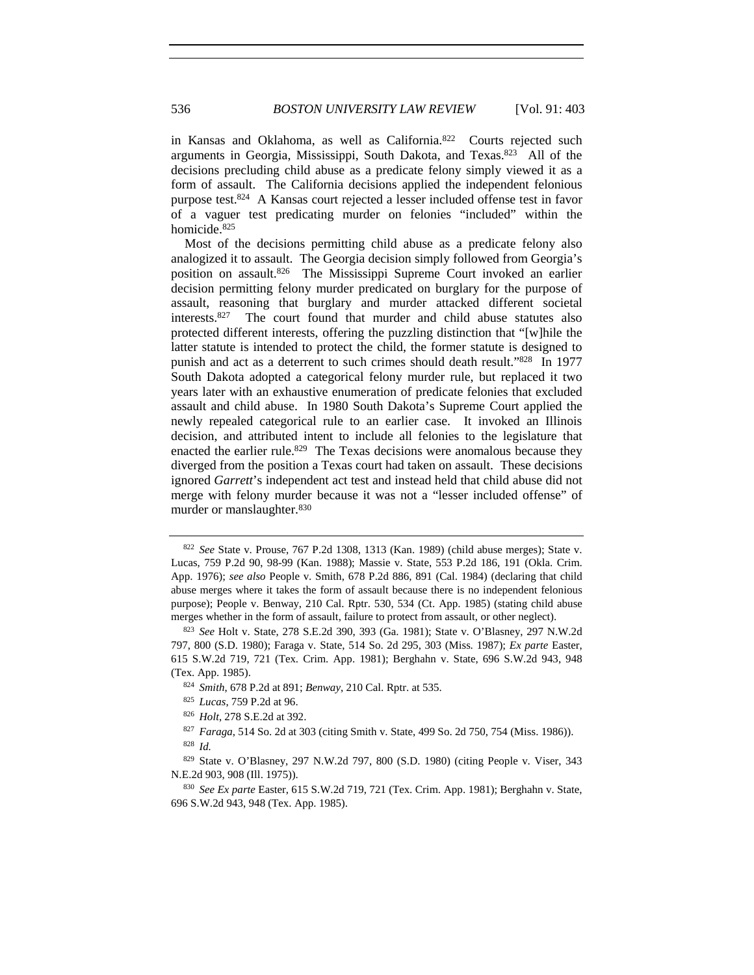in Kansas and Oklahoma, as well as California.822 Courts rejected such arguments in Georgia, Mississippi, South Dakota, and Texas.823 All of the decisions precluding child abuse as a predicate felony simply viewed it as a form of assault. The California decisions applied the independent felonious purpose test.824 A Kansas court rejected a lesser included offense test in favor of a vaguer test predicating murder on felonies "included" within the homicide.825

Most of the decisions permitting child abuse as a predicate felony also analogized it to assault. The Georgia decision simply followed from Georgia's position on assault.826 The Mississippi Supreme Court invoked an earlier decision permitting felony murder predicated on burglary for the purpose of assault, reasoning that burglary and murder attacked different societal interests.827 The court found that murder and child abuse statutes also protected different interests, offering the puzzling distinction that "[w]hile the latter statute is intended to protect the child, the former statute is designed to punish and act as a deterrent to such crimes should death result."828 In 1977 South Dakota adopted a categorical felony murder rule, but replaced it two years later with an exhaustive enumeration of predicate felonies that excluded assault and child abuse. In 1980 South Dakota's Supreme Court applied the newly repealed categorical rule to an earlier case. It invoked an Illinois decision, and attributed intent to include all felonies to the legislature that enacted the earlier rule.<sup>829</sup> The Texas decisions were anomalous because they diverged from the position a Texas court had taken on assault. These decisions ignored *Garrett*'s independent act test and instead held that child abuse did not merge with felony murder because it was not a "lesser included offense" of murder or manslaughter.830

<sup>822</sup> *See* State v. Prouse, 767 P.2d 1308, 1313 (Kan. 1989) (child abuse merges); State v. Lucas, 759 P.2d 90, 98-99 (Kan. 1988); Massie v. State, 553 P.2d 186, 191 (Okla. Crim. App. 1976); *see also* People v. Smith, 678 P.2d 886, 891 (Cal. 1984) (declaring that child abuse merges where it takes the form of assault because there is no independent felonious purpose); People v. Benway, 210 Cal. Rptr. 530, 534 (Ct. App. 1985) (stating child abuse merges whether in the form of assault, failure to protect from assault, or other neglect).

<sup>823</sup> *See* Holt v. State, 278 S.E.2d 390, 393 (Ga. 1981); State v. O'Blasney, 297 N.W.2d 797, 800 (S.D. 1980); Faraga v. State, 514 So. 2d 295, 303 (Miss. 1987); *Ex parte* Easter, 615 S.W.2d 719, 721 (Tex. Crim. App. 1981); Berghahn v. State, 696 S.W.2d 943, 948 (Tex. App. 1985).

<sup>824</sup> *Smith*, 678 P.2d at 891; *Benway*, 210 Cal. Rptr. at 535.

<sup>825</sup> *Lucas*, 759 P.2d at 96.

<sup>826</sup> *Holt*, 278 S.E.2d at 392.

<sup>827</sup> *Faraga*, 514 So. 2d at 303 (citing Smith v. State, 499 So. 2d 750, 754 (Miss. 1986)). <sup>828</sup> *Id.*

<sup>829</sup> State v. O'Blasney, 297 N.W.2d 797, 800 (S.D. 1980) (citing People v. Viser, 343 N.E.2d 903, 908 (Ill. 1975)).

<sup>830</sup> *See Ex parte* Easter, 615 S.W.2d 719, 721 (Tex. Crim. App. 1981); Berghahn v. State, 696 S.W.2d 943, 948 (Tex. App. 1985).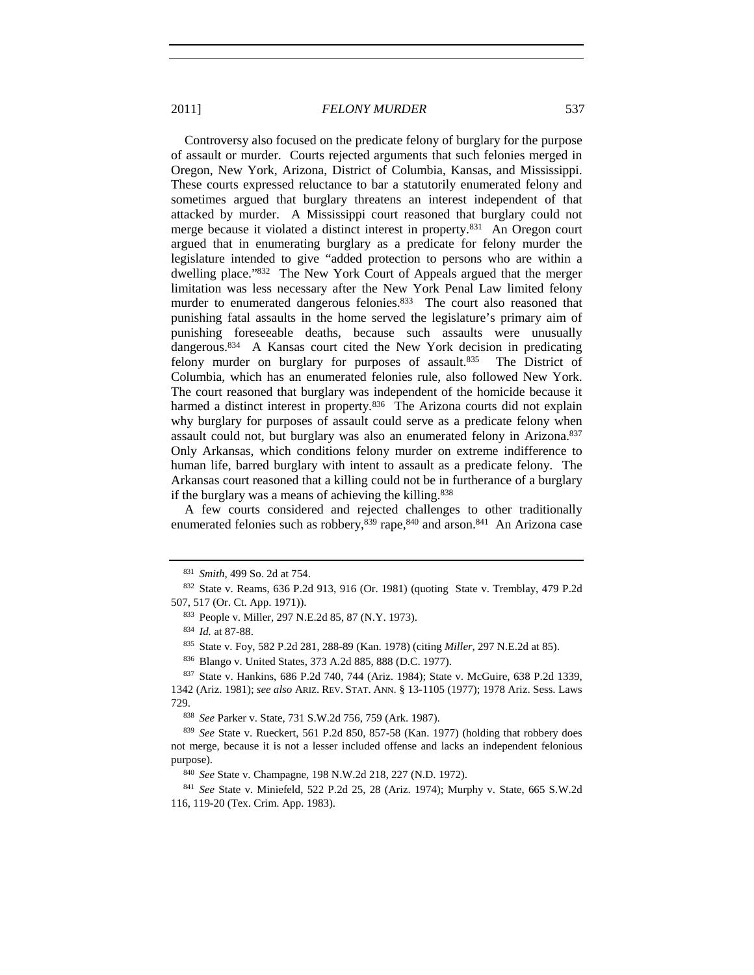Controversy also focused on the predicate felony of burglary for the purpose of assault or murder. Courts rejected arguments that such felonies merged in Oregon, New York, Arizona, District of Columbia, Kansas, and Mississippi. These courts expressed reluctance to bar a statutorily enumerated felony and sometimes argued that burglary threatens an interest independent of that attacked by murder. A Mississippi court reasoned that burglary could not merge because it violated a distinct interest in property.831 An Oregon court argued that in enumerating burglary as a predicate for felony murder the legislature intended to give "added protection to persons who are within a dwelling place."832 The New York Court of Appeals argued that the merger limitation was less necessary after the New York Penal Law limited felony murder to enumerated dangerous felonies.<sup>833</sup> The court also reasoned that punishing fatal assaults in the home served the legislature's primary aim of punishing foreseeable deaths, because such assaults were unusually dangerous.834 A Kansas court cited the New York decision in predicating felony murder on burglary for purposes of assault.835 The District of Columbia, which has an enumerated felonies rule, also followed New York. The court reasoned that burglary was independent of the homicide because it harmed a distinct interest in property.<sup>836</sup> The Arizona courts did not explain why burglary for purposes of assault could serve as a predicate felony when assault could not, but burglary was also an enumerated felony in Arizona.837 Only Arkansas, which conditions felony murder on extreme indifference to human life, barred burglary with intent to assault as a predicate felony. The Arkansas court reasoned that a killing could not be in furtherance of a burglary if the burglary was a means of achieving the killing.838

A few courts considered and rejected challenges to other traditionally enumerated felonies such as robbery,  $839$  rape,  $840$  and arson.  $841$  An Arizona case

<sup>831</sup> *Smith*, 499 So. 2d at 754.

<sup>832</sup> State v. Reams, 636 P.2d 913, 916 (Or. 1981) (quoting State v. Tremblay, 479 P.2d 507, 517 (Or. Ct. App. 1971)).

<sup>833</sup> People v. Miller, 297 N.E.2d 85, 87 (N.Y. 1973).

<sup>834</sup> *Id.* at 87-88.

<sup>835</sup> State v. Foy, 582 P.2d 281, 288-89 (Kan. 1978) (citing *Miller*, 297 N.E.2d at 85).

<sup>836</sup> Blango v. United States, 373 A.2d 885, 888 (D.C. 1977).

<sup>837</sup> State v. Hankins, 686 P.2d 740, 744 (Ariz. 1984); State v. McGuire, 638 P.2d 1339, 1342 (Ariz. 1981); *see also* ARIZ. REV. STAT. ANN. § 13-1105 (1977); 1978 Ariz. Sess. Laws 729. 838 *See* Parker v. State, 731 S.W.2d 756, 759 (Ark. 1987).

<sup>839</sup> *See* State v. Rueckert, 561 P.2d 850, 857-58 (Kan. 1977) (holding that robbery does not merge, because it is not a lesser included offense and lacks an independent felonious purpose).

<sup>840</sup> *See* State v. Champagne, 198 N.W.2d 218, 227 (N.D. 1972). 841 *See* State v. Miniefeld, 522 P.2d 25, 28 (Ariz. 1974); Murphy v. State, 665 S.W.2d 116, 119-20 (Tex. Crim. App. 1983).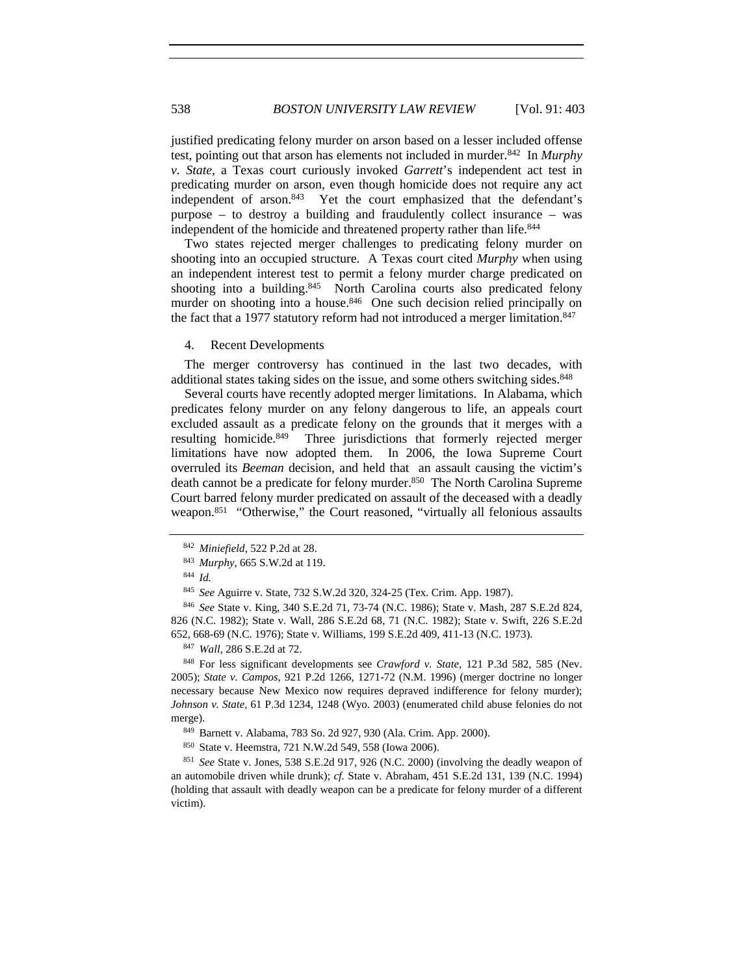justified predicating felony murder on arson based on a lesser included offense test, pointing out that arson has elements not included in murder.842 In *Murphy v. State*, a Texas court curiously invoked *Garrett*'s independent act test in predicating murder on arson, even though homicide does not require any act independent of arson.843 Yet the court emphasized that the defendant's purpose – to destroy a building and fraudulently collect insurance – was independent of the homicide and threatened property rather than life.<sup>844</sup>

Two states rejected merger challenges to predicating felony murder on shooting into an occupied structure. A Texas court cited *Murphy* when using an independent interest test to permit a felony murder charge predicated on shooting into a building.<sup>845</sup> North Carolina courts also predicated felony murder on shooting into a house.<sup>846</sup> One such decision relied principally on the fact that a 1977 statutory reform had not introduced a merger limitation.<sup>847</sup>

4. Recent Developments

The merger controversy has continued in the last two decades, with additional states taking sides on the issue, and some others switching sides.<sup>848</sup>

Several courts have recently adopted merger limitations. In Alabama, which predicates felony murder on any felony dangerous to life, an appeals court excluded assault as a predicate felony on the grounds that it merges with a resulting homicide.849 Three jurisdictions that formerly rejected merger limitations have now adopted them. In 2006, the Iowa Supreme Court overruled its *Beeman* decision, and held that an assault causing the victim's death cannot be a predicate for felony murder.<sup>850</sup> The North Carolina Supreme Court barred felony murder predicated on assault of the deceased with a deadly weapon.851 "Otherwise," the Court reasoned, "virtually all felonious assaults

<sup>847</sup> *Wall*, 286 S.E.2d at 72.

<sup>848</sup> For less significant developments see *Crawford v. State*, 121 P.3d 582, 585 (Nev. 2005); *State v. Campos*, 921 P.2d 1266, 1271-72 (N.M. 1996) (merger doctrine no longer necessary because New Mexico now requires depraved indifference for felony murder); *Johnson v. State*, 61 P.3d 1234, 1248 (Wyo. 2003) (enumerated child abuse felonies do not merge).

<sup>849</sup> Barnett v. Alabama, 783 So. 2d 927, 930 (Ala. Crim. App. 2000).

<sup>850</sup> State v. Heemstra, 721 N.W.2d 549, 558 (Iowa 2006).

<sup>851</sup> *See* State v. Jones, 538 S.E.2d 917, 926 (N.C. 2000) (involving the deadly weapon of an automobile driven while drunk); *cf.* State v. Abraham, 451 S.E.2d 131, 139 (N.C. 1994) (holding that assault with deadly weapon can be a predicate for felony murder of a different victim).

<sup>842</sup> *Miniefield*, 522 P.2d at 28.

<sup>843</sup> *Murphy*, 665 S.W.2d at 119.

<sup>844</sup> *Id.*

<sup>845</sup> *See* Aguirre v. State, 732 S.W.2d 320, 324-25 (Tex. Crim. App. 1987).

<sup>846</sup> *See* State v. King, 340 S.E.2d 71, 73-74 (N.C. 1986); State v. Mash, 287 S.E.2d 824, 826 (N.C. 1982); State v. Wall, 286 S.E.2d 68, 71 (N.C. 1982); State v. Swift, 226 S.E.2d 652, 668-69 (N.C. 1976); State v. Williams, 199 S.E.2d 409, 411-13 (N.C. 1973).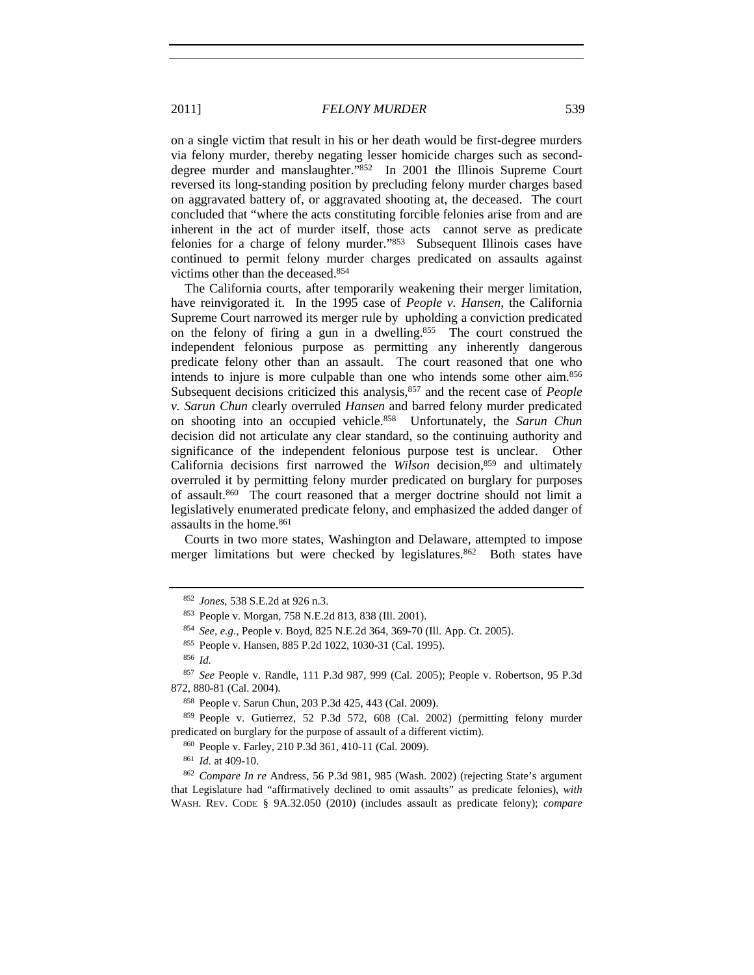on a single victim that result in his or her death would be first-degree murders via felony murder, thereby negating lesser homicide charges such as seconddegree murder and manslaughter."852 In 2001 the Illinois Supreme Court reversed its long-standing position by precluding felony murder charges based on aggravated battery of, or aggravated shooting at, the deceased. The court concluded that "where the acts constituting forcible felonies arise from and are inherent in the act of murder itself, those acts cannot serve as predicate felonies for a charge of felony murder."853 Subsequent Illinois cases have continued to permit felony murder charges predicated on assaults against victims other than the deceased.854

The California courts, after temporarily weakening their merger limitation, have reinvigorated it. In the 1995 case of *People v. Hansen*, the California Supreme Court narrowed its merger rule by upholding a conviction predicated on the felony of firing a gun in a dwelling.855 The court construed the independent felonious purpose as permitting any inherently dangerous predicate felony other than an assault. The court reasoned that one who intends to injure is more culpable than one who intends some other aim.856 Subsequent decisions criticized this analysis,<sup>857</sup> and the recent case of *People v. Sarun Chun* clearly overruled *Hansen* and barred felony murder predicated on shooting into an occupied vehicle.858 Unfortunately, the *Sarun Chun* decision did not articulate any clear standard, so the continuing authority and significance of the independent felonious purpose test is unclear. Other California decisions first narrowed the *Wilson* decision,<sup>859</sup> and ultimately overruled it by permitting felony murder predicated on burglary for purposes of assault.860 The court reasoned that a merger doctrine should not limit a legislatively enumerated predicate felony, and emphasized the added danger of assaults in the home.861

Courts in two more states, Washington and Delaware, attempted to impose merger limitations but were checked by legislatures.<sup>862</sup> Both states have

<sup>852</sup> *Jones*, 538 S.E.2d at 926 n.3.

<sup>853</sup> People v. Morgan, 758 N.E.2d 813, 838 (Ill. 2001).

<sup>854</sup> *See, e.g.*, People v. Boyd, 825 N.E.2d 364, 369-70 (Ill. App. Ct. 2005).

<sup>855</sup> People v. Hansen, 885 P.2d 1022, 1030-31 (Cal. 1995).

<sup>856</sup> *Id.*

<sup>857</sup> *See* People v. Randle, 111 P.3d 987, 999 (Cal. 2005); People v. Robertson, 95 P.3d 872, 880-81 (Cal. 2004).

<sup>858</sup> People v. Sarun Chun, 203 P.3d 425, 443 (Cal. 2009).

<sup>859</sup> People v. Gutierrez, 52 P.3d 572, 608 (Cal. 2002) (permitting felony murder predicated on burglary for the purpose of assault of a different victim).

<sup>860</sup> People v. Farley, 210 P.3d 361, 410-11 (Cal. 2009).

<sup>861</sup> *Id.* at 409-10.

<sup>862</sup> *Compare In re* Andress, 56 P.3d 981, 985 (Wash. 2002) (rejecting State's argument that Legislature had "affirmatively declined to omit assaults" as predicate felonies), *with* WASH. REV. CODE § 9A.32.050 (2010) (includes assault as predicate felony); *compare*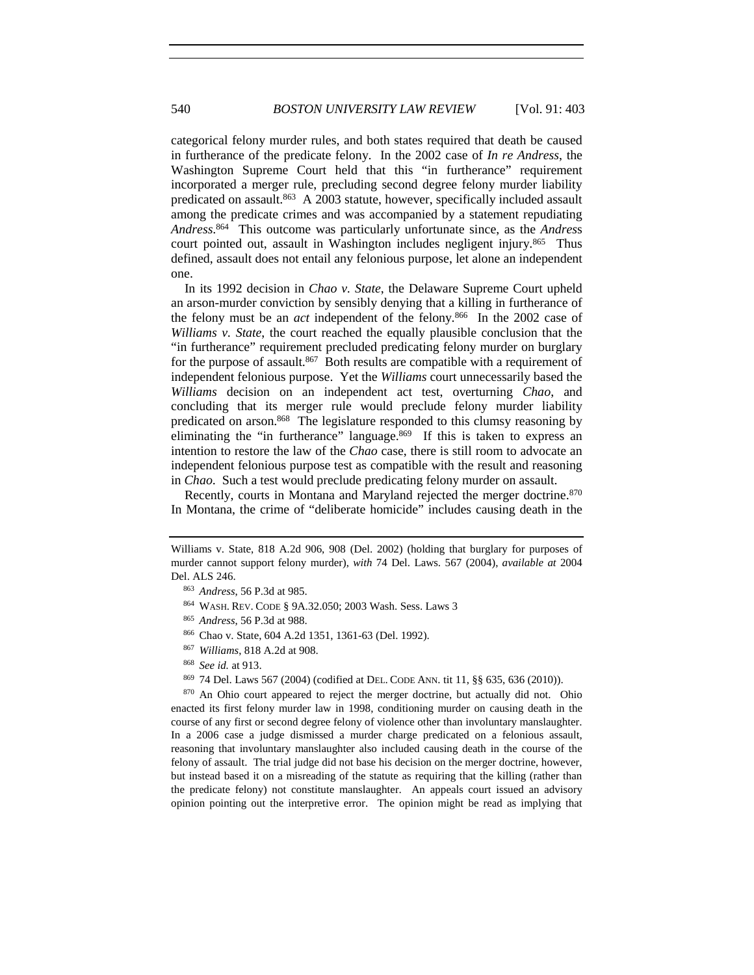categorical felony murder rules, and both states required that death be caused in furtherance of the predicate felony. In the 2002 case of *In re Andress*, the Washington Supreme Court held that this "in furtherance" requirement incorporated a merger rule, precluding second degree felony murder liability predicated on assault.863A 2003 statute, however, specifically included assault among the predicate crimes and was accompanied by a statement repudiating *Andress*. 864 This outcome was particularly unfortunate since, as the *Andres*s court pointed out, assault in Washington includes negligent injury.<sup>865</sup> Thus defined, assault does not entail any felonious purpose, let alone an independent one.

In its 1992 decision in *Chao v. State*, the Delaware Supreme Court upheld an arson-murder conviction by sensibly denying that a killing in furtherance of the felony must be an *act* independent of the felony.866 In the 2002 case of *Williams v. State*, the court reached the equally plausible conclusion that the "in furtherance" requirement precluded predicating felony murder on burglary for the purpose of assault.<sup>867</sup> Both results are compatible with a requirement of independent felonious purpose. Yet the *Williams* court unnecessarily based the *Williams* decision on an independent act test, overturning *Chao*, and concluding that its merger rule would preclude felony murder liability predicated on arson.868 The legislature responded to this clumsy reasoning by eliminating the "in furtherance" language.<sup>869</sup> If this is taken to express an intention to restore the law of the *Chao* case, there is still room to advocate an independent felonious purpose test as compatible with the result and reasoning in *Chao*. Such a test would preclude predicating felony murder on assault.

Recently, courts in Montana and Maryland rejected the merger doctrine.870 In Montana, the crime of "deliberate homicide" includes causing death in the

- <sup>865</sup> *Andress*, 56 P.3d at 988.
- <sup>866</sup> Chao v. State, 604 A.2d 1351, 1361-63 (Del. 1992).
- <sup>867</sup> *Williams*, 818 A.2d at 908.
- <sup>868</sup> *See id.* at 913.
- <sup>869</sup> 74 Del. Laws 567 (2004) (codified at DEL. CODE ANN. tit 11, §§ 635, 636 (2010)).

<sup>870</sup> An Ohio court appeared to reject the merger doctrine, but actually did not. Ohio enacted its first felony murder law in 1998, conditioning murder on causing death in the course of any first or second degree felony of violence other than involuntary manslaughter. In a 2006 case a judge dismissed a murder charge predicated on a felonious assault, reasoning that involuntary manslaughter also included causing death in the course of the felony of assault. The trial judge did not base his decision on the merger doctrine, however, but instead based it on a misreading of the statute as requiring that the killing (rather than the predicate felony) not constitute manslaughter. An appeals court issued an advisory opinion pointing out the interpretive error. The opinion might be read as implying that

Williams v. State, 818 A.2d 906, 908 (Del. 2002) (holding that burglary for purposes of murder cannot support felony murder), *with* 74 Del. Laws. 567 (2004), *available at* 2004 Del. ALS 246.

<sup>863</sup> *Andress*, 56 P.3d at 985.

<sup>864</sup> WASH. REV. CODE § 9A.32.050; 2003 Wash. Sess. Laws 3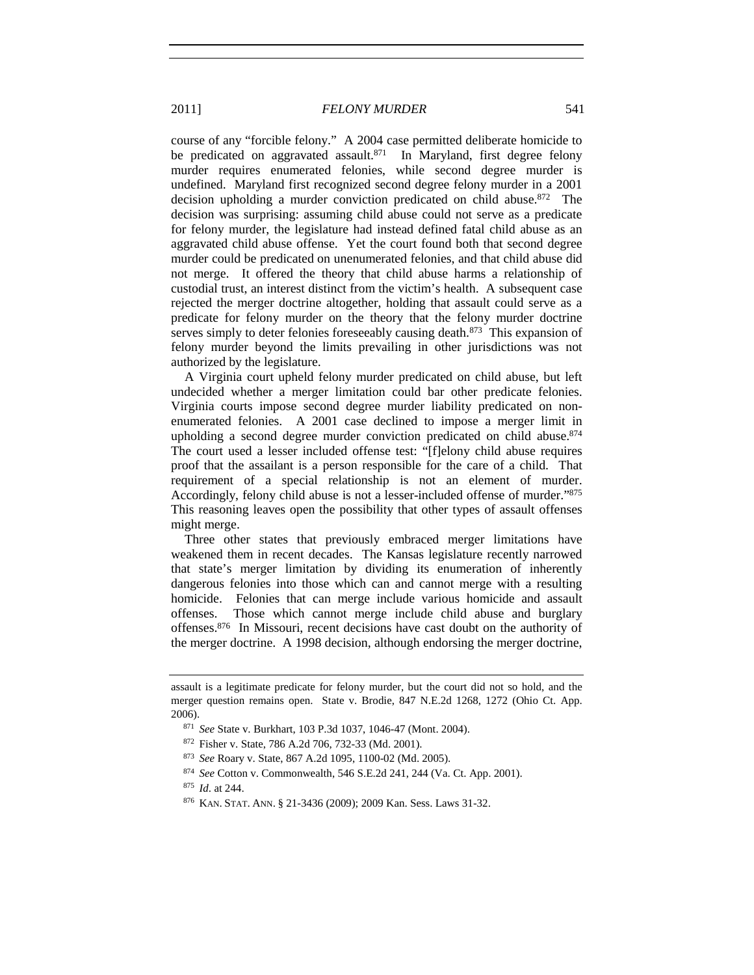course of any "forcible felony." A 2004 case permitted deliberate homicide to be predicated on aggravated assault. $871$  In Maryland, first degree felony murder requires enumerated felonies, while second degree murder is undefined. Maryland first recognized second degree felony murder in a 2001 decision upholding a murder conviction predicated on child abuse.872 The decision was surprising: assuming child abuse could not serve as a predicate for felony murder, the legislature had instead defined fatal child abuse as an aggravated child abuse offense. Yet the court found both that second degree murder could be predicated on unenumerated felonies, and that child abuse did not merge. It offered the theory that child abuse harms a relationship of custodial trust, an interest distinct from the victim's health. A subsequent case rejected the merger doctrine altogether, holding that assault could serve as a predicate for felony murder on the theory that the felony murder doctrine serves simply to deter felonies foreseeably causing death.<sup>873</sup> This expansion of felony murder beyond the limits prevailing in other jurisdictions was not authorized by the legislature.

A Virginia court upheld felony murder predicated on child abuse, but left undecided whether a merger limitation could bar other predicate felonies. Virginia courts impose second degree murder liability predicated on nonenumerated felonies. A 2001 case declined to impose a merger limit in upholding a second degree murder conviction predicated on child abuse.874 The court used a lesser included offense test: "[f]elony child abuse requires proof that the assailant is a person responsible for the care of a child. That requirement of a special relationship is not an element of murder. Accordingly, felony child abuse is not a lesser-included offense of murder."875 This reasoning leaves open the possibility that other types of assault offenses might merge.

Three other states that previously embraced merger limitations have weakened them in recent decades. The Kansas legislature recently narrowed that state's merger limitation by dividing its enumeration of inherently dangerous felonies into those which can and cannot merge with a resulting homicide. Felonies that can merge include various homicide and assault offenses. Those which cannot merge include child abuse and burglary offenses.876 In Missouri, recent decisions have cast doubt on the authority of the merger doctrine. A 1998 decision, although endorsing the merger doctrine,

<sup>875</sup> *Id*. at 244.

assault is a legitimate predicate for felony murder, but the court did not so hold, and the merger question remains open. State v. Brodie, 847 N.E.2d 1268, 1272 (Ohio Ct. App. 2006). 871 *See* State v. Burkhart, 103 P.3d 1037, 1046-47 (Mont. 2004).

<sup>872</sup> Fisher v. State, 786 A.2d 706, 732-33 (Md. 2001).

<sup>873</sup> *See* Roary v. State, 867 A.2d 1095, 1100-02 (Md. 2005).

<sup>874</sup> *See* Cotton v. Commonwealth, 546 S.E.2d 241, 244 (Va. Ct. App. 2001).

<sup>876</sup> KAN. STAT. ANN. § 21-3436 (2009); 2009 Kan. Sess. Laws 31-32.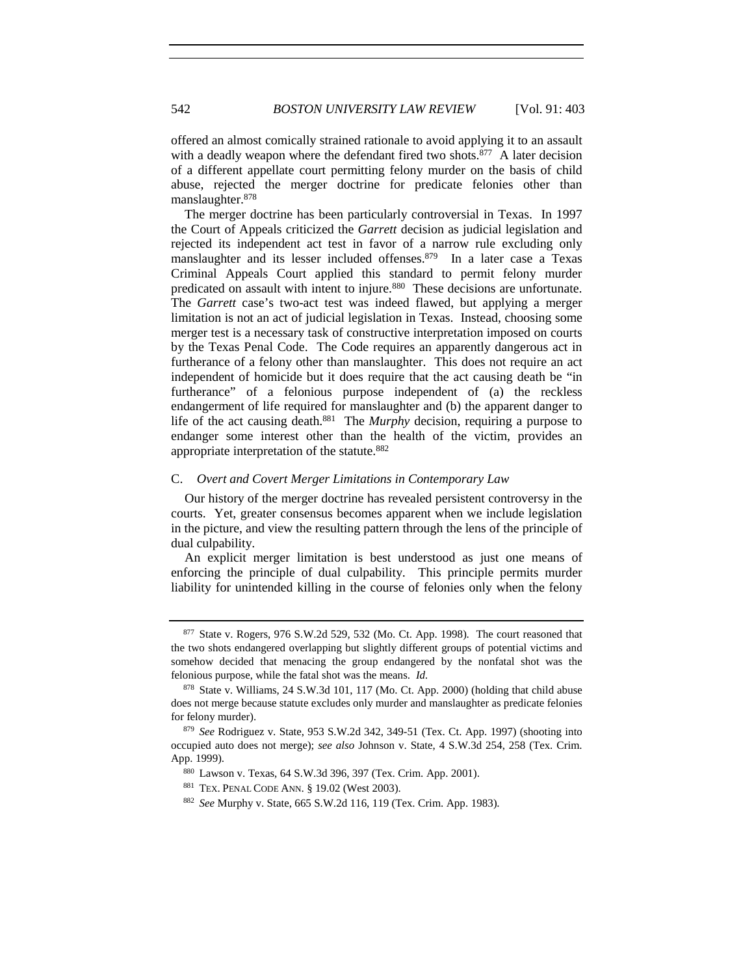offered an almost comically strained rationale to avoid applying it to an assault with a deadly weapon where the defendant fired two shots.<sup>877</sup> A later decision of a different appellate court permitting felony murder on the basis of child abuse, rejected the merger doctrine for predicate felonies other than manslaughter.878

The merger doctrine has been particularly controversial in Texas. In 1997 the Court of Appeals criticized the *Garrett* decision as judicial legislation and rejected its independent act test in favor of a narrow rule excluding only manslaughter and its lesser included offenses.879 In a later case a Texas Criminal Appeals Court applied this standard to permit felony murder predicated on assault with intent to injure.<sup>880</sup> These decisions are unfortunate. The *Garrett* case's two-act test was indeed flawed, but applying a merger limitation is not an act of judicial legislation in Texas. Instead, choosing some merger test is a necessary task of constructive interpretation imposed on courts by the Texas Penal Code. The Code requires an apparently dangerous act in furtherance of a felony other than manslaughter. This does not require an act independent of homicide but it does require that the act causing death be "in furtherance" of a felonious purpose independent of (a) the reckless endangerment of life required for manslaughter and (b) the apparent danger to life of the act causing death.881 The *Murphy* decision, requiring a purpose to endanger some interest other than the health of the victim, provides an appropriate interpretation of the statute.882

# C. *Overt and Covert Merger Limitations in Contemporary Law*

Our history of the merger doctrine has revealed persistent controversy in the courts. Yet, greater consensus becomes apparent when we include legislation in the picture, and view the resulting pattern through the lens of the principle of dual culpability.

An explicit merger limitation is best understood as just one means of enforcing the principle of dual culpability. This principle permits murder liability for unintended killing in the course of felonies only when the felony

<sup>877</sup> State v. Rogers, 976 S.W.2d 529, 532 (Mo. Ct. App. 1998). The court reasoned that the two shots endangered overlapping but slightly different groups of potential victims and somehow decided that menacing the group endangered by the nonfatal shot was the felonious purpose, while the fatal shot was the means. *Id.*

<sup>878</sup> State v. Williams, 24 S.W.3d 101, 117 (Mo. Ct. App. 2000) (holding that child abuse does not merge because statute excludes only murder and manslaughter as predicate felonies for felony murder).

<sup>879</sup> *See* Rodriguez v. State, 953 S.W.2d 342, 349-51 (Tex. Ct. App. 1997) (shooting into occupied auto does not merge); *see also* Johnson v. State, 4 S.W.3d 254, 258 (Tex. Crim. App. 1999).<br><sup>880</sup> Lawson v. Texas, 64 S.W.3d 396, 397 (Tex. Crim. App. 2001).

<sup>881</sup> TEX. PENAL CODE ANN. § 19.02 (West 2003).

<sup>882</sup> *See* Murphy v. State, 665 S.W.2d 116, 119 (Tex. Crim. App. 1983).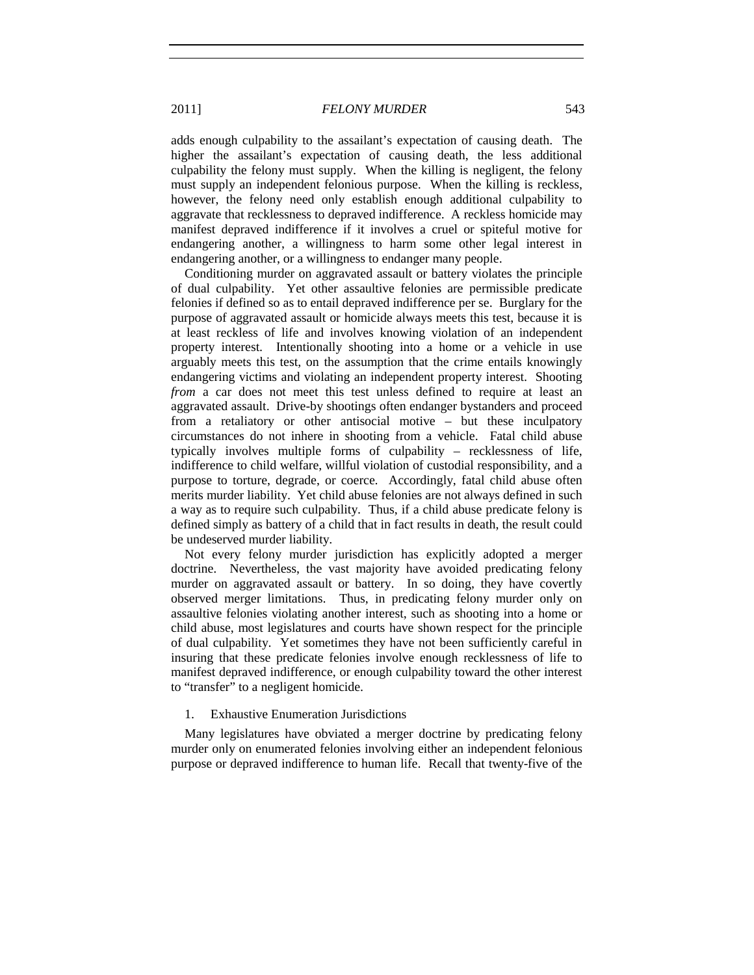adds enough culpability to the assailant's expectation of causing death. The higher the assailant's expectation of causing death, the less additional culpability the felony must supply. When the killing is negligent, the felony must supply an independent felonious purpose. When the killing is reckless, however, the felony need only establish enough additional culpability to aggravate that recklessness to depraved indifference. A reckless homicide may manifest depraved indifference if it involves a cruel or spiteful motive for endangering another, a willingness to harm some other legal interest in endangering another, or a willingness to endanger many people.

Conditioning murder on aggravated assault or battery violates the principle of dual culpability. Yet other assaultive felonies are permissible predicate felonies if defined so as to entail depraved indifference per se. Burglary for the purpose of aggravated assault or homicide always meets this test, because it is at least reckless of life and involves knowing violation of an independent property interest. Intentionally shooting into a home or a vehicle in use arguably meets this test, on the assumption that the crime entails knowingly endangering victims and violating an independent property interest. Shooting *from* a car does not meet this test unless defined to require at least an aggravated assault. Drive-by shootings often endanger bystanders and proceed from a retaliatory or other antisocial motive – but these inculpatory circumstances do not inhere in shooting from a vehicle. Fatal child abuse typically involves multiple forms of culpability – recklessness of life, indifference to child welfare, willful violation of custodial responsibility, and a purpose to torture, degrade, or coerce. Accordingly, fatal child abuse often merits murder liability. Yet child abuse felonies are not always defined in such a way as to require such culpability. Thus, if a child abuse predicate felony is defined simply as battery of a child that in fact results in death, the result could be undeserved murder liability.

Not every felony murder jurisdiction has explicitly adopted a merger doctrine. Nevertheless, the vast majority have avoided predicating felony murder on aggravated assault or battery. In so doing, they have covertly observed merger limitations. Thus, in predicating felony murder only on assaultive felonies violating another interest, such as shooting into a home or child abuse, most legislatures and courts have shown respect for the principle of dual culpability. Yet sometimes they have not been sufficiently careful in insuring that these predicate felonies involve enough recklessness of life to manifest depraved indifference, or enough culpability toward the other interest to "transfer" to a negligent homicide.

### 1. Exhaustive Enumeration Jurisdictions

Many legislatures have obviated a merger doctrine by predicating felony murder only on enumerated felonies involving either an independent felonious purpose or depraved indifference to human life. Recall that twenty-five of the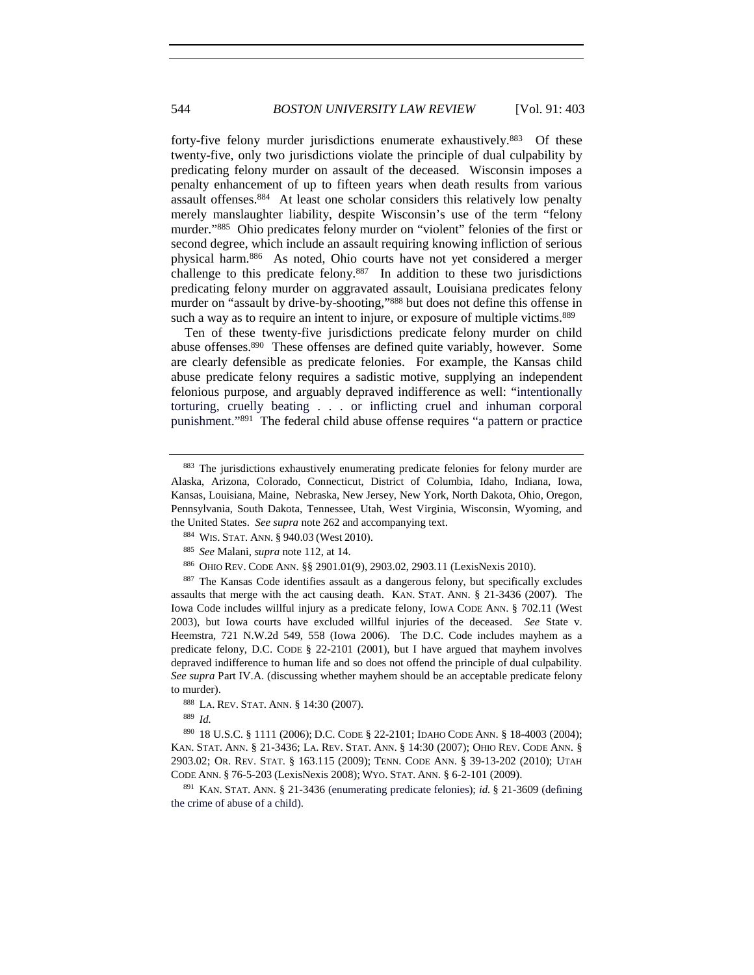forty-five felony murder jurisdictions enumerate exhaustively.<sup>883</sup> Of these twenty-five, only two jurisdictions violate the principle of dual culpability by predicating felony murder on assault of the deceased. Wisconsin imposes a penalty enhancement of up to fifteen years when death results from various assault offenses.884 At least one scholar considers this relatively low penalty merely manslaughter liability, despite Wisconsin's use of the term "felony murder."885 Ohio predicates felony murder on "violent" felonies of the first or second degree, which include an assault requiring knowing infliction of serious physical harm.886 As noted, Ohio courts have not yet considered a merger challenge to this predicate felony.887 In addition to these two jurisdictions predicating felony murder on aggravated assault, Louisiana predicates felony murder on "assault by drive-by-shooting,"888 but does not define this offense in such a way as to require an intent to injure, or exposure of multiple victims.<sup>889</sup>

Ten of these twenty-five jurisdictions predicate felony murder on child abuse offenses.890 These offenses are defined quite variably, however. Some are clearly defensible as predicate felonies. For example, the Kansas child abuse predicate felony requires a sadistic motive, supplying an independent felonious purpose, and arguably depraved indifference as well: "intentionally torturing, cruelly beating . . . or inflicting cruel and inhuman corporal punishment."891 The federal child abuse offense requires "a pattern or practice

assaults that merge with the act causing death. KAN. STAT. ANN. § 21-3436 (2007). The Iowa Code includes willful injury as a predicate felony, IOWA CODE ANN. § 702.11 (West 2003), but Iowa courts have excluded willful injuries of the deceased. *See* State v. Heemstra, 721 N.W.2d 549, 558 (Iowa 2006). The D.C. Code includes mayhem as a predicate felony, D.C. CODE § 22-2101 (2001), but I have argued that mayhem involves depraved indifference to human life and so does not offend the principle of dual culpability. *See supra* Part IV.A. (discussing whether mayhem should be an acceptable predicate felony to murder).

<sup>888</sup> LA. REV. STAT. ANN. § 14:30 (2007).

<sup>889</sup> *Id.* 

<sup>890</sup> 18 U.S.C. § 1111 (2006); D.C. CODE § 22-2101; IDAHO CODE ANN. § 18-4003 (2004); KAN. STAT. ANN. § 21-3436; LA. REV. STAT. ANN. § 14:30 (2007); OHIO REV. CODE ANN. § 2903.02; OR. REV. STAT. § 163.115 (2009); TENN. CODE ANN. § 39-13-202 (2010); UTAH CODE ANN. § 76-5-203 (LexisNexis 2008); WYO. STAT. ANN. § 6-2-101 (2009).

<sup>891</sup> KAN. STAT. ANN. § 21-3436 (enumerating predicate felonies); *id.* § 21-3609 (defining the crime of abuse of a child).

<sup>883</sup> The jurisdictions exhaustively enumerating predicate felonies for felony murder are Alaska, Arizona, Colorado, Connecticut, District of Columbia, Idaho, Indiana, Iowa, Kansas, Louisiana, Maine, Nebraska, New Jersey, New York, North Dakota, Ohio, Oregon, Pennsylvania, South Dakota, Tennessee, Utah, West Virginia, Wisconsin, Wyoming, and the United States. *See supra* note 262 and accompanying text. 884 WIS. STAT. ANN. § 940.03 (West 2010).

<sup>885</sup> *See* Malani, *supra* note 112, at 14.

<sup>&</sup>lt;sup>886</sup> OHIO REV. CODE ANN. §§ 2901.01(9), 2903.02, 2903.11 (LexisNexis 2010). <sup>887</sup> The Kansas Code identifies assault as a dangerous felony, but specifically excludes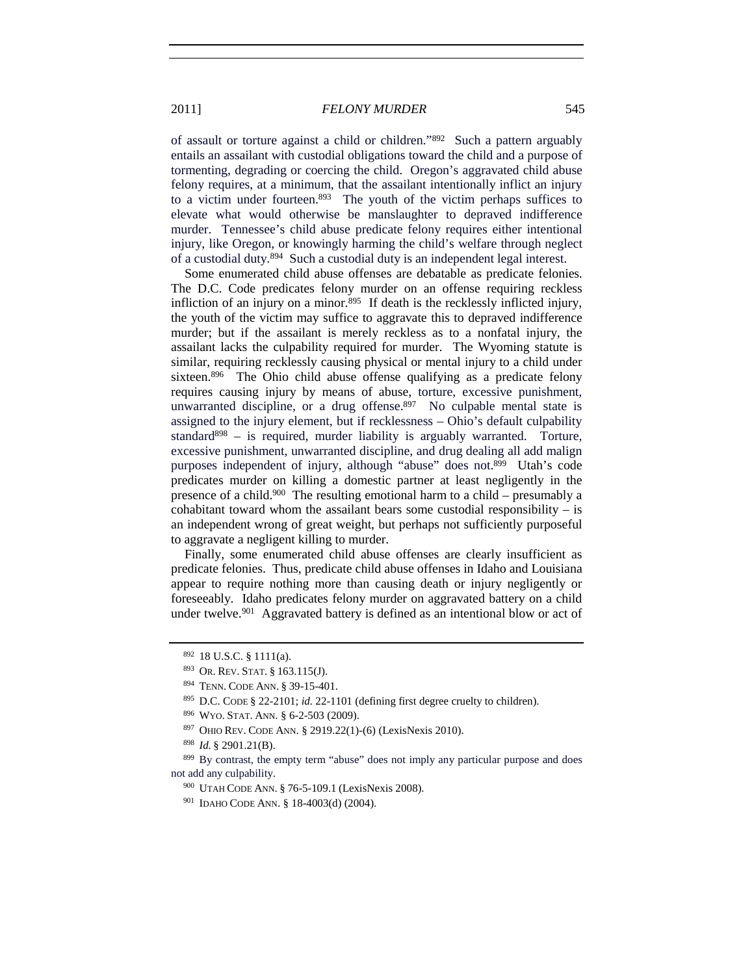of assault or torture against a child or children."892 Such a pattern arguably entails an assailant with custodial obligations toward the child and a purpose of tormenting, degrading or coercing the child. Oregon's aggravated child abuse felony requires, at a minimum, that the assailant intentionally inflict an injury to a victim under fourteen.893 The youth of the victim perhaps suffices to elevate what would otherwise be manslaughter to depraved indifference murder. Tennessee's child abuse predicate felony requires either intentional injury, like Oregon, or knowingly harming the child's welfare through neglect of a custodial duty.894 Such a custodial duty is an independent legal interest.

Some enumerated child abuse offenses are debatable as predicate felonies. The D.C. Code predicates felony murder on an offense requiring reckless infliction of an injury on a minor.<sup>895</sup> If death is the recklessly inflicted injury, the youth of the victim may suffice to aggravate this to depraved indifference murder; but if the assailant is merely reckless as to a nonfatal injury, the assailant lacks the culpability required for murder. The Wyoming statute is similar, requiring recklessly causing physical or mental injury to a child under sixteen.<sup>896</sup> The Ohio child abuse offense qualifying as a predicate felony requires causing injury by means of abuse, torture, excessive punishment, unwarranted discipline, or a drug offense.<sup>897</sup> No culpable mental state is assigned to the injury element, but if recklessness – Ohio's default culpability standard $898$  – is required, murder liability is arguably warranted. Torture, excessive punishment, unwarranted discipline, and drug dealing all add malign purposes independent of injury, although "abuse" does not.899 Utah's code predicates murder on killing a domestic partner at least negligently in the presence of a child.900 The resulting emotional harm to a child – presumably a cohabitant toward whom the assailant bears some custodial responsibility  $-$  is an independent wrong of great weight, but perhaps not sufficiently purposeful to aggravate a negligent killing to murder.

Finally, some enumerated child abuse offenses are clearly insufficient as predicate felonies. Thus, predicate child abuse offenses in Idaho and Louisiana appear to require nothing more than causing death or injury negligently or foreseeably. Idaho predicates felony murder on aggravated battery on a child under twelve.<sup>901</sup> Aggravated battery is defined as an intentional blow or act of

<sup>892</sup> 18 U.S.C. § 1111(a).

<sup>893</sup> OR. REV. STAT. § 163.115(J).

<sup>894</sup> TENN. CODE ANN. § 39-15-401.

<sup>895</sup> D.C. CODE § 22-2101; *id.* 22-1101 (defining first degree cruelty to children). 896 WYO. STAT. ANN. § 6-2-503 (2009).

<sup>897</sup> OHIO REV. CODE ANN. § 2919.22(1)-(6) (LexisNexis 2010).

<sup>&</sup>lt;sup>898</sup> *Id.* § 2901.21(B).<br><sup>899</sup> By contrast, the empty term "abuse" does not imply any particular purpose and does not add any culpability.

<sup>900</sup> UTAH CODE ANN. § 76-5-109.1 (LexisNexis 2008).

<sup>901</sup> IDAHO CODE ANN. § 18-4003(d) (2004).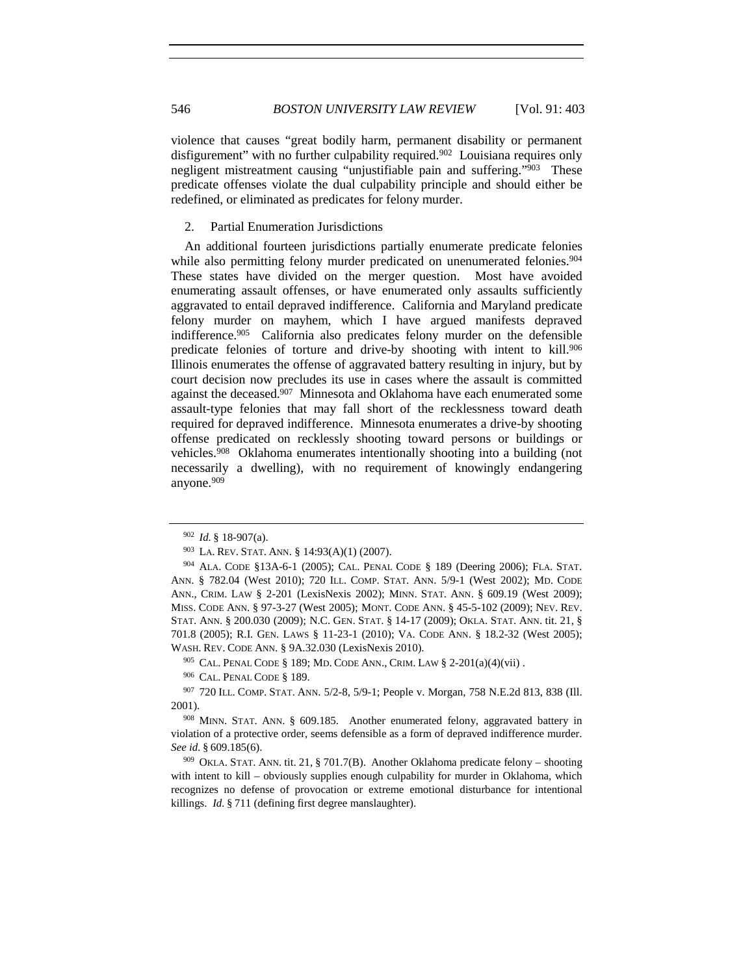violence that causes "great bodily harm, permanent disability or permanent disfigurement" with no further culpability required.<sup>902</sup> Louisiana requires only negligent mistreatment causing "unjustifiable pain and suffering."903 These predicate offenses violate the dual culpability principle and should either be redefined, or eliminated as predicates for felony murder.

### 2. Partial Enumeration Jurisdictions

An additional fourteen jurisdictions partially enumerate predicate felonies while also permitting felony murder predicated on unenumerated felonies.<sup>904</sup> These states have divided on the merger question. Most have avoided enumerating assault offenses, or have enumerated only assaults sufficiently aggravated to entail depraved indifference. California and Maryland predicate felony murder on mayhem, which I have argued manifests depraved indifference.905 California also predicates felony murder on the defensible predicate felonies of torture and drive-by shooting with intent to kill.906 Illinois enumerates the offense of aggravated battery resulting in injury, but by court decision now precludes its use in cases where the assault is committed against the deceased.<sup>907</sup> Minnesota and Oklahoma have each enumerated some assault-type felonies that may fall short of the recklessness toward death required for depraved indifference. Minnesota enumerates a drive-by shooting offense predicated on recklessly shooting toward persons or buildings or vehicles.908 Oklahoma enumerates intentionally shooting into a building (not necessarily a dwelling), with no requirement of knowingly endangering anyone.909

<sup>902</sup> *Id.* § 18-907(a).

<sup>903</sup> LA. REV. STAT. ANN. § 14:93(A)(1) (2007).

<sup>904</sup> ALA. CODE §13A-6-1 (2005); CAL. PENAL CODE § 189 (Deering 2006); FLA. STAT. ANN. § 782.04 (West 2010); 720 ILL. COMP. STAT. ANN. 5/9-1 (West 2002); MD. CODE ANN., CRIM. LAW § 2-201 (LexisNexis 2002); MINN. STAT. ANN. § 609.19 (West 2009); MISS. CODE ANN. § 97-3-27 (West 2005); MONT. CODE ANN. § 45-5-102 (2009); NEV. REV. STAT. ANN. § 200.030 (2009); N.C. GEN. STAT. § 14-17 (2009); OKLA. STAT. ANN. tit. 21, § 701.8 (2005); R.I. GEN. LAWS § 11-23-1 (2010); VA. CODE ANN. § 18.2-32 (West 2005); WASH. REV. CODE ANN. § 9A.32.030 (LexisNexis 2010).<br><sup>905</sup> CAL. PENAL CODE § 189; MD. CODE ANN., CRIM. LAW § 2-201(a)(4)(vii).

<sup>906</sup> CAL. PENAL CODE § 189.

<sup>907</sup> 720 ILL. COMP. STAT. ANN. 5/2-8, 5/9-1; People v. Morgan, 758 N.E.2d 813, 838 (Ill. 2001).

<sup>908</sup> MINN. STAT. ANN. § 609.185. Another enumerated felony, aggravated battery in violation of a protective order, seems defensible as a form of depraved indifference murder. *See id.* § 609.185(6).

<sup>&</sup>lt;sup>909</sup> OKLA. STAT. ANN. tit. 21, § 701.7(B). Another Oklahoma predicate felony – shooting with intent to kill – obviously supplies enough culpability for murder in Oklahoma, which recognizes no defense of provocation or extreme emotional disturbance for intentional killings. *Id.* § 711 (defining first degree manslaughter).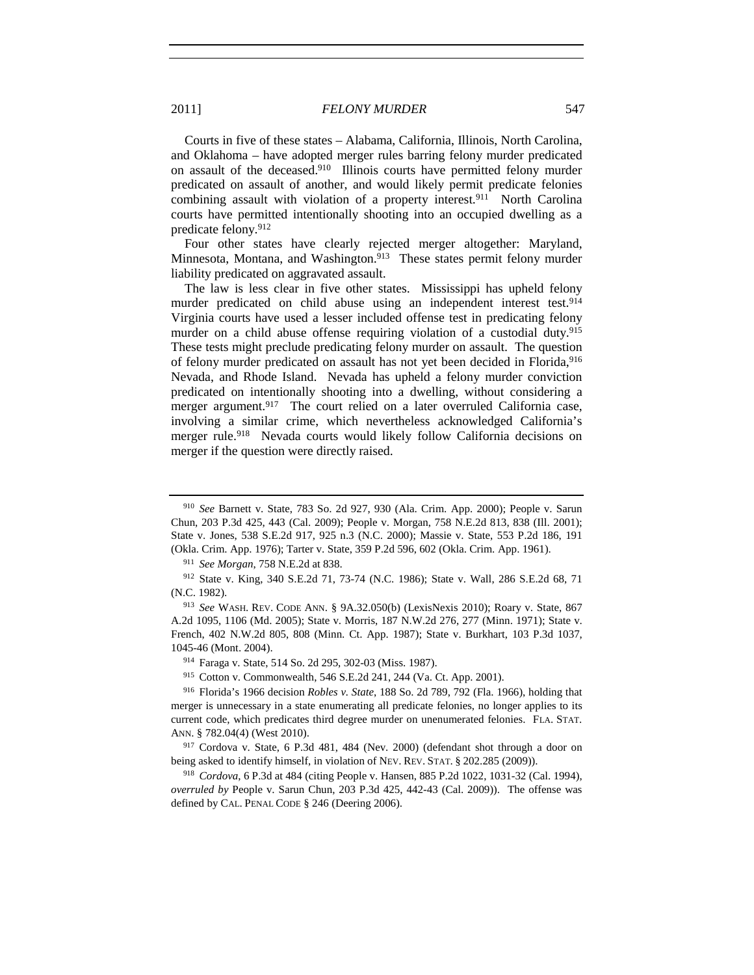Courts in five of these states – Alabama, California, Illinois, North Carolina, and Oklahoma – have adopted merger rules barring felony murder predicated on assault of the deceased.910 Illinois courts have permitted felony murder predicated on assault of another, and would likely permit predicate felonies combining assault with violation of a property interest.<sup>911</sup> North Carolina courts have permitted intentionally shooting into an occupied dwelling as a predicate felony.912

Four other states have clearly rejected merger altogether: Maryland, Minnesota, Montana, and Washington.<sup>913</sup> These states permit felony murder liability predicated on aggravated assault.

The law is less clear in five other states. Mississippi has upheld felony murder predicated on child abuse using an independent interest test.<sup>914</sup> Virginia courts have used a lesser included offense test in predicating felony murder on a child abuse offense requiring violation of a custodial duty.<sup>915</sup> These tests might preclude predicating felony murder on assault. The question of felony murder predicated on assault has not yet been decided in Florida,916 Nevada, and Rhode Island. Nevada has upheld a felony murder conviction predicated on intentionally shooting into a dwelling, without considering a merger argument.<sup>917</sup> The court relied on a later overruled California case, involving a similar crime, which nevertheless acknowledged California's merger rule.<sup>918</sup> Nevada courts would likely follow California decisions on merger if the question were directly raised.

<sup>910</sup> *See* Barnett v. State, 783 So. 2d 927, 930 (Ala. Crim. App. 2000); People v. Sarun Chun, 203 P.3d 425, 443 (Cal. 2009); People v. Morgan, 758 N.E.2d 813, 838 (Ill. 2001); State v. Jones, 538 S.E.2d 917, 925 n.3 (N.C. 2000); Massie v. State, 553 P.2d 186, 191 (Okla. Crim. App. 1976); Tarter v. State, 359 P.2d 596, 602 (Okla. Crim. App. 1961).

<sup>911</sup> *See Morgan*, 758 N.E.2d at 838.

<sup>912</sup> State v. King, 340 S.E.2d 71, 73-74 (N.C. 1986); State v. Wall, 286 S.E.2d 68, 71 (N.C. 1982).

<sup>913</sup> *See* WASH. REV. CODE ANN. § 9A.32.050(b) (LexisNexis 2010); Roary v. State, 867 A.2d 1095, 1106 (Md. 2005); State v. Morris, 187 N.W.2d 276, 277 (Minn. 1971); State v. French, 402 N.W.2d 805, 808 (Minn. Ct. App. 1987); State v. Burkhart, 103 P.3d 1037, 1045-46 (Mont. 2004). 914 Faraga v. State, 514 So. 2d 295, 302-03 (Miss. 1987).

<sup>915</sup> Cotton v. Commonwealth, 546 S.E.2d 241, 244 (Va. Ct. App. 2001).

<sup>916</sup> Florida's 1966 decision *Robles v. State*, 188 So. 2d 789, 792 (Fla. 1966), holding that merger is unnecessary in a state enumerating all predicate felonies, no longer applies to its current code, which predicates third degree murder on unenumerated felonies. FLA. STAT. ANN. § 782.04(4) (West 2010).

<sup>917</sup> Cordova v. State, 6 P.3d 481, 484 (Nev. 2000) (defendant shot through a door on being asked to identify himself, in violation of NEV. REV. STAT. § 202.285 (2009)).

<sup>918</sup> *Cordova*, 6 P.3d at 484 (citing People v. Hansen, 885 P.2d 1022, 1031-32 (Cal. 1994), *overruled by* People v. Sarun Chun, 203 P.3d 425, 442-43 (Cal. 2009)). The offense was defined by CAL. PENAL CODE § 246 (Deering 2006).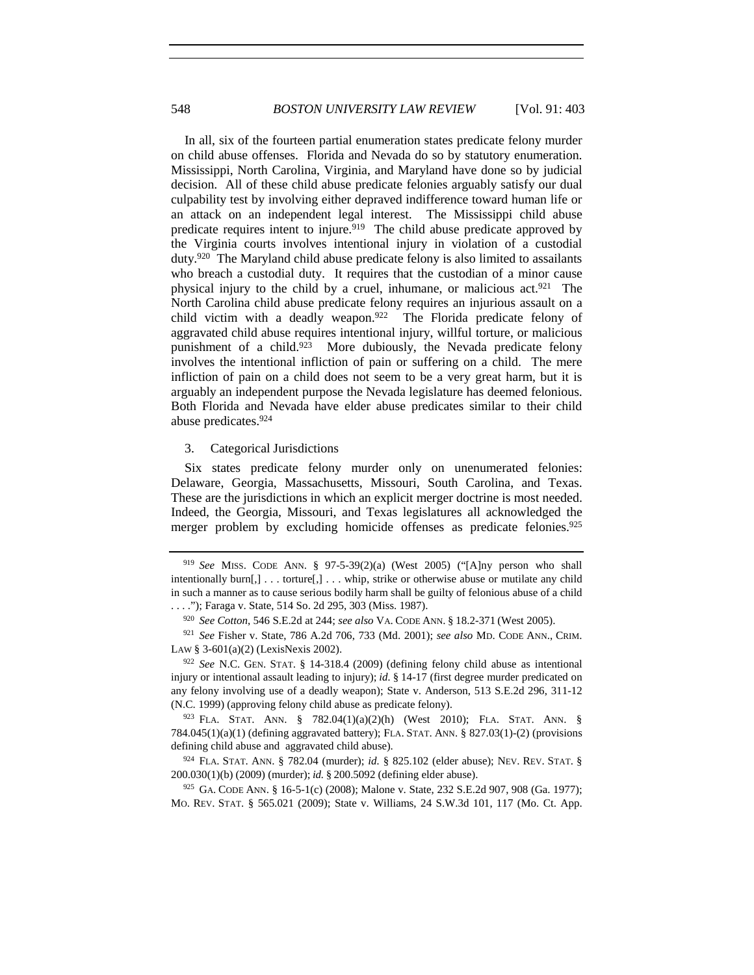In all, six of the fourteen partial enumeration states predicate felony murder on child abuse offenses. Florida and Nevada do so by statutory enumeration. Mississippi, North Carolina, Virginia, and Maryland have done so by judicial decision. All of these child abuse predicate felonies arguably satisfy our dual culpability test by involving either depraved indifference toward human life or an attack on an independent legal interest. The Mississippi child abuse predicate requires intent to injure.<sup>919</sup> The child abuse predicate approved by the Virginia courts involves intentional injury in violation of a custodial duty.920 The Maryland child abuse predicate felony is also limited to assailants who breach a custodial duty. It requires that the custodian of a minor cause physical injury to the child by a cruel, inhumane, or malicious act. <sup>921</sup> The North Carolina child abuse predicate felony requires an injurious assault on a child victim with a deadly weapon.<sup>922</sup> The Florida predicate felony of aggravated child abuse requires intentional injury, willful torture, or malicious punishment of a child. $923$  More dubiously, the Nevada predicate felony involves the intentional infliction of pain or suffering on a child. The mere infliction of pain on a child does not seem to be a very great harm, but it is arguably an independent purpose the Nevada legislature has deemed felonious. Both Florida and Nevada have elder abuse predicates similar to their child abuse predicates.924

### 3. Categorical Jurisdictions

Six states predicate felony murder only on unenumerated felonies: Delaware, Georgia, Massachusetts, Missouri, South Carolina, and Texas. These are the jurisdictions in which an explicit merger doctrine is most needed. Indeed, the Georgia, Missouri, and Texas legislatures all acknowledged the merger problem by excluding homicide offenses as predicate felonies.<sup>925</sup>

<sup>925</sup> GA. CODE ANN. § 16-5-1(c) (2008); Malone v. State, 232 S.E.2d 907, 908 (Ga. 1977); MO. REV. STAT. § 565.021 (2009); State v. Williams, 24 S.W.3d 101, 117 (Mo. Ct. App.

<sup>919</sup> *See* MISS. CODE ANN. § 97-5-39(2)(a) (West 2005) ("[A]ny person who shall intentionally burn $[,] \ldots$  torture $[,] \ldots$  whip, strike or otherwise abuse or mutilate any child in such a manner as to cause serious bodily harm shall be guilty of felonious abuse of a child . . . ."); Faraga v. State, 514 So. 2d 295, 303 (Miss. 1987).

<sup>920</sup> *See Cotton*, 546 S.E.2d at 244; *see also* VA. CODE ANN. § 18.2-371 (West 2005).

<sup>921</sup> *See* Fisher v. State, 786 A.2d 706, 733 (Md. 2001); *see also* MD. CODE ANN., CRIM. LAW § 3-601(a)(2) (LexisNexis 2002).

<sup>922</sup> *See* N.C. GEN. STAT. § 14-318.4 (2009) (defining felony child abuse as intentional injury or intentional assault leading to injury); *id.* § 14-17 (first degree murder predicated on any felony involving use of a deadly weapon); State v. Anderson, 513 S.E.2d 296, 311-12 (N.C. 1999) (approving felony child abuse as predicate felony).

 $923$  FLA. STAT. ANN. § 782.04(1)(a)(2)(h) (West 2010); FLA. STAT. ANN. § 784.045(1)(a)(1) (defining aggravated battery); FLA. STAT. ANN. § 827.03(1)-(2) (provisions defining child abuse and aggravated child abuse).

<sup>924</sup> FLA. STAT. ANN. § 782.04 (murder); *id.* § 825.102 (elder abuse); NEV. REV. STAT. § 200.030(1)(b) (2009) (murder); *id.* § 200.5092 (defining elder abuse).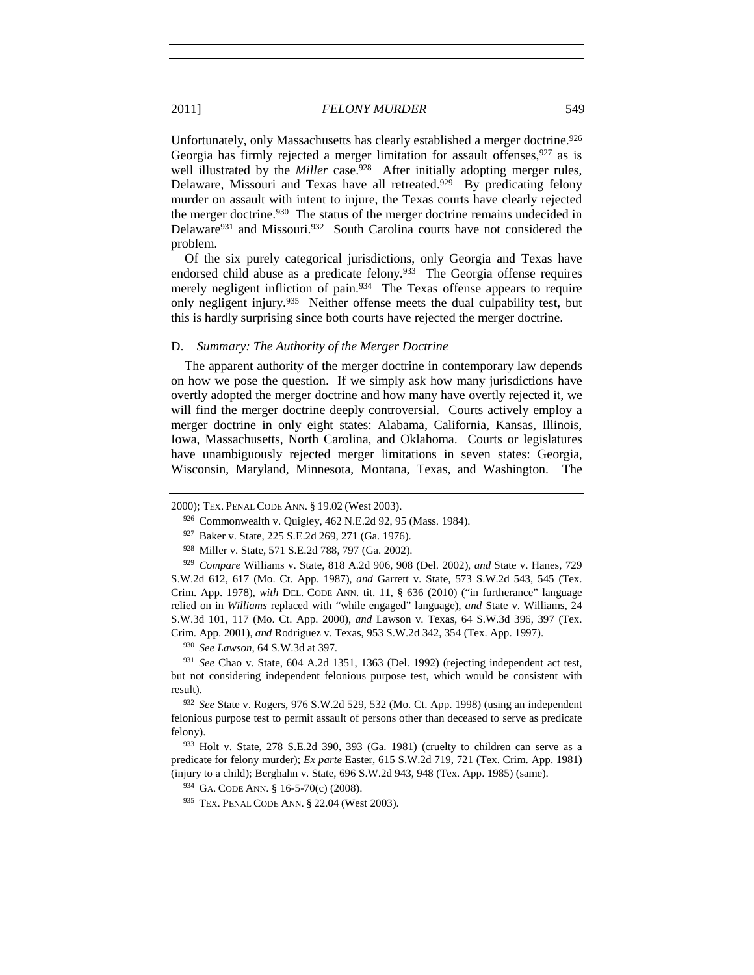Unfortunately, only Massachusetts has clearly established a merger doctrine.<sup>926</sup> Georgia has firmly rejected a merger limitation for assault offenses,  $927$  as is well illustrated by the *Miller* case.<sup>928</sup> After initially adopting merger rules, Delaware, Missouri and Texas have all retreated.929 By predicating felony murder on assault with intent to injure, the Texas courts have clearly rejected the merger doctrine.<sup>930</sup> The status of the merger doctrine remains undecided in Delaware<sup>931</sup> and Missouri.<sup>932</sup> South Carolina courts have not considered the problem.

Of the six purely categorical jurisdictions, only Georgia and Texas have endorsed child abuse as a predicate felony.<sup>933</sup> The Georgia offense requires merely negligent infliction of pain.<sup>934</sup> The Texas offense appears to require only negligent injury.<sup>935</sup> Neither offense meets the dual culpability test, but this is hardly surprising since both courts have rejected the merger doctrine.

#### D. *Summary: The Authority of the Merger Doctrine*

The apparent authority of the merger doctrine in contemporary law depends on how we pose the question. If we simply ask how many jurisdictions have overtly adopted the merger doctrine and how many have overtly rejected it, we will find the merger doctrine deeply controversial. Courts actively employ a merger doctrine in only eight states: Alabama, California, Kansas, Illinois, Iowa, Massachusetts, North Carolina, and Oklahoma. Courts or legislatures have unambiguously rejected merger limitations in seven states: Georgia, Wisconsin, Maryland, Minnesota, Montana, Texas, and Washington. The

Crim. App. 2001), *and* Rodriguez v. Texas, 953 S.W.2d 342, 354 (Tex. App. 1997). 930 *See Lawson*, 64 S.W.3d at 397. 931 *See* Chao v. State, 604 A.2d 1351, 1363 (Del. 1992) (rejecting independent act test, but not considering independent felonious purpose test, which would be consistent with result).

<sup>932</sup> *See* State v. Rogers, 976 S.W.2d 529, 532 (Mo. Ct. App. 1998) (using an independent felonious purpose test to permit assault of persons other than deceased to serve as predicate felony).

<sup>933</sup> Holt v. State, 278 S.E.2d 390, 393 (Ga. 1981) (cruelty to children can serve as a predicate for felony murder); *Ex parte* Easter, 615 S.W.2d 719, 721 (Tex. Crim. App. 1981) (injury to a child); Berghahn v. State, 696 S.W.2d 943, 948 (Tex. App. 1985) (same). 934 GA. CODE ANN. § 16-5-70(c) (2008).

<sup>935</sup> TEX. PENAL CODE ANN. § 22.04 (West 2003).

<sup>2000);</sup> TEX. PENAL CODE ANN. § 19.02 (West 2003).

<sup>926</sup> Commonwealth v. Quigley, 462 N.E.2d 92, 95 (Mass. 1984).

<sup>927</sup> Baker v. State, 225 S.E.2d 269, 271 (Ga. 1976).

<sup>928</sup> Miller v. State, 571 S.E.2d 788, 797 (Ga. 2002).

<sup>929</sup> *Compare* Williams v. State, 818 A.2d 906, 908 (Del. 2002), *and* State v. Hanes, 729 S.W.2d 612, 617 (Mo. Ct. App. 1987), *and* Garrett v. State, 573 S.W.2d 543, 545 (Tex. Crim. App. 1978), *with* DEL. CODE ANN. tit. 11, § 636 (2010) ("in furtherance" language relied on in *Williams* replaced with "while engaged" language), *and* State v. Williams, 24 S.W.3d 101, 117 (Mo. Ct. App. 2000), *and* Lawson v. Texas, 64 S.W.3d 396, 397 (Tex.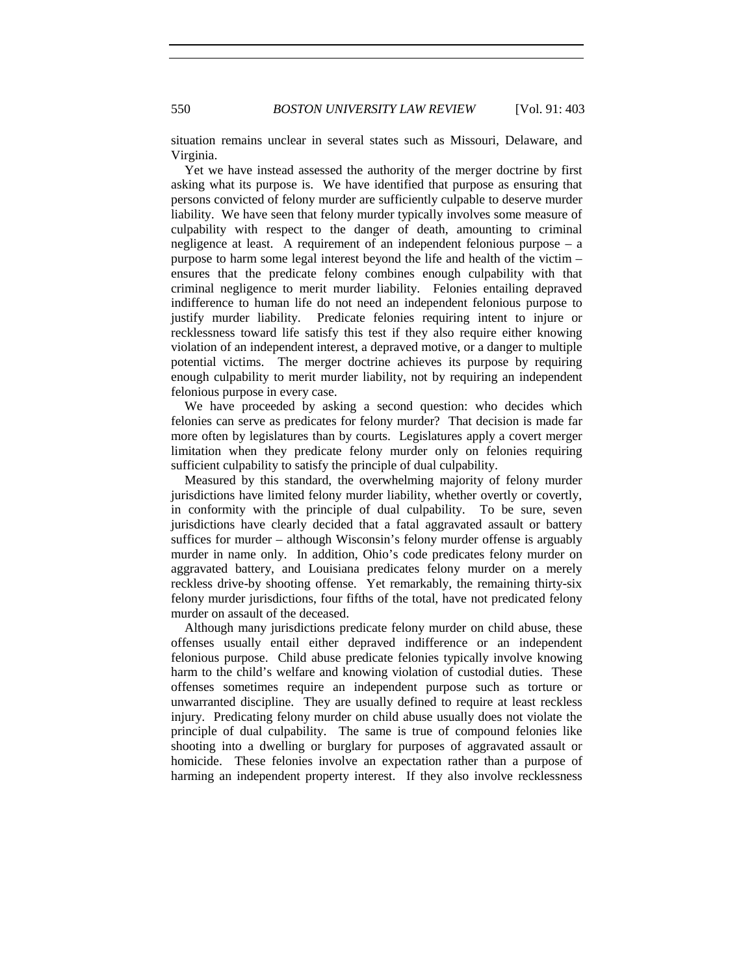situation remains unclear in several states such as Missouri, Delaware, and Virginia.

Yet we have instead assessed the authority of the merger doctrine by first asking what its purpose is. We have identified that purpose as ensuring that persons convicted of felony murder are sufficiently culpable to deserve murder liability. We have seen that felony murder typically involves some measure of culpability with respect to the danger of death, amounting to criminal negligence at least. A requirement of an independent felonious purpose – a purpose to harm some legal interest beyond the life and health of the victim – ensures that the predicate felony combines enough culpability with that criminal negligence to merit murder liability. Felonies entailing depraved indifference to human life do not need an independent felonious purpose to justify murder liability. Predicate felonies requiring intent to injure or recklessness toward life satisfy this test if they also require either knowing violation of an independent interest, a depraved motive, or a danger to multiple potential victims. The merger doctrine achieves its purpose by requiring enough culpability to merit murder liability, not by requiring an independent felonious purpose in every case.

We have proceeded by asking a second question: who decides which felonies can serve as predicates for felony murder? That decision is made far more often by legislatures than by courts. Legislatures apply a covert merger limitation when they predicate felony murder only on felonies requiring sufficient culpability to satisfy the principle of dual culpability.

Measured by this standard, the overwhelming majority of felony murder jurisdictions have limited felony murder liability, whether overtly or covertly, in conformity with the principle of dual culpability. To be sure, seven jurisdictions have clearly decided that a fatal aggravated assault or battery suffices for murder – although Wisconsin's felony murder offense is arguably murder in name only. In addition, Ohio's code predicates felony murder on aggravated battery, and Louisiana predicates felony murder on a merely reckless drive-by shooting offense. Yet remarkably, the remaining thirty-six felony murder jurisdictions, four fifths of the total, have not predicated felony murder on assault of the deceased.

Although many jurisdictions predicate felony murder on child abuse, these offenses usually entail either depraved indifference or an independent felonious purpose. Child abuse predicate felonies typically involve knowing harm to the child's welfare and knowing violation of custodial duties. These offenses sometimes require an independent purpose such as torture or unwarranted discipline. They are usually defined to require at least reckless injury. Predicating felony murder on child abuse usually does not violate the principle of dual culpability. The same is true of compound felonies like shooting into a dwelling or burglary for purposes of aggravated assault or homicide. These felonies involve an expectation rather than a purpose of harming an independent property interest. If they also involve recklessness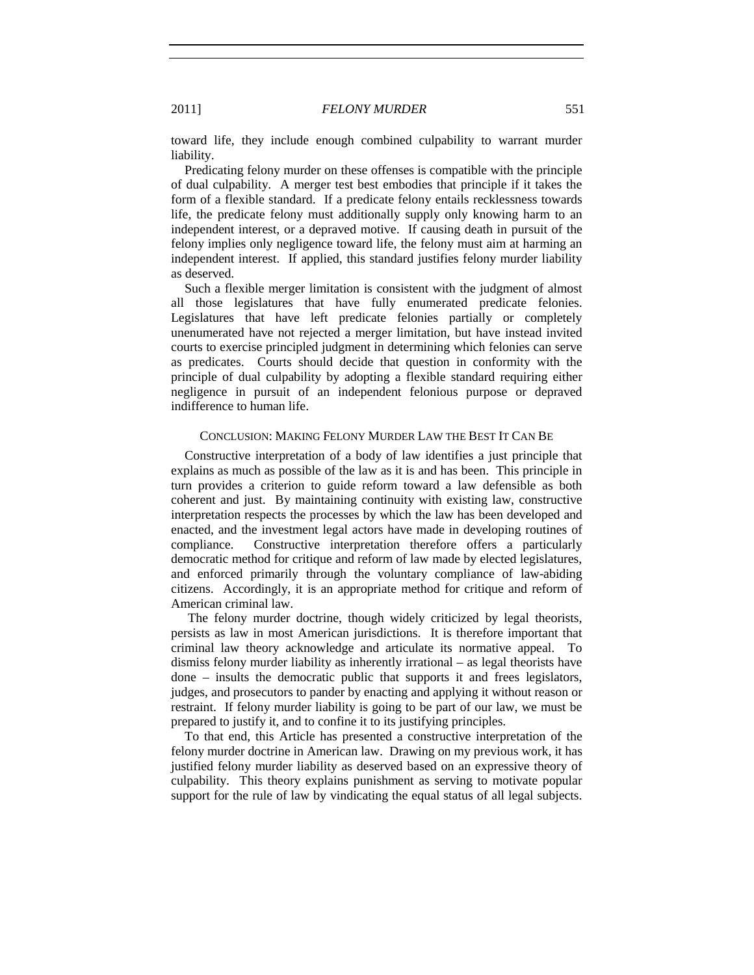toward life, they include enough combined culpability to warrant murder liability.

Predicating felony murder on these offenses is compatible with the principle of dual culpability. A merger test best embodies that principle if it takes the form of a flexible standard. If a predicate felony entails recklessness towards life, the predicate felony must additionally supply only knowing harm to an independent interest, or a depraved motive. If causing death in pursuit of the felony implies only negligence toward life, the felony must aim at harming an independent interest. If applied, this standard justifies felony murder liability as deserved.

Such a flexible merger limitation is consistent with the judgment of almost all those legislatures that have fully enumerated predicate felonies. Legislatures that have left predicate felonies partially or completely unenumerated have not rejected a merger limitation, but have instead invited courts to exercise principled judgment in determining which felonies can serve as predicates. Courts should decide that question in conformity with the principle of dual culpability by adopting a flexible standard requiring either negligence in pursuit of an independent felonious purpose or depraved indifference to human life.

### CONCLUSION: MAKING FELONY MURDER LAW THE BEST IT CAN BE

Constructive interpretation of a body of law identifies a just principle that explains as much as possible of the law as it is and has been. This principle in turn provides a criterion to guide reform toward a law defensible as both coherent and just. By maintaining continuity with existing law, constructive interpretation respects the processes by which the law has been developed and enacted, and the investment legal actors have made in developing routines of compliance. Constructive interpretation therefore offers a particularly democratic method for critique and reform of law made by elected legislatures, and enforced primarily through the voluntary compliance of law-abiding citizens. Accordingly, it is an appropriate method for critique and reform of American criminal law.

 The felony murder doctrine, though widely criticized by legal theorists, persists as law in most American jurisdictions. It is therefore important that criminal law theory acknowledge and articulate its normative appeal. To dismiss felony murder liability as inherently irrational – as legal theorists have done – insults the democratic public that supports it and frees legislators, judges, and prosecutors to pander by enacting and applying it without reason or restraint. If felony murder liability is going to be part of our law, we must be prepared to justify it, and to confine it to its justifying principles.

To that end, this Article has presented a constructive interpretation of the felony murder doctrine in American law. Drawing on my previous work, it has justified felony murder liability as deserved based on an expressive theory of culpability. This theory explains punishment as serving to motivate popular support for the rule of law by vindicating the equal status of all legal subjects.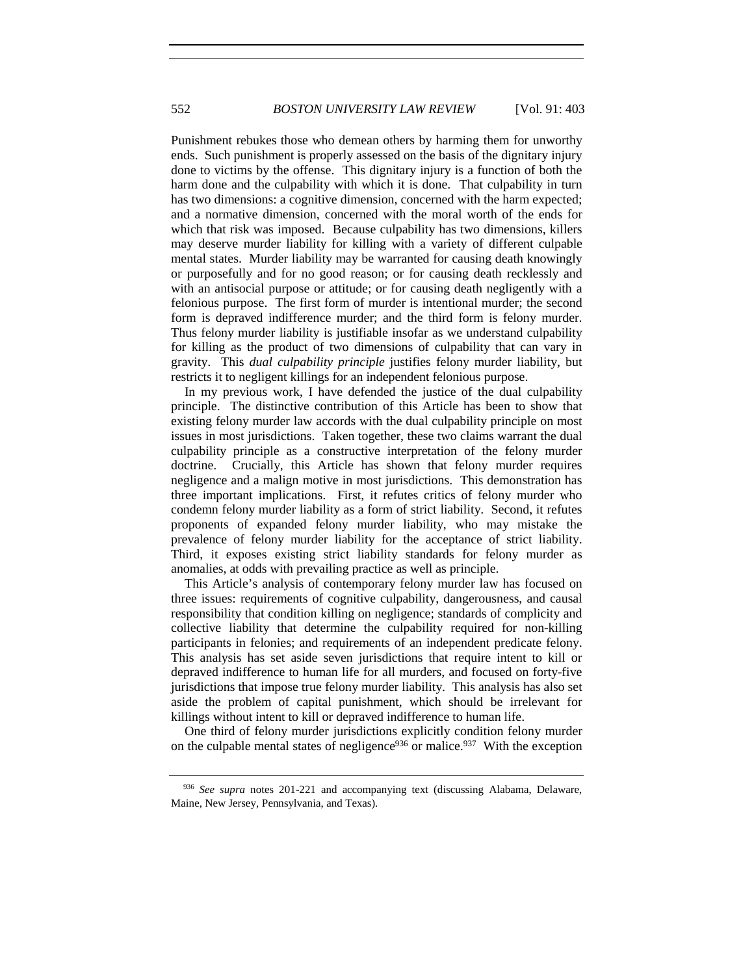Punishment rebukes those who demean others by harming them for unworthy ends. Such punishment is properly assessed on the basis of the dignitary injury done to victims by the offense. This dignitary injury is a function of both the harm done and the culpability with which it is done. That culpability in turn has two dimensions: a cognitive dimension, concerned with the harm expected; and a normative dimension, concerned with the moral worth of the ends for which that risk was imposed. Because culpability has two dimensions, killers may deserve murder liability for killing with a variety of different culpable mental states. Murder liability may be warranted for causing death knowingly or purposefully and for no good reason; or for causing death recklessly and with an antisocial purpose or attitude; or for causing death negligently with a felonious purpose. The first form of murder is intentional murder; the second form is depraved indifference murder; and the third form is felony murder. Thus felony murder liability is justifiable insofar as we understand culpability for killing as the product of two dimensions of culpability that can vary in gravity. This *dual culpability principle* justifies felony murder liability, but restricts it to negligent killings for an independent felonious purpose.

In my previous work, I have defended the justice of the dual culpability principle. The distinctive contribution of this Article has been to show that existing felony murder law accords with the dual culpability principle on most issues in most jurisdictions. Taken together, these two claims warrant the dual culpability principle as a constructive interpretation of the felony murder doctrine. Crucially, this Article has shown that felony murder requires negligence and a malign motive in most jurisdictions. This demonstration has three important implications. First, it refutes critics of felony murder who condemn felony murder liability as a form of strict liability. Second, it refutes proponents of expanded felony murder liability, who may mistake the prevalence of felony murder liability for the acceptance of strict liability. Third, it exposes existing strict liability standards for felony murder as anomalies, at odds with prevailing practice as well as principle.

This Article's analysis of contemporary felony murder law has focused on three issues: requirements of cognitive culpability, dangerousness, and causal responsibility that condition killing on negligence; standards of complicity and collective liability that determine the culpability required for non-killing participants in felonies; and requirements of an independent predicate felony. This analysis has set aside seven jurisdictions that require intent to kill or depraved indifference to human life for all murders, and focused on forty-five jurisdictions that impose true felony murder liability. This analysis has also set aside the problem of capital punishment, which should be irrelevant for killings without intent to kill or depraved indifference to human life.

One third of felony murder jurisdictions explicitly condition felony murder on the culpable mental states of negligence<sup>936</sup> or malice.<sup>937</sup> With the exception

<sup>936</sup> *See supra* notes 201-221 and accompanying text (discussing Alabama, Delaware, Maine, New Jersey, Pennsylvania, and Texas).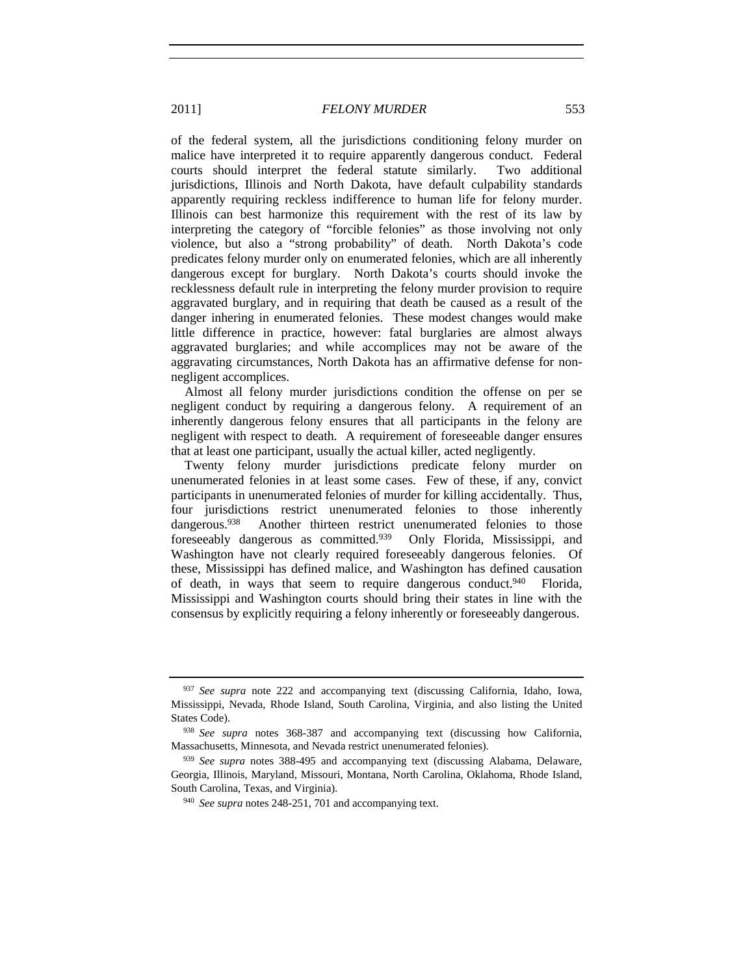of the federal system, all the jurisdictions conditioning felony murder on malice have interpreted it to require apparently dangerous conduct. Federal courts should interpret the federal statute similarly. Two additional jurisdictions, Illinois and North Dakota, have default culpability standards apparently requiring reckless indifference to human life for felony murder. Illinois can best harmonize this requirement with the rest of its law by interpreting the category of "forcible felonies" as those involving not only violence, but also a "strong probability" of death. North Dakota's code predicates felony murder only on enumerated felonies, which are all inherently dangerous except for burglary. North Dakota's courts should invoke the recklessness default rule in interpreting the felony murder provision to require aggravated burglary, and in requiring that death be caused as a result of the danger inhering in enumerated felonies. These modest changes would make little difference in practice, however: fatal burglaries are almost always aggravated burglaries; and while accomplices may not be aware of the aggravating circumstances, North Dakota has an affirmative defense for nonnegligent accomplices.

Almost all felony murder jurisdictions condition the offense on per se negligent conduct by requiring a dangerous felony. A requirement of an inherently dangerous felony ensures that all participants in the felony are negligent with respect to death. A requirement of foreseeable danger ensures that at least one participant, usually the actual killer, acted negligently.

Twenty felony murder jurisdictions predicate felony murder on unenumerated felonies in at least some cases. Few of these, if any, convict participants in unenumerated felonies of murder for killing accidentally. Thus, four jurisdictions restrict unenumerated felonies to those inherently dangerous.<sup>938</sup> Another thirteen restrict unenumerated felonies to those foreseeably dangerous as committed.939 Only Florida, Mississippi, and Washington have not clearly required foreseeably dangerous felonies. Of these, Mississippi has defined malice, and Washington has defined causation of death, in ways that seem to require dangerous conduct.<sup>940</sup> Florida, Mississippi and Washington courts should bring their states in line with the consensus by explicitly requiring a felony inherently or foreseeably dangerous.

<sup>937</sup> *See supra* note 222 and accompanying text (discussing California, Idaho, Iowa, Mississippi, Nevada, Rhode Island, South Carolina, Virginia, and also listing the United States Code).<br><sup>938</sup> *See supra* notes 368-387 and accompanying text (discussing how California,

Massachusetts, Minnesota, and Nevada restrict unenumerated felonies).

<sup>939</sup> *See supra* notes 388-495 and accompanying text (discussing Alabama, Delaware, Georgia, Illinois, Maryland, Missouri, Montana, North Carolina, Oklahoma, Rhode Island, South Carolina, Texas, and Virginia). 940 *See supra* notes 248-251, 701 and accompanying text.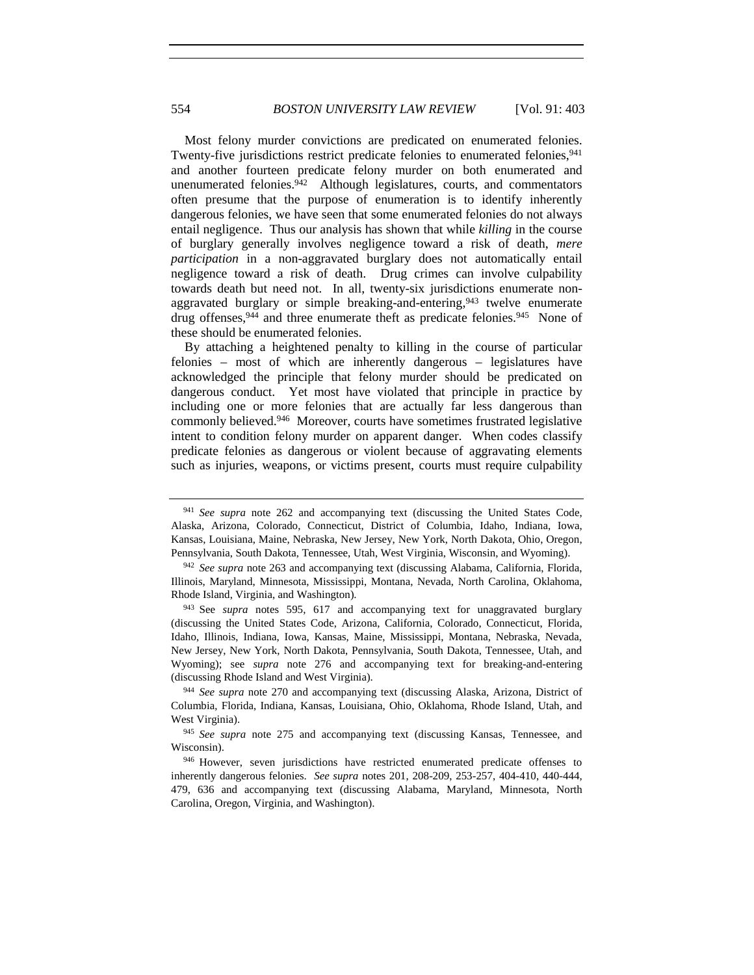Most felony murder convictions are predicated on enumerated felonies. Twenty-five jurisdictions restrict predicate felonies to enumerated felonies, <sup>941</sup> and another fourteen predicate felony murder on both enumerated and unenumerated felonies. $942$  Although legislatures, courts, and commentators often presume that the purpose of enumeration is to identify inherently dangerous felonies, we have seen that some enumerated felonies do not always entail negligence. Thus our analysis has shown that while *killing* in the course of burglary generally involves negligence toward a risk of death, *mere participation* in a non-aggravated burglary does not automatically entail negligence toward a risk of death. Drug crimes can involve culpability towards death but need not. In all, twenty-six jurisdictions enumerate nonaggravated burglary or simple breaking-and-entering,  $943$  twelve enumerate drug offenses,<sup>944</sup> and three enumerate theft as predicate felonies.<sup>945</sup> None of these should be enumerated felonies.

By attaching a heightened penalty to killing in the course of particular felonies – most of which are inherently dangerous – legislatures have acknowledged the principle that felony murder should be predicated on dangerous conduct. Yet most have violated that principle in practice by including one or more felonies that are actually far less dangerous than commonly believed.946 Moreover, courts have sometimes frustrated legislative intent to condition felony murder on apparent danger. When codes classify predicate felonies as dangerous or violent because of aggravating elements such as injuries, weapons, or victims present, courts must require culpability

<sup>941</sup> *See supra* note 262 and accompanying text (discussing the United States Code, Alaska, Arizona, Colorado, Connecticut, District of Columbia, Idaho, Indiana, Iowa, Kansas, Louisiana, Maine, Nebraska, New Jersey, New York, North Dakota, Ohio, Oregon, Pennsylvania, South Dakota, Tennessee, Utah, West Virginia, Wisconsin, and Wyoming).

<sup>942</sup> *See supra* note 263 and accompanying text (discussing Alabama, California, Florida, Illinois, Maryland, Minnesota, Mississippi, Montana, Nevada, North Carolina, Oklahoma, Rhode Island, Virginia, and Washington).

<sup>943</sup> See *supra* notes 595, 617 and accompanying text for unaggravated burglary (discussing the United States Code, Arizona, California, Colorado, Connecticut, Florida, Idaho, Illinois, Indiana, Iowa, Kansas, Maine, Mississippi, Montana, Nebraska, Nevada, New Jersey, New York, North Dakota, Pennsylvania, South Dakota, Tennessee, Utah, and Wyoming); see *supra* note 276 and accompanying text for breaking-and-entering (discussing Rhode Island and West Virginia). 944 *See supra* note 270 and accompanying text (discussing Alaska, Arizona, District of

Columbia, Florida, Indiana, Kansas, Louisiana, Ohio, Oklahoma, Rhode Island, Utah, and West Virginia).

<sup>945</sup> *See supra* note 275 and accompanying text (discussing Kansas, Tennessee, and Wisconsin).

<sup>946</sup> However, seven jurisdictions have restricted enumerated predicate offenses to inherently dangerous felonies. *See supra* notes 201, 208-209, 253-257, 404-410, 440-444, 479, 636 and accompanying text (discussing Alabama, Maryland, Minnesota, North Carolina, Oregon, Virginia, and Washington).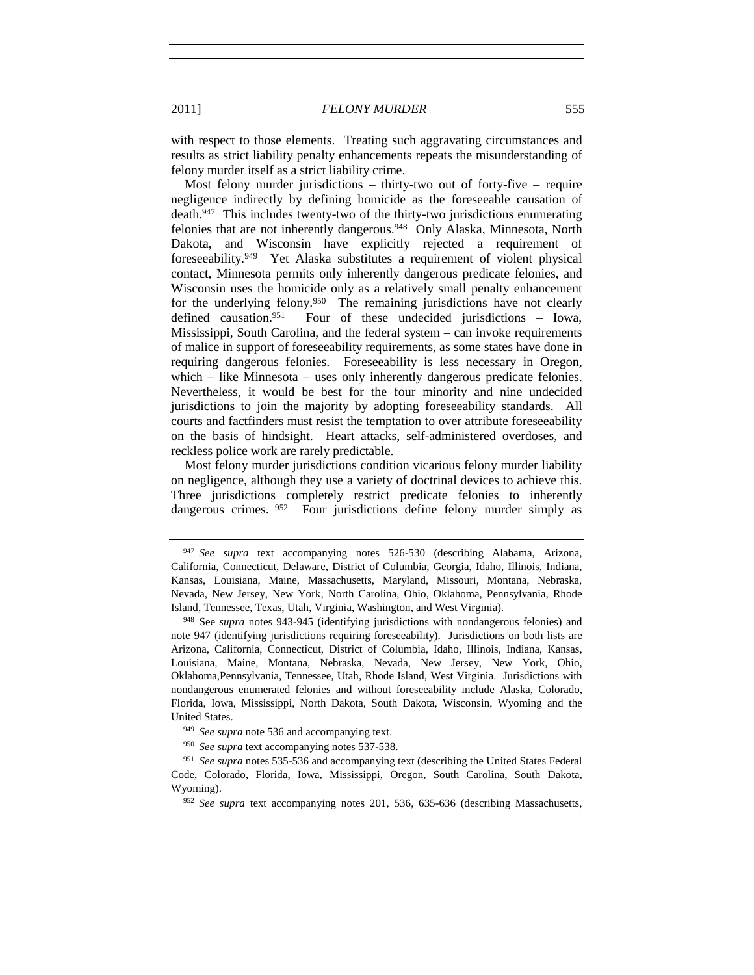with respect to those elements. Treating such aggravating circumstances and results as strict liability penalty enhancements repeats the misunderstanding of felony murder itself as a strict liability crime.

Most felony murder jurisdictions – thirty-two out of forty-five – require negligence indirectly by defining homicide as the foreseeable causation of death.947 This includes twenty-two of the thirty-two jurisdictions enumerating felonies that are not inherently dangerous.<sup>948</sup> Only Alaska, Minnesota, North Dakota, and Wisconsin have explicitly rejected a requirement of foreseeability.949 Yet Alaska substitutes a requirement of violent physical contact, Minnesota permits only inherently dangerous predicate felonies, and Wisconsin uses the homicide only as a relatively small penalty enhancement for the underlying felony.<sup>950</sup> The remaining jurisdictions have not clearly defined causation.<sup>951</sup> Four of these undecided jurisdictions – Iowa, Mississippi, South Carolina, and the federal system – can invoke requirements of malice in support of foreseeability requirements, as some states have done in requiring dangerous felonies. Foreseeability is less necessary in Oregon, which – like Minnesota – uses only inherently dangerous predicate felonies. Nevertheless, it would be best for the four minority and nine undecided jurisdictions to join the majority by adopting foreseeability standards. All courts and factfinders must resist the temptation to over attribute foreseeability on the basis of hindsight. Heart attacks, self-administered overdoses, and reckless police work are rarely predictable.

Most felony murder jurisdictions condition vicarious felony murder liability on negligence, although they use a variety of doctrinal devices to achieve this. Three jurisdictions completely restrict predicate felonies to inherently dangerous crimes. 952 Four jurisdictions define felony murder simply as

<sup>947</sup> *See supra* text accompanying notes 526-530 (describing Alabama, Arizona, California, Connecticut, Delaware, District of Columbia, Georgia, Idaho, Illinois, Indiana, Kansas, Louisiana, Maine, Massachusetts, Maryland, Missouri, Montana, Nebraska, Nevada, New Jersey, New York, North Carolina, Ohio, Oklahoma, Pennsylvania, Rhode Island, Tennessee, Texas, Utah, Virginia, Washington, and West Virginia).

<sup>948</sup> See *supra* notes 943-945 (identifying jurisdictions with nondangerous felonies) and note 947 (identifying jurisdictions requiring foreseeability). Jurisdictions on both lists are Arizona, California, Connecticut, District of Columbia, Idaho, Illinois, Indiana, Kansas, Louisiana, Maine, Montana, Nebraska, Nevada, New Jersey, New York, Ohio, Oklahoma,Pennsylvania, Tennessee, Utah, Rhode Island, West Virginia. Jurisdictions with nondangerous enumerated felonies and without foreseeability include Alaska, Colorado, Florida, Iowa, Mississippi, North Dakota, South Dakota, Wisconsin, Wyoming and the United States.

<sup>949</sup> *See supra* note 536 and accompanying text.

<sup>950</sup> *See supra* text accompanying notes 537-538.

<sup>951</sup> *See supra* notes 535-536 and accompanying text (describing the United States Federal Code, Colorado, Florida, Iowa, Mississippi, Oregon, South Carolina, South Dakota, Wyoming). 952 *See supra* text accompanying notes 201, 536, 635-636 (describing Massachusetts,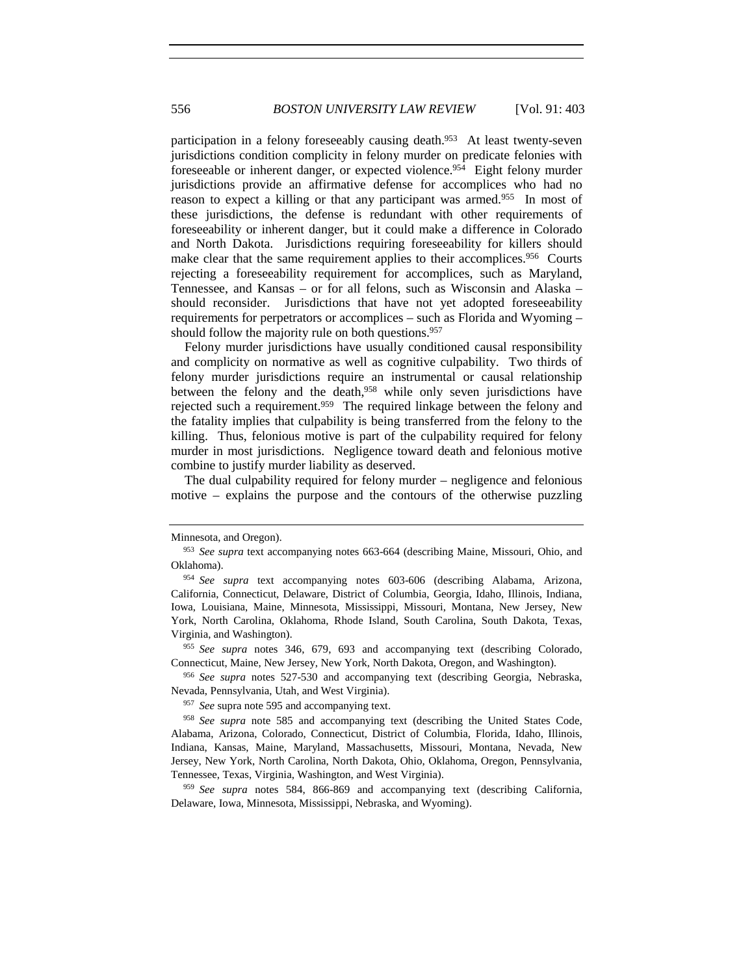participation in a felony foreseeably causing death.<sup>953</sup> At least twenty-seven jurisdictions condition complicity in felony murder on predicate felonies with foreseeable or inherent danger, or expected violence.<sup>954</sup> Eight felony murder jurisdictions provide an affirmative defense for accomplices who had no reason to expect a killing or that any participant was armed.<sup>955</sup> In most of these jurisdictions, the defense is redundant with other requirements of foreseeability or inherent danger, but it could make a difference in Colorado and North Dakota. Jurisdictions requiring foreseeability for killers should make clear that the same requirement applies to their accomplices.<sup>956</sup> Courts rejecting a foreseeability requirement for accomplices, such as Maryland, Tennessee, and Kansas – or for all felons, such as Wisconsin and Alaska – should reconsider. Jurisdictions that have not yet adopted foreseeability requirements for perpetrators or accomplices – such as Florida and Wyoming – should follow the majority rule on both questions.<sup>957</sup>

Felony murder jurisdictions have usually conditioned causal responsibility and complicity on normative as well as cognitive culpability. Two thirds of felony murder jurisdictions require an instrumental or causal relationship between the felony and the death,<sup>958</sup> while only seven jurisdictions have rejected such a requirement.959 The required linkage between the felony and the fatality implies that culpability is being transferred from the felony to the killing. Thus, felonious motive is part of the culpability required for felony murder in most jurisdictions. Negligence toward death and felonious motive combine to justify murder liability as deserved.

The dual culpability required for felony murder – negligence and felonious motive – explains the purpose and the contours of the otherwise puzzling

<sup>955</sup> *See supra* notes 346, 679, 693 and accompanying text (describing Colorado, Connecticut, Maine, New Jersey, New York, North Dakota, Oregon, and Washington).

<sup>956</sup> *See supra* notes 527-530 and accompanying text (describing Georgia, Nebraska, Nevada, Pennsylvania, Utah, and West Virginia).

<sup>957</sup> *See* supra note 595 and accompanying text.

<sup>959</sup> *See supra* notes 584, 866-869 and accompanying text (describing California, Delaware, Iowa, Minnesota, Mississippi, Nebraska, and Wyoming).

Minnesota, and Oregon).

<sup>953</sup> *See supra* text accompanying notes 663-664 (describing Maine, Missouri, Ohio, and Oklahoma).

<sup>954</sup> *See supra* text accompanying notes 603-606 (describing Alabama, Arizona, California, Connecticut, Delaware, District of Columbia, Georgia, Idaho, Illinois, Indiana, Iowa, Louisiana, Maine, Minnesota, Mississippi, Missouri, Montana, New Jersey, New York, North Carolina, Oklahoma, Rhode Island, South Carolina, South Dakota, Texas, Virginia, and Washington).

<sup>958</sup> *See supra* note 585 and accompanying text (describing the United States Code, Alabama, Arizona, Colorado, Connecticut, District of Columbia, Florida, Idaho, Illinois, Indiana, Kansas, Maine, Maryland, Massachusetts, Missouri, Montana, Nevada, New Jersey, New York, North Carolina, North Dakota, Ohio, Oklahoma, Oregon, Pennsylvania, Tennessee, Texas, Virginia, Washington, and West Virginia).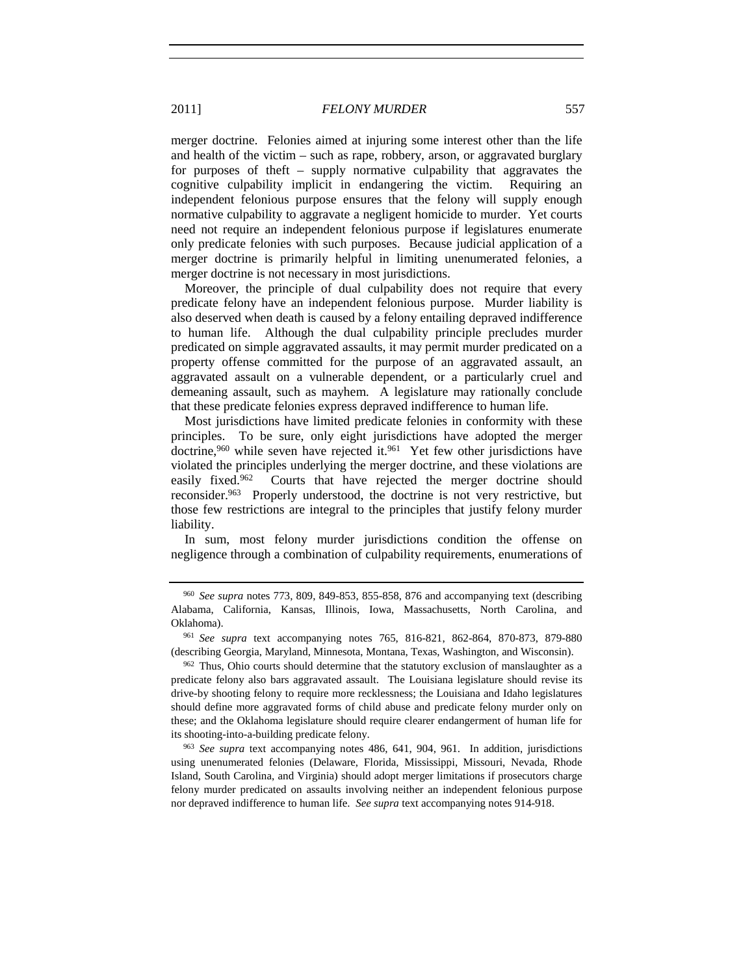merger doctrine. Felonies aimed at injuring some interest other than the life and health of the victim – such as rape, robbery, arson, or aggravated burglary for purposes of theft – supply normative culpability that aggravates the cognitive culpability implicit in endangering the victim. Requiring an independent felonious purpose ensures that the felony will supply enough normative culpability to aggravate a negligent homicide to murder. Yet courts need not require an independent felonious purpose if legislatures enumerate only predicate felonies with such purposes. Because judicial application of a merger doctrine is primarily helpful in limiting unenumerated felonies, a merger doctrine is not necessary in most jurisdictions.

Moreover, the principle of dual culpability does not require that every predicate felony have an independent felonious purpose. Murder liability is also deserved when death is caused by a felony entailing depraved indifference to human life. Although the dual culpability principle precludes murder predicated on simple aggravated assaults, it may permit murder predicated on a property offense committed for the purpose of an aggravated assault, an aggravated assault on a vulnerable dependent, or a particularly cruel and demeaning assault, such as mayhem. A legislature may rationally conclude that these predicate felonies express depraved indifference to human life.

Most jurisdictions have limited predicate felonies in conformity with these principles. To be sure, only eight jurisdictions have adopted the merger doctrine,<sup>960</sup> while seven have rejected it.<sup>961</sup> Yet few other jurisdictions have violated the principles underlying the merger doctrine, and these violations are easily fixed.962 Courts that have rejected the merger doctrine should reconsider.963 Properly understood, the doctrine is not very restrictive, but those few restrictions are integral to the principles that justify felony murder liability.

In sum, most felony murder jurisdictions condition the offense on negligence through a combination of culpability requirements, enumerations of

<sup>960</sup> *See supra* notes 773, 809, 849-853, 855-858, 876 and accompanying text (describing Alabama, California, Kansas, Illinois, Iowa, Massachusetts, North Carolina, and Oklahoma).

<sup>961</sup> *See supra* text accompanying notes 765, 816-821, 862-864, 870-873, 879-880 (describing Georgia, Maryland, Minnesota, Montana, Texas, Washington, and Wisconsin).

<sup>&</sup>lt;sup>962</sup> Thus, Ohio courts should determine that the statutory exclusion of manslaughter as a predicate felony also bars aggravated assault. The Louisiana legislature should revise its drive-by shooting felony to require more recklessness; the Louisiana and Idaho legislatures should define more aggravated forms of child abuse and predicate felony murder only on these; and the Oklahoma legislature should require clearer endangerment of human life for its shooting-into-a-building predicate felony.

<sup>963</sup> *See supra* text accompanying notes 486, 641, 904, 961. In addition, jurisdictions using unenumerated felonies (Delaware, Florida, Mississippi, Missouri, Nevada, Rhode Island, South Carolina, and Virginia) should adopt merger limitations if prosecutors charge felony murder predicated on assaults involving neither an independent felonious purpose nor depraved indifference to human life. *See supra* text accompanying notes 914-918.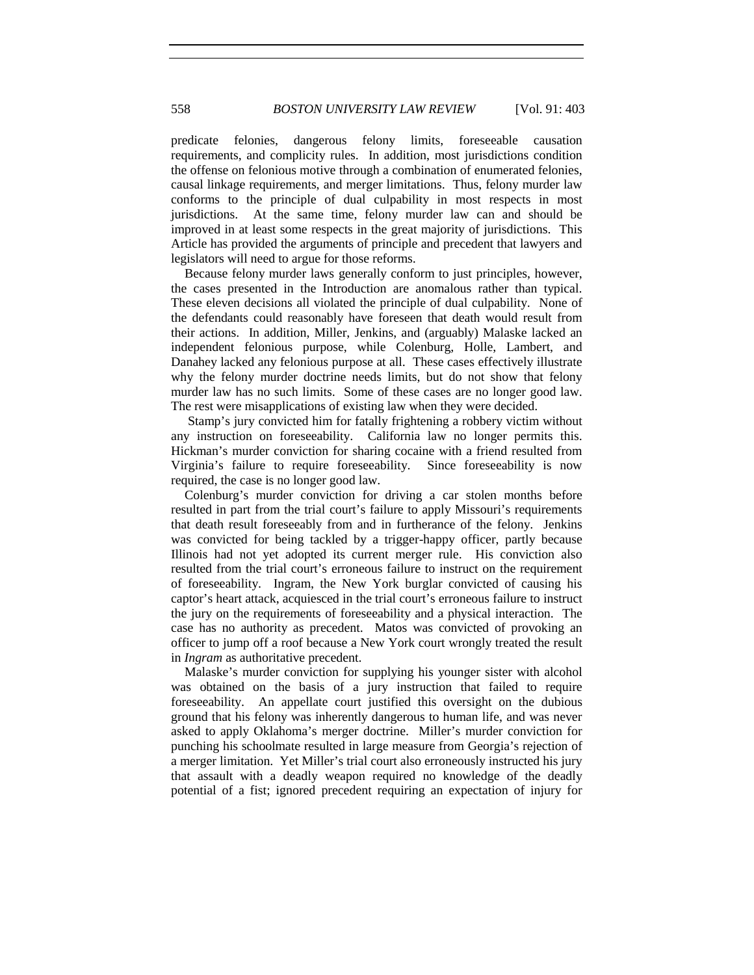predicate felonies, dangerous felony limits, foreseeable causation requirements, and complicity rules. In addition, most jurisdictions condition the offense on felonious motive through a combination of enumerated felonies, causal linkage requirements, and merger limitations. Thus, felony murder law conforms to the principle of dual culpability in most respects in most jurisdictions. At the same time, felony murder law can and should be improved in at least some respects in the great majority of jurisdictions. This Article has provided the arguments of principle and precedent that lawyers and legislators will need to argue for those reforms.

Because felony murder laws generally conform to just principles, however, the cases presented in the Introduction are anomalous rather than typical. These eleven decisions all violated the principle of dual culpability. None of the defendants could reasonably have foreseen that death would result from their actions. In addition, Miller, Jenkins, and (arguably) Malaske lacked an independent felonious purpose, while Colenburg, Holle, Lambert, and Danahey lacked any felonious purpose at all. These cases effectively illustrate why the felony murder doctrine needs limits, but do not show that felony murder law has no such limits. Some of these cases are no longer good law. The rest were misapplications of existing law when they were decided.

 Stamp's jury convicted him for fatally frightening a robbery victim without any instruction on foreseeability. California law no longer permits this. Hickman's murder conviction for sharing cocaine with a friend resulted from Virginia's failure to require foreseeability. Since foreseeability is now required, the case is no longer good law.

Colenburg's murder conviction for driving a car stolen months before resulted in part from the trial court's failure to apply Missouri's requirements that death result foreseeably from and in furtherance of the felony. Jenkins was convicted for being tackled by a trigger-happy officer, partly because Illinois had not yet adopted its current merger rule. His conviction also resulted from the trial court's erroneous failure to instruct on the requirement of foreseeability. Ingram, the New York burglar convicted of causing his captor's heart attack, acquiesced in the trial court's erroneous failure to instruct the jury on the requirements of foreseeability and a physical interaction. The case has no authority as precedent. Matos was convicted of provoking an officer to jump off a roof because a New York court wrongly treated the result in *Ingram* as authoritative precedent.

Malaske's murder conviction for supplying his younger sister with alcohol was obtained on the basis of a jury instruction that failed to require foreseeability. An appellate court justified this oversight on the dubious ground that his felony was inherently dangerous to human life, and was never asked to apply Oklahoma's merger doctrine. Miller's murder conviction for punching his schoolmate resulted in large measure from Georgia's rejection of a merger limitation. Yet Miller's trial court also erroneously instructed his jury that assault with a deadly weapon required no knowledge of the deadly potential of a fist; ignored precedent requiring an expectation of injury for